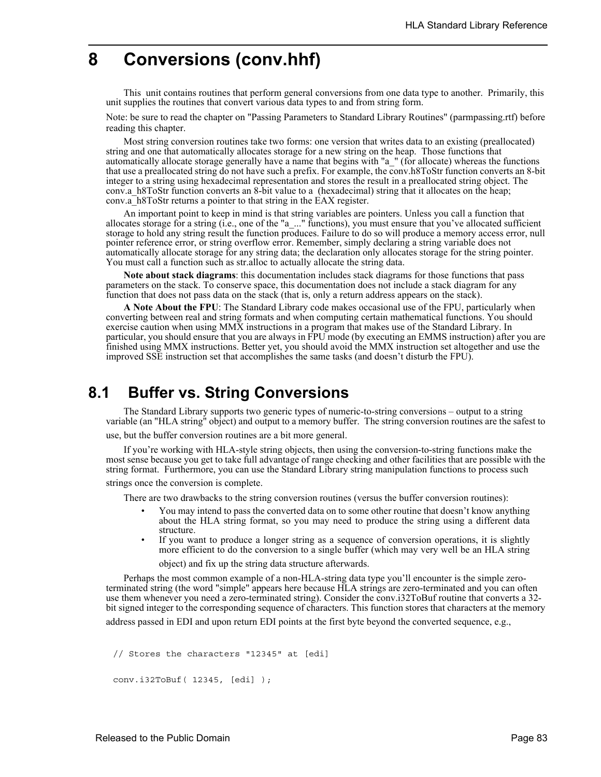# **8 Conversions (conv.hhf)**

This unit contains routines that perform general conversions from one data type to another. Primarily, this unit supplies the routines that convert various data types to and from string form.

Note: be sure to read the chapter on "Passing Parameters to Standard Library Routines" (parmpassing.rtf) before reading this chapter.

Most string conversion routines take two forms: one version that writes data to an existing (preallocated) string and one that automatically allocates storage for a new string on the heap. Those functions that automatically allocate storage generally have a name that begins with "a\_" (for allocate) whereas the functions that use a preallocated string do not have such a prefix. For example, the conv.h8ToStr function converts an 8-bit integer to a string using hexadecimal representation and stores the result in a preallocated string object. The conv.a\_h8ToStr function converts an 8-bit value to a (hexadecimal) string that it allocates on the heap; conv.a\_h8ToStr returns a pointer to that string in the EAX register.

An important point to keep in mind is that string variables are pointers. Unless you call a function that allocates storage for a string (i.e., one of the "a\_..." functions), you must ensure that you've allocated sufficient storage to hold any string result the function produces. Failure to do so will produce a memory access error, null pointer reference error, or string overflow error. Remember, simply declaring a string variable does not automatically allocate storage for any string data; the declaration only allocates storage for the string pointer. You must call a function such as str.alloc to actually allocate the string data.

**Note about stack diagrams**: this documentation includes stack diagrams for those functions that pass parameters on the stack. To conserve space, this documentation does not include a stack diagram for any function that does not pass data on the stack (that is, only a return address appears on the stack).

**A Note About the FPU**: The Standard Library code makes occasional use of the FPU, particularly when converting between real and string formats and when computing certain mathematical functions. You should exercise caution when using MMX instructions in a program that makes use of the Standard Library. In particular, you should ensure that you are always in FPU mode (by executing an EMMS instruction) after you are finished using MMX instructions. Better yet, you should avoid the MMX instruction set altogether and use the improved SSE instruction set that accomplishes the same tasks (and doesn't disturb the FPU).

# **8.1 Buffer vs. String Conversions**

The Standard Library supports two generic types of numeric-to-string conversions – output to a string variable (an "HLA string" object) and output to a memory buffer. The string conversion routines are the safest to

use, but the buffer conversion routines are a bit more general.

If you're working with HLA-style string objects, then using the conversion-to-string functions make the most sense because you get to take full advantage of range checking and other facilities that are possible with the string format. Furthermore, you can use the Standard Library string manipulation functions to process such

strings once the conversion is complete.

There are two drawbacks to the string conversion routines (versus the buffer conversion routines):

- You may intend to pass the converted data on to some other routine that doesn't know anything about the HLA string format, so you may need to produce the string using a different data structure.
- If you want to produce a longer string as a sequence of conversion operations, it is slightly more efficient to do the conversion to a single buffer (which may very well be an HLA string object) and fix up the string data structure afterwards.

Perhaps the most common example of a non-HLA-string data type you'll encounter is the simple zeroterminated string (the word "simple" appears here because HLA strings are zero-terminated and you can often use them whenever you need a zero-terminated string). Consider the conv.i32ToBuf routine that converts a 32 bit signed integer to the corresponding sequence of characters. This function stores that characters at the memory address passed in EDI and upon return EDI points at the first byte beyond the converted sequence, e.g.,

```
// Stores the characters "12345" at [edi]
conv.i32ToBuf( 12345, [edi] );
```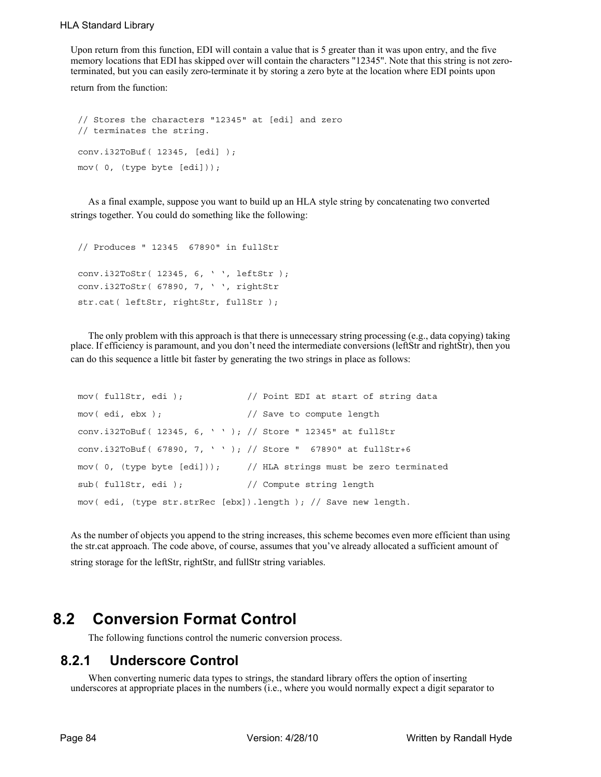Upon return from this function, EDI will contain a value that is 5 greater than it was upon entry, and the five memory locations that EDI has skipped over will contain the characters "12345". Note that this string is not zeroterminated, but you can easily zero-terminate it by storing a zero byte at the location where EDI points upon

return from the function:

```
// Stores the characters "12345" at [edi] and zero
// terminates the string.
conv.i32ToBuf( 12345, [edi] ); 
mov( 0, (type byte [edi]));
```
As a final example, suppose you want to build up an HLA style string by concatenating two converted strings together. You could do something like the following:

```
// Produces " 12345 67890" in fullStr
conv.i32ToStr( 12345, 6, ' ', leftStr );
conv.i32ToStr( 67890, 7, ' ', rightStr 
str.cat( leftStr, rightStr, fullStr );
```
The only problem with this approach is that there is unnecessary string processing (e.g., data copying) taking place. If efficiency is paramount, and you don't need the intermediate conversions (leftStr and rightStr), then you can do this sequence a little bit faster by generating the two strings in place as follows:

```
mov( fullStr, edi ); // Point EDI at start of string data
mov( edi, ebx ); \frac{1}{2} // Save to compute length
conv.i32ToBuf( 12345, 6, ' ' ); // Store " 12345" at fullStr
conv.i32ToBuf( 67890, 7, ' ' ); // Store " 67890" at fullStr+6
mov( 0, (type byte [edi])); // HLA strings must be zero terminated
sub( fullStr, edi ); \frac{1}{2} // Compute string length
mov( edi, (type str.strRec [ebx]).length ); // Save new length.
```
As the number of objects you append to the string increases, this scheme becomes even more efficient than using the str.cat approach. The code above, of course, assumes that you've already allocated a sufficient amount of string storage for the leftStr, rightStr, and fullStr string variables.

# **8.2 Conversion Format Control**

The following functions control the numeric conversion process.

# **8.2.1 Underscore Control**

When converting numeric data types to strings, the standard library offers the option of inserting underscores at appropriate places in the numbers (i.e., where you would normally expect a digit separator to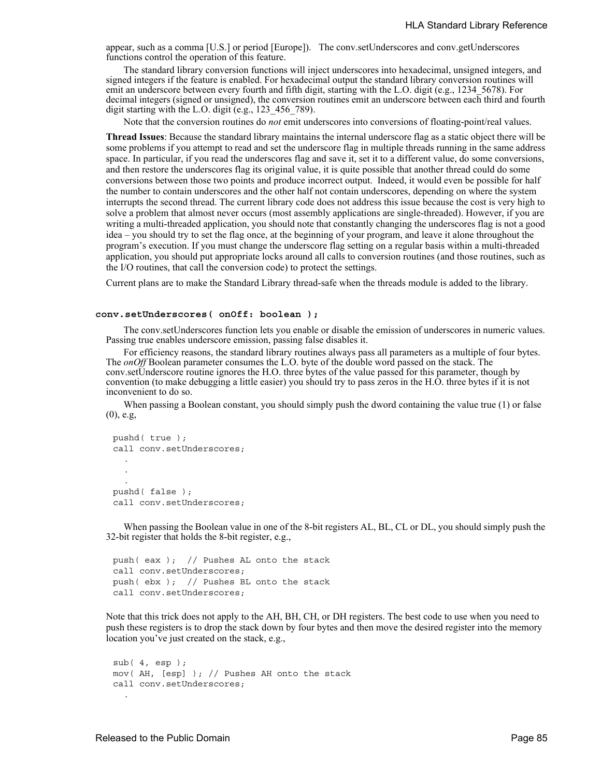appear, such as a comma [U.S.] or period [Europe]). The conv.setUnderscores and conv.getUnderscores functions control the operation of this feature.

The standard library conversion functions will inject underscores into hexadecimal, unsigned integers, and signed integers if the feature is enabled. For hexadecimal output the standard library conversion routines will emit an underscore between every fourth and fifth digit, starting with the L.O. digit (e.g., 1234\_5678). For decimal integers (signed or unsigned), the conversion routines emit an underscore between each third and fourth digit starting with the L.O. digit (e.g., 123\_456\_789).

Note that the conversion routines do *not* emit underscores into conversions of floating-point/real values.

**Thread Issues**: Because the standard library maintains the internal underscore flag as a static object there will be some problems if you attempt to read and set the underscore flag in multiple threads running in the same address space. In particular, if you read the underscores flag and save it, set it to a different value, do some conversions, and then restore the underscores flag its original value, it is quite possible that another thread could do some conversions between those two points and produce incorrect output. Indeed, it would even be possible for half the number to contain underscores and the other half not contain underscores, depending on where the system interrupts the second thread. The current library code does not address this issue because the cost is very high to solve a problem that almost never occurs (most assembly applications are single-threaded). However, if you are writing a multi-threaded application, you should note that constantly changing the underscores flag is not a good idea – you should try to set the flag once, at the beginning of your program, and leave it alone throughout the program's execution. If you must change the underscore flag setting on a regular basis within a multi-threaded application, you should put appropriate locks around all calls to conversion routines (and those routines, such as the I/O routines, that call the conversion code) to protect the settings.

Current plans are to make the Standard Library thread-safe when the threads module is added to the library.

#### **conv.setUnderscores( onOff: boolean );**

The conv.setUnderscores function lets you enable or disable the emission of underscores in numeric values. Passing true enables underscore emission, passing false disables it.

For efficiency reasons, the standard library routines always pass all parameters as a multiple of four bytes. The *onOff* Boolean parameter consumes the L.O. byte of the double word passed on the stack. The conv.setUnderscore routine ignores the H.O. three bytes of the value passed for this parameter, though by convention (to make debugging a little easier) you should try to pass zeros in the H.O. three bytes if it is not inconvenient to do so.

When passing a Boolean constant, you should simply push the dword containing the value true (1) or false (0), e.g,

```
pushd( true );
call conv.setUnderscores;
  .
  .
  .
pushd( false );
call conv.setUnderscores;
```
When passing the Boolean value in one of the 8-bit registers AL, BL, CL or DL, you should simply push the 32-bit register that holds the 8-bit register, e.g.,

```
push( eax ); // Pushes AL onto the stack
call conv.setUnderscores;
push( ebx ); // Pushes BL onto the stack
call conv.setUnderscores;
```
Note that this trick does not apply to the AH, BH, CH, or DH registers. The best code to use when you need to push these registers is to drop the stack down by four bytes and then move the desired register into the memory location you've just created on the stack, e.g.,

```
sub( 4, esp );
mov( AH, [esp] ); // Pushes AH onto the stack
call conv.setUnderscores;
  .
```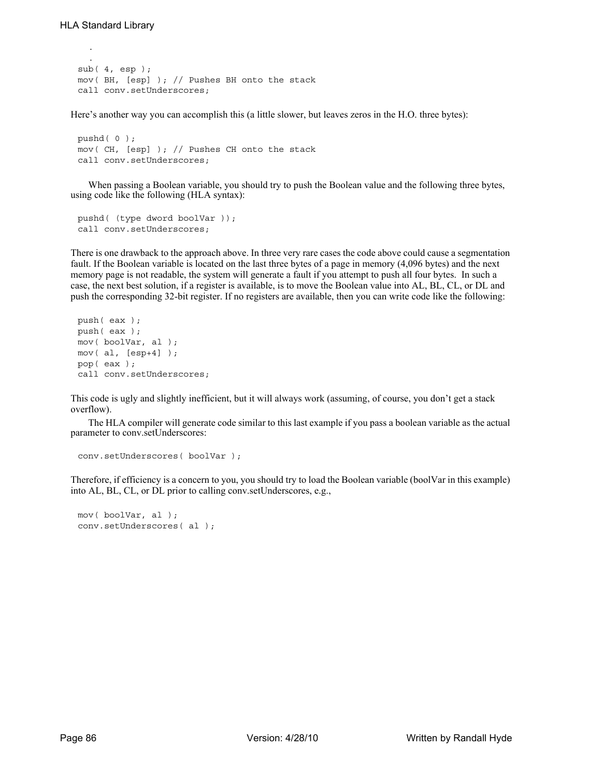.

```
.
sub(4, esp);mov( BH, [esp] ); // Pushes BH onto the stack
call conv.setUnderscores;
```
Here's another way you can accomplish this (a little slower, but leaves zeros in the H.O. three bytes):

```
pushd( 0 );
mov( CH, [esp] ); // Pushes CH onto the stack
call conv.setUnderscores;
```
When passing a Boolean variable, you should try to push the Boolean value and the following three bytes, using code like the following (HLA syntax):

```
pushd( (type dword boolVar ));
call conv.setUnderscores;
```
There is one drawback to the approach above. In three very rare cases the code above could cause a segmentation fault. If the Boolean variable is located on the last three bytes of a page in memory (4,096 bytes) and the next memory page is not readable, the system will generate a fault if you attempt to push all four bytes. In such a case, the next best solution, if a register is available, is to move the Boolean value into AL, BL, CL, or DL and push the corresponding 32-bit register. If no registers are available, then you can write code like the following:

```
push( eax );
push( eax );
mov( boolVar, al );
mov( al, [esp+4] );
pop( eax );
call conv.setUnderscores;
```
This code is ugly and slightly inefficient, but it will always work (assuming, of course, you don't get a stack overflow).

The HLA compiler will generate code similar to this last example if you pass a boolean variable as the actual parameter to conv.setUnderscores:

```
conv.setUnderscores( boolVar );
```
Therefore, if efficiency is a concern to you, you should try to load the Boolean variable (boolVar in this example) into AL, BL, CL, or DL prior to calling conv.setUnderscores, e.g.,

```
mov( boolVar, al );
conv.setUnderscores( al );
```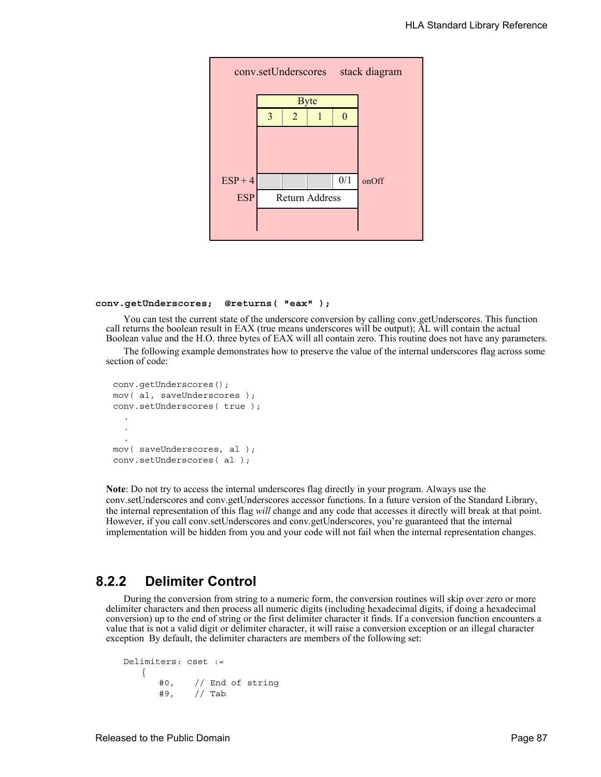

#### **conv.getUnderscores; @returns( "eax" );**

You can test the current state of the underscore conversion by calling conv.getUnderscores. This function call returns the boolean result in EAX (true means underscores will be output); AL will contain the actual Boolean value and the H.O. three bytes of EAX will all contain zero. This routine does not have any parameters.

The following example demonstrates how to preserve the value of the internal underscores flag across some section of code:

```
conv.getUnderscores();
mov( al, saveUnderscores );
conv.setUnderscores( true );
  .
  .
  .
mov( saveUnderscores, al );
conv.setUnderscores( al );
```
**Note**: Do not try to access the internal underscores flag directly in your program. Always use the conv.setUnderscores and conv.getUnderscores accessor functions. In a future version of the Standard Library, the internal representation of this flag *will* change and any code that accesses it directly will break at that point. However, if you call conv.setUnderscores and conv.getUnderscores, you're guaranteed that the internal implementation will be hidden from you and your code will not fail when the internal representation changes.

# **8.2.2 Delimiter Control**

During the conversion from string to a numeric form, the conversion routines will skip over zero or more delimiter characters and then process all numeric digits (including hexadecimal digits, if doing a hexadecimal conversion) up to the end of string or the first delimiter character it finds. If a conversion function encounters a value that is not a valid digit or delimiter character, it will raise a conversion exception or an illegal character exception By default, the delimiter characters are members of the following set:

```
Delimiters: cset :=
   {
      #0, // End of string 
      #9, // Tab
```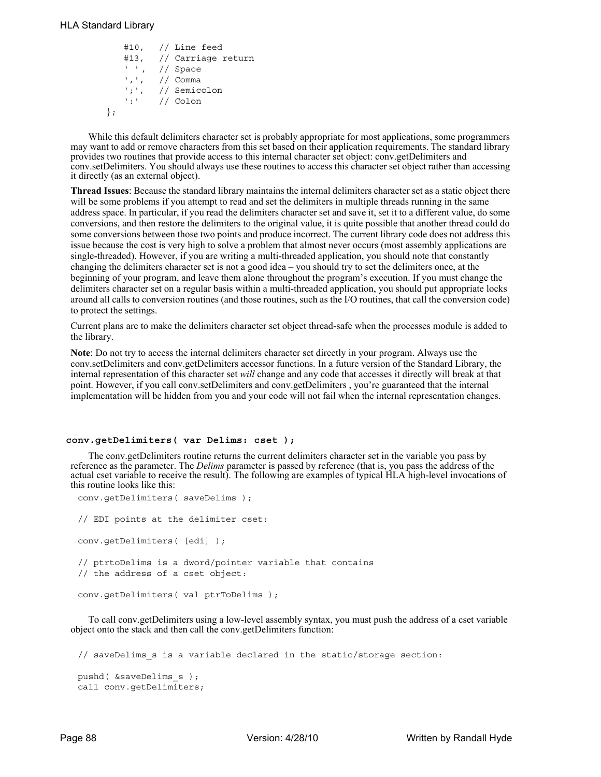```
#10, // Line feed
    #13, // Carriage return<br>'' // Space
           // Space
    ',', // Comma
    ';', // Semicolon<br>':' // Colon
            // Colon
};
```
While this default delimiters character set is probably appropriate for most applications, some programmers may want to add or remove characters from this set based on their application requirements. The standard library provides two routines that provide access to this internal character set object: conv.getDelimiters and conv.setDelimiters. You should always use these routines to access this character set object rather than accessing it directly (as an external object).

**Thread Issues**: Because the standard library maintains the internal delimiters character set as a static object there will be some problems if you attempt to read and set the delimiters in multiple threads running in the same address space. In particular, if you read the delimiters character set and save it, set it to a different value, do some conversions, and then restore the delimiters to the original value, it is quite possible that another thread could do some conversions between those two points and produce incorrect. The current library code does not address this issue because the cost is very high to solve a problem that almost never occurs (most assembly applications are single-threaded). However, if you are writing a multi-threaded application, you should note that constantly changing the delimiters character set is not a good idea – you should try to set the delimiters once, at the beginning of your program, and leave them alone throughout the program's execution. If you must change the delimiters character set on a regular basis within a multi-threaded application, you should put appropriate locks around all calls to conversion routines (and those routines, such as the I/O routines, that call the conversion code) to protect the settings.

Current plans are to make the delimiters character set object thread-safe when the processes module is added to the library.

**Note**: Do not try to access the internal delimiters character set directly in your program. Always use the conv.setDelimiters and conv.getDelimiters accessor functions. In a future version of the Standard Library, the internal representation of this character set *will* change and any code that accesses it directly will break at that point. However, if you call conv.setDelimiters and conv.getDelimiters , you're guaranteed that the internal implementation will be hidden from you and your code will not fail when the internal representation changes.

### **conv.getDelimiters( var Delims: cset );**

conv.getDelimiters( saveDelims );

The conv.getDelimiters routine returns the current delimiters character set in the variable you pass by reference as the parameter. The *Delims* parameter is passed by reference (that is, you pass the address of the actual cset variable to receive the result). The following are examples of typical HLA high-level invocations of this routine looks like this:

```
// EDI points at the delimiter cset:
conv.getDelimiters( [edi] );
// ptrtoDelims is a dword/pointer variable that contains
// the address of a cset object:
conv.getDelimiters( val ptrToDelims );
```
To call conv.getDelimiters using a low-level assembly syntax, you must push the address of a cset variable object onto the stack and then call the conv.getDelimiters function:

 $//$  saveDelims  $s$  is a variable declared in the static/storage section:

```
pushd( &saveDelims_s );
call conv.getDelimiters;
```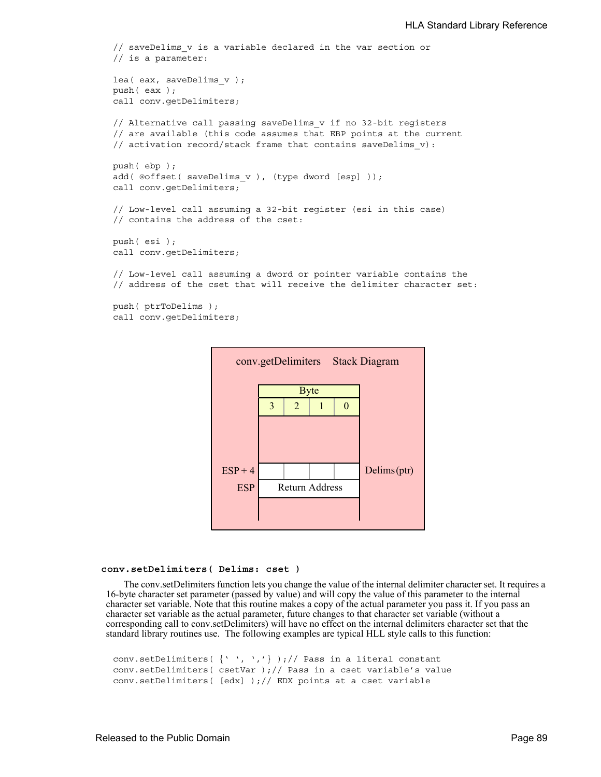```
// saveDelims v is a variable declared in the var section or
// is a parameter:
lea( eax, saveDelims v );
push( eax );
call conv.getDelimiters;
// Alternative call passing saveDelims_v if no 32-bit registers
// are available (this code assumes that EBP points at the current
// activation record/stack frame that contains saveDelims v):
push( ebp );
add( @offset( saveDelims_v ), (type dword [esp] ));
call conv.getDelimiters;
// Low-level call assuming a 32-bit register (esi in this case)
// contains the address of the cset:
push( esi );
call conv.getDelimiters;
// Low-level call assuming a dword or pointer variable contains the
// address of the cset that will receive the delimiter character set:
```
push( ptrToDelims ); call conv.getDelimiters;



#### **conv.setDelimiters( Delims: cset )**

The conv.setDelimiters function lets you change the value of the internal delimiter character set. It requires a 16-byte character set parameter (passed by value) and will copy the value of this parameter to the internal character set variable. Note that this routine makes a copy of the actual parameter you pass it. If you pass an character set variable as the actual parameter, future changes to that character set variable (without a corresponding call to conv.setDelimiters) will have no effect on the internal delimiters character set that the standard library routines use. The following examples are typical HLL style calls to this function:

```
conv.setDelimiters(\{ ' ', ', ' , ' \});// Pass in a literal constant
conv.setDelimiters( csetVar );// Pass in a cset variable's value
conv.setDelimiters( [edx] );// EDX points at a cset variable
```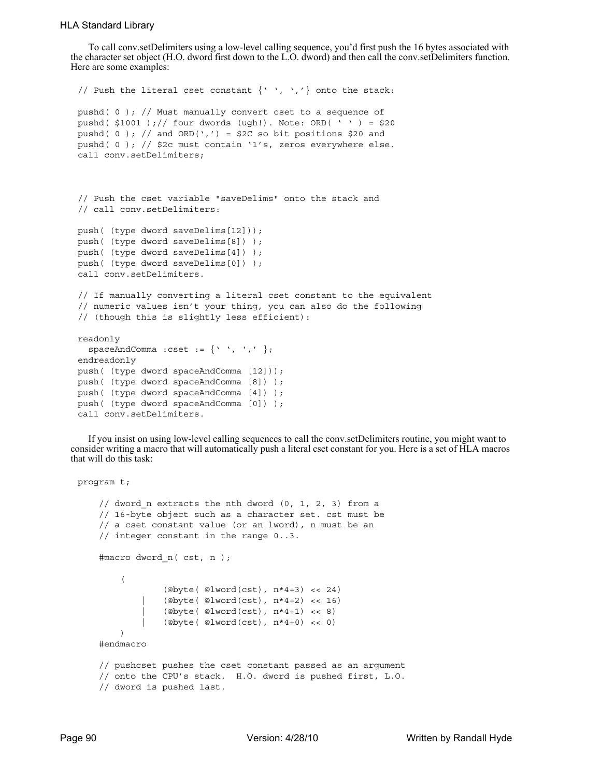To call conv.setDelimiters using a low-level calling sequence, you'd first push the 16 bytes associated with the character set object (H.O. dword first down to the L.O. dword) and then call the conv.setDelimiters function. Here are some examples:

```
// Push the literal cset constant \{\cdot\, \cdot,\, \cdot,\cdot\} onto the stack:
pushd( 0 ); // Must manually convert cset to a sequence of
pushd( $1001 );// four dwords (ugh!). Note: ORD( ' ' ) = $20
pushd( 0 ); // and ORD(','') = $2C so bit positions $20 and
pushd( 0 ); // $2c must contain '1's, zeros everywhere else.
call conv.setDelimiters;
// Push the cset variable "saveDelims" onto the stack and
// call conv.setDelimiters:
push( (type dword saveDelims[12]));
push( (type dword saveDelims[8]) );
push( (type dword saveDelims[4]) );
push( (type dword saveDelims[0]) );
call conv.setDelimiters.
// If manually converting a literal cset constant to the equivalent
// numeric values isn't your thing, you can also do the following
// (though this is slightly less efficient):
readonly
  spaceAndComma :cset := {\' \' \', '', ''};endreadonly
push( (type dword spaceAndComma [12]));
push( (type dword spaceAndComma [8]) );
push( (type dword spaceAndComma [4]) );
push( (type dword spaceAndComma [0]) );
call conv.setDelimiters.
```
If you insist on using low-level calling sequences to call the conv.setDelimiters routine, you might want to consider writing a macro that will automatically push a literal cset constant for you. Here is a set of HLA macros that will do this task:

```
// dword n extracts the nth dword (0, 1, 2, 3) from a
 // 16-byte object such as a character set. cst must be
 // a cset constant value (or an lword), n must be an
 // integer constant in the range 0..3.
 #macro dword_n( cst, n );
     ( 
              (@byte( @lword(cst), n*4+3) << 24)
             (\text{@byte}(\text{@luord}(\text{cst}), n*4+2) << 16)( @byte( @luord(cst), n*4+1) << 8)(\text{@byte}() @1word(cst), n*4+0) << 0) )
 #endmacro
 // pushcset pushes the cset constant passed as an argument
 // onto the CPU's stack. H.O. dword is pushed first, L.O.
 // dword is pushed last.
```
program t;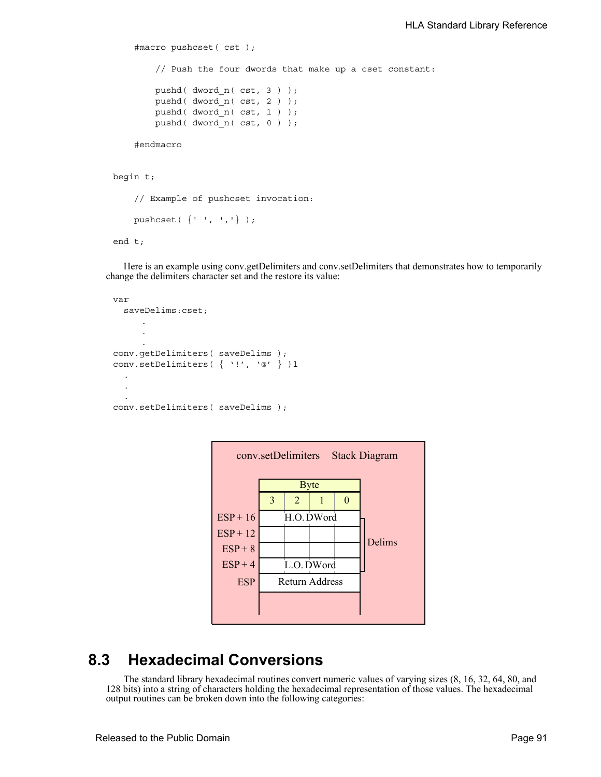```
 #macro pushcset( cst );
         // Push the four dwords that make up a cset constant:
         pushd( dword_n( cst, 3 ) );
        pushd( dword n( cst, 2 ) );
         pushd( dword_n( cst, 1 ) );
         pushd( dword_n( cst, 0 ) );
     #endmacro
begin t;
     // Example of pushcset invocation:
     pushcset( {' ', ','} );
end t;
```
Here is an example using conv.getDelimiters and conv.setDelimiters that demonstrates how to temporarily change the delimiters character set and the restore its value:

```
var
  saveDelims:cset;
     .
      .
      .
conv.getDelimiters( saveDelims );
conv.setDelimiters( { '!', '@' } )l
  .
  .
  .
conv.setDelimiters( saveDelims );
```


# **8.3 Hexadecimal Conversions**

The standard library hexadecimal routines convert numeric values of varying sizes (8, 16, 32, 64, 80, and 128 bits) into a string of characters holding the hexadecimal representation of those values. The hexadecimal output routines can be broken down into the following categories: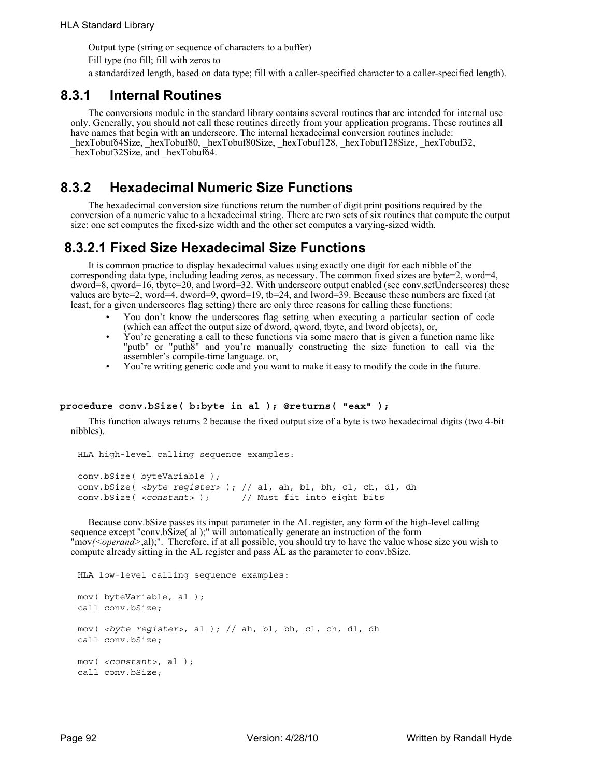Output type (string or sequence of characters to a buffer) Fill type (no fill; fill with zeros to

a standardized length, based on data type; fill with a caller-specified character to a caller-specified length).

## **8.3.1 Internal Routines**

The conversions module in the standard library contains several routines that are intended for internal use only. Generally, you should not call these routines directly from your application programs. These routines all have names that begin with an underscore. The internal hexadecimal conversion routines include: hexTobuf64Size, hexTobuf80, hexTobuf80Size, hexTobuf128, hexTobuf128Size, hexTobuf32, hexTobuf32Size, and hexTobuf64.

# **8.3.2 Hexadecimal Numeric Size Functions**

The hexadecimal conversion size functions return the number of digit print positions required by the conversion of a numeric value to a hexadecimal string. There are two sets of six routines that compute the output size: one set computes the fixed-size width and the other set computes a varying-sized width.

# **8.3.2.1 Fixed Size Hexadecimal Size Functions**

It is common practice to display hexadecimal values using exactly one digit for each nibble of the corresponding data type, including leading zeros, as necessary. The common fixed sizes are byte=2, word=4, dword=8, qword=16, tbyte=20, and lword=32. With underscore output enabled (see conv.setUnderscores) these values are byte=2, word=4, dword=9, qword=19, tb=24, and lword=39. Because these numbers are fixed (at least, for a given underscores flag setting) there are only three reasons for calling these functions:

- You don't know the underscores flag setting when executing a particular section of code (which can affect the output size of dword, qword, tbyte, and lword objects), or,
- You're generating a call to these functions via some macro that is given a function name like "putb" or "puth8" and you're manually constructing the size function to call via the assembler's compile-time language. or,
- You're writing generic code and you want to make it easy to modify the code in the future.

### **procedure conv.bSize( b:byte in al ); @returns( "eax" );**

This function always returns 2 because the fixed output size of a byte is two hexadecimal digits (two 4-bit nibbles).

HLA high-level calling sequence examples:

```
conv.bSize( byteVariable );
conv.bSize( <byte register> ); // al, ah, bl, bh, cl, ch, dl, dh
conv.bSize( <constant> ); // Must fit into eight bits
```
Because conv.bSize passes its input parameter in the AL register, any form of the high-level calling sequence except "conv.bSize( al );" will automatically generate an instruction of the form "mov/<*operand>*,al);". Therefore, if at all possible, you should try to have the value whose size you wish to compute already sitting in the AL register and pass AL as the parameter to conv.bSize.

```
HLA low-level calling sequence examples:
mov( byteVariable, al );
call conv.bSize;
mov( <byte register>, al ); // ah, bl, bh, cl, ch, dl, dh
call conv.bSize;
mov( <constant>, al );
call conv.bSize;
```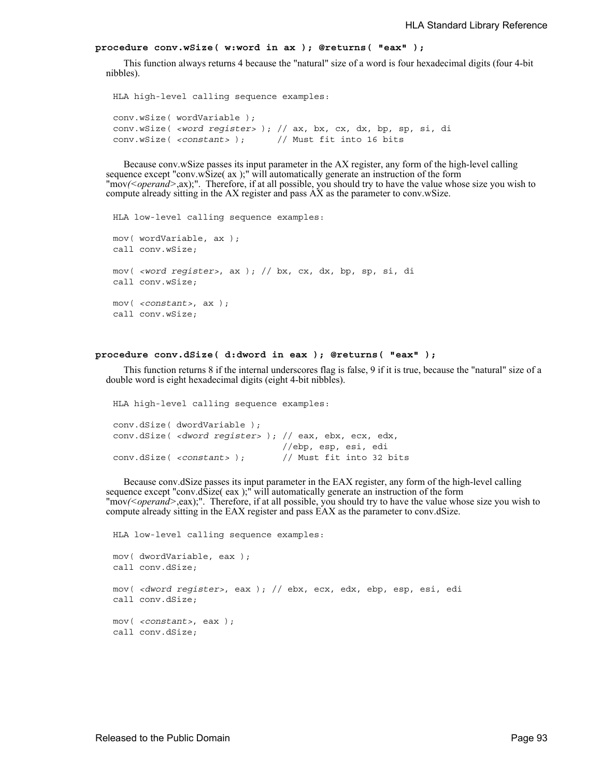```
procedure conv.wSize( w:word in ax ); @returns( "eax" );
```
This function always returns 4 because the "natural" size of a word is four hexadecimal digits (four 4-bit nibbles).

HLA high-level calling sequence examples: conv.wSize( wordVariable ); conv.wSize( *<word register>* ); // ax, bx, cx, dx, bp, sp, si, di conv.wSize( *<constant>* ); // Must fit into 16 bits

Because conv.wSize passes its input parameter in the AX register, any form of the high-level calling sequence except "conv.wSize( ax );" will automatically generate an instruction of the form "mov/<*operand>*,ax);". Therefore, if at all possible, you should try to have the value whose size you wish to compute already sitting in the AX register and pass AX as the parameter to conv.wSize.

```
HLA low-level calling sequence examples:
mov( wordVariable, ax );
call conv.wSize;
mov( <word register>, ax ); // bx, cx, dx, bp, sp, si, di
call conv.wSize;
mov( <constant>, ax );
call conv.wSize;
```
#### **procedure conv.dSize( d:dword in eax ); @returns( "eax" );**

This function returns 8 if the internal underscores flag is false, 9 if it is true, because the "natural" size of a double word is eight hexadecimal digits (eight 4-bit nibbles).

HLA high-level calling sequence examples: conv.dSize( dwordVariable );

```
conv.dSize( <dword register> ); // eax, ebx, ecx, edx, 
                               //ebp, esp, esi, edi
conv.dSize( <constant> ); // Must fit into 32 bits
```
Because conv.dSize passes its input parameter in the EAX register, any form of the high-level calling sequence except "conv.dSize( eax );" will automatically generate an instruction of the form "mov/<*operand>*,eax);". Therefore, if at all possible, you should try to have the value whose size you wish to compute already sitting in the EAX register and pass EAX as the parameter to conv.dSize.

```
HLA low-level calling sequence examples:
mov( dwordVariable, eax );
call conv.dSize;
mov( <dword register>, eax ); // ebx, ecx, edx, ebp, esp, esi, edi
call conv.dSize;
mov( <constant>, eax );
call conv.dSize;
```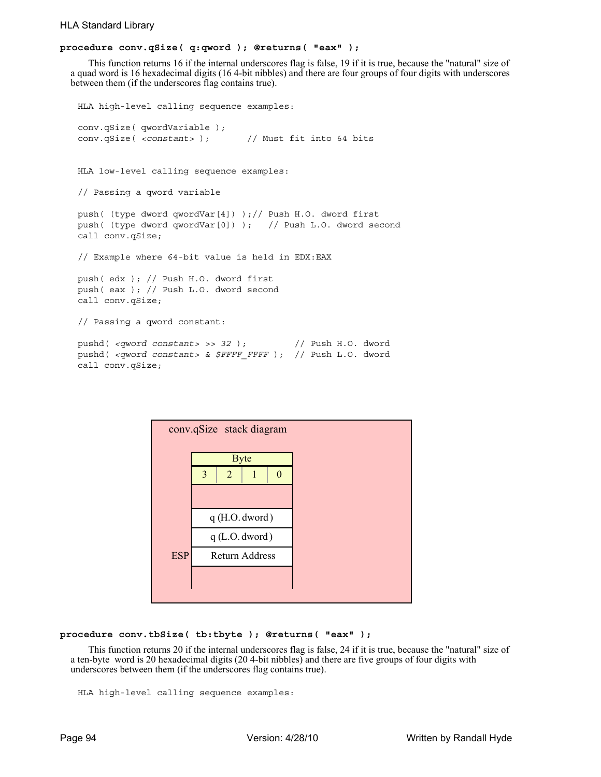call conv.qSize;

### **procedure conv.qSize( q:qword ); @returns( "eax" );**

This function returns 16 if the internal underscores flag is false, 19 if it is true, because the "natural" size of a quad word is 16 hexadecimal digits (16 4-bit nibbles) and there are four groups of four digits with underscores between them (if the underscores flag contains true).

```
HLA high-level calling sequence examples:
conv.qSize( qwordVariable );
conv.qSize( <constant> ); // Must fit into 64 bits
HLA low-level calling sequence examples:
// Passing a qword variable
push( (type dword qwordVar[4]) );// Push H.O. dword first
push( (type dword qwordVar[0]) ); // Push L.O. dword second
call conv.qSize;
// Example where 64-bit value is held in EDX:EAX
push( edx ); // Push H.O. dword first
push( eax ); // Push L.O. dword second
call conv.qSize;
// Passing a qword constant:
pushd( <qword constant> >> 32 ); // Push H.O. dword
pushd( <qword constant> & $FFFF_FFFF ); // Push L.O. dword
```

| conv.qSize stack diagram |                  |   |              |  |  |  |  |  |  |  |  |  |
|--------------------------|------------------|---|--------------|--|--|--|--|--|--|--|--|--|
|                          | <b>Byte</b>      |   |              |  |  |  |  |  |  |  |  |  |
|                          | $\overline{3}$   | 2 | $\mathbf{1}$ |  |  |  |  |  |  |  |  |  |
|                          |                  |   |              |  |  |  |  |  |  |  |  |  |
|                          | q(H.O.dword)     |   |              |  |  |  |  |  |  |  |  |  |
|                          | $q$ (L.O. dword) |   |              |  |  |  |  |  |  |  |  |  |
| <b>ESP</b>               | Return Address   |   |              |  |  |  |  |  |  |  |  |  |
|                          |                  |   |              |  |  |  |  |  |  |  |  |  |
|                          |                  |   |              |  |  |  |  |  |  |  |  |  |

#### **procedure conv.tbSize( tb:tbyte ); @returns( "eax" );**

This function returns 20 if the internal underscores flag is false, 24 if it is true, because the "natural" size of a ten-byte word is 20 hexadecimal digits (20 4-bit nibbles) and there are five groups of four digits with underscores between them (if the underscores flag contains true).

```
HLA high-level calling sequence examples:
```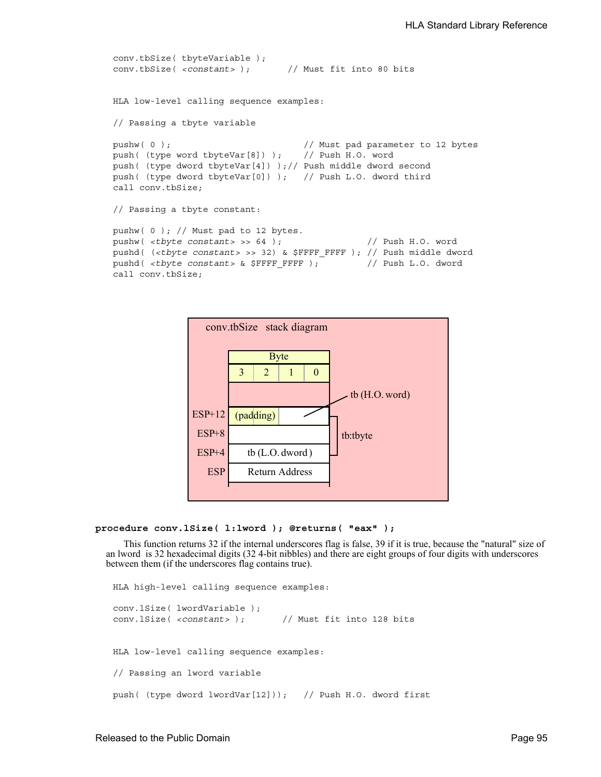```
conv.tbSize( tbyteVariable );
conv.tbSize( <constant> ); // Must fit into 80 bits
HLA low-level calling sequence examples:
// Passing a tbyte variable
pushw( 0 ); // Must pad parameter to 12 bytes
push( (type word tbyteVar[8]) ); // Push H.O. word
push( (type dword tbyteVar[4]) );// Push middle dword second
push( (type dword tbyteVar[0]) ); // Push L.O. dword third
call conv.tbSize;
// Passing a tbyte constant:
pushw( 0 ); // Must pad to 12 bytes.
pushw( <tbyte constant> >> 64 ); // Push H.O. word
pushd( (<tbyte constant> >> 32) & $FFFF_FFFF ); // Push middle dword
pushd( <tbyte constant> & $FFFF FFFF); // Push L.O. dword
call conv.tbSize;
```


#### **procedure conv.lSize( l:lword ); @returns( "eax" );**

This function returns 32 if the internal underscores flag is false, 39 if it is true, because the "natural" size of an lword is 32 hexadecimal digits (32 4-bit nibbles) and there are eight groups of four digits with underscores between them (if the underscores flag contains true).

```
HLA high-level calling sequence examples:
conv.lSize( lwordVariable );
conv.lSize( <constant> ); // Must fit into 128 bits
HLA low-level calling sequence examples:
// Passing an lword variable
push( (type dword lwordVar[12])); // Push H.O. dword first
```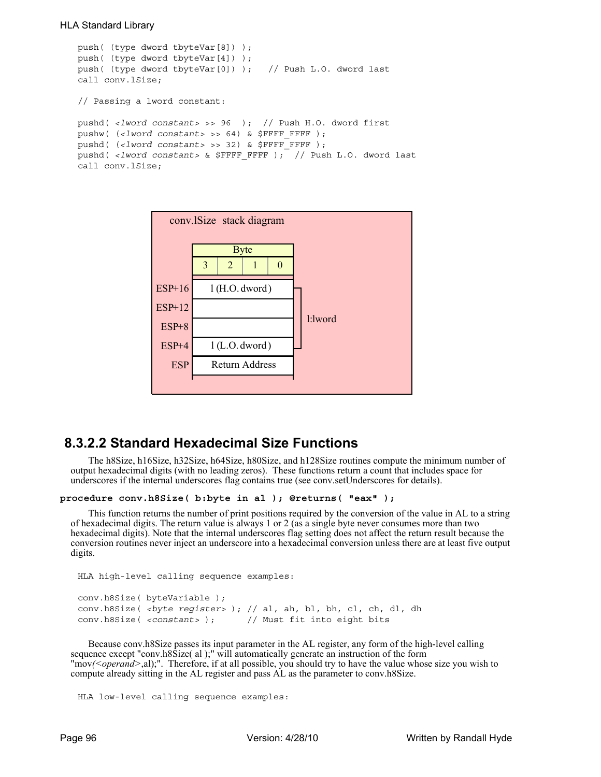```
push( (type dword tbyteVar[8]) ); 
push( (type dword tbyteVar[4]) );
push( (type dword tbyteVar[0]) ); // Push L.O. dword last
call conv.lSize;
// Passing a lword constant:
pushd( <lword constant> >> 96 ); // Push H.O. dword first
pushw( (\n<sub>1</sub> word constant > > > 64) & $FFFF FFFF );
pushd( (<lword constant> >> 32) & $FFFF FFFF );
pushd( <lword constant> & $FFFF_FFFF ); // Push L.O. dword last
call conv.lSize;
```


# **8.3.2.2 Standard Hexadecimal Size Functions**

The h8Size, h16Size, h32Size, h64Size, h80Size, and h128Size routines compute the minimum number of output hexadecimal digits (with no leading zeros). These functions return a count that includes space for underscores if the internal underscores flag contains true (see conv.setUnderscores for details).

```
procedure conv.h8Size( b:byte in al ); @returns( "eax" );
```
This function returns the number of print positions required by the conversion of the value in AL to a string of hexadecimal digits. The return value is always 1 or 2 (as a single byte never consumes more than two hexadecimal digits). Note that the internal underscores flag setting does not affect the return result because the conversion routines never inject an underscore into a hexadecimal conversion unless there are at least five output digits.

```
HLA high-level calling sequence examples:
```

```
conv.h8Size( byteVariable );
conv.h8Size( <byte register> ); // al, ah, bl, bh, cl, ch, dl, dh
conv.h8Size( <constant> ); // Must fit into eight bits
```
Because conv.h8Size passes its input parameter in the AL register, any form of the high-level calling sequence except "conv.h8Size( al );" will automatically generate an instruction of the form "mov/<*operand>*,al);". Therefore, if at all possible, you should try to have the value whose size you wish to compute already sitting in the AL register and pass AL as the parameter to conv.h8Size.

```
HLA low-level calling sequence examples:
```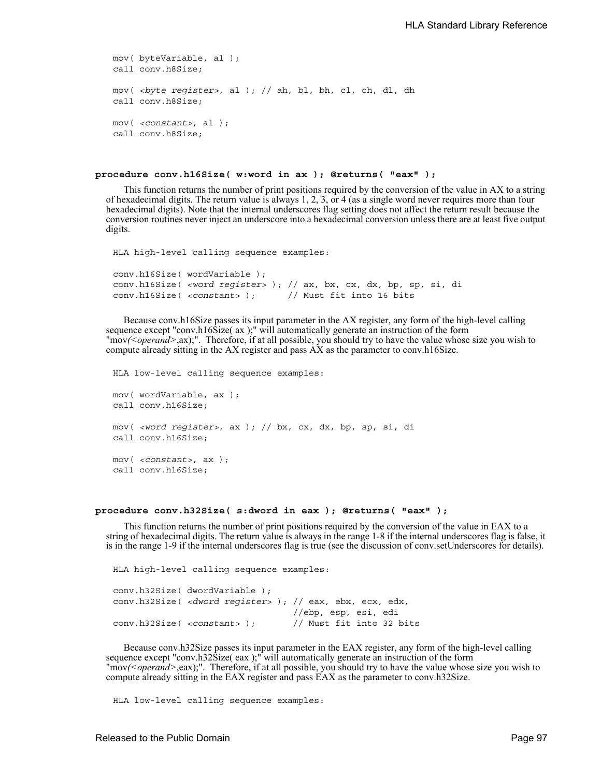```
mov( byteVariable, al );
call conv.h8Size;
mov( <byte register>, al ); // ah, bl, bh, cl, ch, dl, dh
call conv.h8Size;
mov( <constant>, al );
call conv.h8Size;
```
### **procedure conv.h16Size( w:word in ax ); @returns( "eax" );**

This function returns the number of print positions required by the conversion of the value in AX to a string of hexadecimal digits. The return value is always 1, 2, 3, or 4 (as a single word never requires more than four hexadecimal digits). Note that the internal underscores flag setting does not affect the return result because the conversion routines never inject an underscore into a hexadecimal conversion unless there are at least five output digits.

```
HLA high-level calling sequence examples:
conv.h16Size( wordVariable );
conv.h16Size( <word register> ); // ax, bx, cx, dx, bp, sp, si, di
conv.h16Size( <constant> ); // Must fit into 16 bits
```
Because conv.h16Size passes its input parameter in the AX register, any form of the high-level calling sequence except "conv.h16Size( ax );" will automatically generate an instruction of the form "mov/<*operand>*,ax);". Therefore, if at all possible, you should try to have the value whose size you wish to compute already sitting in the AX register and pass AX as the parameter to conv.h16Size.

```
HLA low-level calling sequence examples:
mov( wordVariable, ax );
call conv.h16Size;
mov( <word register>, ax ); // bx, cx, dx, bp, sp, si, di
call conv.h16Size;
mov( <constant>, ax );
call conv.h16Size;
```
#### **procedure conv.h32Size( s:dword in eax ); @returns( "eax" );**

This function returns the number of print positions required by the conversion of the value in EAX to a string of hexadecimal digits. The return value is always in the range 1-8 if the internal underscores flag is false, it is in the range 1-9 if the internal underscores flag is true (see the discussion of conv.setUnderscores for details).

```
HLA high-level calling sequence examples:
conv.h32Size( dwordVariable );
conv.h32Size( <dword register> ); // eax, ebx, ecx, edx, 
                                  //ebp, esp, esi, edi
conv.h32Size( <constant> ); // Must fit into 32 bits
```
Because conv.h32Size passes its input parameter in the EAX register, any form of the high-level calling sequence except "conv.h32Size( eax );" will automatically generate an instruction of the form "mov/<*operand>*,eax);". Therefore, if at all possible, you should try to have the value whose size you wish to compute already sitting in the EAX register and pass EAX as the parameter to conv.h32Size.

HLA low-level calling sequence examples: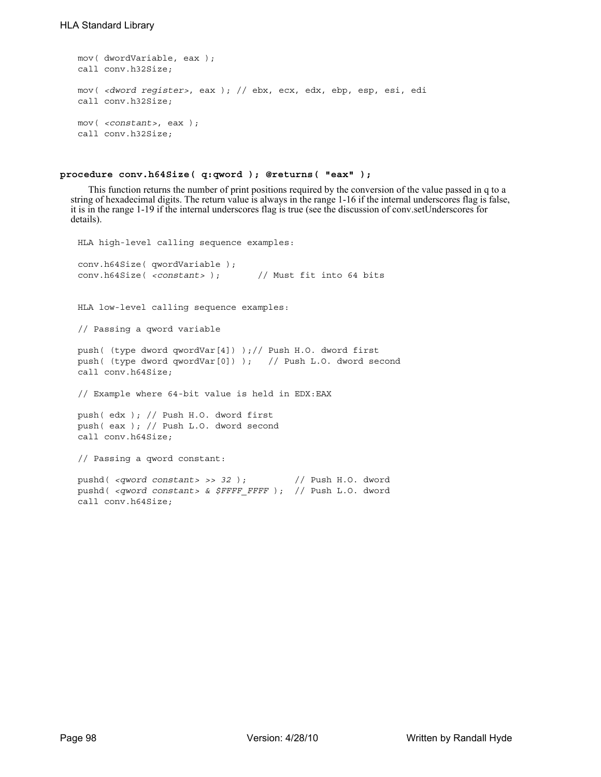```
mov( dwordVariable, eax );
call conv.h32Size;
mov( <dword register>, eax ); // ebx, ecx, edx, ebp, esp, esi, edi
call conv.h32Size;
mov( <constant>, eax );
call conv.h32Size;
```
#### **procedure conv.h64Size( q:qword ); @returns( "eax" );**

This function returns the number of print positions required by the conversion of the value passed in q to a string of hexadecimal digits. The return value is always in the range 1-16 if the internal underscores flag is false, it is in the range 1-19 if the internal underscores flag is true (see the discussion of conv.setUnderscores for details).

```
HLA high-level calling sequence examples:
conv.h64Size( qwordVariable );
conv.h64Size( <constant> ); // Must fit into 64 bits
HLA low-level calling sequence examples:
// Passing a qword variable
push( (type dword qwordVar[4]) );// Push H.O. dword first
push( (type dword qwordVar[0]) ); // Push L.O. dword second
call conv.h64Size;
// Example where 64-bit value is held in EDX:EAX
push( edx ); // Push H.O. dword first
push( eax ); // Push L.O. dword second
call conv.h64Size;
// Passing a qword constant:
pushd( <qword constant> >> 32 ); // Push H.O. dword
pushd( <qword constant> & $FFFF_FFFF ); // Push L.O. dword
call conv.h64Size;
```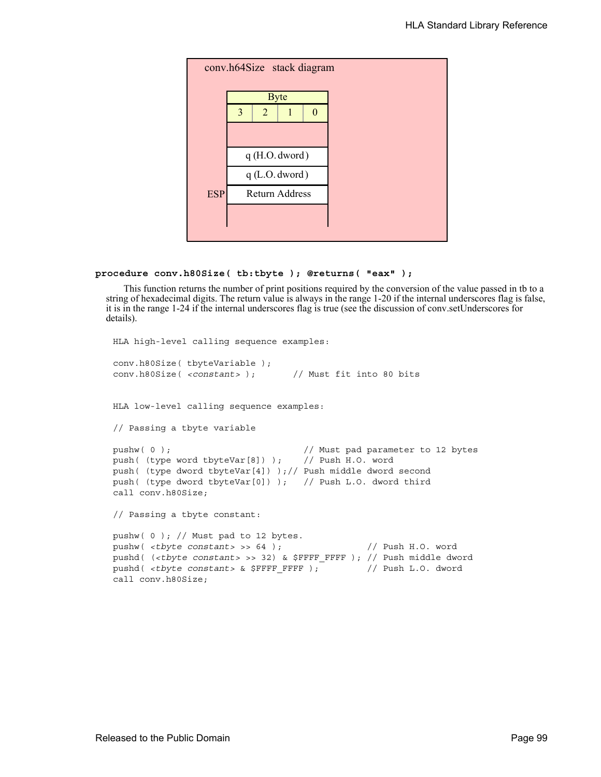

### **procedure conv.h80Size( tb:tbyte ); @returns( "eax" );**

This function returns the number of print positions required by the conversion of the value passed in tb to a string of hexadecimal digits. The return value is always in the range 1-20 if the internal underscores flag is false, it is in the range 1-24 if the internal underscores flag is true (see the discussion of conv.setUnderscores for details).

```
HLA high-level calling sequence examples:
conv.h80Size( tbyteVariable );
conv.h80Size( <constant> ); // Must fit into 80 bits
HLA low-level calling sequence examples:
// Passing a tbyte variable
pushw( 0 ); // Must pad parameter to 12 bytes
push( (type word tbyteVar[8]) ); // Push H.O. word
push( (type dword tbyteVar[4]) );// Push middle dword second
push( (type dword tbyteVar[0]) ); // Push L.O. dword third
call conv.h80Size;
// Passing a tbyte constant:
pushw( 0 ); // Must pad to 12 bytes.
pushw( <tbyte constant> >> 64 ); // Push H.O. word
pushd( (<tbyte constant> >> 32) & $FFFF_FFFF ); // Push middle dword
pushd( <tbyte constant> & $FFFF FFFF); // Push L.O. dword
call conv.h80Size;
```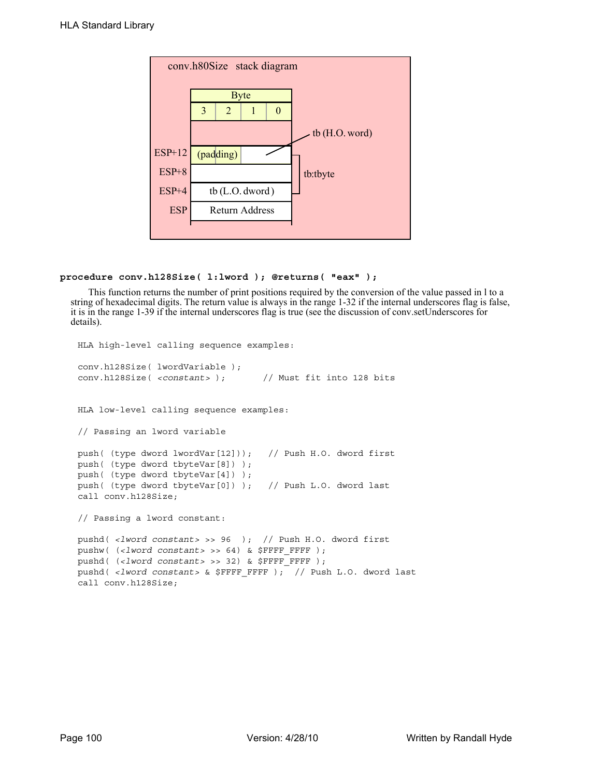

### **procedure conv.h128Size( l:lword ); @returns( "eax" );**

This function returns the number of print positions required by the conversion of the value passed in l to a string of hexadecimal digits. The return value is always in the range 1-32 if the internal underscores flag is false, it is in the range 1-39 if the internal underscores flag is true (see the discussion of conv.setUnderscores for details).

```
HLA high-level calling sequence examples:
conv.h128Size( lwordVariable );
conv.h128Size( <constant> ); // Must fit into 128 bits
HLA low-level calling sequence examples:
// Passing an lword variable
push( (type dword lwordVar[12])); // Push H.O. dword first
push( (type dword tbyteVar[8]) ); 
push( (type dword tbyteVar[4]) );
push( (type dword tbyteVar[0]) ); // Push L.O. dword last
call conv.h128Size;
// Passing a lword constant:
pushd( <lword constant> >> 96 ); // Push H.O. dword first
pushw( (<lword constant> >> 64) & $FFFF_FFFF );
pushd( (<lword constant> >> 32) & $FFFF_FFFF ); 
pushd( <lword constant> & $FFFF_FFFF ); // Push L.O. dword last
call conv.h128Size;
```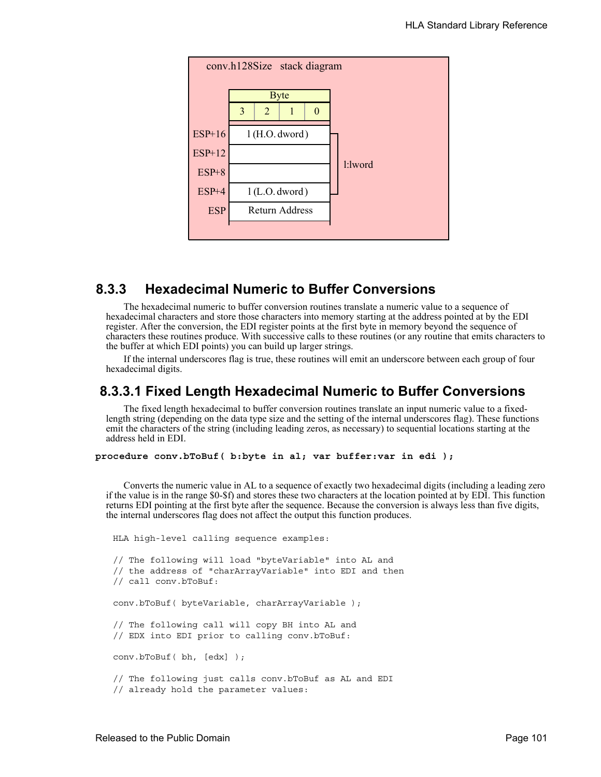

# **8.3.3 Hexadecimal Numeric to Buffer Conversions**

The hexadecimal numeric to buffer conversion routines translate a numeric value to a sequence of hexadecimal characters and store those characters into memory starting at the address pointed at by the EDI register. After the conversion, the EDI register points at the first byte in memory beyond the sequence of characters these routines produce. With successive calls to these routines (or any routine that emits characters to the buffer at which EDI points) you can build up larger strings.

If the internal underscores flag is true, these routines will emit an underscore between each group of four hexadecimal digits.

## **8.3.3.1 Fixed Length Hexadecimal Numeric to Buffer Conversions**

The fixed length hexadecimal to buffer conversion routines translate an input numeric value to a fixedlength string (depending on the data type size and the setting of the internal underscores flag). These functions emit the characters of the string (including leading zeros, as necessary) to sequential locations starting at the address held in EDI.

```
procedure conv.bToBuf( b:byte in al; var buffer:var in edi );
```
Converts the numeric value in AL to a sequence of exactly two hexadecimal digits (including a leading zero if the value is in the range \$0-\$f) and stores these two characters at the location pointed at by EDI. This function returns EDI pointing at the first byte after the sequence. Because the conversion is always less than five digits, the internal underscores flag does not affect the output this function produces.

```
HLA high-level calling sequence examples:
// The following will load "byteVariable" into AL and
// the address of "charArrayVariable" into EDI and then
// call conv.bToBuf:
conv.bToBuf( byteVariable, charArrayVariable );
// The following call will copy BH into AL and 
// EDX into EDI prior to calling conv.bToBuf:
conv.bToBuf( bh, [edx] );
// The following just calls conv.bToBuf as AL and EDI
// already hold the parameter values:
```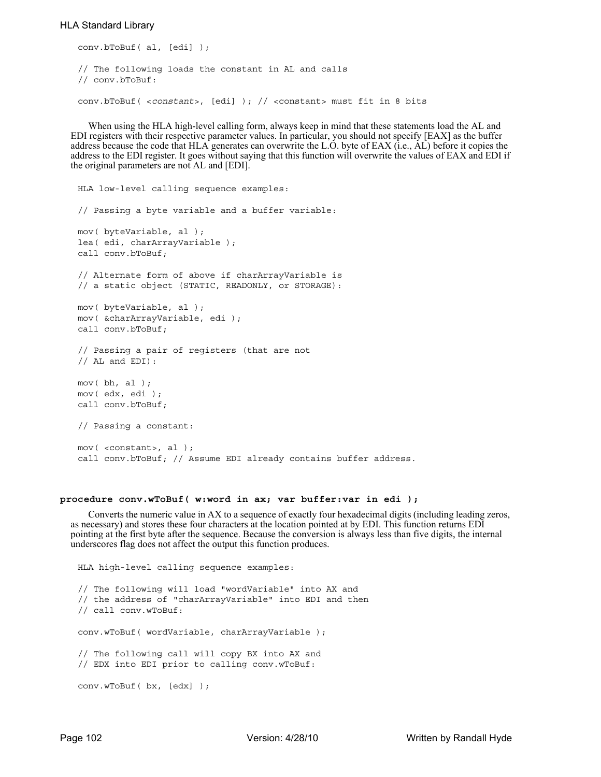```
conv.bToBuf( al, [edi] );
// The following loads the constant in AL and calls
// conv.bToBuf:
conv.bToBuf( <constant>, [edi] ); // <constant> must fit in 8 bits
```
When using the HLA high-level calling form, always keep in mind that these statements load the AL and EDI registers with their respective parameter values. In particular, you should not specify [EAX] as the buffer address because the code that HLA generates can overwrite the L.O. byte of EAX (i.e., AL) before it copies the address to the EDI register. It goes without saying that this function will overwrite the values of EAX and EDI if the original parameters are not AL and [EDI].

```
HLA low-level calling sequence examples:
// Passing a byte variable and a buffer variable:
mov( byteVariable, al );
lea( edi, charArrayVariable );
call conv.bToBuf;
// Alternate form of above if charArrayVariable is
// a static object (STATIC, READONLY, or STORAGE):
mov( byteVariable, al );
mov( &charArrayVariable, edi );
call conv.bToBuf;
// Passing a pair of registers (that are not
// AL and EDI):
mov( bh, al );
mov( edx, edi );
call conv.bToBuf;
// Passing a constant:
mov( <constant>, al );
call conv.bToBuf; // Assume EDI already contains buffer address.
```
#### **procedure conv.wToBuf( w:word in ax; var buffer:var in edi );**

Converts the numeric value in AX to a sequence of exactly four hexadecimal digits (including leading zeros, as necessary) and stores these four characters at the location pointed at by EDI. This function returns EDI pointing at the first byte after the sequence. Because the conversion is always less than five digits, the internal underscores flag does not affect the output this function produces.

HLA high-level calling sequence examples: // The following will load "wordVariable" into AX and // the address of "charArrayVariable" into EDI and then // call conv.wToBuf: conv.wToBuf( wordVariable, charArrayVariable ); // The following call will copy BX into AX and // EDX into EDI prior to calling conv.wToBuf: conv.wToBuf( bx, [edx] );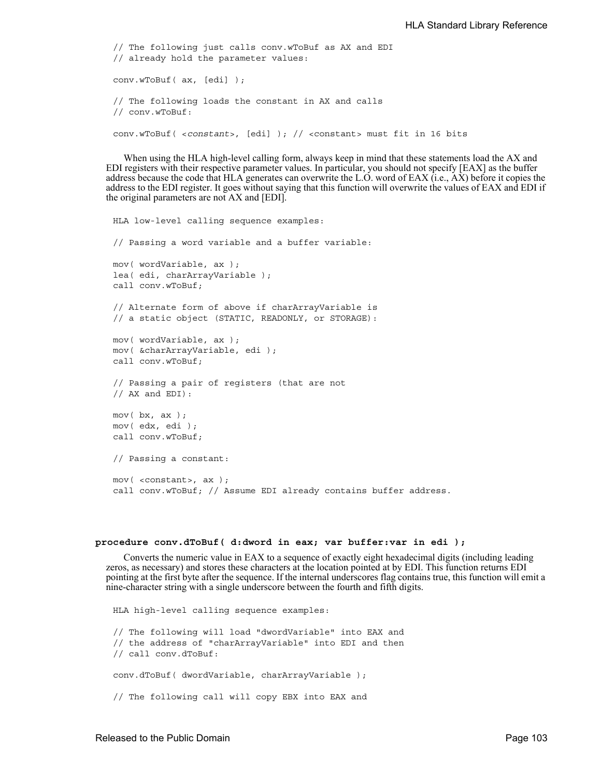```
// The following just calls conv.wToBuf as AX and EDI
// already hold the parameter values:
conv.wToBuf( ax, [edi] );
// The following loads the constant in AX and calls
// conv.wToBuf:
conv.wToBuf( <constant>, [edi] ); // <constant> must fit in 16 bits
```
When using the HLA high-level calling form, always keep in mind that these statements load the AX and EDI registers with their respective parameter values. In particular, you should not specify [EAX] as the buffer address because the code that HLA generates can overwrite the L.O. word of EAX (i.e., AX) before it copies the address to the EDI register. It goes without saying that this function will overwrite the values of EAX and EDI if the original parameters are not AX and [EDI].

```
HLA low-level calling sequence examples:
// Passing a word variable and a buffer variable:
mov( wordVariable, ax );
lea( edi, charArrayVariable );
call conv.wToBuf;
// Alternate form of above if charArrayVariable is
// a static object (STATIC, READONLY, or STORAGE):
mov( wordVariable, ax );
mov( &charArrayVariable, edi );
call conv.wToBuf;
// Passing a pair of registers (that are not
// AX and EDI):mov( bx, ax );
mov( edx, edi );
call conv.wToBuf;
// Passing a constant:
mov( <constant>, ax );
call conv.wToBuf; // Assume EDI already contains buffer address.
```
### **procedure conv.dToBuf( d:dword in eax; var buffer:var in edi );**

Converts the numeric value in EAX to a sequence of exactly eight hexadecimal digits (including leading zeros, as necessary) and stores these characters at the location pointed at by EDI. This function returns EDI pointing at the first byte after the sequence. If the internal underscores flag contains true, this function will emit a nine-character string with a single underscore between the fourth and fifth digits.

HLA high-level calling sequence examples: // The following will load "dwordVariable" into EAX and // the address of "charArrayVariable" into EDI and then // call conv.dToBuf: conv.dToBuf( dwordVariable, charArrayVariable ); // The following call will copy EBX into EAX and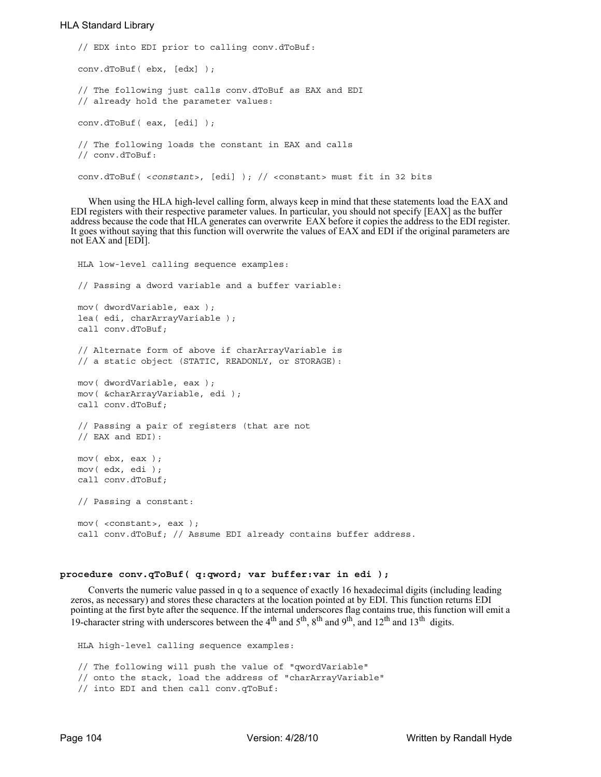```
// EDX into EDI prior to calling conv.dToBuf:
conv.dToBuf( ebx, [edx] );
// The following just calls conv.dToBuf as EAX and EDI
// already hold the parameter values:
conv.dToBuf( eax, [edi] );
// The following loads the constant in EAX and calls
// conv.dToBuf:
conv.dToBuf( <constant>, [edi] ); // <constant> must fit in 32 bits
```
When using the HLA high-level calling form, always keep in mind that these statements load the EAX and EDI registers with their respective parameter values. In particular, you should not specify [EAX] as the buffer address because the code that HLA generates can overwrite EAX before it copies the address to the EDI register. It goes without saying that this function will overwrite the values of EAX and EDI if the original parameters are not EAX and [EDI].

```
HLA low-level calling sequence examples:
// Passing a dword variable and a buffer variable:
mov( dwordVariable, eax );
lea( edi, charArrayVariable );
call conv.dToBuf;
// Alternate form of above if charArrayVariable is
// a static object (STATIC, READONLY, or STORAGE):
mov( dwordVariable, eax );
mov( &charArrayVariable, edi );
call conv.dToBuf;
// Passing a pair of registers (that are not
// EAX and EDI):
mov( ebx, eax );
mov( edx, edi );
call conv.dToBuf;
// Passing a constant:
mov( <constant>, eax );
call conv.dToBuf; // Assume EDI already contains buffer address.
```
#### **procedure conv.qToBuf( q:qword; var buffer:var in edi );**

Converts the numeric value passed in q to a sequence of exactly 16 hexadecimal digits (including leading zeros, as necessary) and stores these characters at the location pointed at by EDI. This function returns EDI pointing at the first byte after the sequence. If the internal underscores flag contains true, this function will emit a 19-character string with underscores between the 4<sup>th</sup> and  $5^{th}$ ,  $8^{th}$  and  $9^{th}$ , and  $12^{th}$  and  $13^{th}$  digits.

```
HLA high-level calling sequence examples:
// The following will push the value of "qwordVariable" 
// onto the stack, load the address of "charArrayVariable"
// into EDI and then call conv.qToBuf:
```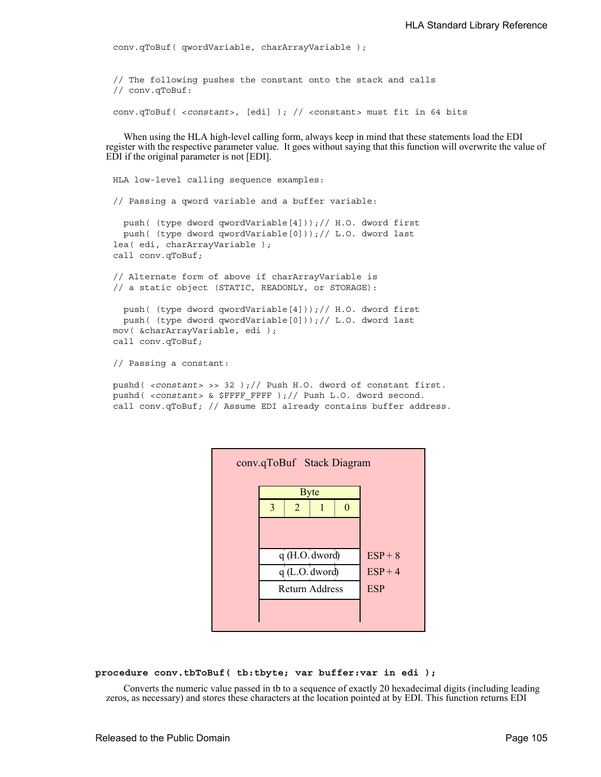conv.qToBuf( qwordVariable, charArrayVariable );

// The following pushes the constant onto the stack and calls // conv.qToBuf:

conv.qToBuf( <*constant*>, [edi] ); // <constant> must fit in 64 bits

When using the HLA high-level calling form, always keep in mind that these statements load the EDI register with the respective parameter value. It goes without saying that this function will overwrite the value of EDI if the original parameter is not [EDI].

```
HLA low-level calling sequence examples:
// Passing a qword variable and a buffer variable:
  push( (type dword qwordVariable[4]));// H.O. dword first
  push( (type dword qwordVariable[0]));// L.O. dword last
lea( edi, charArrayVariable );
call conv.qToBuf;
// Alternate form of above if charArrayVariable is
// a static object (STATIC, READONLY, or STORAGE):
  push( (type dword qwordVariable[4]));// H.O. dword first
  push( (type dword qwordVariable[0]));// L.O. dword last
mov( &charArrayVariable, edi );
call conv.qToBuf;
// Passing a constant:
```
pushd( *<constant>* >> 32 );// Push H.O. dword of constant first. pushd( <constant> & \$FFFF FFFF );// Push L.O. dword second. call conv.qToBuf; // Assume EDI already contains buffer address.



### **procedure conv.tbToBuf( tb:tbyte; var buffer:var in edi );**

Converts the numeric value passed in tb to a sequence of exactly 20 hexadecimal digits (including leading zeros, as necessary) and stores these characters at the location pointed at by EDI. This function returns EDI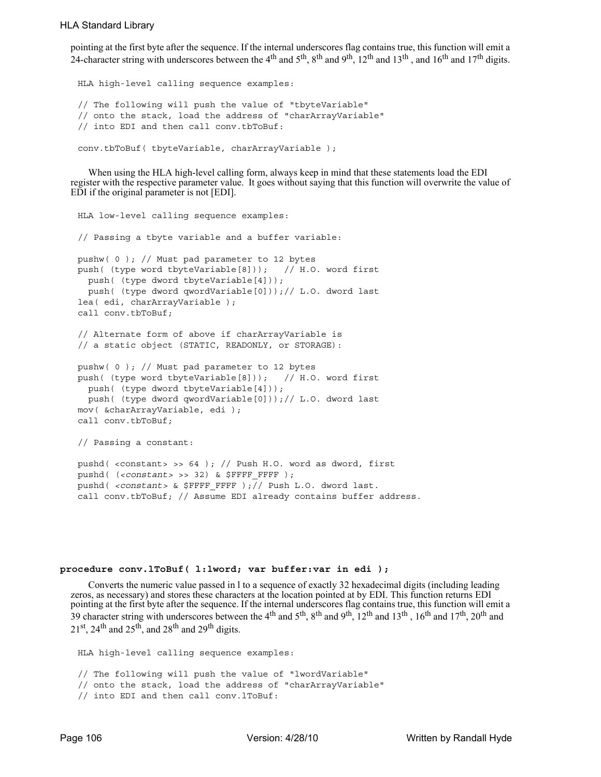pointing at the first byte after the sequence. If the internal underscores flag contains true, this function will emit a 24-character string with underscores between the 4<sup>th</sup> and 5<sup>th</sup>, 8<sup>th</sup> and 9<sup>th</sup>, 12<sup>th</sup> and 13<sup>th</sup>, and 16<sup>th</sup> and 17<sup>th</sup> digits.

HLA high-level calling sequence examples: // The following will push the value of "tbyteVariable" // onto the stack, load the address of "charArrayVariable" // into EDI and then call conv.tbToBuf: conv.tbToBuf( tbyteVariable, charArrayVariable );

When using the HLA high-level calling form, always keep in mind that these statements load the EDI register with the respective parameter value. It goes without saying that this function will overwrite the value of EDI if the original parameter is not [EDI].

```
HLA low-level calling sequence examples:
// Passing a tbyte variable and a buffer variable:
pushw( 0 ); // Must pad parameter to 12 bytes
push( (type word tbyteVariable[8])); // H.O. word first
  push( (type dword tbyteVariable[4]));
  push( (type dword qwordVariable[0]));// L.O. dword last
lea( edi, charArrayVariable );
call conv.tbToBuf;
// Alternate form of above if charArrayVariable is
// a static object (STATIC, READONLY, or STORAGE):
pushw( 0 ); // Must pad parameter to 12 bytes
push( (type word tbyteVariable[8])); // H.O. word first
  push( (type dword tbyteVariable[4]));
  push( (type dword qwordVariable[0]));// L.O. dword last
mov( &charArrayVariable, edi );
call conv.tbToBuf;
// Passing a constant:
pushd( <constant> >> 64 ); // Push H.O. word as dword, first
pushd( (<constant> >> 32) & $FFFF_FFFF );
pushd( <constant> & $FFFF_FFFF );// Push L.O. dword last.
```
call conv.tbToBuf; // Assume EDI already contains buffer address.

#### **procedure conv.lToBuf( l:lword; var buffer:var in edi );**

Converts the numeric value passed in l to a sequence of exactly 32 hexadecimal digits (including leading zeros, as necessary) and stores these characters at the location pointed at by EDI. This function returns EDI pointing at the first byte after the sequence. If the internal underscores flag contains true, this function will emit a 39 character string with underscores between the 4<sup>th</sup> and 5<sup>th</sup>, 8<sup>th</sup> and 9<sup>th</sup>, 12<sup>th</sup> and 13<sup>th</sup>, 16<sup>th</sup> and 17<sup>th</sup>, 20<sup>th</sup> and  $21<sup>st</sup>$ ,  $24<sup>th</sup>$  and  $25<sup>th</sup>$ , and  $28<sup>th</sup>$  and  $29<sup>th</sup>$  digits.

```
HLA high-level calling sequence examples:
```

```
// The following will push the value of "lwordVariable" 
// onto the stack, load the address of "charArrayVariable"
// into EDI and then call conv.lToBuf:
```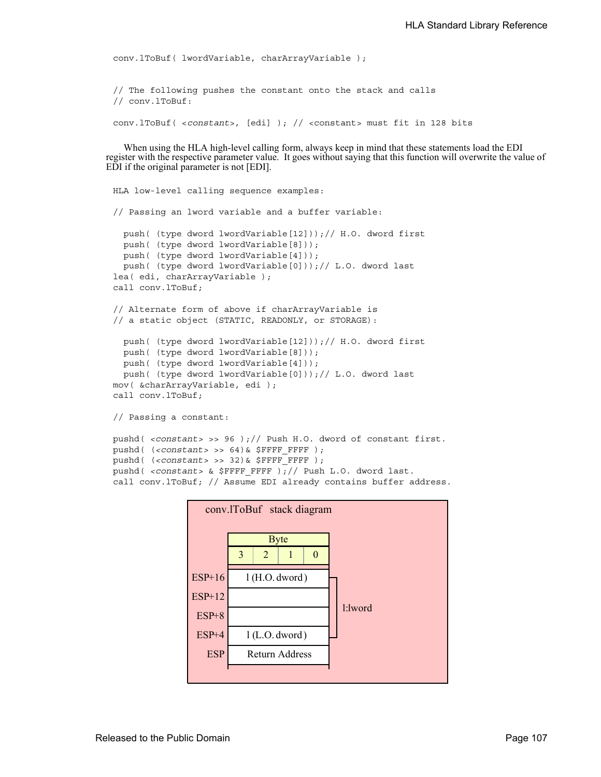conv.lToBuf( lwordVariable, charArrayVariable ); // The following pushes the constant onto the stack and calls // conv.lToBuf:

conv.lToBuf( <*constant*>, [edi] ); // <constant> must fit in 128 bits

When using the HLA high-level calling form, always keep in mind that these statements load the EDI register with the respective parameter value. It goes without saying that this function will overwrite the value of EDI if the original parameter is not [EDI].

```
HLA low-level calling sequence examples:
// Passing an lword variable and a buffer variable:
 push( (type dword lwordVariable[12]));// H.O. dword first
 push( (type dword lwordVariable[8]));
 push( (type dword lwordVariable[4]));
 push( (type dword lwordVariable[0]));// L.O. dword last
lea( edi, charArrayVariable );
call conv.lToBuf;
// Alternate form of above if charArrayVariable is
// a static object (STATIC, READONLY, or STORAGE):
 push( (type dword lwordVariable[12]));// H.O. dword first
 push( (type dword lwordVariable[8]));
 push( (type dword lwordVariable[4]));
 push( (type dword lwordVariable[0]));// L.O. dword last
mov( &charArrayVariable, edi );
call conv.lToBuf;
// Passing a constant:
pushd( <constant> >> 96 );// Push H.O. dword of constant first.
pushd( (<constant> >> 64)& $FFFF FFFF );
pushd( (<constant> >> 32)& $FFFF FFFF );
```

```
pushd( <constant> & $FFFF_FFFF );// Push L.O. dword last.
call conv.lToBuf; // Assume EDI already contains buffer address.
```
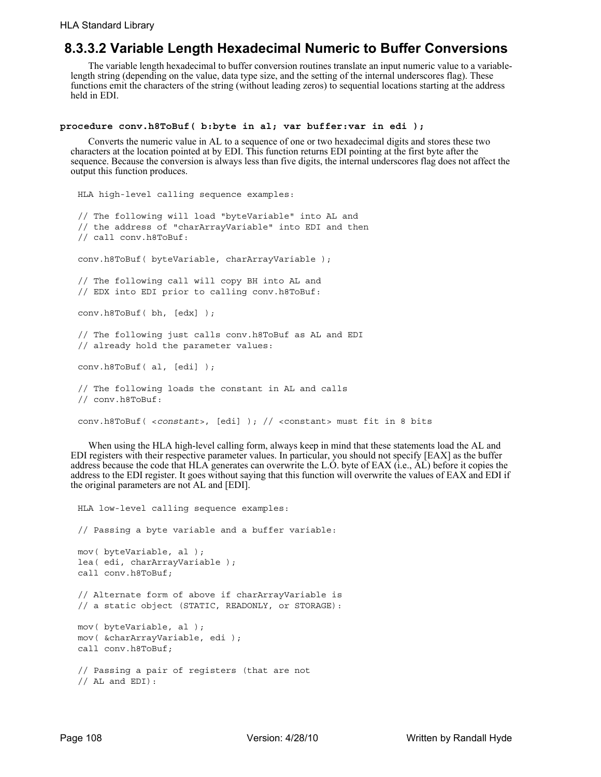# **8.3.3.2 Variable Length Hexadecimal Numeric to Buffer Conversions**

The variable length hexadecimal to buffer conversion routines translate an input numeric value to a variablelength string (depending on the value, data type size, and the setting of the internal underscores flag). These functions emit the characters of the string (without leading zeros) to sequential locations starting at the address held in EDI.

#### **procedure conv.h8ToBuf( b:byte in al; var buffer:var in edi );**

Converts the numeric value in AL to a sequence of one or two hexadecimal digits and stores these two characters at the location pointed at by EDI. This function returns EDI pointing at the first byte after the sequence. Because the conversion is always less than five digits, the internal underscores flag does not affect the output this function produces.

HLA high-level calling sequence examples:

```
// The following will load "byteVariable" into AL and
// the address of "charArrayVariable" into EDI and then
// call conv.h8ToBuf:
conv.h8ToBuf( byteVariable, charArrayVariable );
// The following call will copy BH into AL and 
// EDX into EDI prior to calling conv.h8ToBuf:
conv.h8ToBuf( bh, [edx] );
// The following just calls conv.h8ToBuf as AL and EDI
// already hold the parameter values:
conv.h8ToBuf( al, [edi] );
// The following loads the constant in AL and calls
// conv.h8ToBuf:
conv.h8ToBuf( <constant>, [edi] ); // <constant> must fit in 8 bits
```
When using the HLA high-level calling form, always keep in mind that these statements load the AL and EDI registers with their respective parameter values. In particular, you should not specify [EAX] as the buffer address because the code that HLA generates can overwrite the L.O. byte of EAX (i.e., AL) before it copies the address to the EDI register. It goes without saying that this function will overwrite the values of EAX and EDI if the original parameters are not AL and [EDI].

```
HLA low-level calling sequence examples:
// Passing a byte variable and a buffer variable:
mov( byteVariable, al );
lea( edi, charArrayVariable );
call conv.h8ToBuf;
// Alternate form of above if charArrayVariable is
// a static object (STATIC, READONLY, or STORAGE):
mov( byteVariable, al );
mov( &charArrayVariable, edi );
call conv.h8ToBuf;
// Passing a pair of registers (that are not
// AL and EDI):
```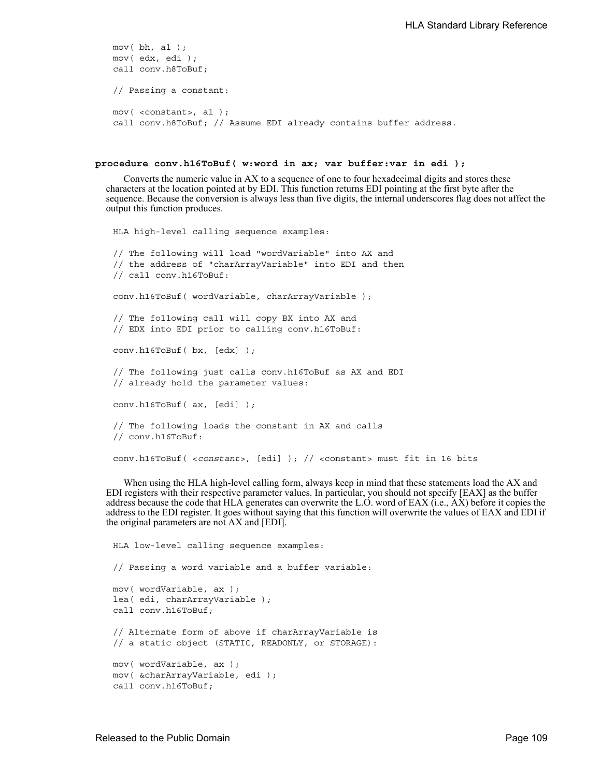```
mov( bh, al );
mov( edx, edi );
call conv.h8ToBuf;
// Passing a constant:
mov( <constant>, al );
call conv.h8ToBuf; // Assume EDI already contains buffer address.
```
### **procedure conv.h16ToBuf( w:word in ax; var buffer:var in edi );**

Converts the numeric value in AX to a sequence of one to four hexadecimal digits and stores these characters at the location pointed at by EDI. This function returns EDI pointing at the first byte after the sequence. Because the conversion is always less than five digits, the internal underscores flag does not affect the output this function produces.

```
HLA high-level calling sequence examples:
// The following will load "wordVariable" into AX and
// the address of "charArrayVariable" into EDI and then
// call conv.h16ToBuf:
conv.h16ToBuf( wordVariable, charArrayVariable );
// The following call will copy BX into AX and 
// EDX into EDI prior to calling conv.h16ToBuf:
conv.h16ToBuf( bx, [edx] );
// The following just calls conv.h16ToBuf as AX and EDI
// already hold the parameter values:
conv.h16ToBuf( ax, [edi] );
// The following loads the constant in AX and calls
// conv.h16ToBuf:
conv.h16ToBuf( <constant>, [edi] ); // <constant> must fit in 16 bits
```
When using the HLA high-level calling form, always keep in mind that these statements load the AX and EDI registers with their respective parameter values. In particular, you should not specify [EAX] as the buffer address because the code that HLA generates can overwrite the L.O. word of EAX (i.e., AX) before it copies the address to the EDI register. It goes without saying that this function will overwrite the values of EAX and EDI if the original parameters are not AX and [EDI].

```
HLA low-level calling sequence examples:
// Passing a word variable and a buffer variable:
mov( wordVariable, ax );
lea( edi, charArrayVariable );
call conv.h16ToBuf;
// Alternate form of above if charArrayVariable is
// a static object (STATIC, READONLY, or STORAGE):
mov( wordVariable, ax );
mov( &charArrayVariable, edi );
call conv.h16ToBuf;
```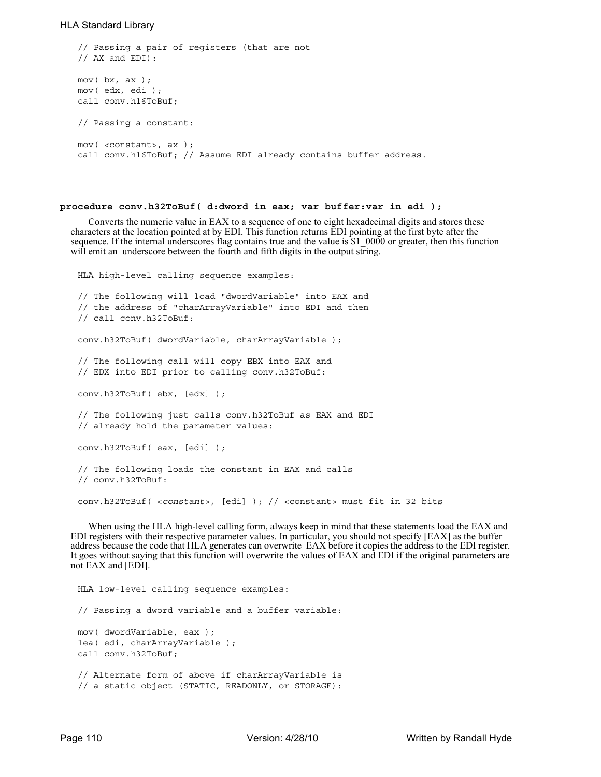```
// Passing a pair of registers (that are not
// AX and EDI):
mov( bx, ax );
mov( edx, edi );
call conv.h16ToBuf;
// Passing a constant:
mov( <constant>, ax );
call conv.h16ToBuf; // Assume EDI already contains buffer address.
```
#### **procedure conv.h32ToBuf( d:dword in eax; var buffer:var in edi );**

Converts the numeric value in EAX to a sequence of one to eight hexadecimal digits and stores these characters at the location pointed at by EDI. This function returns EDI pointing at the first byte after the sequence. If the internal underscores flag contains true and the value is \$1 0000 or greater, then this function will emit an underscore between the fourth and fifth digits in the output string.

HLA high-level calling sequence examples: // The following will load "dwordVariable" into EAX and // the address of "charArrayVariable" into EDI and then // call conv.h32ToBuf: conv.h32ToBuf( dwordVariable, charArrayVariable ); // The following call will copy EBX into EAX and // EDX into EDI prior to calling conv.h32ToBuf: conv.h32ToBuf( ebx, [edx] ); // The following just calls conv.h32ToBuf as EAX and EDI // already hold the parameter values: conv.h32ToBuf( eax, [edi] ); // The following loads the constant in EAX and calls // conv.h32ToBuf: conv.h32ToBuf( <*constant*>, [edi] ); // <constant> must fit in 32 bits

When using the HLA high-level calling form, always keep in mind that these statements load the EAX and EDI registers with their respective parameter values. In particular, you should not specify [EAX] as the buffer address because the code that HLA generates can overwrite EAX before it copies the address to the EDI register. It goes without saying that this function will overwrite the values of EAX and EDI if the original parameters are not EAX and [EDI].

HLA low-level calling sequence examples: // Passing a dword variable and a buffer variable: mov( dwordVariable, eax ); lea( edi, charArrayVariable ); call conv.h32ToBuf; // Alternate form of above if charArrayVariable is // a static object (STATIC, READONLY, or STORAGE):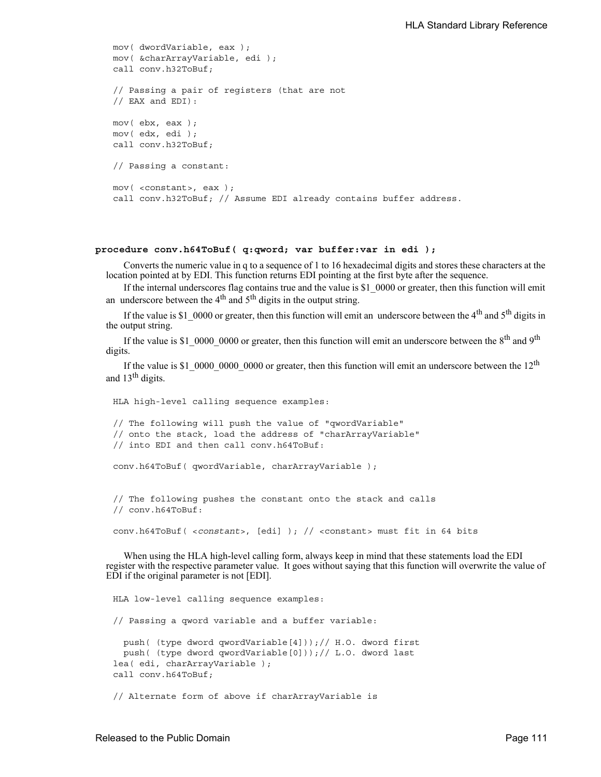```
mov( dwordVariable, eax );
mov( &charArrayVariable, edi );
call conv.h32ToBuf;
// Passing a pair of registers (that are not
// EAX and EDI):
mov( ebx, eax );
mov( edx, edi );
call conv.h32ToBuf;
// Passing a constant:
mov( <constant>, eax );
call conv.h32ToBuf; // Assume EDI already contains buffer address.
```
### **procedure conv.h64ToBuf( q:qword; var buffer:var in edi );**

Converts the numeric value in q to a sequence of 1 to 16 hexadecimal digits and stores these characters at the location pointed at by EDI. This function returns EDI pointing at the first byte after the sequence.

If the internal underscores flag contains true and the value is \$1\_0000 or greater, then this function will emit an underscore between the  $4<sup>th</sup>$  and  $5<sup>th</sup>$  digits in the output string.

If the value is \$1\_0000 or greater, then this function will emit an underscore between the  $4<sup>th</sup>$  and  $5<sup>th</sup>$  digits in the output string.

If the value is  $$1\_0000\_0000$  or greater, then this function will emit an underscore between the  $8^{th}$  and  $9^{th}$ digits.

If the value is  $$1\_0000\_0000\_0000$  or greater, then this function will emit an underscore between the  $12<sup>th</sup>$ and  $13<sup>th</sup>$  digits.

```
HLA high-level calling sequence examples:
// The following will push the value of "qwordVariable" 
// onto the stack, load the address of "charArrayVariable"
// into EDI and then call conv.h64ToBuf:
conv.h64ToBuf( qwordVariable, charArrayVariable );
// The following pushes the constant onto the stack and calls
// conv.h64ToBuf:
```
conv.h64ToBuf( <*constant*>, [edi] ); // <constant> must fit in 64 bits

When using the HLA high-level calling form, always keep in mind that these statements load the EDI register with the respective parameter value. It goes without saying that this function will overwrite the value of EDI if the original parameter is not [EDI].

HLA low-level calling sequence examples: // Passing a qword variable and a buffer variable: push( (type dword qwordVariable[4]));// H.O. dword first push( (type dword qwordVariable[0]));// L.O. dword last lea( edi, charArrayVariable ); call conv.h64ToBuf; // Alternate form of above if charArrayVariable is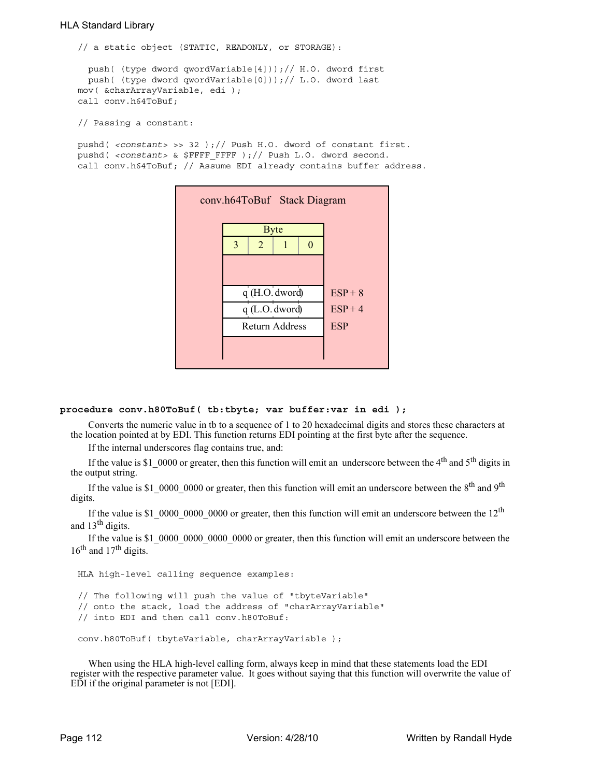// a static object (STATIC, READONLY, or STORAGE):

```
push( (type dword qwordVariable[4]));// H.O. dword first
 push( (type dword qwordVariable[0]));// L.O. dword last
mov( &charArrayVariable, edi );
call conv.h64ToBuf;
```

```
// Passing a constant:
```
pushd( *<constant>* >> 32 );// Push H.O. dword of constant first. pushd( <constant> & \$FFFF FFFF );// Push L.O. dword second. call conv.h64ToBuf; // Assume EDI already contains buffer address.



### **procedure conv.h80ToBuf( tb:tbyte; var buffer:var in edi );**

Converts the numeric value in tb to a sequence of 1 to 20 hexadecimal digits and stores these characters at the location pointed at by EDI. This function returns EDI pointing at the first byte after the sequence.

If the internal underscores flag contains true, and:

If the value is \$1\_0000 or greater, then this function will emit an underscore between the 4<sup>th</sup> and 5<sup>th</sup> digits in the output string.

If the value is \$1\_0000\_0000 or greater, then this function will emit an underscore between the  $8<sup>th</sup>$  and  $9<sup>th</sup>$ digits.

If the value is \$1\_0000\_0000\_0000 or greater, then this function will emit an underscore between the  $12<sup>th</sup>$ and  $13<sup>th</sup>$  digits.

If the value is \$1\_0000\_0000\_0000\_0000 or greater, then this function will emit an underscore between the  $16<sup>th</sup>$  and  $17<sup>th</sup>$  digits.

HLA high-level calling sequence examples:

// The following will push the value of "tbyteVariable" // onto the stack, load the address of "charArrayVariable" // into EDI and then call conv.h80ToBuf:

```
conv.h80ToBuf( tbyteVariable, charArrayVariable );
```
When using the HLA high-level calling form, always keep in mind that these statements load the EDI register with the respective parameter value. It goes without saying that this function will overwrite the value of EDI if the original parameter is not [EDI].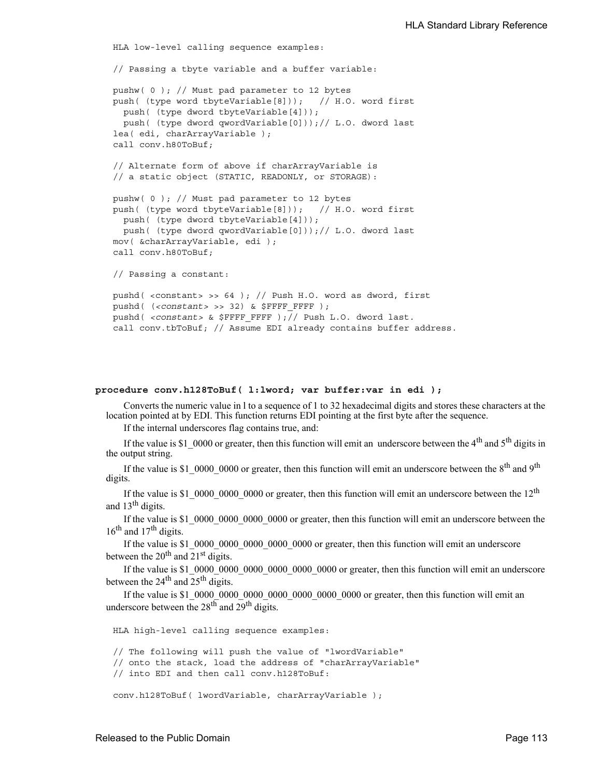```
HLA low-level calling sequence examples:
// Passing a tbyte variable and a buffer variable:
pushw( 0 ); // Must pad parameter to 12 bytes
push( (type word tbyteVariable[8])); // H.O. word first
 push( (type dword tbyteVariable[4]));
 push( (type dword qwordVariable[0]));// L.O. dword last
lea( edi, charArrayVariable );
call conv.h80ToBuf;
// Alternate form of above if charArrayVariable is
// a static object (STATIC, READONLY, or STORAGE):
pushw( 0 ); // Must pad parameter to 12 bytes
push( (type word tbyteVariable[8])); // H.O. word first
 push( (type dword tbyteVariable[4]));
 push( (type dword qwordVariable[0]));// L.O. dword last
mov( &charArrayVariable, edi );
call conv.h80ToBuf;
// Passing a constant:
pushd( <constant> >> 64 ); // Push H.O. word as dword, first
pushd( (<constant> >> 32) & $FFFF FFFF );
pushd( <constant> & $FFFF_FFFF );// Push L.O. dword last.
call conv.tbToBuf; // Assume EDI already contains buffer address.
```
### **procedure conv.h128ToBuf( l:lword; var buffer:var in edi );**

Converts the numeric value in l to a sequence of 1 to 32 hexadecimal digits and stores these characters at the location pointed at by EDI. This function returns EDI pointing at the first byte after the sequence.

If the internal underscores flag contains true, and:

If the value is \$1\_0000 or greater, then this function will emit an underscore between the 4<sup>th</sup> and 5<sup>th</sup> digits in the output string.

If the value is \$1\_0000\_0000 or greater, then this function will emit an underscore between the  $8<sup>th</sup>$  and  $9<sup>th</sup>$ digits.

If the value is \$1\_0000\_0000\_0000 or greater, then this function will emit an underscore between the  $12<sup>th</sup>$ and  $13<sup>th</sup>$  digits.

If the value is \$1\_0000\_0000\_0000\_0000 or greater, then this function will emit an underscore between the 16<sup>th</sup> and 17<sup>th</sup> digits.

If the value is \$1,0000,0000,0000,0000,0000 or greater, then this function will emit an underscore between the  $20^{th}$  and  $21^{st}$  digits.

If the value is  $$1\quad0000\;0000\;0000\;0000\;0000\;0000$  or greater, then this function will emit an underscore between the  $24<sup>th</sup>$  and  $25<sup>th</sup>$  digits.

If the value is \$1\_0000\_0000\_0000\_0000\_0000\_0000\_0000 or greater, then this function will emit an underscore between the  $28^{th}$  and  $29^{th}$  digits.

HLA high-level calling sequence examples:

// The following will push the value of "lwordVariable" // onto the stack, load the address of "charArrayVariable" // into EDI and then call conv.h128ToBuf:

conv.h128ToBuf( lwordVariable, charArrayVariable );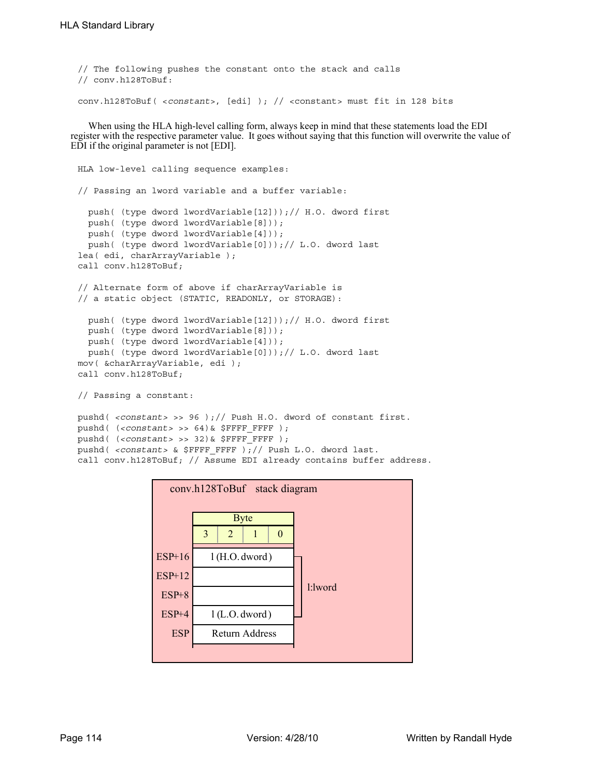// The following pushes the constant onto the stack and calls // conv.h128ToBuf:

conv.h128ToBuf( <*constant*>, [edi] ); // <constant> must fit in 128 bits

When using the HLA high-level calling form, always keep in mind that these statements load the EDI register with the respective parameter value. It goes without saying that this function will overwrite the value of EDI if the original parameter is not [EDI].

```
HLA low-level calling sequence examples:
// Passing an lword variable and a buffer variable:
  push( (type dword lwordVariable[12]));// H.O. dword first
  push( (type dword lwordVariable[8]));
 push( (type dword lwordVariable[4]));
 push( (type dword lwordVariable[0]));// L.O. dword last
lea( edi, charArrayVariable );
call conv.h128ToBuf;
// Alternate form of above if charArrayVariable is
// a static object (STATIC, READONLY, or STORAGE):
  push( (type dword lwordVariable[12]));// H.O. dword first
  push( (type dword lwordVariable[8]));
  push( (type dword lwordVariable[4]));
 push( (type dword lwordVariable[0]));// L.O. dword last
mov( &charArrayVariable, edi );
call conv.h128ToBuf;
// Passing a constant:
pushd( <constant> >> 96 );// Push H.O. dword of constant first.
pushd( (<i>constants</i> > > 64) & $FFFF FFFF );
```
pushd( (*<constant>* >> 32)& \$FFFF\_FFFF ); pushd( *<constant>* & \$FFFF\_FFFF );// Push L.O. dword last. call conv.h128ToBuf; // Assume EDI already contains buffer address.

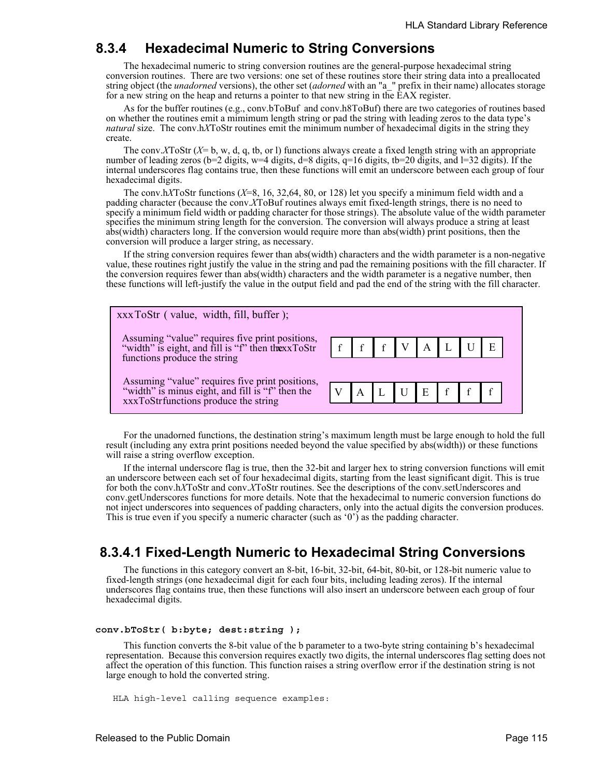# **8.3.4 Hexadecimal Numeric to String Conversions**

The hexadecimal numeric to string conversion routines are the general-purpose hexadecimal string conversion routines. There are two versions: one set of these routines store their string data into a preallocated string object (the *unadorned* versions), the other set (*adorned* with an "a\_" prefix in their name) allocates storage for a new string on the heap and returns a pointer to that new string in the EAX register.

As for the buffer routines (e.g., conv.bToBuf and conv.h8ToBuf) there are two categories of routines based on whether the routines emit a mimimum length string or pad the string with leading zeros to the data type's *natural* size. The conv.h*X*ToStr routines emit the minimum number of hexadecimal digits in the string they create.

The conv.*X*ToStr (*X*= b, w, d, q, tb, or l) functions always create a fixed length string with an appropriate number of leading zeros (b=2 digits, w=4 digits, d=8 digits, q=16 digits, tb=20 digits, and l=32 digits). If the internal underscores flag contains true, then these functions will emit an underscore between each group of four hexadecimal digits.

The conv.h*X*ToStr functions (*X*=8, 16, 32,64, 80, or 128) let you specify a minimum field width and a padding character (because the conv.*X*ToBuf routines always emit fixed-length strings, there is no need to specify a minimum field width or padding character for those strings). The absolute value of the width parameter specifies the minimum string length for the conversion. The conversion will always produce a string at least abs(width) characters long. If the conversion would require more than abs(width) print positions, then the conversion will produce a larger string, as necessary.

If the string conversion requires fewer than abs(width) characters and the width parameter is a non-negative value, these routines right justify the value in the string and pad the remaining positions with the fill character. If the conversion requires fewer than abs(width) characters and the width parameter is a negative number, then these functions will left-justify the value in the output field and pad the end of the string with the fill character.



For the unadorned functions, the destination string's maximum length must be large enough to hold the full result (including any extra print positions needed beyond the value specified by abs(width)) or these functions will raise a string overflow exception.

If the internal underscore flag is true, then the 32-bit and larger hex to string conversion functions will emit an underscore between each set of four hexadecimal digits, starting from the least significant digit. This is true for both the conv.h*X*ToStr and conv.*X*ToStr routines. See the descriptions of the conv.setUnderscores and conv.getUnderscores functions for more details. Note that the hexadecimal to numeric conversion functions do not inject underscores into sequences of padding characters, only into the actual digits the conversion produces. This is true even if you specify a numeric character (such as '0') as the padding character.

# **8.3.4.1 Fixed-Length Numeric to Hexadecimal String Conversions**

The functions in this category convert an 8-bit, 16-bit, 32-bit, 64-bit, 80-bit, or 128-bit numeric value to fixed-length strings (one hexadecimal digit for each four bits, including leading zeros). If the internal underscores flag contains true, then these functions will also insert an underscore between each group of four hexadecimal digits.

### **conv.bToStr( b:byte; dest:string );**

This function converts the 8-bit value of the b parameter to a two-byte string containing b's hexadecimal representation. Because this conversion requires exactly two digits, the internal underscores flag setting does not affect the operation of this function. This function raises a string overflow error if the destination string is not large enough to hold the converted string.

HLA high-level calling sequence examples: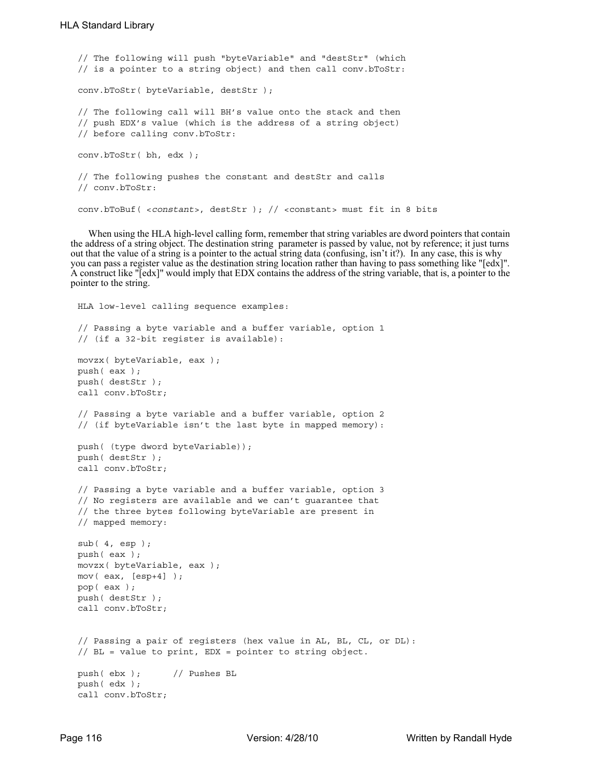```
// The following will push "byteVariable" and "destStr" (which 
// is a pointer to a string object) and then call conv.bToStr:
conv.bToStr( byteVariable, destStr );
// The following call will BH's value onto the stack and then
// push EDX's value (which is the address of a string object)
// before calling conv.bToStr:
conv.bToStr( bh, edx );
// The following pushes the constant and destStr and calls
// conv.bToStr:
conv.bToBuf( <constant>, destStr ); // <constant> must fit in 8 bits
```
When using the HLA high-level calling form, remember that string variables are dword pointers that contain the address of a string object. The destination string parameter is passed by value, not by reference; it just turns out that the value of a string is a pointer to the actual string data (confusing, isn't it?). In any case, this is why you can pass a register value as the destination string location rather than having to pass something like "[edx]". A construct like "[edx]" would imply that EDX contains the address of the string variable, that is, a pointer to the pointer to the string.

```
HLA low-level calling sequence examples:
// Passing a byte variable and a buffer variable, option 1
// (if a 32-bit register is available):
movzx( byteVariable, eax );
push( eax );
push( destStr );
call conv.bToStr;
// Passing a byte variable and a buffer variable, option 2
// (if byteVariable isn't the last byte in mapped memory):
push( (type dword byteVariable));
push( destStr );
call conv.bToStr;
// Passing a byte variable and a buffer variable, option 3
// No registers are available and we can't guarantee that
// the three bytes following byteVariable are present in
// mapped memory:
sub( 4, esp );
push( eax );
movzx( byteVariable, eax );
mov( eax, [esp+4] );
pop( eax );
push( destStr );
call conv.bToStr;
// Passing a pair of registers (hex value in AL, BL, CL, or DL):
// BL = value to print, EDX = pointer to string object.
push( ebx ); // Pushes BL
push( edx );
call conv.bToStr;
```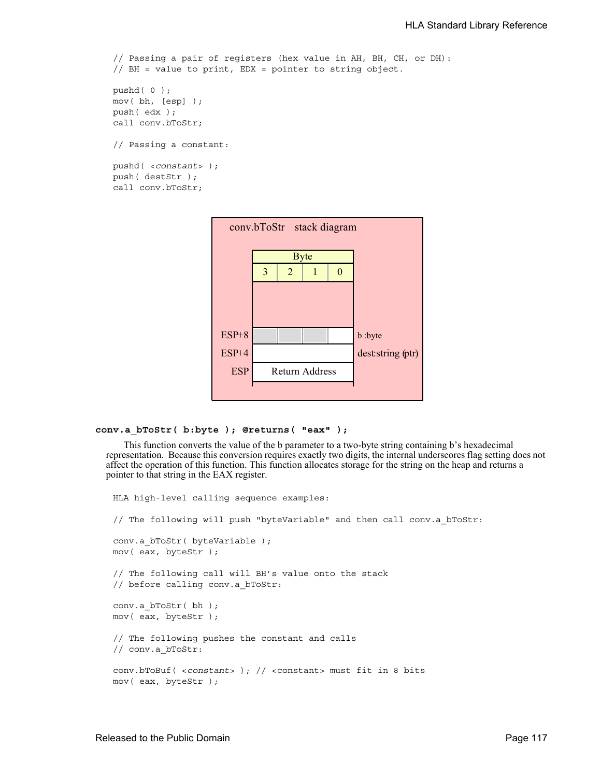```
// Passing a pair of registers (hex value in AH, BH, CH, or DH):
// BH = value to print, EDX = pointer to string object.
pushd( 0 );
mov( bh, [esp] );
push( edx );
call conv.bToStr;
// Passing a constant:
pushd( <constant> );
push( destStr );
call conv.bToStr;
```


```
conv.a_bToStr( b:byte ); @returns( "eax" );
```
This function converts the value of the b parameter to a two-byte string containing b's hexadecimal representation. Because this conversion requires exactly two digits, the internal underscores flag setting does not affect the operation of this function. This function allocates storage for the string on the heap and returns a pointer to that string in the EAX register.

```
HLA high-level calling sequence examples:
// The following will push "byteVariable" and then call conv.a_bToStr:
conv.a_bToStr( byteVariable );
mov( eax, byteStr );
// The following call will BH's value onto the stack
// before calling conv.a_bToStr:
conv.a_bToStr( bh );
mov( eax, byteStr );
// The following pushes the constant and calls
// conv.a_bToStr:
conv.bToBuf( <constant> ); // <constant> must fit in 8 bits
mov( eax, byteStr );
```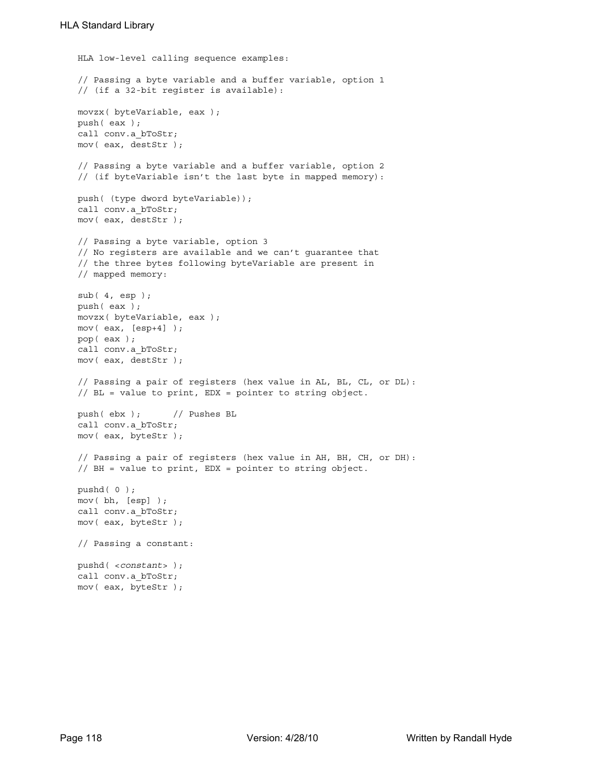```
HLA low-level calling sequence examples:
// Passing a byte variable and a buffer variable, option 1
// (if a 32-bit register is available):
movzx( byteVariable, eax );
push( eax );
call conv.a_bToStr;
mov( eax, destStr );
// Passing a byte variable and a buffer variable, option 2
// (if byteVariable isn't the last byte in mapped memory):
push( (type dword byteVariable));
call conv.a_bToStr;
mov( eax, destStr );
// Passing a byte variable, option 3
// No registers are available and we can't guarantee that
// the three bytes following byteVariable are present in
// mapped memory:
sub(4, esp);push( eax );
movzx( byteVariable, eax );
mov( eax, [esp+4] );
pop( eax );
call conv.a_bToStr;
mov( eax, destStr );
// Passing a pair of registers (hex value in AL, BL, CL, or DL):
// BL = value to print, EDX = pointer to string object.
push( ebx ); // Pushes BL
call conv.a_bToStr;
mov( eax, byteStr );
// Passing a pair of registers (hex value in AH, BH, CH, or DH):
// BH = value to print, EDX = pointer to string object.
pushd( 0 );
mov( bh, [esp] );
call conv.a_bToStr;
mov( eax, byteStr );
// Passing a constant:
pushd( <constant> );
call conv.a_bToStr;
mov( eax, byteStr );
```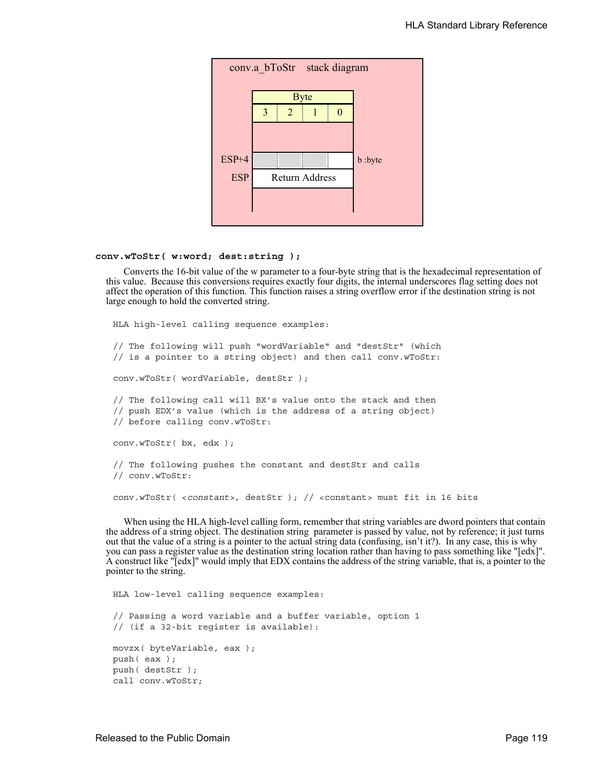

#### **conv.wToStr( w:word; dest:string );**

Converts the 16-bit value of the w parameter to a four-byte string that is the hexadecimal representation of this value. Because this conversions requires exactly four digits, the internal underscores flag setting does not affect the operation of this function. This function raises a string overflow error if the destination string is not large enough to hold the converted string.

```
HLA high-level calling sequence examples:
// The following will push "wordVariable" and "destStr" (which 
// is a pointer to a string object) and then call conv.wToStr:
conv.wToStr( wordVariable, destStr );
// The following call will BX's value onto the stack and then
// push EDX's value (which is the address of a string object)
// before calling conv.wToStr:
conv.wToStr( bx, edx );
// The following pushes the constant and destStr and calls
// conv.wToStr:
conv.wToStr( <constant>, destStr ); // <constant> must fit in 16 bits
```
When using the HLA high-level calling form, remember that string variables are dword pointers that contain the address of a string object. The destination string parameter is passed by value, not by reference; it just turns out that the value of a string is a pointer to the actual string data (confusing, isn't it?). In any case, this is why you can pass a register value as the destination string location rather than having to pass something like "[edx]". A construct like "[edx]" would imply that EDX contains the address of the string variable, that is, a pointer to the pointer to the string.

```
HLA low-level calling sequence examples:
// Passing a word variable and a buffer variable, option 1
// (if a 32-bit register is available):
movzx( byteVariable, eax );
push( eax );
push( destStr );
call conv.wToStr;
```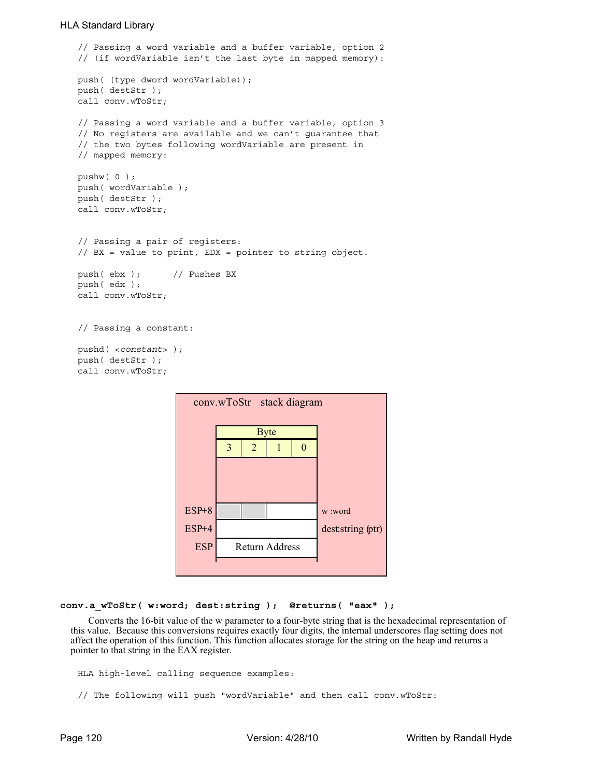```
// Passing a word variable and a buffer variable, option 2
// (if wordVariable isn't the last byte in mapped memory):
push( (type dword wordVariable));
push( destStr );
call conv.wToStr;
// Passing a word variable and a buffer variable, option 3
// No registers are available and we can't guarantee that
// the two bytes following wordVariable are present in
// mapped memory:
pushw( 0 );
push( wordVariable );
push( destStr );
call conv.wToStr;
// Passing a pair of registers:
// BX = value to print, EDX = pointer to string object.
push( ebx ); // Pushes BX
push( edx );
call conv.wToStr;
// Passing a constant:
pushd( <constant> );
push( destStr );
call conv.wToStr;
```


#### **conv.a\_wToStr( w:word; dest:string ); @returns( "eax" );**

Converts the 16-bit value of the w parameter to a four-byte string that is the hexadecimal representation of this value. Because this conversions requires exactly four digits, the internal underscores flag setting does not affect the operation of this function. This function allocates storage for the string on the heap and returns a pointer to that string in the EAX register.

HLA high-level calling sequence examples:

// The following will push "wordVariable" and then call conv.wToStr: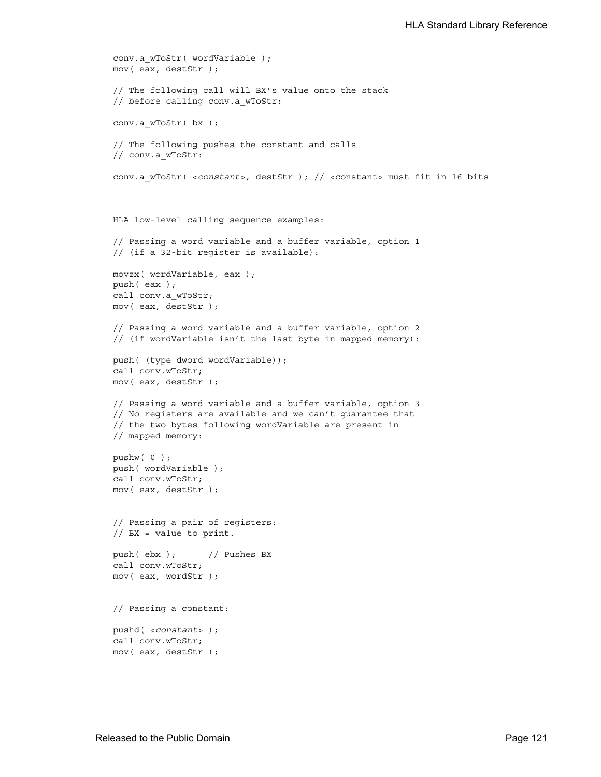```
conv.a_wToStr( wordVariable );
mov( eax, destStr );
// The following call will BX's value onto the stack 
// before calling conv.a_wToStr:
conv.a_wToStr( bx );
// The following pushes the constant and calls
// conv.a_wToStr:
conv.a_wToStr( <constant>, destStr ); // <constant> must fit in 16 bits
HLA low-level calling sequence examples:
// Passing a word variable and a buffer variable, option 1
// (if a 32-bit register is available):
movzx( wordVariable, eax );
push( eax );
call conv.a_wToStr;
mov( eax, destStr );
// Passing a word variable and a buffer variable, option 2
// (if wordVariable isn't the last byte in mapped memory):
push( (type dword wordVariable));
call conv.wToStr;
mov( eax, destStr );
// Passing a word variable and a buffer variable, option 3
// No registers are available and we can't guarantee that
// the two bytes following wordVariable are present in
// mapped memory:
pushw( 0 );
push( wordVariable );
call conv.wToStr;
mov( eax, destStr );
// Passing a pair of registers:
// BX = value to print.
push( ebx ); // Pushes BX
call conv.wToStr;
mov( eax, wordStr );
// Passing a constant:
pushd( <constant> );
call conv.wToStr;
mov( eax, destStr );
```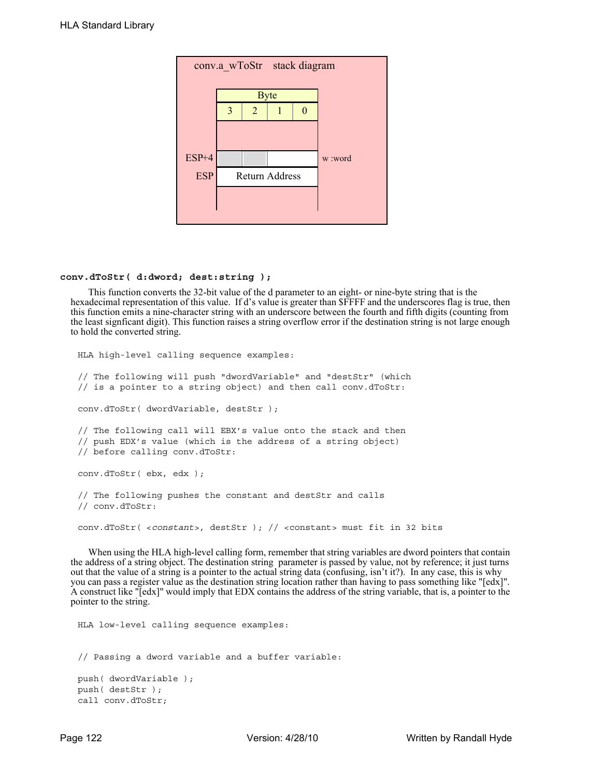

#### **conv.dToStr( d:dword; dest:string );**

This function converts the 32-bit value of the d parameter to an eight- or nine-byte string that is the hexadecimal representation of this value. If d's value is greater than \$FFFF and the underscores flag is true, then this function emits a nine-character string with an underscore between the fourth and fifth digits (counting from the least signficant digit). This function raises a string overflow error if the destination string is not large enough to hold the converted string.

```
HLA high-level calling sequence examples:
// The following will push "dwordVariable" and "destStr" (which 
// is a pointer to a string object) and then call conv.dToStr:
conv.dToStr( dwordVariable, destStr );
// The following call will EBX's value onto the stack and then
// push EDX's value (which is the address of a string object)
// before calling conv.dToStr:
conv.dToStr( ebx, edx );
// The following pushes the constant and destStr and calls
// conv.dToStr:
conv.dToStr( <constant>, destStr ); // <constant> must fit in 32 bits
```
When using the HLA high-level calling form, remember that string variables are dword pointers that contain the address of a string object. The destination string parameter is passed by value, not by reference; it just turns out that the value of a string is a pointer to the actual string data (confusing, isn't it?). In any case, this is why you can pass a register value as the destination string location rather than having to pass something like "[edx]". A construct like "[edx]" would imply that EDX contains the address of the string variable, that is, a pointer to the pointer to the string.

HLA low-level calling sequence examples:

// Passing a dword variable and a buffer variable:

```
push( dwordVariable );
push( destStr );
call conv.dToStr;
```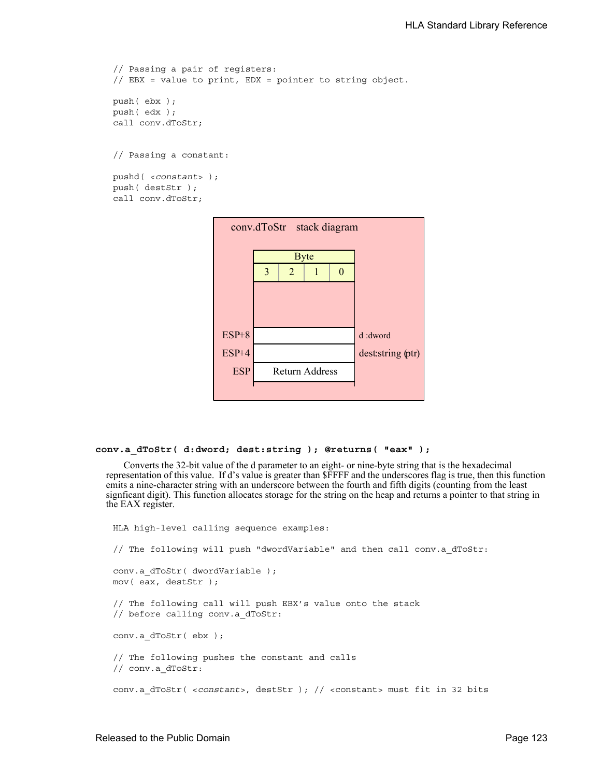```
// Passing a pair of registers:
// EBX = value to print, EDX = pointer to string object.
push( ebx );
push( edx );
call conv.dToStr;
// Passing a constant:
pushd( <constant> );
push( destStr );
call conv.dToStr;
                       conv.dToStr stack diagram
```


```
conv.a_dToStr( d:dword; dest:string ); @returns( "eax" );
```
Converts the 32-bit value of the d parameter to an eight- or nine-byte string that is the hexadecimal representation of this value. If d's value is greater than \$FFFF and the underscores flag is true, then this function emits a nine-character string with an underscore between the fourth and fifth digits (counting from the least signficant digit). This function allocates storage for the string on the heap and returns a pointer to that string in the EAX register.

```
HLA high-level calling sequence examples:
// The following will push "dwordVariable" and then call conv.a_dToStr:
conv.a_dToStr( dwordVariable );
mov( eax, destStr );
// The following call will push EBX's value onto the stack 
// before calling conv.a_dToStr:
conv.a_dToStr( ebx );
// The following pushes the constant and calls
// conv.a_dToStr:
conv.a_dToStr( <constant>, destStr ); // <constant> must fit in 32 bits
```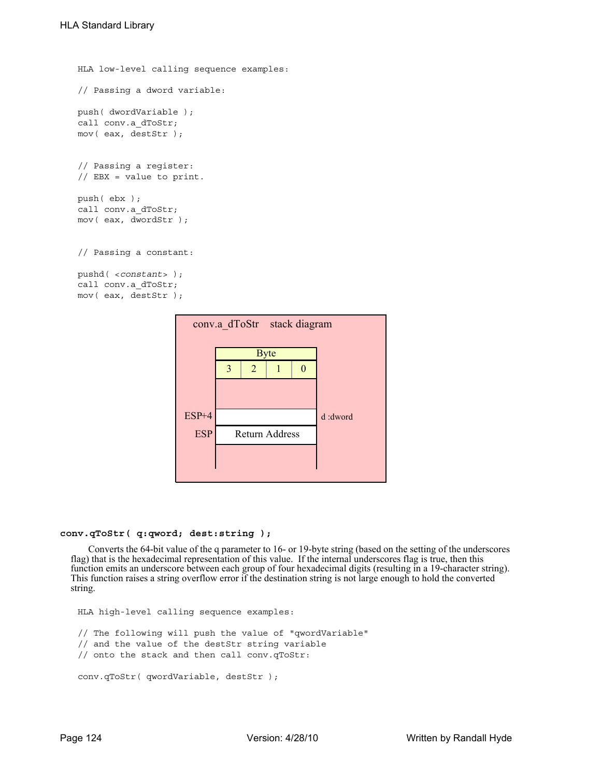```
HLA low-level calling sequence examples:
// Passing a dword variable:
push( dwordVariable );
call conv.a_dToStr;
mov( eax, destStr );
// Passing a register:
// EBX = value to print.
push( ebx );
call conv.a_dToStr;
mov( eax, dwordStr );
// Passing a constant:
pushd( <constant> );
call conv.a_dToStr;
mov( eax, destStr );
```


# **conv.qToStr( q:qword; dest:string );**

Converts the 64-bit value of the q parameter to 16- or 19-byte string (based on the setting of the underscores flag) that is the hexadecimal representation of this value. If the internal underscores flag is true, then this function emits an underscore between each group of four hexadecimal digits (resulting in a 19-character string). This function raises a string overflow error if the destination string is not large enough to hold the converted string.

```
HLA high-level calling sequence examples:
// The following will push the value of "qwordVariable"
// and the value of the destStr string variable 
// onto the stack and then call conv.qToStr:
conv.qToStr( qwordVariable, destStr );
```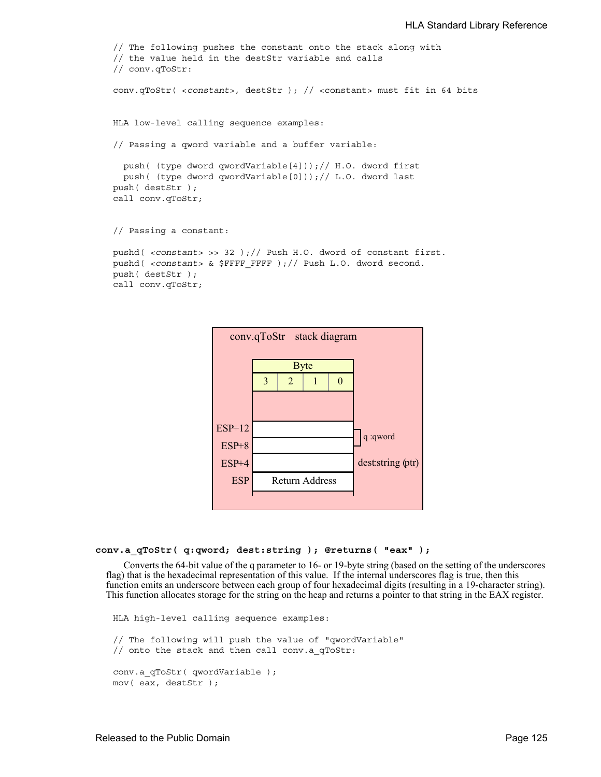```
// The following pushes the constant onto the stack along with
// the value held in the destStr variable and calls
// conv.qToStr:
conv.qToStr( <constant>, destStr ); // <constant> must fit in 64 bits
HLA low-level calling sequence examples:
// Passing a qword variable and a buffer variable:
 push( (type dword qwordVariable[4]));// H.O. dword first
 push( (type dword qwordVariable[0]));// L.O. dword last
push( destStr );
call conv.qToStr;
// Passing a constant:
pushd( <constant> >> 32 );// Push H.O. dword of constant first.
pushd( <constant> & $FFFF FFFF );// Push L.O. dword second.
push( destStr );
call conv.qToStr;
```


## **conv.a\_qToStr( q:qword; dest:string ); @returns( "eax" );**

Converts the 64-bit value of the q parameter to 16- or 19-byte string (based on the setting of the underscores flag) that is the hexadecimal representation of this value. If the internal underscores flag is true, then this function emits an underscore between each group of four hexadecimal digits (resulting in a 19-character string). This function allocates storage for the string on the heap and returns a pointer to that string in the EAX register.

```
HLA high-level calling sequence examples:
// The following will push the value of "qwordVariable"
// onto the stack and then call conv.a_qToStr:
conv.a_qToStr( qwordVariable );
mov( eax, destStr );
```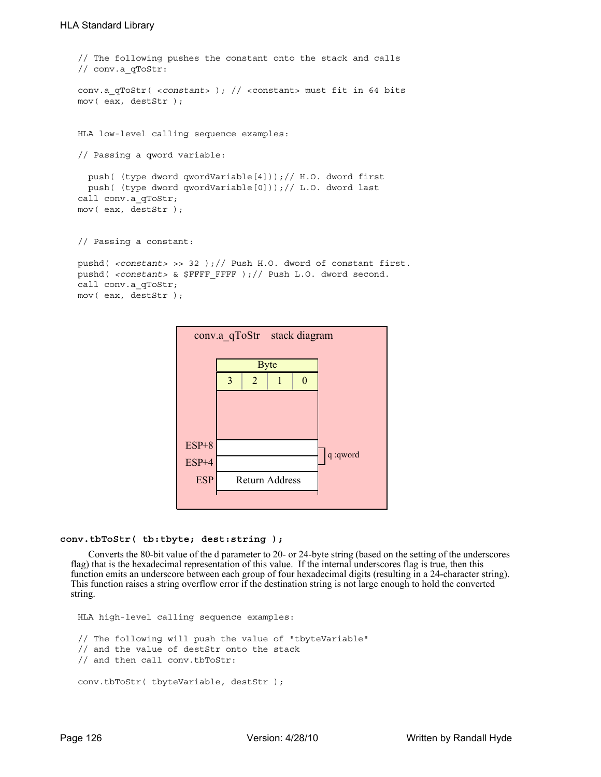```
// The following pushes the constant onto the stack and calls
// conv.a_qToStr:
conv.a_qToStr( <constant> ); // <constant> must fit in 64 bits
mov( eax, destStr );
HLA low-level calling sequence examples:
// Passing a qword variable:
  push( (type dword qwordVariable[4]));// H.O. dword first
  push( (type dword qwordVariable[0]));// L.O. dword last
call conv.a_qToStr;
mov( eax, destStr );
// Passing a constant:
pushd( <constant> >> 32 );// Push H.O. dword of constant first.
pushd( <constant> & $FFFF FFFF );// Push L.O. dword second.
call conv.a_qToStr;
mov( eax, destStr );
```


```
conv.tbToStr( tb:tbyte; dest:string );
```
Converts the 80-bit value of the d parameter to 20- or 24-byte string (based on the setting of the underscores flag) that is the hexadecimal representation of this value. If the internal underscores flag is true, then this function emits an underscore between each group of four hexadecimal digits (resulting in a 24-character string). This function raises a string overflow error if the destination string is not large enough to hold the converted string.

```
HLA high-level calling sequence examples:
// The following will push the value of "tbyteVariable" 
// and the value of destStr onto the stack
// and then call conv.tbToStr:
conv.tbToStr( tbyteVariable, destStr );
```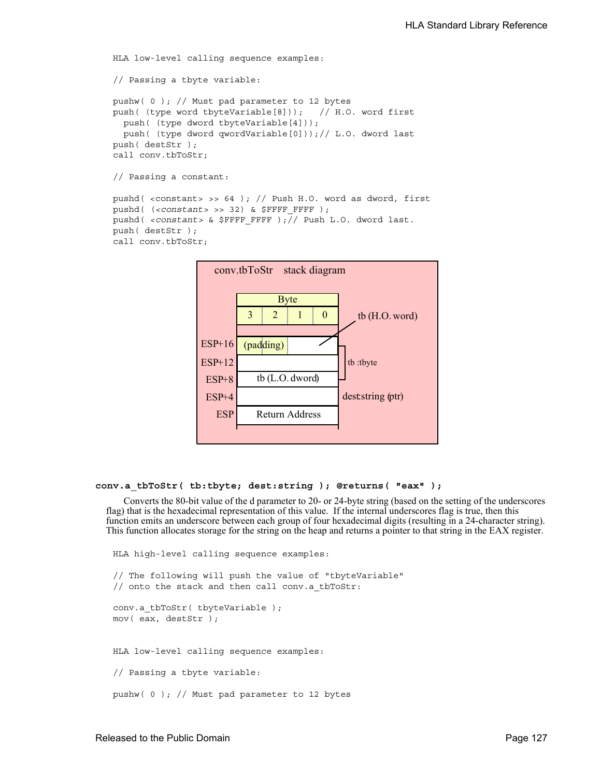```
HLA low-level calling sequence examples:
// Passing a tbyte variable:
pushw( 0 ); // Must pad parameter to 12 bytes
push( (type word tbyteVariable[8])); // H.O. word first
 push( (type dword tbyteVariable[4]));
 push( (type dword qwordVariable[0]));// L.O. dword last
push( destStr );
call conv.tbToStr;
// Passing a constant:
pushd( <constant> >> 64 ); // Push H.O. word as dword, first
pushd( (<constant> >> 32) & $FFFF FFFF );
pushd( <constant> & $FFFF_FFFF );// Push L.O. dword last.
push( destStr );
call conv.tbToStr;
```


#### **conv.a\_tbToStr( tb:tbyte; dest:string ); @returns( "eax" );**

Converts the 80-bit value of the d parameter to 20- or 24-byte string (based on the setting of the underscores flag) that is the hexadecimal representation of this value. If the internal underscores flag is true, then this function emits an underscore between each group of four hexadecimal digits (resulting in a 24-character string). This function allocates storage for the string on the heap and returns a pointer to that string in the EAX register.

```
HLA high-level calling sequence examples:
// The following will push the value of "tbyteVariable" 
// onto the stack and then call conv.a_tbToStr:
conv.a tbToStr( tbyteVariable );
mov( eax, destStr );
HLA low-level calling sequence examples:
// Passing a tbyte variable:
pushw( 0 ); // Must pad parameter to 12 bytes
```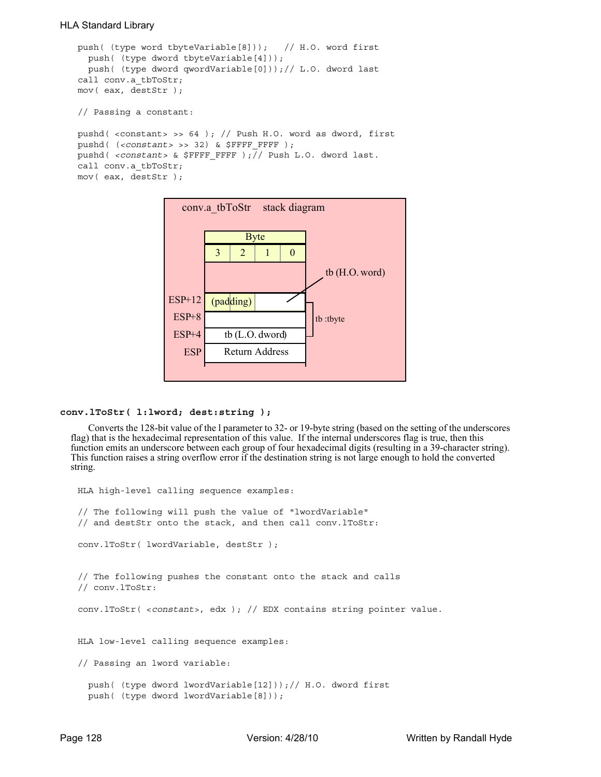```
push( (type word tbyteVariable[8])); // H.O. word first
  push( (type dword tbyteVariable[4]));
  push( (type dword qwordVariable[0]));// L.O. dword last
call conv.a_tbToStr;
mov( eax, destStr );
// Passing a constant:
pushd( <constant> >> 64 ); // Push H.O. word as dword, first
pushd( (<constant> >> 32) & $FFFF FFFF );
pushd( <constant> & $FFFF_FFFF );// Push L.O. dword last.
call conv.a_tbToStr;
mov( eax, destStr );
```


# **conv.lToStr( l:lword; dest:string );**

Converts the 128-bit value of the l parameter to 32- or 19-byte string (based on the setting of the underscores flag) that is the hexadecimal representation of this value. If the internal underscores flag is true, then this function emits an underscore between each group of four hexadecimal digits (resulting in a 39-character string). This function raises a string overflow error if the destination string is not large enough to hold the converted string.

```
HLA high-level calling sequence examples:
// The following will push the value of "lwordVariable" 
// and destStr onto the stack, and then call conv.lToStr:
conv.lToStr( lwordVariable, destStr );
// The following pushes the constant onto the stack and calls
// conv.lToStr:
conv.lToStr( <constant>, edx ); // EDX contains string pointer value.
HLA low-level calling sequence examples:
// Passing an lword variable:
  push( (type dword lwordVariable[12]));// H.O. dword first
  push( (type dword lwordVariable[8]));
```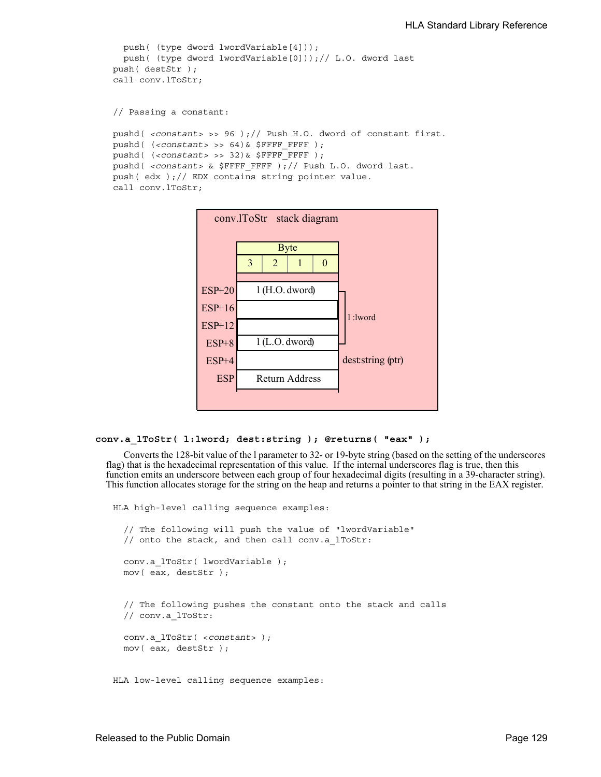```
push( (type dword lwordVariable[4]));
 push( (type dword lwordVariable[0]));// L.O. dword last
push( destStr );
call conv.lToStr;
// Passing a constant:
pushd( <constant> >> 96 );// Push H.O. dword of constant first.
pushd( (<constant> >> 64)& $FFFF FFFF );
pushd( (<constant> >> 32)& $FFFF FFFF );
pushd( <constant> & $FFFF FFFF );// Push L.O. dword last.
push( edx );// EDX contains string pointer value.
call conv.lToStr;
```


```
conv.a_lToStr( l:lword; dest:string ); @returns( "eax" );
```
Converts the 128-bit value of the l parameter to 32- or 19-byte string (based on the setting of the underscores flag) that is the hexadecimal representation of this value. If the internal underscores flag is true, then this function emits an underscore between each group of four hexadecimal digits (resulting in a 39-character string). This function allocates storage for the string on the heap and returns a pointer to that string in the EAX register.

```
HLA high-level calling sequence examples:
  // The following will push the value of "lwordVariable" 
  // onto the stack, and then call conv.a_lToStr:
 conv.a lToStr( lwordVariable );
 mov( eax, destStr );
  // The following pushes the constant onto the stack and calls
  // conv.a_lToStr:
 conv.a_lToStr( <constant> );
 mov( eax, destStr );
```

```
HLA low-level calling sequence examples:
```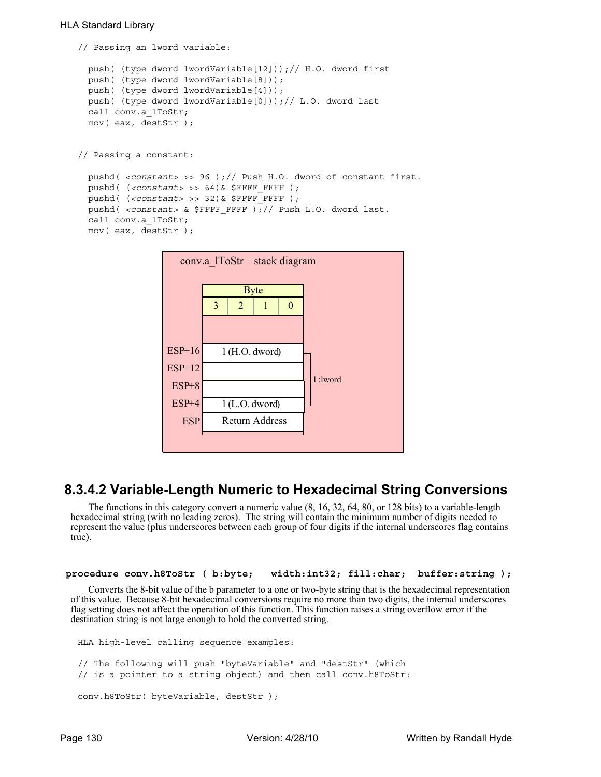```
// Passing an lword variable:
 push( (type dword lwordVariable[12]));// H.O. dword first
 push( (type dword lwordVariable[8]));
 push( (type dword lwordVariable[4]));
 push( (type dword lwordVariable[0]));// L.O. dword last
 call conv.a_lToStr;
 mov( eax, destStr );
// Passing a constant:
 pushd( <constant> >> 96 );// Push H.O. dword of constant first.
 pushd( (<constant> >> 64)& $FFFF_FFFF );
 pushd( (<constant> >> 32)& $FFFF FFFF );
 pushd( <constant> & $FFFF_FFFF );// Push L.O. dword last.
 call conv.a_lToStr;
 mov( eax, destStr );
```


# **8.3.4.2 Variable-Length Numeric to Hexadecimal String Conversions**

The functions in this category convert a numeric value (8, 16, 32, 64, 80, or 128 bits) to a variable-length hexadecimal string (with no leading zeros). The string will contain the minimum number of digits needed to represent the value (plus underscores between each group of four digits if the internal underscores flag contains true).

```
 procedure conv.h8ToStr ( b:byte; width:int32; fill:char; buffer:string );
```
Converts the 8-bit value of the b parameter to a one or two-byte string that is the hexadecimal representation of this value. Because 8-bit hexadecimal conversions require no more than two digits, the internal underscores flag setting does not affect the operation of this function. This function raises a string overflow error if the destination string is not large enough to hold the converted string.

```
HLA high-level calling sequence examples:
// The following will push "byteVariable" and "destStr" (which 
// is a pointer to a string object) and then call conv.h8ToStr:
conv.h8ToStr( byteVariable, destStr );
```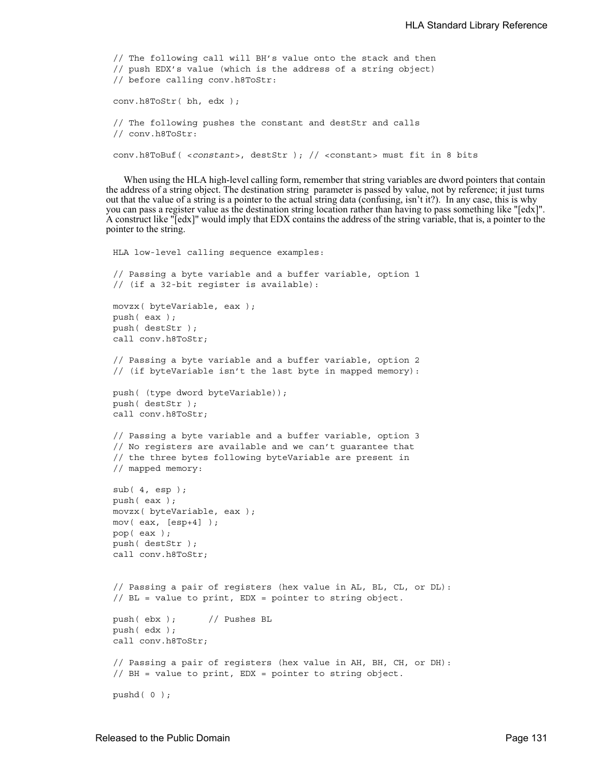```
// The following call will BH's value onto the stack and then
// push EDX's value (which is the address of a string object)
// before calling conv.h8ToStr:
conv.h8ToStr( bh, edx );
// The following pushes the constant and destStr and calls
// conv.h8ToStr:
conv.h8ToBuf( <constant>, destStr ); // <constant> must fit in 8 bits
```
When using the HLA high-level calling form, remember that string variables are dword pointers that contain the address of a string object. The destination string parameter is passed by value, not by reference; it just turns out that the value of a string is a pointer to the actual string data (confusing, isn't it?). In any case, this is why you can pass a register value as the destination string location rather than having to pass something like "[edx]". A construct like "[edx]" would imply that EDX contains the address of the string variable, that is, a pointer to the pointer to the string.

```
HLA low-level calling sequence examples:
// Passing a byte variable and a buffer variable, option 1
// (if a 32-bit register is available):
movzx( byteVariable, eax );
push( eax );
push( destStr );
call conv.h8ToStr;
// Passing a byte variable and a buffer variable, option 2
// (if byteVariable isn't the last byte in mapped memory):
push( (type dword byteVariable));
push( destStr );
call conv.h8ToStr;
// Passing a byte variable and a buffer variable, option 3
// No registers are available and we can't guarantee that
// the three bytes following byteVariable are present in
// mapped memory:
sub(4, esp);push( eax );
movzx( byteVariable, eax );
mov( eax, [esp+4] );
pop( eax );
push( destStr );
call conv.h8ToStr;
// Passing a pair of registers (hex value in AL, BL, CL, or DL):
// BL = value to print, EDX = pointer to string object.
push( ebx ); // Pushes BL
push( edx );
call conv.h8ToStr;
// Passing a pair of registers (hex value in AH, BH, CH, or DH):
// BH = value to print, EDX = pointer to string object.
pushd( 0 );
```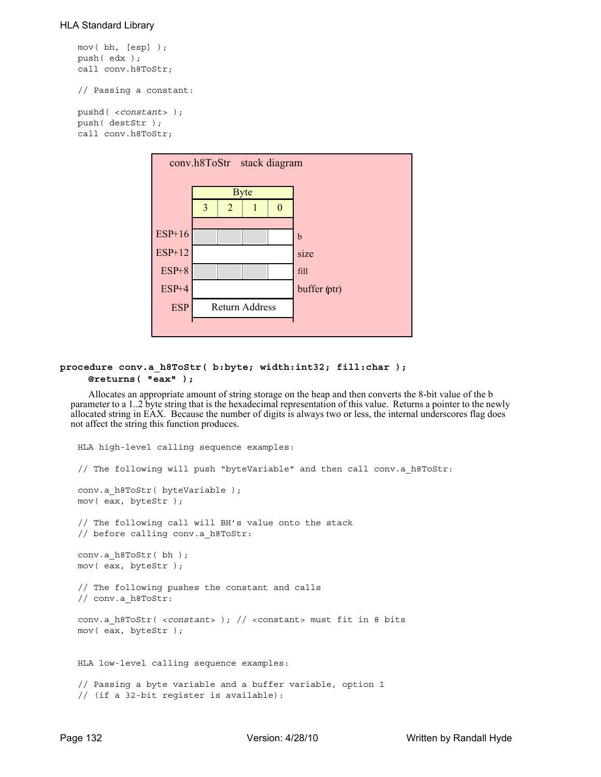```
mov( bh, [esp] );
push( edx );
call conv.h8ToStr;
// Passing a constant:
```
pushd( <*constant*> ); push( destStr ); call conv.h8ToStr;



## **procedure conv.a\_h8ToStr( b:byte; width:int32; fill:char ); @returns( "eax" );**

Allocates an appropriate amount of string storage on the heap and then converts the 8-bit value of the b parameter to a 1..2 byte string that is the hexadecimal representation of this value. Returns a pointer to the newly allocated string in EAX. Because the number of digits is always two or less, the internal underscores flag does not affect the string this function produces.

```
HLA high-level calling sequence examples:
// The following will push "byteVariable" and then call conv.a_h8ToStr:
conv.a h8ToStr( byteVariable );
mov( eax, byteStr );
// The following call will BH's value onto the stack
// before calling conv.a_h8ToStr:
conv.a_h8ToStr( bh );
mov( eax, byteStr );
// The following pushes the constant and calls
// conv.a_h8ToStr:
conv.a_h8ToStr( <constant> ); // <constant> must fit in 8 bits
mov( eax, byteStr );
HLA low-level calling sequence examples:
// Passing a byte variable and a buffer variable, option 1
// (if a 32-bit register is available):
```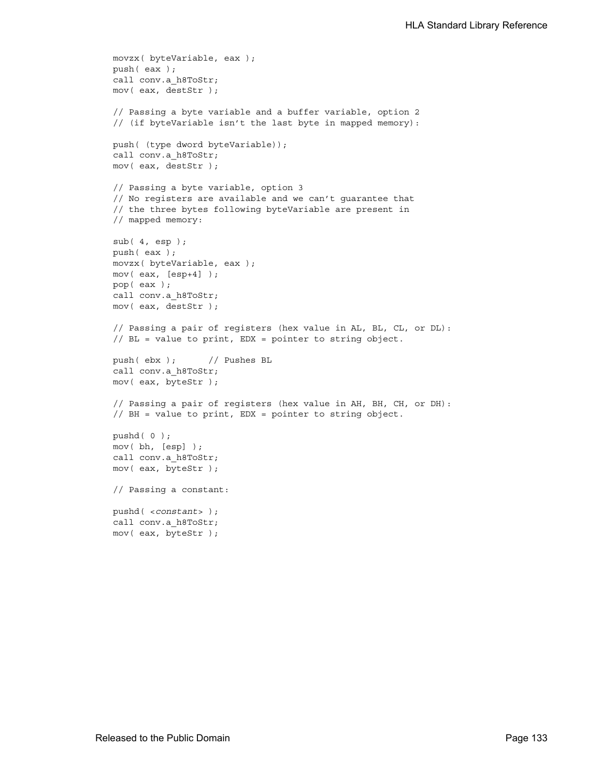```
movzx( byteVariable, eax );
push( eax );
call conv.a_h8ToStr;
mov( eax, destStr );
// Passing a byte variable and a buffer variable, option 2
// (if byteVariable isn't the last byte in mapped memory):
push( (type dword byteVariable));
call conv.a_h8ToStr;
mov( eax, destStr );
// Passing a byte variable, option 3
// No registers are available and we can't guarantee that
// the three bytes following byteVariable are present in
// mapped memory:
sub( 4, esp );
push( eax );
movzx( byteVariable, eax );
mov( eax, [esp+4] );
pop( eax );
call conv.a_h8ToStr;
mov( eax, destStr );
// Passing a pair of registers (hex value in AL, BL, CL, or DL):
// BL = value to print, EDX = pointer to string object.
push( ebx ); // Pushes BL
call conv.a_h8ToStr;
mov( eax, byteStr );
// Passing a pair of registers (hex value in AH, BH, CH, or DH):
// BH = value to print, EDX = pointer to string object.
pushd( 0 );
mov( bh, [esp] );
call conv.a_h8ToStr;
mov( eax, byteStr );
// Passing a constant:
pushd( <constant> );
call conv.a_h8ToStr;
mov( eax, byteStr );
```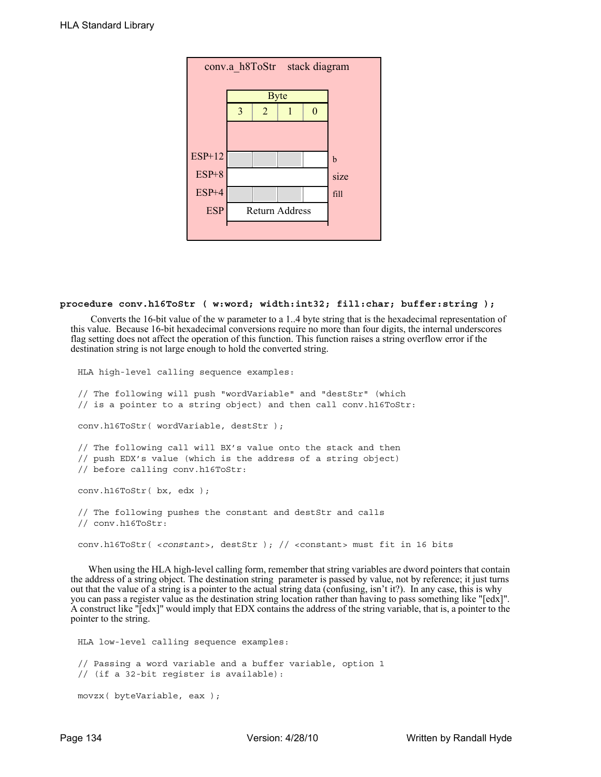| conv.a h8ToStr stack diagram |                |                       |  |          |      |  |  |  |
|------------------------------|----------------|-----------------------|--|----------|------|--|--|--|
|                              |                | <b>Byte</b>           |  |          |      |  |  |  |
|                              | $\overline{3}$ | $\overline{2}$        |  | $\Omega$ |      |  |  |  |
|                              |                |                       |  |          |      |  |  |  |
|                              |                |                       |  |          |      |  |  |  |
| <b>ESP+12</b>                |                |                       |  |          | b    |  |  |  |
| $ESP+8$                      |                |                       |  |          | size |  |  |  |
| $ESP+4$                      |                |                       |  |          | fill |  |  |  |
| <b>ESP</b>                   |                | <b>Return Address</b> |  |          |      |  |  |  |
|                              |                |                       |  |          |      |  |  |  |

## **procedure conv.h16ToStr ( w:word; width:int32; fill:char; buffer:string );**

 Converts the 16-bit value of the w parameter to a 1..4 byte string that is the hexadecimal representation of this value. Because 16-bit hexadecimal conversions require no more than four digits, the internal underscores flag setting does not affect the operation of this function. This function raises a string overflow error if the destination string is not large enough to hold the converted string.

```
HLA high-level calling sequence examples:
// The following will push "wordVariable" and "destStr" (which 
// is a pointer to a string object) and then call conv.h16ToStr:
conv.h16ToStr( wordVariable, destStr );
// The following call will BX's value onto the stack and then
// push EDX's value (which is the address of a string object)
// before calling conv.h16ToStr:
conv.h16ToStr( bx, edx );
// The following pushes the constant and destStr and calls
// conv.h16ToStr:
conv.h16ToStr( <constant>, destStr ); // <constant> must fit in 16 bits
```
When using the HLA high-level calling form, remember that string variables are dword pointers that contain the address of a string object. The destination string parameter is passed by value, not by reference; it just turns out that the value of a string is a pointer to the actual string data (confusing, isn't it?). In any case, this is why you can pass a register value as the destination string location rather than having to pass something like "[edx]". A construct like "[edx]" would imply that EDX contains the address of the string variable, that is, a pointer to the pointer to the string.

```
HLA low-level calling sequence examples:
// Passing a word variable and a buffer variable, option 1
// (if a 32-bit register is available):
movzx( byteVariable, eax );
```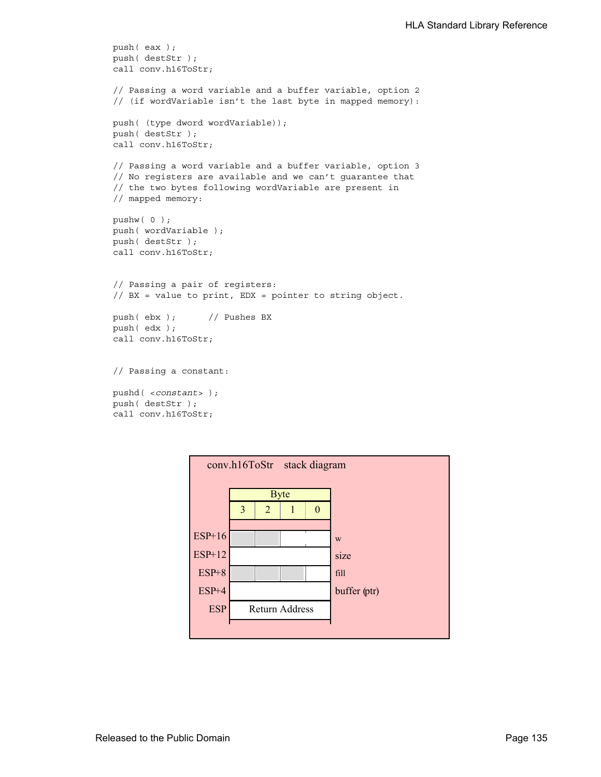```
push( eax );
push( destStr );
call conv.h16ToStr;
// Passing a word variable and a buffer variable, option 2
// (if wordVariable isn't the last byte in mapped memory):
push( (type dword wordVariable));
push( destStr );
call conv.h16ToStr;
// Passing a word variable and a buffer variable, option 3
// No registers are available and we can't guarantee that
// the two bytes following wordVariable are present in
// mapped memory:
pushw( 0 );
push( wordVariable );
push( destStr );
call conv.h16ToStr;
// Passing a pair of registers:
// BX = value to print, EDX = pointer to string object.
push( ebx ); // Pushes BX
push( edx );
call conv.h16ToStr;
// Passing a constant:
pushd( <constant> );
push( destStr );
call conv.h16ToStr;
```

| conv.h16ToStr stack diagram |                       |   |   |          |              |  |  |  |
|-----------------------------|-----------------------|---|---|----------|--------------|--|--|--|
|                             | <b>Byte</b>           |   |   |          |              |  |  |  |
|                             | 3                     | 2 | 1 | $\Omega$ |              |  |  |  |
| $ESP+16$                    |                       |   |   |          |              |  |  |  |
| <b>ESP+12</b>               |                       |   |   |          | W<br>size    |  |  |  |
| $ESP+8$                     |                       |   |   |          | fill         |  |  |  |
| ESP+4                       |                       |   |   |          | buffer (ptr) |  |  |  |
| <b>ESP</b>                  | <b>Return Address</b> |   |   |          |              |  |  |  |
|                             |                       |   |   |          |              |  |  |  |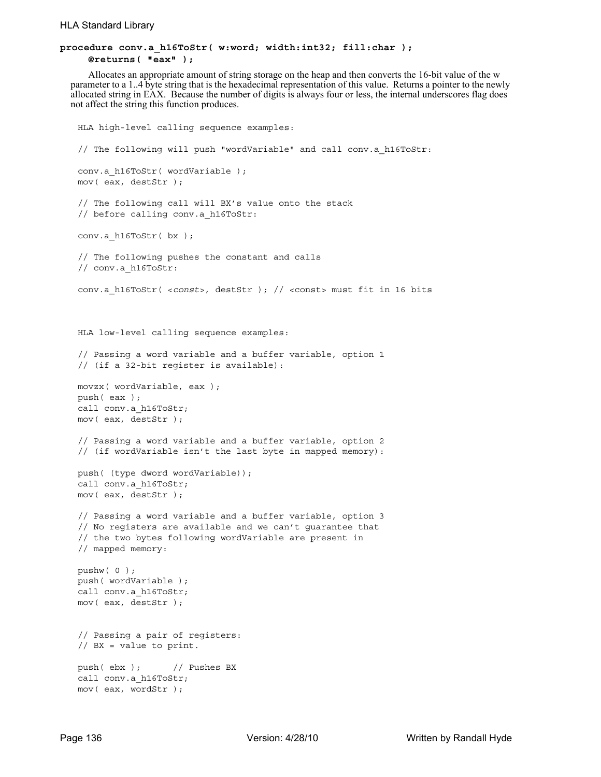## **procedure conv.a\_h16ToStr( w:word; width:int32; fill:char ); @returns( "eax" );**

Allocates an appropriate amount of string storage on the heap and then converts the 16-bit value of the w parameter to a 1..4 byte string that is the hexadecimal representation of this value. Returns a pointer to the newly allocated string in EAX. Because the number of digits is always four or less, the internal underscores flag does not affect the string this function produces.

```
HLA high-level calling sequence examples:
// The following will push "wordVariable" and call conv.a_h16ToStr:
conv.a_h16ToStr( wordVariable );
mov( eax, destStr );
// The following call will BX's value onto the stack 
// before calling conv.a_h16ToStr:
conv.a_h16ToStr( bx );
// The following pushes the constant and calls
// conv.a_h16ToStr:
conv.a_h16ToStr( <const>, destStr ); // <const> must fit in 16 bits
HLA low-level calling sequence examples:
// Passing a word variable and a buffer variable, option 1
// (if a 32-bit register is available):
movzx( wordVariable, eax );
push( eax );
call conv.a_h16ToStr;
mov( eax, destStr );
// Passing a word variable and a buffer variable, option 2
// (if wordVariable isn't the last byte in mapped memory):
push( (type dword wordVariable));
call conv.a_h16ToStr;
mov( eax, destStr );
// Passing a word variable and a buffer variable, option 3
// No registers are available and we can't guarantee that
// the two bytes following wordVariable are present in
// mapped memory:
pushw( 0 );
push( wordVariable );
call conv.a_h16ToStr;
mov( eax, destStr );
// Passing a pair of registers:
// BX = value to print.push( ebx ); // Pushes BX
call conv.a_h16ToStr;
mov( eax, wordStr );
```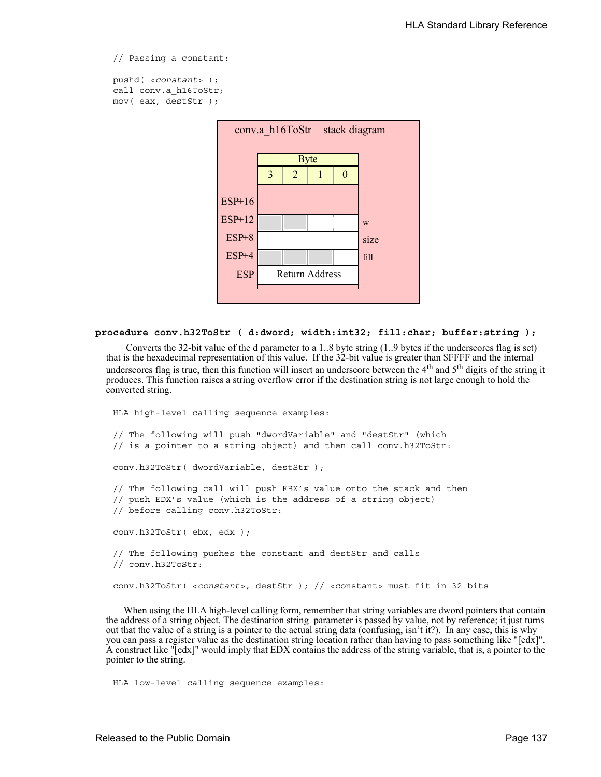// Passing a constant:

```
pushd( <constant> );
call conv.a_h16ToStr;
mov( eax, destStr );
```


# **procedure conv.h32ToStr ( d:dword; width:int32; fill:char; buffer:string );**

 Converts the 32-bit value of the d parameter to a 1..8 byte string (1..9 bytes if the underscores flag is set) that is the hexadecimal representation of this value. If the 32-bit value is greater than \$FFFF and the internal underscores flag is true, then this function will insert an underscore between the 4<sup>th</sup> and 5<sup>th</sup> digits of the string it produces. This function raises a string overflow error if the destination string is not large enough to hold the converted string.

```
HLA high-level calling sequence examples:
// The following will push "dwordVariable" and "destStr" (which 
// is a pointer to a string object) and then call conv.h32ToStr:
conv.h32ToStr( dwordVariable, destStr );
// The following call will push EBX's value onto the stack and then
// push EDX's value (which is the address of a string object)
// before calling conv.h32ToStr:
conv.h32ToStr( ebx, edx );
// The following pushes the constant and destStr and calls
// conv.h32ToStr:
conv.h32ToStr( <constant>, destStr ); // <constant> must fit in 32 bits
```
When using the HLA high-level calling form, remember that string variables are dword pointers that contain the address of a string object. The destination string parameter is passed by value, not by reference; it just turns out that the value of a string is a pointer to the actual string data (confusing, isn't it?). In any case, this is why you can pass a register value as the destination string location rather than having to pass something like "[edx]". A construct like "[edx]" would imply that EDX contains the address of the string variable, that is, a pointer to the pointer to the string.

HLA low-level calling sequence examples: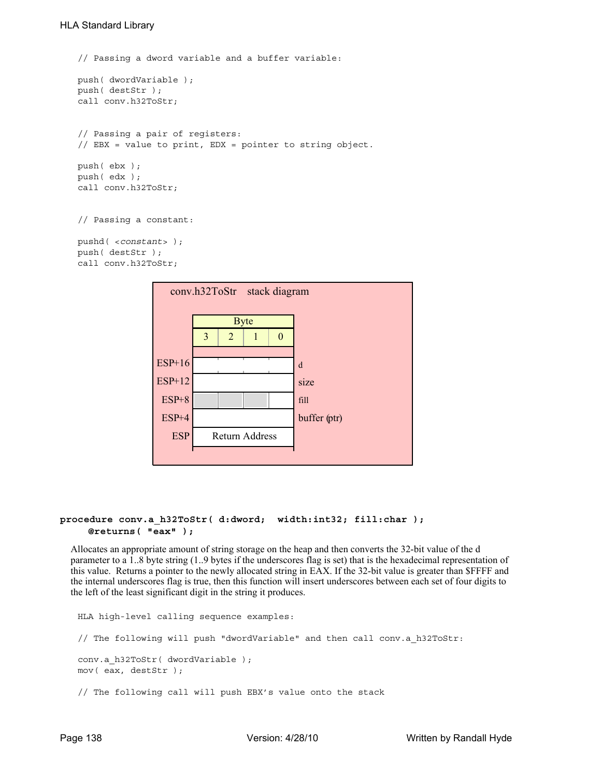```
// Passing a dword variable and a buffer variable:
push( dwordVariable );
push( destStr );
call conv.h32ToStr;
// Passing a pair of registers:
// EBX = value to print, EDX = pointer to string object.
push( ebx );
push( edx );
call conv.h32ToStr;
// Passing a constant:
pushd( <constant> );
push( destStr );
call conv.h32ToStr;
```


# **procedure conv.a\_h32ToStr( d:dword; width:int32; fill:char ); @returns( "eax" );**

Allocates an appropriate amount of string storage on the heap and then converts the 32-bit value of the d parameter to a 1..8 byte string (1..9 bytes if the underscores flag is set) that is the hexadecimal representation of this value. Returns a pointer to the newly allocated string in EAX. If the 32-bit value is greater than \$FFFF and the internal underscores flag is true, then this function will insert underscores between each set of four digits to the left of the least significant digit in the string it produces.

```
HLA high-level calling sequence examples:
// The following will push "dwordVariable" and then call conv.a h32ToStr:
conv.a_h32ToStr( dwordVariable );
mov( eax, destStr );
// The following call will push EBX's value onto the stack
```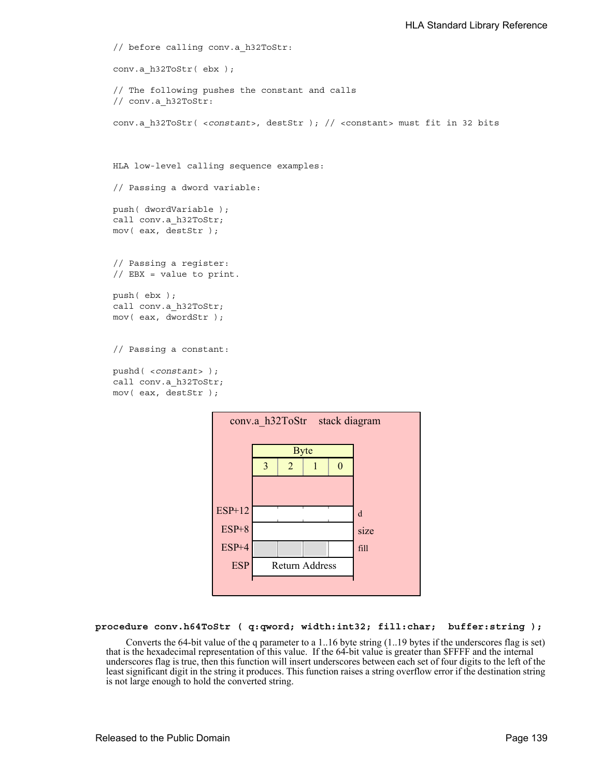// before calling conv.a\_h32ToStr: conv.a\_h32ToStr( ebx ); // The following pushes the constant and calls // conv.a\_h32ToStr: conv.a\_h32ToStr( <*constant*>, destStr ); // <constant> must fit in 32 bits HLA low-level calling sequence examples: // Passing a dword variable: push( dwordVariable ); call conv.a\_h32ToStr; mov( eax, destStr ); // Passing a register: // EBX = value to print. push( ebx ); call conv.a\_h32ToStr; mov( eax, dwordStr ); // Passing a constant: pushd( <*constant*> ); call conv.a\_h32ToStr; mov( eax, destStr );



#### **procedure conv.h64ToStr ( q:qword; width:int32; fill:char; buffer:string );**

 Converts the 64-bit value of the q parameter to a 1..16 byte string (1..19 bytes if the underscores flag is set) that is the hexadecimal representation of this value. If the 64-bit value is greater than \$FFFF and the internal underscores flag is true, then this function will insert underscores between each set of four digits to the left of the least significant digit in the string it produces. This function raises a string overflow error if the destination string is not large enough to hold the converted string.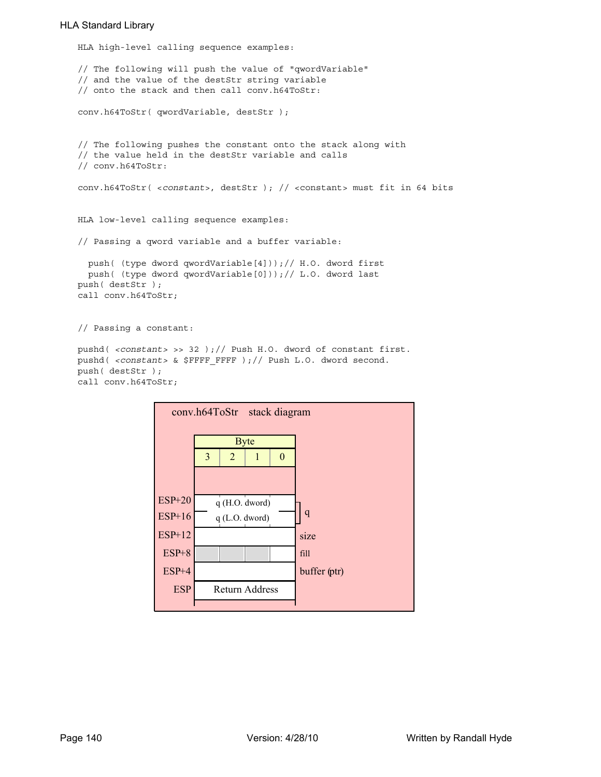HLA high-level calling sequence examples:

```
// The following will push the value of "qwordVariable"
// and the value of the destStr string variable 
// onto the stack and then call conv.h64ToStr:
conv.h64ToStr( qwordVariable, destStr );
// The following pushes the constant onto the stack along with
// the value held in the destStr variable and calls
// conv.h64ToStr:
conv.h64ToStr( <constant>, destStr ); // <constant> must fit in 64 bits
HLA low-level calling sequence examples:
// Passing a qword variable and a buffer variable:
 push( (type dword qwordVariable[4]));// H.O. dword first
 push( (type dword qwordVariable[0]));// L.O. dword last
push( destStr );
call conv.h64ToStr;
// Passing a constant:
pushd( <constant> >> 32 );// Push H.O. dword of constant first.
pushd( <constant> & $FFFF FFFF );// Push L.O. dword second.
push( destStr );
call conv.h64ToStr;
```
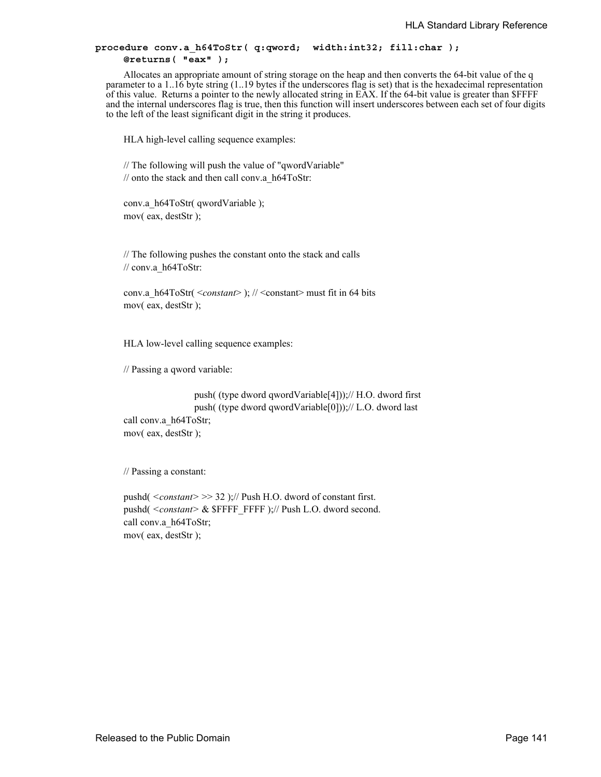# **procedure conv.a\_h64ToStr( q:qword; width:int32; fill:char ); @returns( "eax" );**

Allocates an appropriate amount of string storage on the heap and then converts the 64-bit value of the q parameter to a 1..16 byte string (1..19 bytes if the underscores flag is set) that is the hexadecimal representation of this value. Returns a pointer to the newly allocated string in EAX. If the 64-bit value is greater than \$FFFF and the internal underscores flag is true, then this function will insert underscores between each set of four digits to the left of the least significant digit in the string it produces.

HLA high-level calling sequence examples:

// The following will push the value of "qwordVariable" // onto the stack and then call conv.a\_h64ToStr:

conv.a h64ToStr( qwordVariable ); mov( eax, destStr );

// The following pushes the constant onto the stack and calls // conv.a\_h64ToStr:

conv.a\_h64ToStr( <*constant*> ); // <constant> must fit in 64 bits mov( eax, destStr );

HLA low-level calling sequence examples:

// Passing a qword variable:

push( (type dword qwordVariable[4]));// H.O. dword first push( (type dword qwordVariable[0]));// L.O. dword last call conv.a\_h64ToStr; mov( eax, destStr );

// Passing a constant:

pushd( *<constant>* >> 32 );// Push H.O. dword of constant first. pushd( *<constant>* & \$FFFF\_FFFF );// Push L.O. dword second. call conv.a\_h64ToStr; mov( eax, destStr );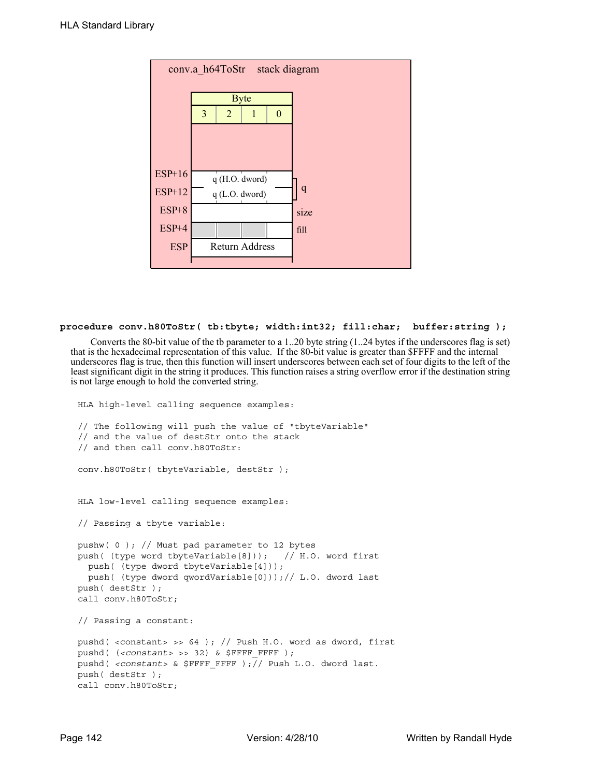

# **procedure conv.h80ToStr( tb:tbyte; width:int32; fill:char; buffer:string );**

 Converts the 80-bit value of the tb parameter to a 1..20 byte string (1..24 bytes if the underscores flag is set) that is the hexadecimal representation of this value. If the 80-bit value is greater than \$FFFF and the internal underscores flag is true, then this function will insert underscores between each set of four digits to the left of the least significant digit in the string it produces. This function raises a string overflow error if the destination string is not large enough to hold the converted string.

```
HLA high-level calling sequence examples:
// The following will push the value of "tbyteVariable" 
// and the value of destStr onto the stack
// and then call conv.h80ToStr:
conv.h80ToStr( tbyteVariable, destStr );
HLA low-level calling sequence examples:
// Passing a tbyte variable:
pushw( 0 ); // Must pad parameter to 12 bytes
push( (type word tbyteVariable[8])); // H.O. word first
  push( (type dword tbyteVariable[4]));
  push( (type dword qwordVariable[0]));// L.O. dword last
push( destStr );
call conv.h80ToStr;
// Passing a constant:
pushd( <constant> >> 64 ); // Push H.O. word as dword, first
pushd( (<constant> >> 32) & $FFFF FFFF );
pushd( <constant> & $FFFF_FFFF );// Push L.O. dword last.
push( destStr );
call conv.h80ToStr;
```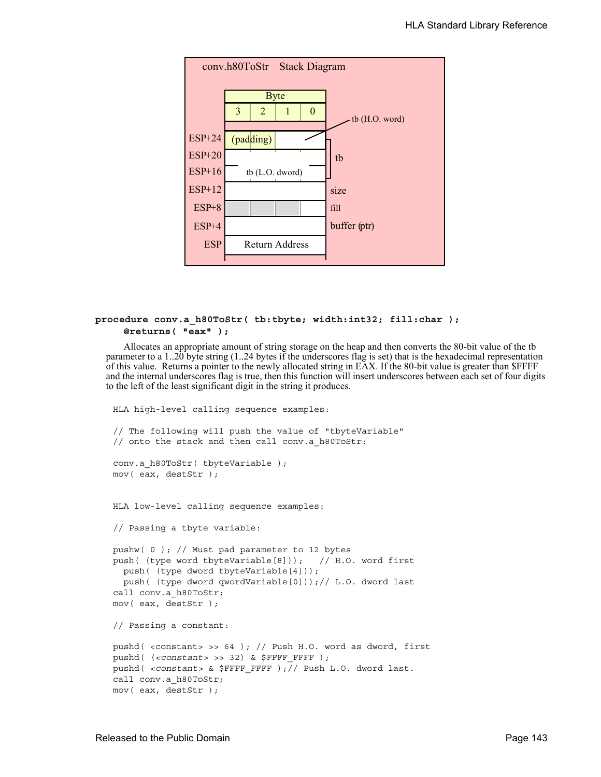

# **procedure conv.a\_h80ToStr( tb:tbyte; width:int32; fill:char ); @returns( "eax" );**

Allocates an appropriate amount of string storage on the heap and then converts the 80-bit value of the tb parameter to a 1..20 byte string (1..24 bytes if the underscores flag is set) that is the hexadecimal representation of this value. Returns a pointer to the newly allocated string in EAX. If the 80-bit value is greater than \$FFFF and the internal underscores flag is true, then this function will insert underscores between each set of four digits to the left of the least significant digit in the string it produces.

```
HLA high-level calling sequence examples:
// The following will push the value of "tbyteVariable" 
// onto the stack and then call conv.a h80ToStr:
conv.a h80ToStr( tbyteVariable );
mov( eax, destStr );
HLA low-level calling sequence examples:
// Passing a tbyte variable:
pushw( 0 ); // Must pad parameter to 12 bytes
push( (type word tbyteVariable[8])); // H.O. word first
 push( (type dword tbyteVariable[4]));
 push( (type dword qwordVariable[0]));// L.O. dword last
call conv.a_h80ToStr;
mov( eax, destStr );
// Passing a constant:
pushd( <constant> >> 64 ); // Push H.O. word as dword, first
pushd( (<constant> >> 32) & $FFFF FFFF );
pushd( <constant> & $FFFF FFFF );// Push L.O. dword last.
call conv.a_h80ToStr;
mov( eax, destStr );
```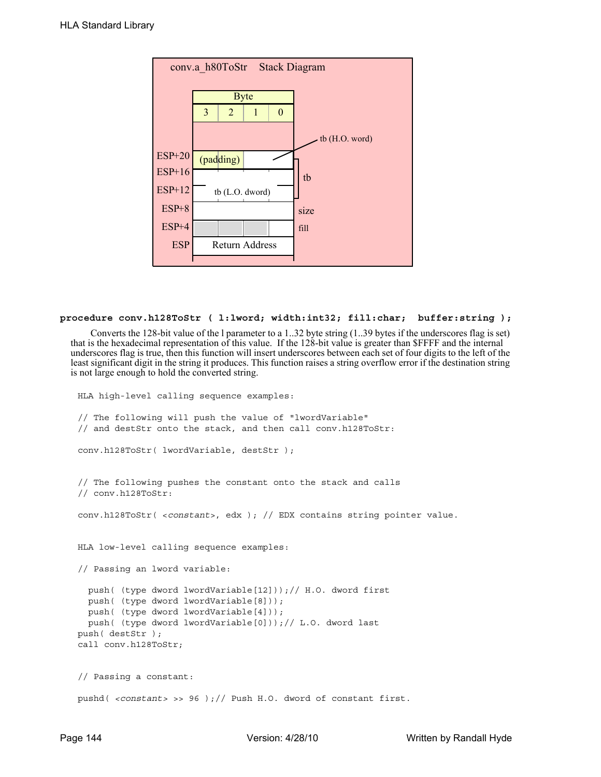

#### **procedure conv.h128ToStr ( l:lword; width:int32; fill:char; buffer:string );**

 Converts the 128-bit value of the l parameter to a 1..32 byte string (1..39 bytes if the underscores flag is set) that is the hexadecimal representation of this value. If the 128-bit value is greater than \$FFFF and the internal underscores flag is true, then this function will insert underscores between each set of four digits to the left of the least significant digit in the string it produces. This function raises a string overflow error if the destination string is not large enough to hold the converted string.

```
// The following will push the value of "lwordVariable" 
// and destStr onto the stack, and then call conv.h128ToStr:
conv.h128ToStr( lwordVariable, destStr );
// The following pushes the constant onto the stack and calls
// conv.h128ToStr:
conv.h128ToStr( <constant>, edx ); // EDX contains string pointer value.
HLA low-level calling sequence examples:
// Passing an lword variable:
  push( (type dword lwordVariable[12]));// H.O. dword first
  push( (type dword lwordVariable[8]));
  push( (type dword lwordVariable[4]));
 push( (type dword lwordVariable[0]));// L.O. dword last
push( destStr );
call conv.h128ToStr;
// Passing a constant:
pushd( <constant> >> 96 );// Push H.O. dword of constant first.
```
HLA high-level calling sequence examples: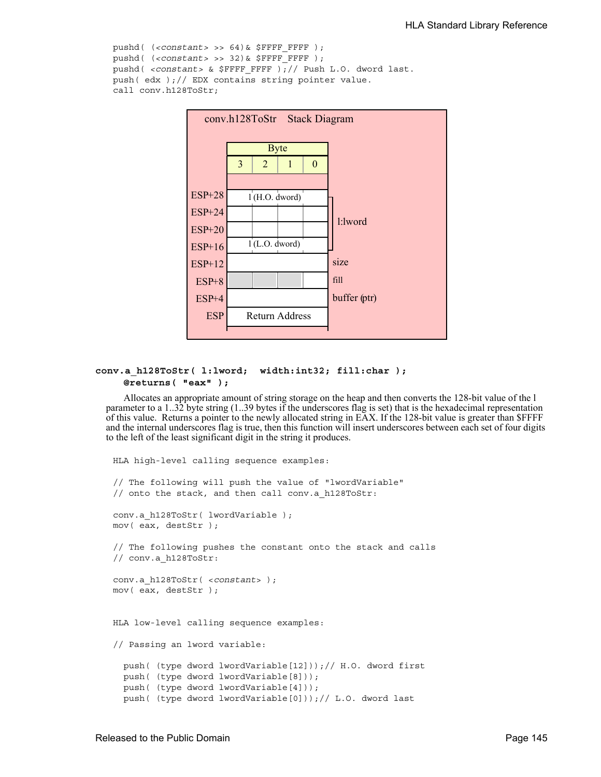```
pushd( (<constant> >> 64)& $FFFF_FFFF );
pushd( (<constant> >> 32)& $FFFF_FFFF );
pushd( <constant> & $FFFF_FFFF );// Push L.O. dword last.
push( edx );// EDX contains string pointer value.
call conv.h128ToStr;
```


# **conv.a\_h128ToStr( l:lword; width:int32; fill:char ); @returns( "eax" );**

Allocates an appropriate amount of string storage on the heap and then converts the 128-bit value of the l parameter to a 1..32 byte string (1..39 bytes if the underscores flag is set) that is the hexadecimal representation of this value. Returns a pointer to the newly allocated string in EAX. If the 128-bit value is greater than \$FFFF and the internal underscores flag is true, then this function will insert underscores between each set of four digits to the left of the least significant digit in the string it produces.

```
HLA high-level calling sequence examples:
// The following will push the value of "lwordVariable" 
// onto the stack, and then call conv.a h128ToStr:
conv.a_h128ToStr( lwordVariable );
mov( eax, destStr );
// The following pushes the constant onto the stack and calls
// conv.a_h128ToStr:
conv.a_h128ToStr( <constant> );
mov( eax, destStr );
HLA low-level calling sequence examples:
// Passing an lword variable:
  push( (type dword lwordVariable[12]));// H.O. dword first
  push( (type dword lwordVariable[8]));
  push( (type dword lwordVariable[4]));
  push( (type dword lwordVariable[0]));// L.O. dword last
```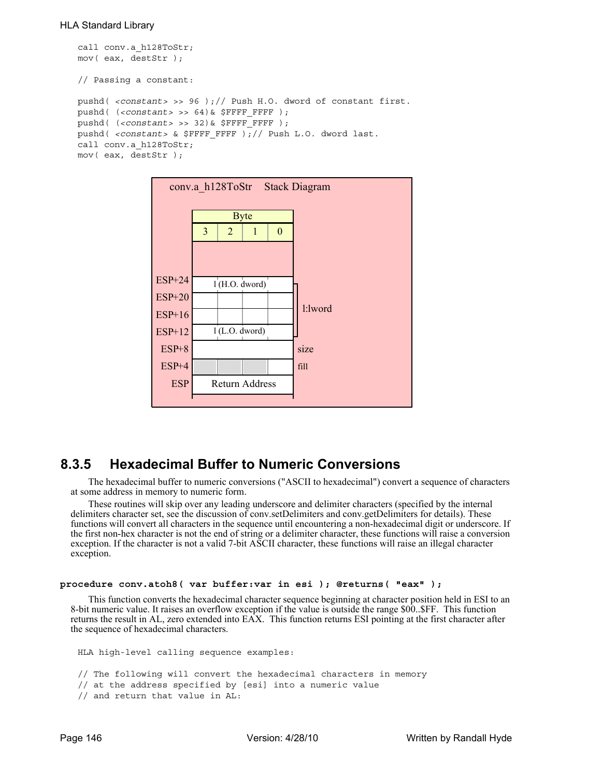```
call conv.a_h128ToStr;
mov( eax, destStr );
// Passing a constant:
pushd( <constant> >> 96 );// Push H.O. dword of constant first.
pushd( (<constant> >> 64)& $FFFF FFFF );
pushd( (<constant> >> 32)& $FFFF_FFFF );
pushd( <constant> & $FFFF_FFFF );// Push L.O. dword last.
call conv.a_h128ToStr;
mov( eax, destStr );
```


# **8.3.5 Hexadecimal Buffer to Numeric Conversions**

The hexadecimal buffer to numeric conversions ("ASCII to hexadecimal") convert a sequence of characters at some address in memory to numeric form.

These routines will skip over any leading underscore and delimiter characters (specified by the internal delimiters character set, see the discussion of conv.setDelimiters and conv.getDelimiters for details). These functions will convert all characters in the sequence until encountering a non-hexadecimal digit or underscore. If the first non-hex character is not the end of string or a delimiter character, these functions will raise a conversion exception. If the character is not a valid 7-bit ASCII character, these functions will raise an illegal character exception.

#### **procedure conv.atoh8( var buffer:var in esi ); @returns( "eax" );**

This function converts the hexadecimal character sequence beginning at character position held in ESI to an 8-bit numeric value. It raises an overflow exception if the value is outside the range \$00..\$FF. This function returns the result in AL, zero extended into EAX. This function returns ESI pointing at the first character after the sequence of hexadecimal characters.

```
HLA high-level calling sequence examples:
// The following will convert the hexadecimal characters in memory
// at the address specified by [esi] into a numeric value
// and return that value in AL:
```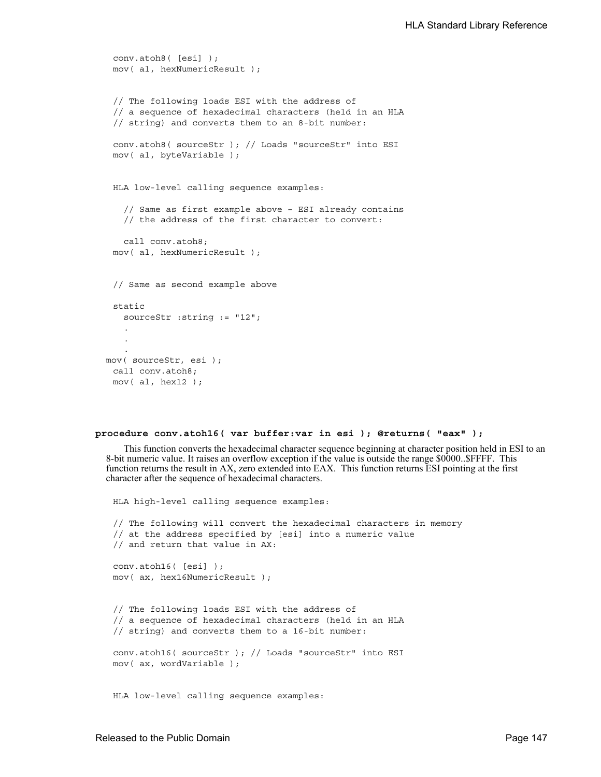```
conv.atoh8( [esi] );
 mov( al, hexNumericResult );
 // The following loads ESI with the address of
 // a sequence of hexadecimal characters (held in an HLA
 // string) and converts them to an 8-bit number:
 conv.atoh8( sourceStr ); // Loads "sourceStr" into ESI
 mov( al, byteVariable );
 HLA low-level calling sequence examples:
   // Same as first example above – ESI already contains
   // the address of the first character to convert:
   call conv.atoh8;
 mov( al, hexNumericResult );
 // Same as second example above
 static
   sourceStr :string := "12";
   .
   .
   .
mov( sourceStr, esi );
 call conv.atoh8;
 mov( al, hex12 );
```
## **procedure conv.atoh16( var buffer:var in esi ); @returns( "eax" );**

This function converts the hexadecimal character sequence beginning at character position held in ESI to an 8-bit numeric value. It raises an overflow exception if the value is outside the range \$0000..\$FFFF. This function returns the result in AX, zero extended into EAX. This function returns ESI pointing at the first character after the sequence of hexadecimal characters.

```
HLA high-level calling sequence examples:
// The following will convert the hexadecimal characters in memory
// at the address specified by [esi] into a numeric value
// and return that value in AX:
conv.atoh16( [esi] );
mov( ax, hex16NumericResult );
// The following loads ESI with the address of
// a sequence of hexadecimal characters (held in an HLA
// string) and converts them to a 16-bit number:
conv.atoh16( sourceStr ); // Loads "sourceStr" into ESI
mov( ax, wordVariable );
HLA low-level calling sequence examples:
```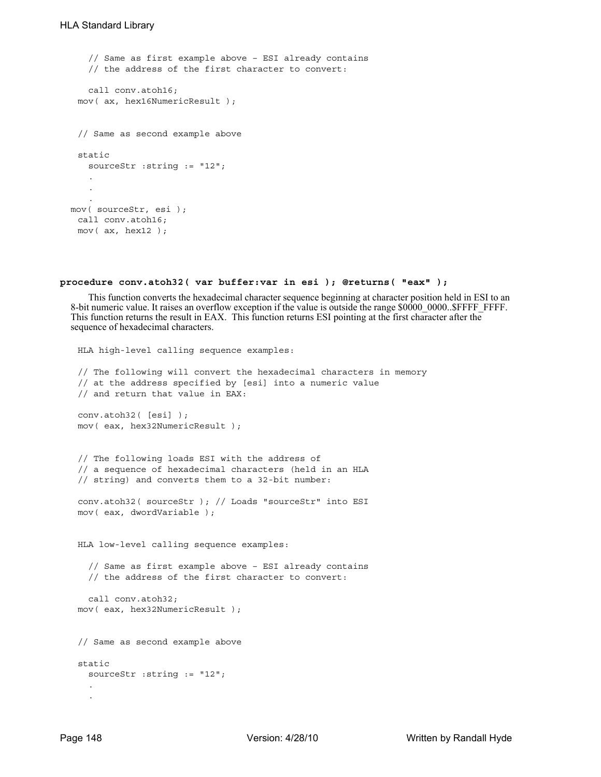```
// Same as first example above – ESI already contains
   // the address of the first character to convert:
   call conv.atoh16;
 mov( ax, hex16NumericResult );
 // Same as second example above
 static
  sourceStr :string := "12";
   .
   .
   .
mov( sourceStr, esi );
 call conv.atoh16;
 mov(ax, hex12);
```
#### **procedure conv.atoh32( var buffer:var in esi ); @returns( "eax" );**

This function converts the hexadecimal character sequence beginning at character position held in ESI to an 8-bit numeric value. It raises an overflow exception if the value is outside the range \$0000 0000..\$FFFF FFFF. This function returns the result in EAX. This function returns ESI pointing at the first character after the sequence of hexadecimal characters.

```
HLA high-level calling sequence examples:
// The following will convert the hexadecimal characters in memory
// at the address specified by [esi] into a numeric value
// and return that value in EAX:
conv.atoh32( [esi] );
mov( eax, hex32NumericResult );
// The following loads ESI with the address of
// a sequence of hexadecimal characters (held in an HLA
// string) and converts them to a 32-bit number:
conv.atoh32( sourceStr ); // Loads "sourceStr" into ESI
mov( eax, dwordVariable );
HLA low-level calling sequence examples:
  // Same as first example above – ESI already contains
  // the address of the first character to convert:
 call conv.atoh32;
mov( eax, hex32NumericResult );
// Same as second example above
static
 sourceStr :string := "12";
  .
  .
```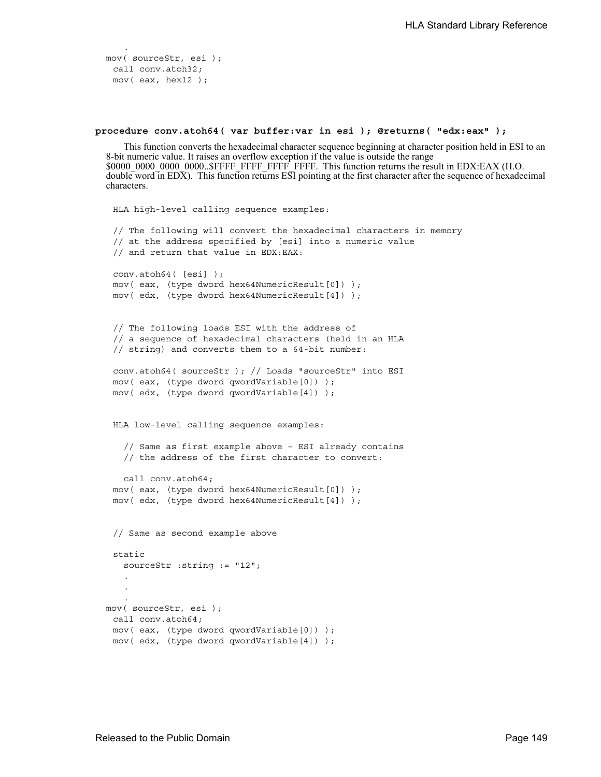```
mov( sourceStr, esi );
 call conv.atoh32;
 mov( eax, hex12 );
```
.

## **procedure conv.atoh64( var buffer:var in esi ); @returns( "edx:eax" );**

This function converts the hexadecimal character sequence beginning at character position held in ESI to an 8-bit numeric value. It raises an overflow exception if the value is outside the range \$0000\_0000\_0000\_0000..\$FFFF\_FFFF\_FFFF\_FFFF. This function returns the result in EDX:EAX (H.O. double word in EDX). This function returns ESI pointing at the first character after the sequence of hexadecimal characters.

```
HLA high-level calling sequence examples:
```

```
// The following will convert the hexadecimal characters in memory
 // at the address specified by [esi] into a numeric value
 // and return that value in EDX:EAX:
 conv.atoh64( [esi] );
 mov( eax, (type dword hex64NumericResult[0]) );
 mov( edx, (type dword hex64NumericResult[4]) );
 // The following loads ESI with the address of
 // a sequence of hexadecimal characters (held in an HLA
 // string) and converts them to a 64-bit number:
 conv.atoh64( sourceStr ); // Loads "sourceStr" into ESI
 mov( eax, (type dword qwordVariable[0]) );
 mov( edx, (type dword qwordVariable[4]) );
 HLA low-level calling sequence examples:
   // Same as first example above – ESI already contains
   // the address of the first character to convert:
   call conv.atoh64;
 mov( eax, (type dword hex64NumericResult[0]) );
 mov( edx, (type dword hex64NumericResult[4]) );
 // Same as second example above
 static
   sourceStr :string := "12";
   .
   .
   .
mov( sourceStr, esi );
 call conv.atoh64;
 mov( eax, (type dword qwordVariable[0]) );
 mov( edx, (type dword qwordVariable[4]) );
```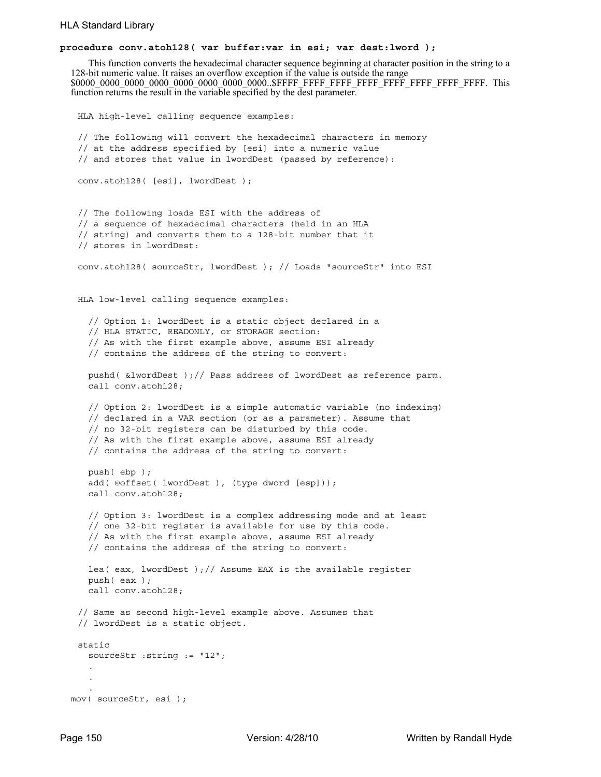## **procedure conv.atoh128( var buffer:var in esi; var dest:lword );**

This function converts the hexadecimal character sequence beginning at character position in the string to a 128-bit numeric value. It raises an overflow exception if the value is outside the range \$0000\_0000\_0000\_0000\_0000\_0000\_0000\_0000..\$FFFF\_FFFF\_FFFF\_FFFF\_FFFF\_FFFF\_FFFF\_FFFF. This function returns the result in the variable specified by the dest parameter.

```
HLA high-level calling sequence examples:
 // The following will convert the hexadecimal characters in memory
 // at the address specified by [esi] into a numeric value
 // and stores that value in lwordDest (passed by reference):
 conv.atoh128( [esi], lwordDest );
 // The following loads ESI with the address of
 // a sequence of hexadecimal characters (held in an HLA
 // string) and converts them to a 128-bit number that it
 // stores in lwordDest:
 conv.atoh128( sourceStr, lwordDest ); // Loads "sourceStr" into ESI
 HLA low-level calling sequence examples:
   // Option 1: lwordDest is a static object declared in a
   // HLA STATIC, READONLY, or STORAGE section:
   // As with the first example above, assume ESI already
   // contains the address of the string to convert:
   pushd( &lwordDest );// Pass address of lwordDest as reference parm.
   call conv.atoh128;
   // Option 2: lwordDest is a simple automatic variable (no indexing)
   // declared in a VAR section (or as a parameter). Assume that
   // no 32-bit registers can be disturbed by this code.
   // As with the first example above, assume ESI already
   // contains the address of the string to convert:
   push( ebp );
   add( @offset( lwordDest ), (type dword [esp]));
   call conv.atoh128;
   // Option 3: lwordDest is a complex addressing mode and at least
   // one 32-bit register is available for use by this code.
   // As with the first example above, assume ESI already
   // contains the address of the string to convert:
   lea( eax, lwordDest ); // Assume EAX is the available register
   push( eax );
   call conv.atoh128;
 // Same as second high-level example above. Assumes that
 // lwordDest is a static object.
 static
   sourceStr :string := "12";
   .
   .
   .
mov( sourceStr, esi );
```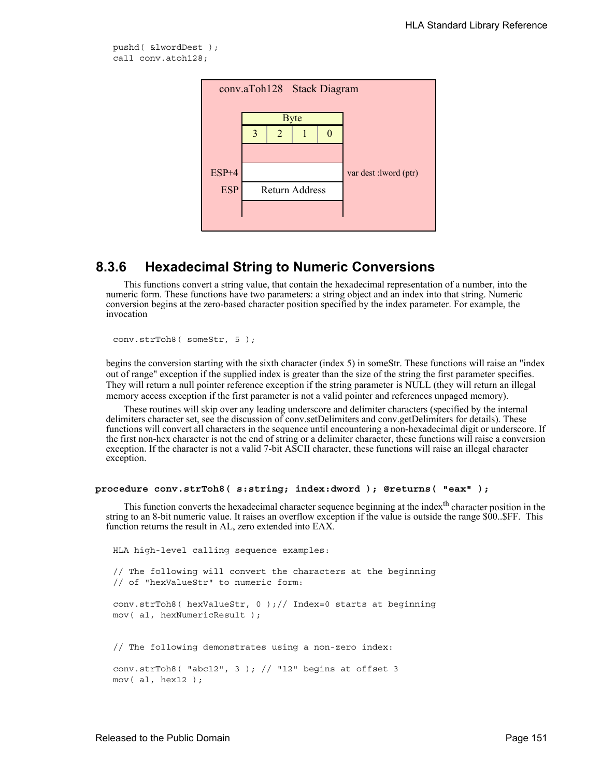pushd( &lwordDest ); call conv.atoh128;



# **8.3.6 Hexadecimal String to Numeric Conversions**

This functions convert a string value, that contain the hexadecimal representation of a number, into the numeric form. These functions have two parameters: a string object and an index into that string. Numeric conversion begins at the zero-based character position specified by the index parameter. For example, the invocation

conv.strToh8( someStr, 5 );

begins the conversion starting with the sixth character (index 5) in someStr. These functions will raise an "index out of range" exception if the supplied index is greater than the size of the string the first parameter specifies. They will return a null pointer reference exception if the string parameter is NULL (they will return an illegal memory access exception if the first parameter is not a valid pointer and references unpaged memory).

These routines will skip over any leading underscore and delimiter characters (specified by the internal delimiters character set, see the discussion of conv.setDelimiters and conv.getDelimiters for details). These functions will convert all characters in the sequence until encountering a non-hexadecimal digit or underscore. If the first non-hex character is not the end of string or a delimiter character, these functions will raise a conversion exception. If the character is not a valid 7-bit ASCII character, these functions will raise an illegal character exception.

#### **procedure conv.strToh8( s:string; index:dword ); @returns( "eax" );**

This function converts the hexadecimal character sequence beginning at the index<sup>th</sup> character position in the string to an 8-bit numeric value. It raises an overflow exception if the value is outside the range \$00..\$FF. This function returns the result in AL, zero extended into EAX.

HLA high-level calling sequence examples: // The following will convert the characters at the beginning // of "hexValueStr" to numeric form: conv.strToh8( hexValueStr, 0 );// Index=0 starts at beginning mov( al, hexNumericResult ); // The following demonstrates using a non-zero index:

```
conv.strToh8( "abc12", 3 ); // "12" begins at offset 3
mov( al, hex12 );
```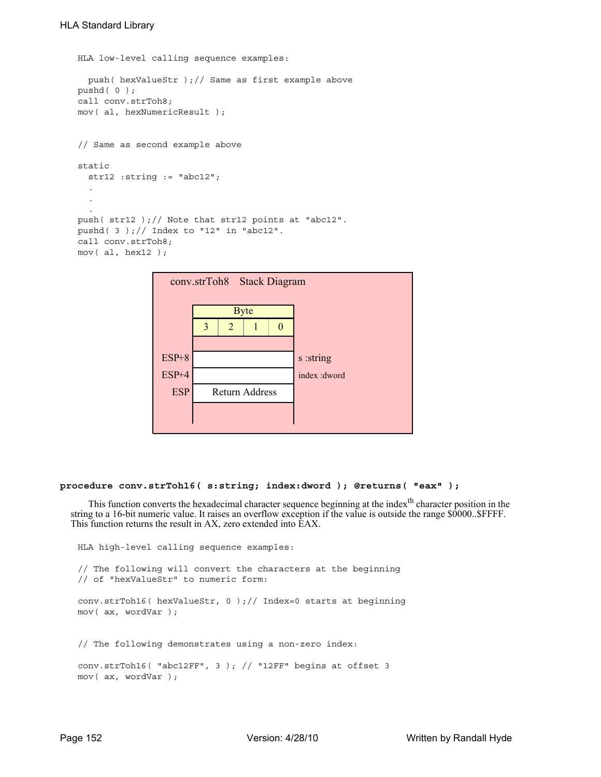```
HLA low-level calling sequence examples:
 push( hexValueStr );// Same as first example above
pushd( 0 );
call conv.strToh8;
mov( al, hexNumericResult );
// Same as second example above
static
 str12 :string := "abc12";
  .
  .
  .
push( str12 );// Note that str12 points at "abc12".
pushd(3);// Index to "12" in "abc12".
call conv.strToh8;
mov( al, hex12 );
```


# **procedure conv.strToh16( s:string; index:dword ); @returns( "eax" );**

This function converts the hexadecimal character sequence beginning at the index<sup>th</sup> character position in the string to a 16-bit numeric value. It raises an overflow exception if the value is outside the range \$0000..\$FFFF. This function returns the result in AX, zero extended into EAX.

```
HLA high-level calling sequence examples:
// The following will convert the characters at the beginning
// of "hexValueStr" to numeric form:
conv.strToh16( hexValueStr, 0 );// Index=0 starts at beginning
mov( ax, wordVar );
// The following demonstrates using a non-zero index:
conv.strToh16( "abc12FF", 3 ); // "12FF" begins at offset 3
mov( ax, wordVar );
```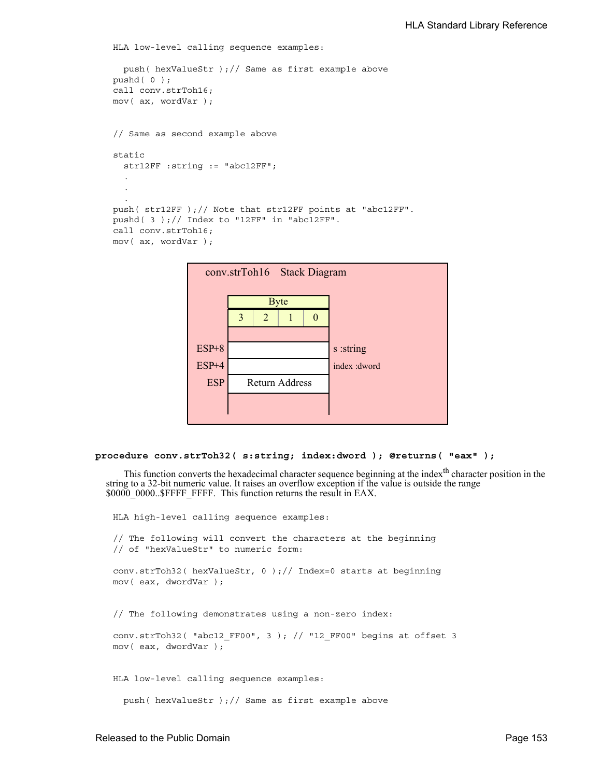```
HLA low-level calling sequence examples:
  push( hexValueStr ); \frac{1}{2} Same as first example above
pushd( 0 );
call conv.strToh16;
mov( ax, wordVar );
// Same as second example above
static
  str12FF :string := "abc12FF";
  .
  .
  .
push( str12FF );// Note that str12FF points at "abc12FF".
pushd(3);// Index to "12FF" in "abc12FF".
call conv.strToh16;
mov( ax, wordVar );
```


## **procedure conv.strToh32( s:string; index:dword ); @returns( "eax" );**

This function converts the hexadecimal character sequence beginning at the index<sup>th</sup> character position in the string to a 32-bit numeric value. It raises an overflow exception if the value is outside the range \$0000\_0000..\$FFFF\_FFFF. This function returns the result in EAX.

HLA high-level calling sequence examples:

// The following will convert the characters at the beginning // of "hexValueStr" to numeric form:

conv.strToh32( hexValueStr, 0 );// Index=0 starts at beginning mov( eax, dwordVar );

// The following demonstrates using a non-zero index:

conv.strToh32( "abc12\_FF00", 3 ); // "12\_FF00" begins at offset 3 mov( eax, dwordVar );

HLA low-level calling sequence examples:

push( hexValueStr );// Same as first example above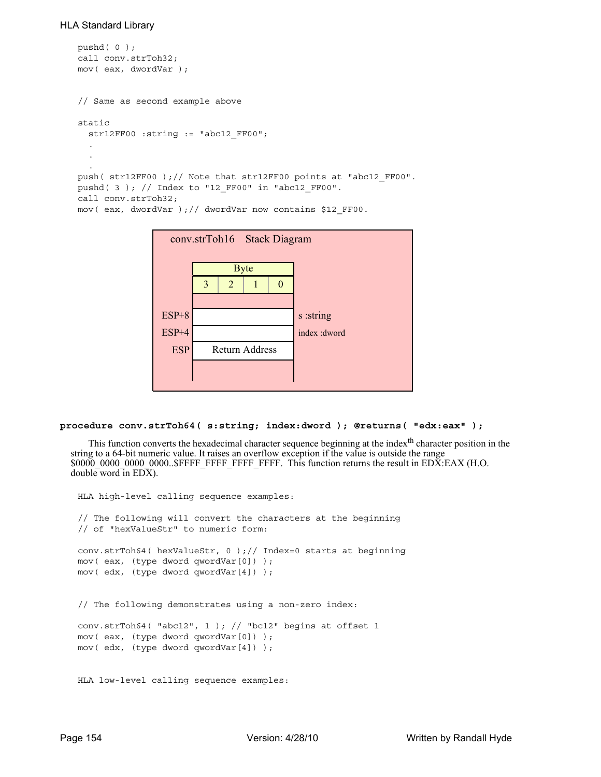```
pushd( 0 );
call conv.strToh32;
mov( eax, dwordVar );
// Same as second example above
static
 str12FF00 :string := "abc12 FF00";
  .
  .
  .
push( str12FF00 );// Note that str12FF00 points at "abc12_FF00".
pushd( 3 ); // Index to "12_FF00" in "abc12_FF00".
call conv.strToh32;
mov( eax, dwordVar );// dwordVar now contains $12_FF00.
```


```
procedure conv.strToh64( s:string; index:dword ); @returns( "edx:eax" );
```
This function converts the hexadecimal character sequence beginning at the index<sup>th</sup> character position in the string to a 64-bit numeric value. It raises an overflow exception if the value is outside the range \$0000\_0000\_0000\_0000..\$FFFF\_FFFF\_FFFF\_FFFF. This function returns the result in EDX:EAX (H.O. double word in EDX).

```
HLA high-level calling sequence examples:
// The following will convert the characters at the beginning
// of "hexValueStr" to numeric form:
conv.strToh64( hexValueStr, 0 );// Index=0 starts at beginning
mov( eax, (type dword qwordVar[0]) );
mov( edx, (type dword qwordVar[4]) );
// The following demonstrates using a non-zero index:
conv.strToh64( "abc12", 1 ); // "bc12" begins at offset 1
mov( eax, (type dword qwordVar[0]) );
mov( edx, (type dword qwordVar[4]) );
HLA low-level calling sequence examples:
```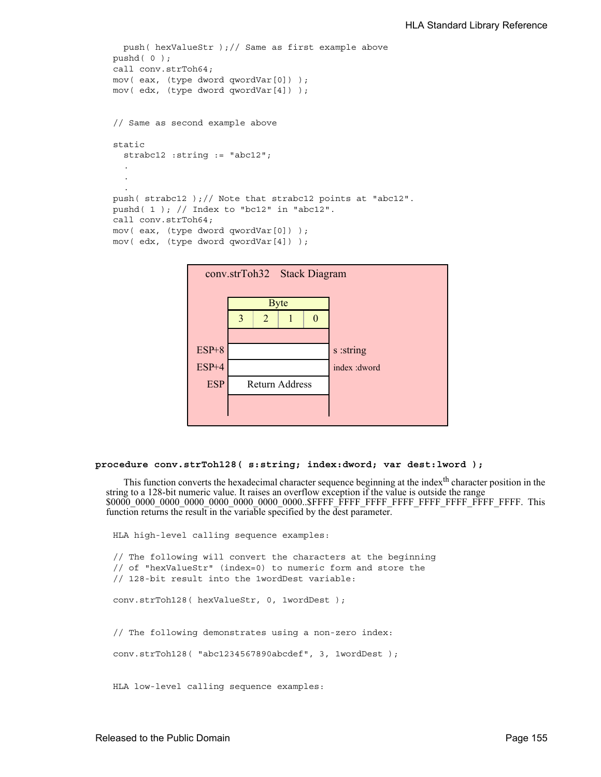```
push( hexValueStr );// Same as first example above
pushd( 0 );
call conv.strToh64;
mov( eax, (type dword qwordVar[0]) );
mov( edx, (type dword qwordVar[4]) );
// Same as second example above
static
 strabc12 :string := "abc12";
  .
  .
  .
push( strabc12 );// Note that strabc12 points at "abc12".
pushd( 1 ); // Index to "bc12" in "abc12".
call conv.strToh64;
mov( eax, (type dword qwordVar[0]) );
mov( edx, (type dword qwordVar[4]) );
```


### **procedure conv.strToh128( s:string; index:dword; var dest:lword );**

This function converts the hexadecimal character sequence beginning at the index<sup>th</sup> character position in the string to a 128-bit numeric value. It raises an overflow exception if the value is outside the range \$0000\_0000\_0000\_0000\_0000\_0000\_0000\_0000..\$FFFF\_FFFF\_FFFF\_FFFF\_FFFF\_FFFF\_FFFF\_FFFF. This function returns the result in the variable specified by the dest parameter.

HLA high-level calling sequence examples: // The following will convert the characters at the beginning // of "hexValueStr" (index=0) to numeric form and store the // 128-bit result into the 1wordDest variable: conv.strToh128( hexValueStr, 0, 1wordDest ); // The following demonstrates using a non-zero index: conv.strToh128( "abc1234567890abcdef", 3, 1wordDest ); HLA low-level calling sequence examples: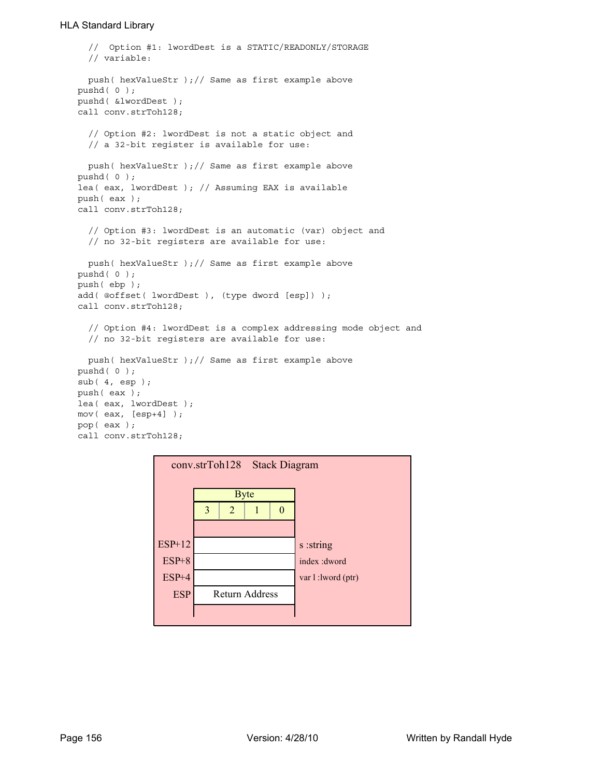```
// Option #1: lwordDest is a STATIC/READONLY/STORAGE
  // variable:
  push( hexValueStr );// Same as first example above
pushd( 0 );
pushd( &lwordDest );
call conv.strToh128;
  // Option #2: lwordDest is not a static object and
  // a 32-bit register is available for use:
  push( hexValueStr );// Same as first example above
pushd( 0 );
lea( eax, lwordDest ); // Assuming EAX is available
push( eax );
call conv.strToh128;
  // Option #3: lwordDest is an automatic (var) object and
  // no 32-bit registers are available for use:
 push( hexValueStr );// Same as first example above
pushd( 0 );
push( ebp );
add( @offset( lwordDest ), (type dword [esp]) );
call conv.strToh128;
  // Option #4: lwordDest is a complex addressing mode object and
  // no 32-bit registers are available for use:
 push( hexValueStr );// Same as first example above
pushd( 0 );
sub( 4, esp );
push( eax );
lea( eax, lwordDest );
mov( eax, [esp+4] );
pop( eax );
call conv.strToh128;
```
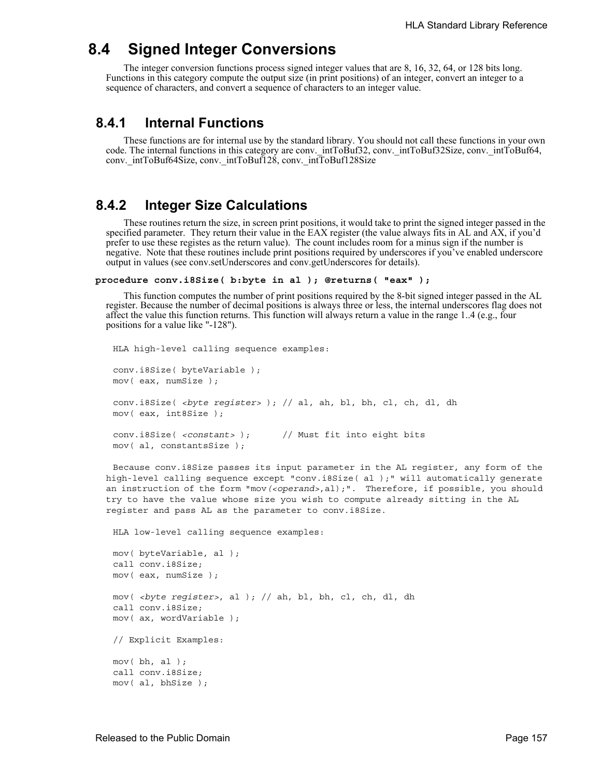# **8.4 Signed Integer Conversions**

The integer conversion functions process signed integer values that are 8, 16, 32, 64, or 128 bits long. Functions in this category compute the output size (in print positions) of an integer, convert an integer to a sequence of characters, and convert a sequence of characters to an integer value.

# **8.4.1 Internal Functions**

These functions are for internal use by the standard library. You should not call these functions in your own code. The internal functions in this category are conv.\_intToBuf32, conv.\_intToBuf32Size, conv.\_intToBuf64, conv. intToBuf64Size, conv. intToBuf128, conv. intToBuf128Size

# **8.4.2 Integer Size Calculations**

These routines return the size, in screen print positions, it would take to print the signed integer passed in the specified parameter. They return their value in the EAX register (the value always fits in AL and AX, if you'd prefer to use these registes as the return value). The count includes room for a minus sign if the number is negative. Note that these routines include print positions required by underscores if you've enabled underscore output in values (see conv.setUnderscores and conv.getUnderscores for details).

#### **procedure conv.i8Size( b:byte in al ); @returns( "eax" );**

This function computes the number of print positions required by the 8-bit signed integer passed in the AL register. Because the number of decimal positions is always three or less, the internal underscores flag does not affect the value this function returns. This function will always return a value in the range 1..4 (e.g., four positions for a value like "-128").

```
HLA high-level calling sequence examples:
conv.i8Size( byteVariable );
mov( eax, numSize );
conv.i8Size( <byte register> ); // al, ah, bl, bh, cl, ch, dl, dh
mov( eax, int8Size );
conv.i8Size( <constant> ); // Must fit into eight bits
mov( al, constantsSize );
```
Because conv.i8Size passes its input parameter in the AL register, any form of the high-level calling sequence except "conv.i8Size( al );" will automatically generate an instruction of the form "mov*(<operand>*,al);". Therefore, if possible, you should try to have the value whose size you wish to compute already sitting in the AL register and pass AL as the parameter to conv.i8Size.

HLA low-level calling sequence examples:

```
mov( byteVariable, al );
call conv.i8Size;
mov( eax, numSize );
mov( <byte register>, al ); // ah, bl, bh, cl, ch, dl, dh
call conv.i8Size;
mov( ax, wordVariable );
// Explicit Examples:
mov( bh, al );
call conv.i8Size;
mov( al, bhSize );
```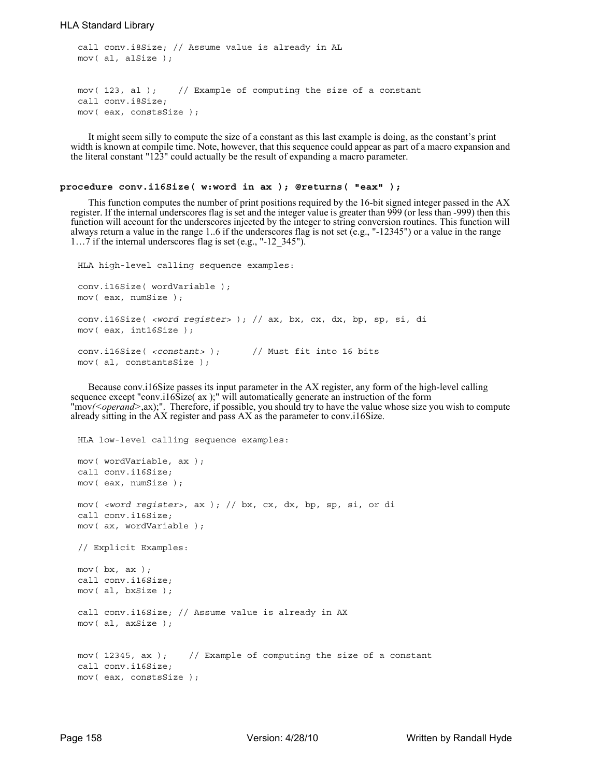```
call conv.i8Size; // Assume value is already in AL
mov( al, alSize );
mov( 123, al ); // Example of computing the size of a constant
call conv.i8Size;
```
mov( eax, constsSize );

It might seem silly to compute the size of a constant as this last example is doing, as the constant's print width is known at compile time. Note, however, that this sequence could appear as part of a macro expansion and the literal constant "123" could actually be the result of expanding a macro parameter.

#### **procedure conv.i16Size( w:word in ax ); @returns( "eax" );**

This function computes the number of print positions required by the 16-bit signed integer passed in the AX register. If the internal underscores flag is set and the integer value is greater than 999 (or less than -999) then this function will account for the underscores injected by the integer to string conversion routines. This function will always return a value in the range 1..6 if the underscores flag is not set (e.g., "-12345") or a value in the range 1…7 if the internal underscores flag is set (e.g., "-12\_345").

```
HLA high-level calling sequence examples:
conv.i16Size( wordVariable );
mov( eax, numSize );
conv.i16Size( <word register> ); // ax, bx, cx, dx, bp, sp, si, di
mov( eax, int16Size );
conv.i16Size( <constant> ); // Must fit into 16 bits
mov( al, constantsSize );
```
Because conv.i16Size passes its input parameter in the AX register, any form of the high-level calling sequence except "conv.i16Size( ax );" will automatically generate an instruction of the form "mov(<*operand*>,ax);". Therefore, if possible, you should try to have the value whose size you wish to compute already sitting in the AX register and pass AX as the parameter to conv.i16Size.

```
HLA low-level calling sequence examples:
mov( wordVariable, ax );
call conv.i16Size;
mov( eax, numSize );
mov( <word register>, ax ); // bx, cx, dx, bp, sp, si, or di
call conv.i16Size;
mov( ax, wordVariable );
// Explicit Examples:
mov( bx, ax );
call conv.i16Size;
mov( al, bxSize );
call conv.i16Size; // Assume value is already in AX
mov( al, axSize );
mov( 12345, ax ); // Example of computing the size of a constant
call conv.i16Size;
mov( eax, constsSize );
```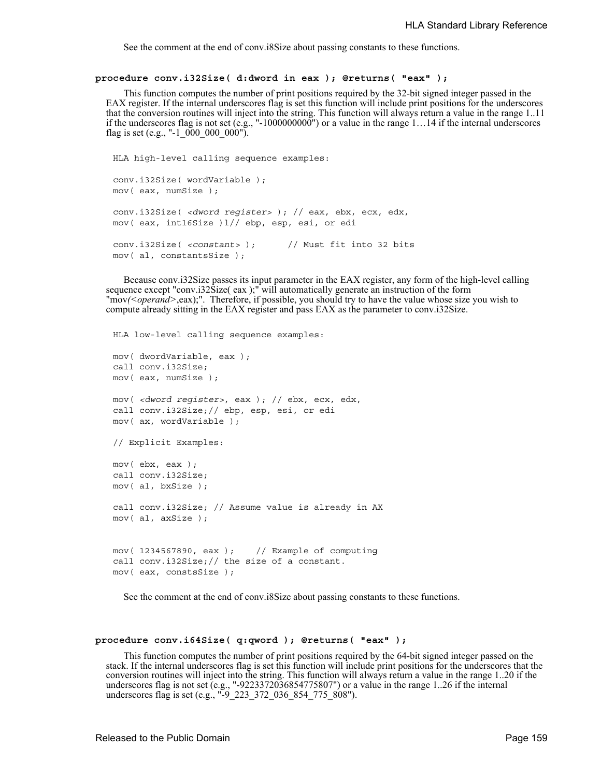See the comment at the end of conv.i8Size about passing constants to these functions.

#### **procedure conv.i32Size( d:dword in eax ); @returns( "eax" );**

This function computes the number of print positions required by the 32-bit signed integer passed in the EAX register. If the internal underscores flag is set this function will include print positions for the underscores that the conversion routines will inject into the string. This function will always return a value in the range 1..11 if the underscores flag is not set (e.g., "-1000000000") or a value in the range  $1...14$  if the internal underscores flag is set (e.g., "-1\_000\_000\_000").

```
HLA high-level calling sequence examples:
conv.i32Size( wordVariable );
mov( eax, numSize );
conv.i32Size( <dword register> ); // eax, ebx, ecx, edx, 
mov( eax, int16Size )l// ebp, esp, esi, or edi
conv.i32Size( <constant> ); // Must fit into 32 bits
mov( al, constantsSize );
```
Because conv.i32Size passes its input parameter in the EAX register, any form of the high-level calling sequence except "conv.i32Size( eax );" will automatically generate an instruction of the form "mov/<*operand>*,eax);". Therefore, if possible, you should try to have the value whose size you wish to compute already sitting in the EAX register and pass EAX as the parameter to conv.i32Size.

```
HLA low-level calling sequence examples:
mov( dwordVariable, eax );
call conv.i32Size;
mov( eax, numSize );
mov( <dword register>, eax ); // ebx, ecx, edx, 
call conv.i32Size;// ebp, esp, esi, or edi
mov( ax, wordVariable );
// Explicit Examples:
mov( ebx, eax );
call conv.i32Size;
mov( al, bxSize );
call conv.i32Size; // Assume value is already in AX
mov( al, axSize );
mov( 1234567890, eax ); // Example of computing 
call conv.i32Size;// the size of a constant.
mov( eax, constsSize );
```
See the comment at the end of conv.i8Size about passing constants to these functions.

#### **procedure conv.i64Size( q:qword ); @returns( "eax" );**

This function computes the number of print positions required by the 64-bit signed integer passed on the stack. If the internal underscores flag is set this function will include print positions for the underscores that the conversion routines will inject into the string. This function will always return a value in the range 1..20 if the underscores flag is not set (e.g., "-9223372036854775807") or a value in the range 1..26 if the internal underscores flag is set (e.g., "-9\_223\_372\_036\_854\_775\_808").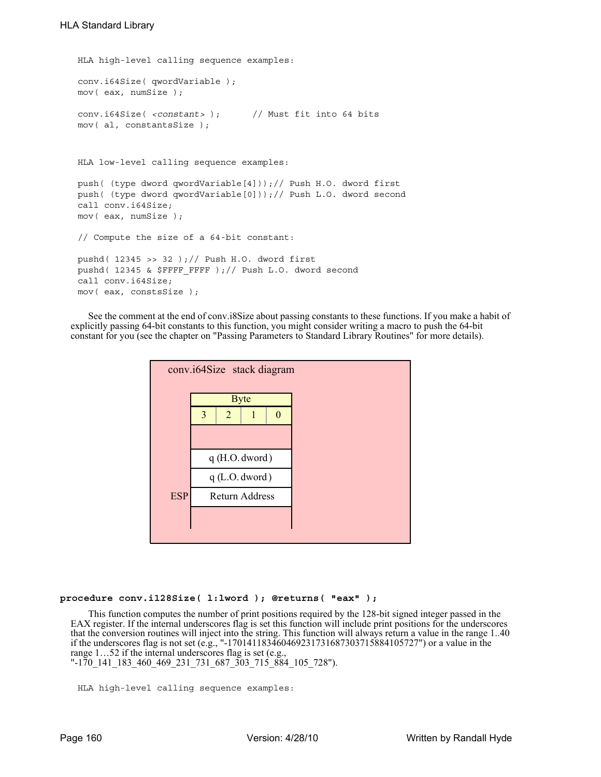```
HLA high-level calling sequence examples:
conv.i64Size( qwordVariable );
mov( eax, numSize );
conv.i64Size( <constant> ); // Must fit into 64 bits
mov( al, constantsSize );
HLA low-level calling sequence examples:
push( (type dword qwordVariable[4]));// Push H.O. dword first
push( (type dword qwordVariable[0]));// Push L.O. dword second
call conv.i64Size;
mov( eax, numSize );
// Compute the size of a 64-bit constant:
pushd( 12345 >> 32 );// Push H.O. dword first
pushd( 12345 & $FFFF_FFFF );// Push L.O. dword second
call conv.i64Size;
mov( eax, constsSize );
```
See the comment at the end of conv.i8Size about passing constants to these functions. If you make a habit of explicitly passing 64-bit constants to this function, you might consider writing a macro to push the 64-bit constant for you (see the chapter on "Passing Parameters to Standard Library Routines" for more details).



#### **procedure conv.i128Size( l:lword ); @returns( "eax" );**

This function computes the number of print positions required by the 128-bit signed integer passed in the EAX register. If the internal underscores flag is set this function will include print positions for the underscores that the conversion routines will inject into the string. This function will always return a value in the range 1..40 if the underscores flag is not set (e.g., "-170141183460469231731687303715884105727") or a value in the range 1…52 if the internal underscores flag is set (e.g.,

```
"-170_141_183_460_469_231_731_687_303_715_884_105_728").
```

```
HLA high-level calling sequence examples:
```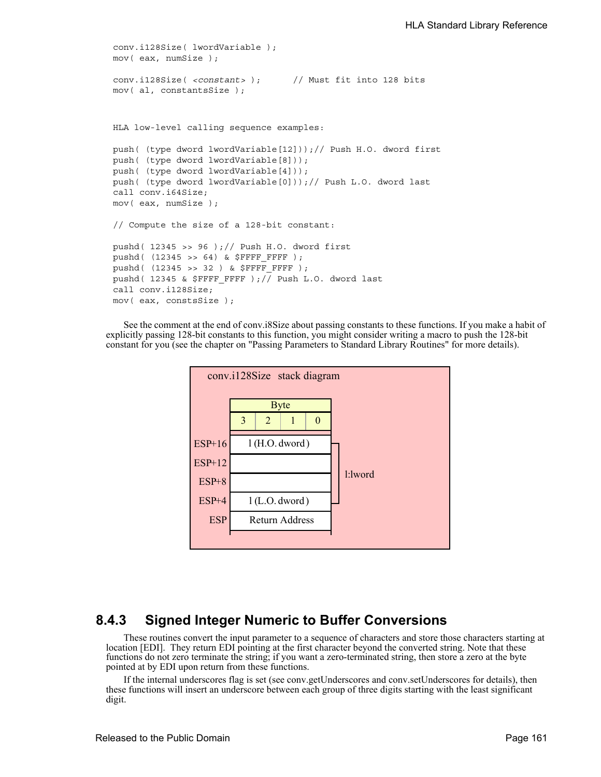```
conv.i128Size( lwordVariable );
mov( eax, numSize );
conv.i128Size( <constant> ); // Must fit into 128 bits
mov( al, constantsSize );
HLA low-level calling sequence examples:
push( (type dword lwordVariable[12]));// Push H.O. dword first
push( (type dword lwordVariable[8]));
push( (type dword lwordVariable[4]));
push( (type dword lwordVariable[0]));// Push L.O. dword last
call conv.i64Size;
mov( eax, numSize );
// Compute the size of a 128-bit constant:
pushd( 12345 >> 96 );// Push H.O. dword first
pushd((12345 \gg 64) & $FFFF_FFFF );
pushd( (12345 >> 32 ) & $FFFF_FFFF );
pushd( 12345 & $FFFF_FFFF );// Push L.O. dword last
call conv.i128Size;
mov( eax, constsSize );
```

```
See the comment at the end of conv.i8Size about passing constants to these functions. If you make a habit of 
explicitly passing 128-bit constants to this function, you might consider writing a macro to push the 128-bit 
constant for you (see the chapter on "Passing Parameters to Standard Library Routines" for more details).
```


# **8.4.3 Signed Integer Numeric to Buffer Conversions**

These routines convert the input parameter to a sequence of characters and store those characters starting at location [EDI]. They return EDI pointing at the first character beyond the converted string. Note that these functions do not zero terminate the string; if you want a zero-terminated string, then store a zero at the byte pointed at by EDI upon return from these functions.

If the internal underscores flag is set (see conv.getUnderscores and conv.setUnderscores for details), then these functions will insert an underscore between each group of three digits starting with the least significant digit.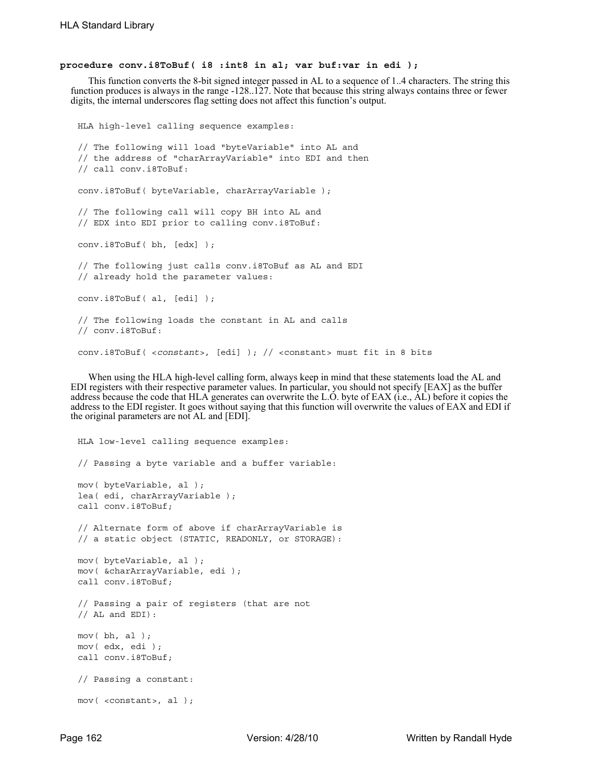#### **procedure conv.i8ToBuf( i8 :int8 in al; var buf:var in edi );**

This function converts the 8-bit signed integer passed in AL to a sequence of 1..4 characters. The string this function produces is always in the range -128..127. Note that because this string always contains three or fewer digits, the internal underscores flag setting does not affect this function's output.

```
HLA high-level calling sequence examples:
// The following will load "byteVariable" into AL and
// the address of "charArrayVariable" into EDI and then
// call conv.i8ToBuf:
conv.i8ToBuf( byteVariable, charArrayVariable );
// The following call will copy BH into AL and 
// EDX into EDI prior to calling conv.i8ToBuf:
conv.i8ToBuf( bh, [edx] );
// The following just calls conv.i8ToBuf as AL and EDI
// already hold the parameter values:
conv.i8ToBuf( al, [edi] );
// The following loads the constant in AL and calls
// conv.i8ToBuf:
conv.i8ToBuf( <constant>, [edi] ); // <constant> must fit in 8 bits
```
When using the HLA high-level calling form, always keep in mind that these statements load the AL and EDI registers with their respective parameter values. In particular, you should not specify [EAX] as the buffer address because the code that HLA generates can overwrite the L.O. byte of EAX (i.e., AL) before it copies the address to the EDI register. It goes without saying that this function will overwrite the values of EAX and EDI if the original parameters are not AL and [EDI].

```
HLA low-level calling sequence examples:
// Passing a byte variable and a buffer variable:
mov( byteVariable, al );
lea( edi, charArrayVariable );
call conv.i8ToBuf;
// Alternate form of above if charArrayVariable is
// a static object (STATIC, READONLY, or STORAGE):
mov( byteVariable, al );
mov( &charArrayVariable, edi );
call conv.i8ToBuf;
// Passing a pair of registers (that are not
// AL and EDI):
mov( bh, al );
mov( edx, edi );
call conv.i8ToBuf;
// Passing a constant:
mov( <constant>, al );
```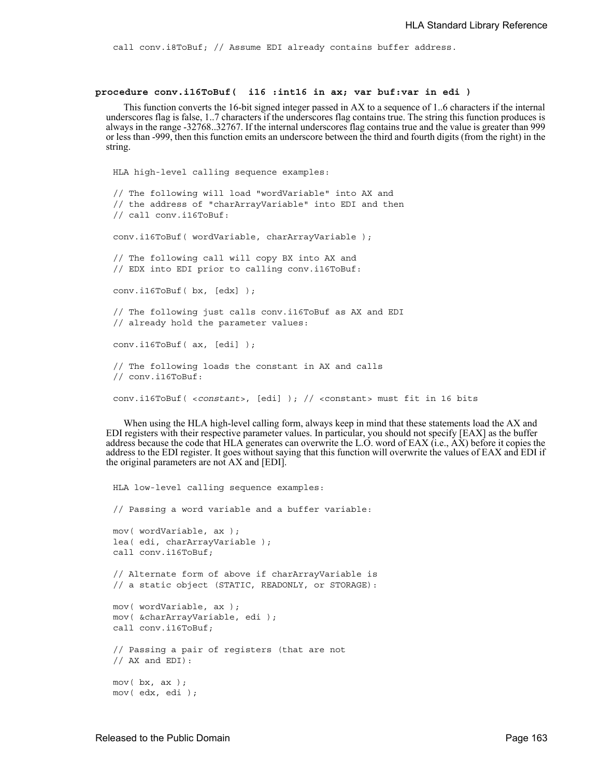call conv.i8ToBuf; // Assume EDI already contains buffer address.

### **procedure conv.i16ToBuf( i16 :int16 in ax; var buf:var in edi )**

This function converts the 16-bit signed integer passed in AX to a sequence of 1..6 characters if the internal underscores flag is false, 1..7 characters if the underscores flag contains true. The string this function produces is always in the range -32768..32767. If the internal underscores flag contains true and the value is greater than 999 or less than -999, then this function emits an underscore between the third and fourth digits (from the right) in the string.

```
HLA high-level calling sequence examples:
// The following will load "wordVariable" into AX and
// the address of "charArrayVariable" into EDI and then
// call conv.i16ToBuf:
conv.i16ToBuf( wordVariable, charArrayVariable );
// The following call will copy BX into AX and 
// EDX into EDI prior to calling conv.i16ToBuf:
conv.i16ToBuf( bx, [edx] );
// The following just calls conv.i16ToBuf as AX and EDI
// already hold the parameter values:
conv.i16ToBuf( ax, [edi] );
// The following loads the constant in AX and calls
// conv.i16ToBuf:
conv.i16ToBuf( <constant>, [edi] ); // <constant> must fit in 16 bits
```
When using the HLA high-level calling form, always keep in mind that these statements load the AX and EDI registers with their respective parameter values. In particular, you should not specify [EAX] as the buffer address because the code that HLA generates can overwrite the L.O. word of EAX (i.e.,  $\overrightarrow{AX}$ ) before it copies the address to the EDI register. It goes without saying that this function will overwrite the values of EAX and EDI if the original parameters are not AX and [EDI].

```
HLA low-level calling sequence examples:
// Passing a word variable and a buffer variable:
mov( wordVariable, ax );
lea( edi, charArrayVariable );
call conv.i16ToBuf;
// Alternate form of above if charArrayVariable is
// a static object (STATIC, READONLY, or STORAGE):
mov( wordVariable, ax );
mov( &charArrayVariable, edi );
call conv.i16ToBuf;
// Passing a pair of registers (that are not
// AX and EDI):
mov( bx, ax );
mov( edx, edi );
```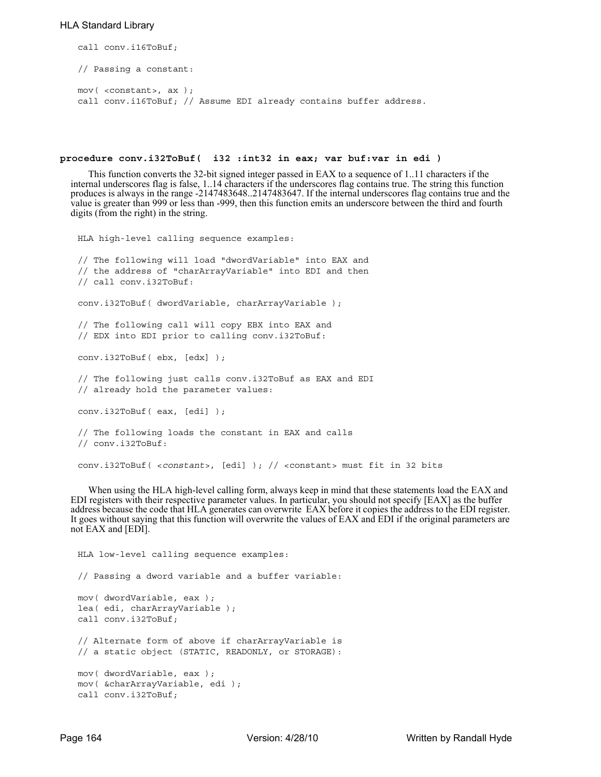```
call conv.i16ToBuf;
// Passing a constant:
mov( <constant>, ax );
call conv.i16ToBuf; // Assume EDI already contains buffer address.
```
#### **procedure conv.i32ToBuf( i32 :int32 in eax; var buf:var in edi )**

This function converts the 32-bit signed integer passed in EAX to a sequence of 1..11 characters if the internal underscores flag is false, 1..14 characters if the underscores flag contains true. The string this function produces is always in the range -2147483648..2147483647. If the internal underscores flag contains true and the value is greater than 999 or less than -999, then this function emits an underscore between the third and fourth digits (from the right) in the string.

```
HLA high-level calling sequence examples:
// The following will load "dwordVariable" into EAX and
// the address of "charArrayVariable" into EDI and then
// call conv.i32ToBuf:
conv.i32ToBuf( dwordVariable, charArrayVariable );
// The following call will copy EBX into EAX and 
// EDX into EDI prior to calling conv.i32ToBuf:
conv.i32ToBuf( ebx, [edx] );
// The following just calls conv.i32ToBuf as EAX and EDI
// already hold the parameter values:
conv.i32ToBuf( eax, [edi] );
// The following loads the constant in EAX and calls
// conv.i32ToBuf:
conv.i32ToBuf( <constant>, [edi] ); // <constant> must fit in 32 bits
```
When using the HLA high-level calling form, always keep in mind that these statements load the EAX and EDI registers with their respective parameter values. In particular, you should not specify [EAX] as the buffer address because the code that HLA generates can overwrite EAX before it copies the address to the EDI register. It goes without saying that this function will overwrite the values of EAX and EDI if the original parameters are not EAX and [EDI].

```
HLA low-level calling sequence examples:
// Passing a dword variable and a buffer variable:
mov( dwordVariable, eax );
lea( edi, charArrayVariable );
call conv.i32ToBuf;
// Alternate form of above if charArrayVariable is
// a static object (STATIC, READONLY, or STORAGE):
mov( dwordVariable, eax );
mov( &charArrayVariable, edi );
call conv.i32ToBuf;
```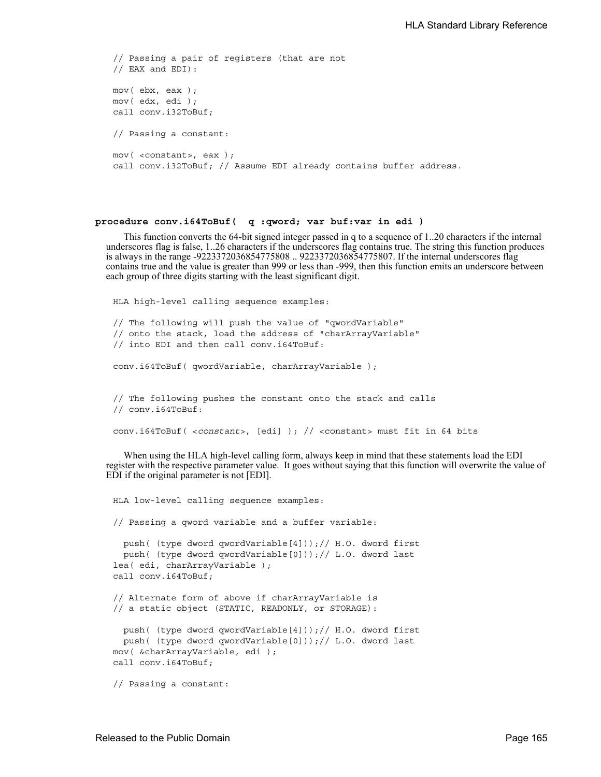```
// Passing a pair of registers (that are not
// EAX and EDI):
mov( ebx, eax );
mov( edx, edi );
call conv.i32ToBuf;
// Passing a constant:
mov( <constant>, eax );
call conv.i32ToBuf; // Assume EDI already contains buffer address.
```
#### **procedure conv.i64ToBuf( q :qword; var buf:var in edi )**

This function converts the 64-bit signed integer passed in q to a sequence of 1..20 characters if the internal underscores flag is false, 1..26 characters if the underscores flag contains true. The string this function produces is always in the range -9223372036854775808 .. 9223372036854775807. If the internal underscores flag contains true and the value is greater than 999 or less than -999, then this function emits an underscore between each group of three digits starting with the least significant digit.

```
HLA high-level calling sequence examples:
// The following will push the value of "qwordVariable" 
// onto the stack, load the address of "charArrayVariable"
// into EDI and then call conv.i64ToBuf:
conv.i64ToBuf( qwordVariable, charArrayVariable );
// The following pushes the constant onto the stack and calls
// conv.i64ToBuf:
conv.i64ToBuf( <constant>, [edi] ); // <constant> must fit in 64 bits
```
When using the HLA high-level calling form, always keep in mind that these statements load the EDI register with the respective parameter value. It goes without saying that this function will overwrite the value of EDI if the original parameter is not [EDI].

```
HLA low-level calling sequence examples:
// Passing a qword variable and a buffer variable:
  push( (type dword qwordVariable[4]));// H.O. dword first
  push( (type dword qwordVariable[0]));// L.O. dword last
lea( edi, charArrayVariable );
call conv.i64ToBuf;
// Alternate form of above if charArrayVariable is
// a static object (STATIC, READONLY, or STORAGE):
  push( (type dword qwordVariable[4]));// H.O. dword first
  push( (type dword qwordVariable[0]));// L.O. dword last
mov( &charArrayVariable, edi );
call conv.i64ToBuf;
// Passing a constant:
```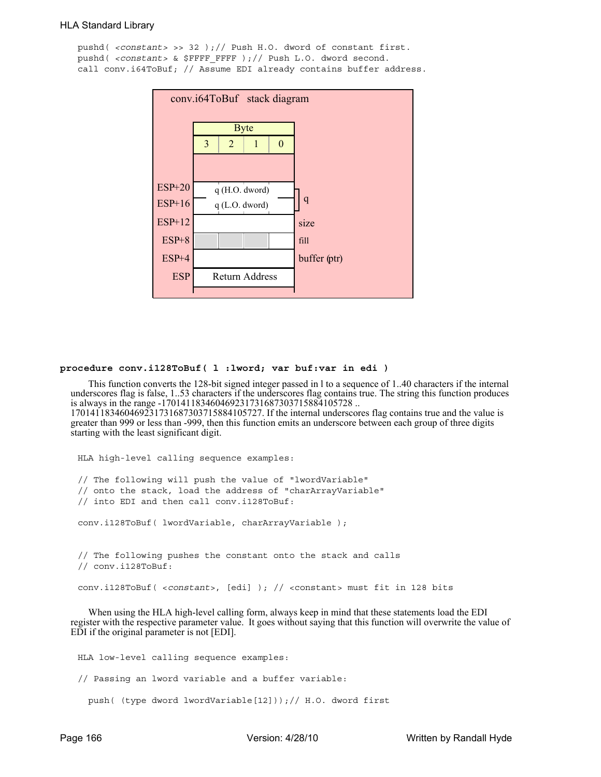```
pushd( <constant> >> 32 );// Push H.O. dword of constant first.
pushd( <constant> & $FFFF_FFFF );// Push L.O. dword second.
call conv.i64ToBuf; // Assume EDI already contains buffer address.
```


### **procedure conv.i128ToBuf( l :lword; var buf:var in edi )**

This function converts the 128-bit signed integer passed in l to a sequence of 1..40 characters if the internal underscores flag is false, 1..53 characters if the underscores flag contains true. The string this function produces is always in the range -170141183460469231731687303715884105728 ..

170141183460469231731687303715884105727. If the internal underscores flag contains true and the value is greater than 999 or less than -999, then this function emits an underscore between each group of three digits starting with the least significant digit.

HLA high-level calling sequence examples:

// The following will push the value of "lwordVariable" // onto the stack, load the address of "charArrayVariable" // into EDI and then call conv.i128ToBuf:

conv.i128ToBuf( lwordVariable, charArrayVariable );

// The following pushes the constant onto the stack and calls // conv.i128ToBuf:

conv.i128ToBuf( <*constant*>, [edi] ); // <constant> must fit in 128 bits

When using the HLA high-level calling form, always keep in mind that these statements load the EDI register with the respective parameter value. It goes without saying that this function will overwrite the value of EDI if the original parameter is not [EDI].

HLA low-level calling sequence examples:

// Passing an lword variable and a buffer variable:

push( (type dword lwordVariable[12]));// H.O. dword first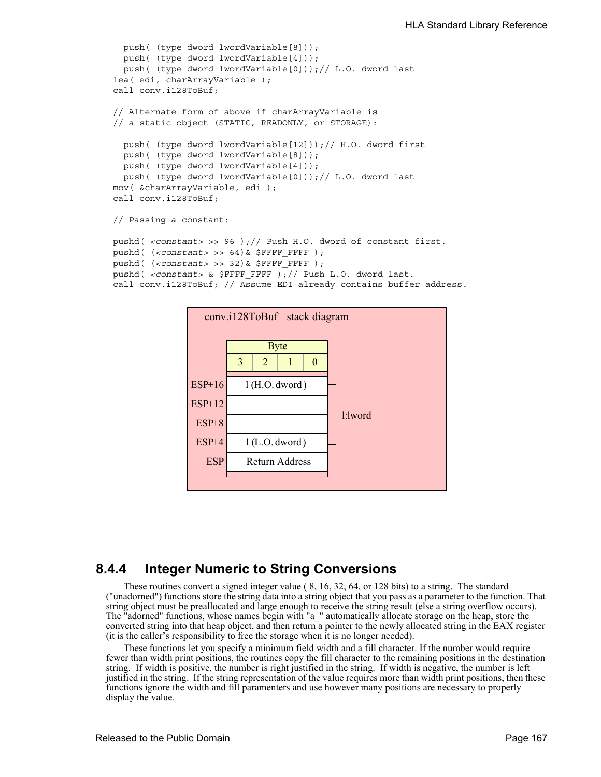```
push( (type dword lwordVariable[8]));
 push( (type dword lwordVariable[4]));
 push( (type dword lwordVariable[0]));// L.O. dword last
lea( edi, charArrayVariable );
call conv.i128ToBuf;
// Alternate form of above if charArrayVariable is
// a static object (STATIC, READONLY, or STORAGE):
  push( (type dword lwordVariable[12]));// H.O. dword first
  push( (type dword lwordVariable[8]));
 push( (type dword lwordVariable[4]));
 push( (type dword lwordVariable[0]));// L.O. dword last
mov( &charArrayVariable, edi );
call conv.i128ToBuf;
// Passing a constant:
pushd( <constant> >> 96 );// Push H.O. dword of constant first.
pushd( (<constant> >> 64)& $FFFF_FFFF );
pushd( (<constant> >> 32)& $FFFF FFFF );
pushd( <constant> & $FFFF FFFF );// Push L.O. dword last.
call conv.i128ToBuf; // Assume EDI already contains buffer address.
```


# **8.4.4 Integer Numeric to String Conversions**

These routines convert a signed integer value ( 8, 16, 32, 64, or 128 bits) to a string. The standard ("unadorned") functions store the string data into a string object that you pass as a parameter to the function. That string object must be preallocated and large enough to receive the string result (else a string overflow occurs). The "adorned" functions, whose names begin with "a\_" automatically allocate storage on the heap, store the converted string into that heap object, and then return a pointer to the newly allocated string in the EAX register (it is the caller's responsibility to free the storage when it is no longer needed).

These functions let you specify a minimum field width and a fill character. If the number would require fewer than width print positions, the routines copy the fill character to the remaining positions in the destination string. If width is positive, the number is right justified in the string. If width is negative, the number is left justified in the string. If the string representation of the value requires more than width print positions, then these functions ignore the width and fill paramenters and use however many positions are necessary to properly display the value.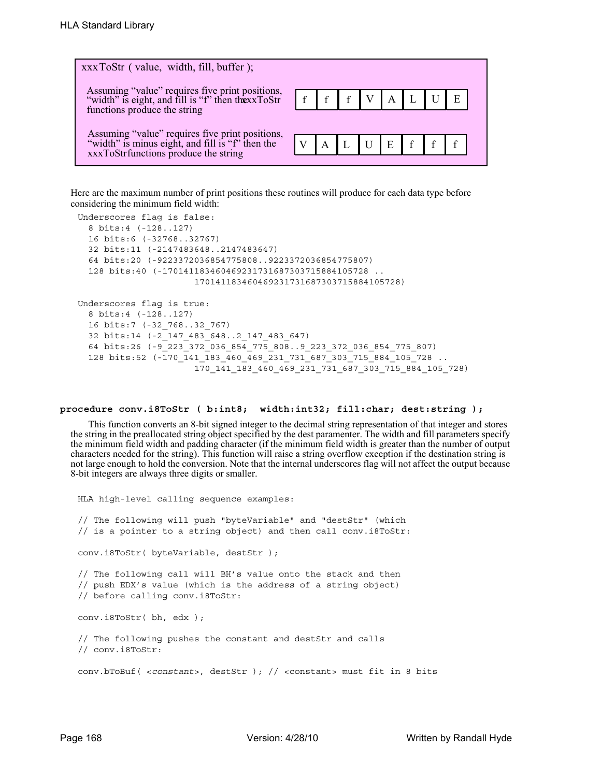

Here are the maximum number of print positions these routines will produce for each data type before considering the minimum field width:

```
Underscores flag is false:
  8 bits:4 (-128..127)
  16 bits:6 (-32768..32767)
  32 bits:11 (-2147483648..2147483647)
  64 bits:20 (-9223372036854775808..9223372036854775807)
  128 bits:40 (-170141183460469231731687303715884105728 ..
                      170141183460469231731687303715884105728)
Underscores flag is true:
  8 bits:4 (-128..127)
  16 bits:7 (-32_768..32_767)
  32 bits:14 (-2_147_483_648..2_147_483_647)
  64 bits:26 (-9_223_372_036_854_775_808..9_223_372_036_854_775_807)
  128 bits:52 (-170_141_183_460_469_231_731_687_303_715_884_105_728 ..
                      170_141_183_460_469_231_731_687_303_715_884_105_728)
```
#### **procedure conv.i8ToStr ( b:int8; width:int32; fill:char; dest:string );**

This function converts an 8-bit signed integer to the decimal string representation of that integer and stores the string in the preallocated string object specified by the dest paramenter. The width and fill parameters specify the minimum field width and padding character (if the minimum field width is greater than the number of output characters needed for the string). This function will raise a string overflow exception if the destination string is not large enough to hold the conversion. Note that the internal underscores flag will not affect the output because 8-bit integers are always three digits or smaller.

```
HLA high-level calling sequence examples:
// The following will push "byteVariable" and "destStr" (which 
// is a pointer to a string object) and then call conv.i8ToStr:
conv.i8ToStr( byteVariable, destStr );
// The following call will BH's value onto the stack and then
// push EDX's value (which is the address of a string object)
// before calling conv.i8ToStr:
conv.i8ToStr( bh, edx );
// The following pushes the constant and destStr and calls
// conv.i8ToStr:
conv.bToBuf( <constant>, destStr ); // <constant> must fit in 8 bits
```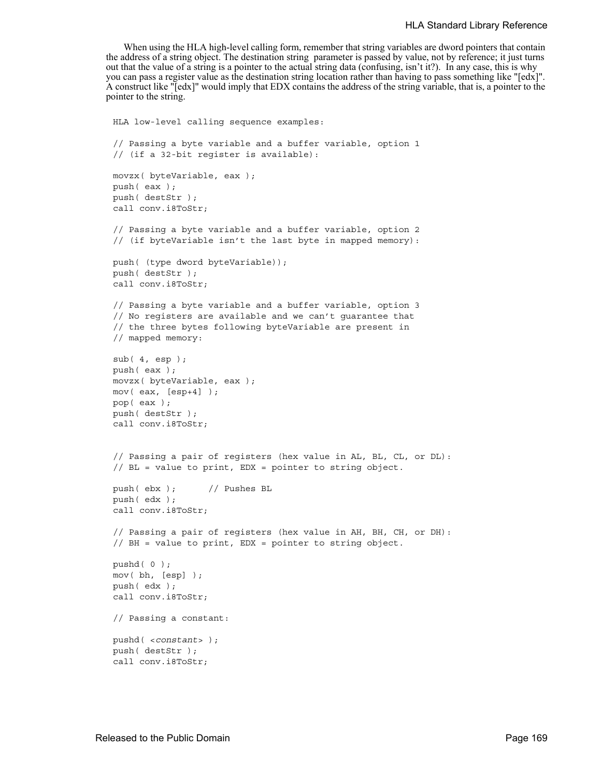When using the HLA high-level calling form, remember that string variables are dword pointers that contain the address of a string object. The destination string parameter is passed by value, not by reference; it just turns out that the value of a string is a pointer to the actual string data (confusing, isn't it?). In any case, this is why you can pass a register value as the destination string location rather than having to pass something like "[edx]". A construct like "[edx]" would imply that EDX contains the address of the string variable, that is, a pointer to the pointer to the string.

```
HLA low-level calling sequence examples:
// Passing a byte variable and a buffer variable, option 1
// (if a 32-bit register is available):
movzx( byteVariable, eax );
push( eax );
push( destStr );
call conv.i8ToStr;
// Passing a byte variable and a buffer variable, option 2
// (if byteVariable isn't the last byte in mapped memory):
push( (type dword byteVariable));
push( destStr );
call conv.i8ToStr;
// Passing a byte variable and a buffer variable, option 3
// No registers are available and we can't guarantee that
// the three bytes following byteVariable are present in
// mapped memory:
sub( 4, esp );
push( eax );
movzx( byteVariable, eax );
mov( eax, [esp+4] );
pop( eax );
push( destStr );
call conv.i8ToStr;
// Passing a pair of registers (hex value in AL, BL, CL, or DL):
// BL = value to print, EDX = pointer to string object.
push( ebx ); // Pushes BL
push( edx );
call conv.i8ToStr;
// Passing a pair of registers (hex value in AH, BH, CH, or DH):
// BH = value to print, EDX = pointer to string object.
pushd( 0 );
mov( bh, [esp] );
push( edx );
call conv.i8ToStr;
// Passing a constant:
pushd( <constant> );
push( destStr );
call conv.i8ToStr;
```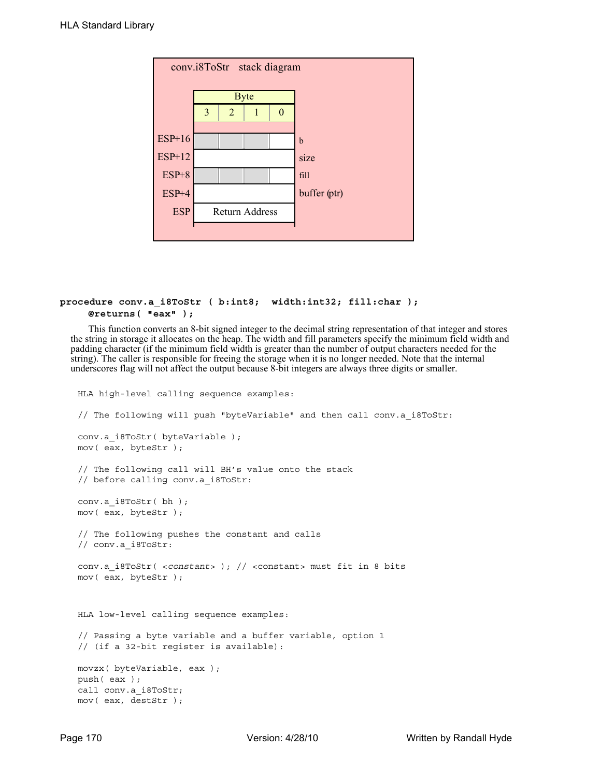

# **procedure conv.a\_i8ToStr ( b:int8; width:int32; fill:char ); @returns( "eax" );**

This function converts an 8-bit signed integer to the decimal string representation of that integer and stores the string in storage it allocates on the heap. The width and fill parameters specify the minimum field width and padding character (if the minimum field width is greater than the number of output characters needed for the string). The caller is responsible for freeing the storage when it is no longer needed. Note that the internal underscores flag will not affect the output because 8-bit integers are always three digits or smaller.

```
HLA high-level calling sequence examples:
```

```
// The following will push "byteVariable" and then call conv.a_i8ToStr:
conv.a_i8ToStr( byteVariable );
mov( eax, byteStr );
// The following call will BH's value onto the stack
// before calling conv.a_i8ToStr:
conv.a_i8ToStr( bh );
mov( eax, byteStr );
// The following pushes the constant and calls
// conv.a_i8ToStr:
conv.a_i8ToStr( <constant> ); // <constant> must fit in 8 bits
mov( eax, byteStr );
HLA low-level calling sequence examples:
// Passing a byte variable and a buffer variable, option 1
// (if a 32-bit register is available):
movzx( byteVariable, eax );
push( eax );
call conv.a_i8ToStr;
mov( eax, destStr );
```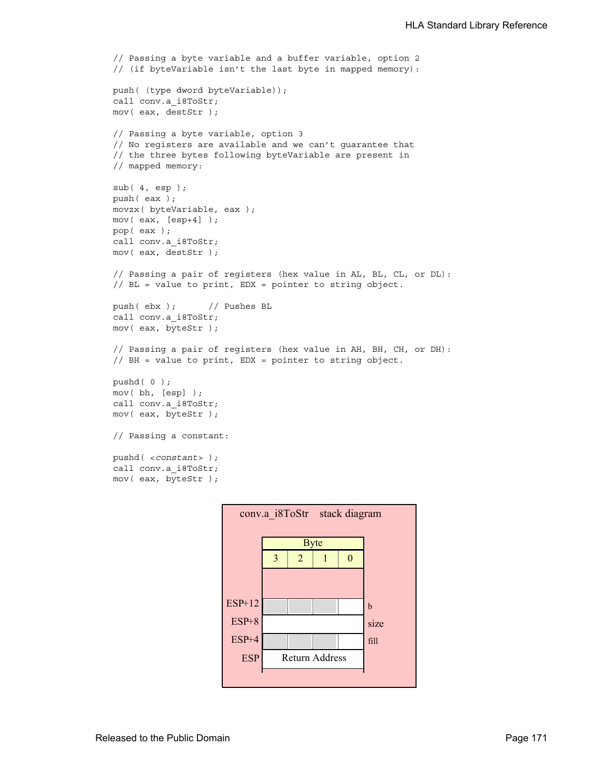```
// Passing a byte variable and a buffer variable, option 2
// (if byteVariable isn't the last byte in mapped memory):
push( (type dword byteVariable));
call conv.a_i8ToStr;
mov( eax, destStr );
// Passing a byte variable, option 3
// No registers are available and we can't guarantee that
// the three bytes following byteVariable are present in
// mapped memory:
sub( 4, esp );
push( eax );
movzx( byteVariable, eax );
mov( eax, [esp+4] );
pop( eax );
call conv.a_i8ToStr;
mov( eax, destStr );
// Passing a pair of registers (hex value in AL, BL, CL, or DL):
// BL = value to print, EDX = pointer to string object.
push( ebx ); // Pushes BL
call conv.a_i8ToStr;
mov( eax, byteStr );
// Passing a pair of registers (hex value in AH, BH, CH, or DH):
// BH = value to print, EDX = pointer to string object.
pushd( 0 );
mov( bh, [esp] );
call conv.a_i8ToStr;
mov( eax, byteStr );
// Passing a constant:
pushd( <constant> );
call conv.a_i8ToStr;
mov( eax, byteStr );
```
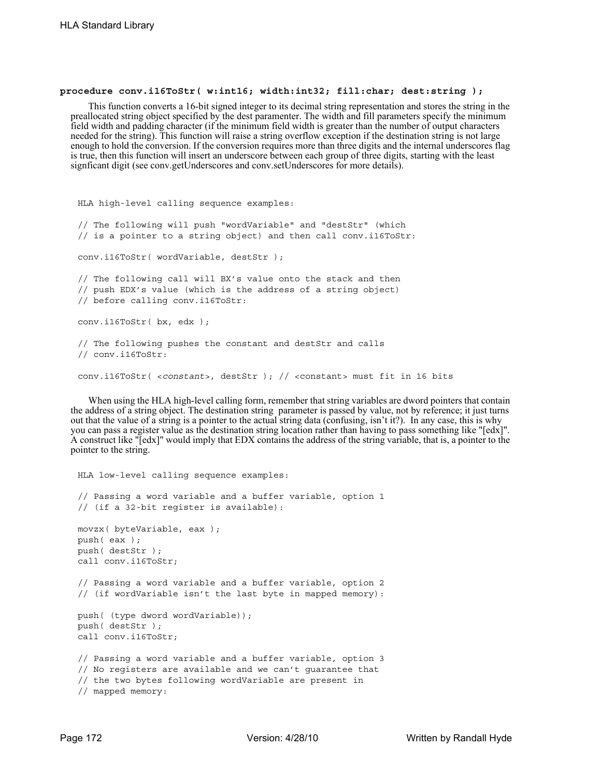#### **procedure conv.i16ToStr( w:int16; width:int32; fill:char; dest:string );**

This function converts a 16-bit signed integer to its decimal string representation and stores the string in the preallocated string object specified by the dest paramenter. The width and fill parameters specify the minimum field width and padding character (if the minimum field width is greater than the number of output characters needed for the string). This function will raise a string overflow exception if the destination string is not large enough to hold the conversion. If the conversion requires more than three digits and the internal underscores flag is true, then this function will insert an underscore between each group of three digits, starting with the least signficant digit (see conv.getUnderscores and conv.setUnderscores for more details).

```
HLA high-level calling sequence examples:
// The following will push "wordVariable" and "destStr" (which 
// is a pointer to a string object) and then call conv.i16ToStr:
conv.i16ToStr( wordVariable, destStr );
// The following call will BX's value onto the stack and then
// push EDX's value (which is the address of a string object)
// before calling conv.i16ToStr:
conv.i16ToStr( bx, edx );
// The following pushes the constant and destStr and calls
// conv.i16ToStr:
conv.i16ToStr( <constant>, destStr ); // <constant> must fit in 16 bits
```
When using the HLA high-level calling form, remember that string variables are dword pointers that contain the address of a string object. The destination string parameter is passed by value, not by reference; it just turns out that the value of a string is a pointer to the actual string data (confusing, isn't it?). In any case, this is why you can pass a register value as the destination string location rather than having to pass something like "[edx]". A construct like "[edx]" would imply that EDX contains the address of the string variable, that is, a pointer to the pointer to the string.

```
HLA low-level calling sequence examples:
// Passing a word variable and a buffer variable, option 1
// (if a 32-bit register is available):
movzx( byteVariable, eax );
push( eax );
push( destStr );
call conv.i16ToStr;
// Passing a word variable and a buffer variable, option 2
// (if wordVariable isn't the last byte in mapped memory):
push( (type dword wordVariable));
push( destStr );
call conv.i16ToStr;
// Passing a word variable and a buffer variable, option 3
// No registers are available and we can't guarantee that
// the two bytes following wordVariable are present in
// mapped memory:
```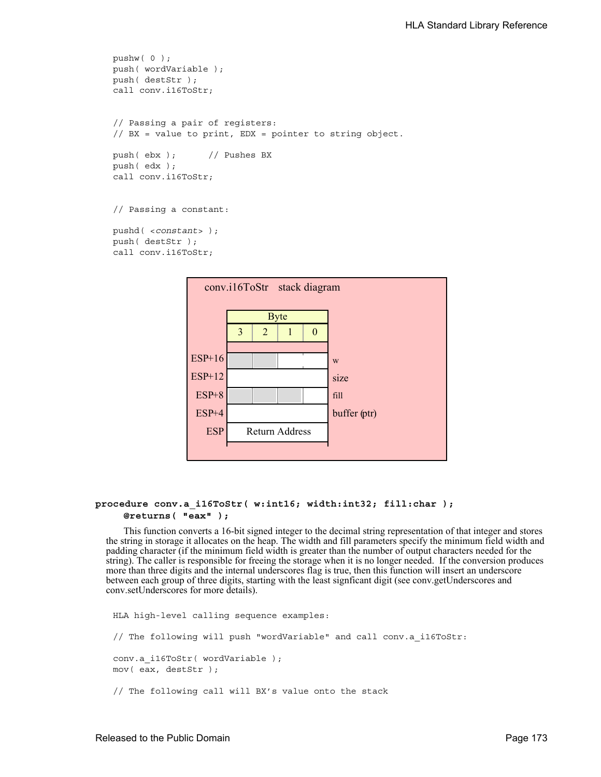```
pushw( 0 );
push( wordVariable );
push( destStr );
call conv.i16ToStr;
// Passing a pair of registers:
// BX = value to print, EDX = pointer to string object.
push( ebx ); // Pushes BX
push( edx );
call conv.i16ToStr;
// Passing a constant:
pushd( <constant> );
push( destStr );
call conv.i16ToStr;
```


### **procedure conv.a\_i16ToStr( w:int16; width:int32; fill:char ); @returns( "eax" );**

This function converts a 16-bit signed integer to the decimal string representation of that integer and stores the string in storage it allocates on the heap. The width and fill parameters specify the minimum field width and padding character (if the minimum field width is greater than the number of output characters needed for the string). The caller is responsible for freeing the storage when it is no longer needed. If the conversion produces more than three digits and the internal underscores flag is true, then this function will insert an underscore between each group of three digits, starting with the least signficant digit (see conv.getUnderscores and conv.setUnderscores for more details).

```
HLA high-level calling sequence examples:
// The following will push "wordVariable" and call conv.a_i16ToStr:
conv.a_i16ToStr( wordVariable );
mov( eax, destStr );
// The following call will BX's value onto the stack
```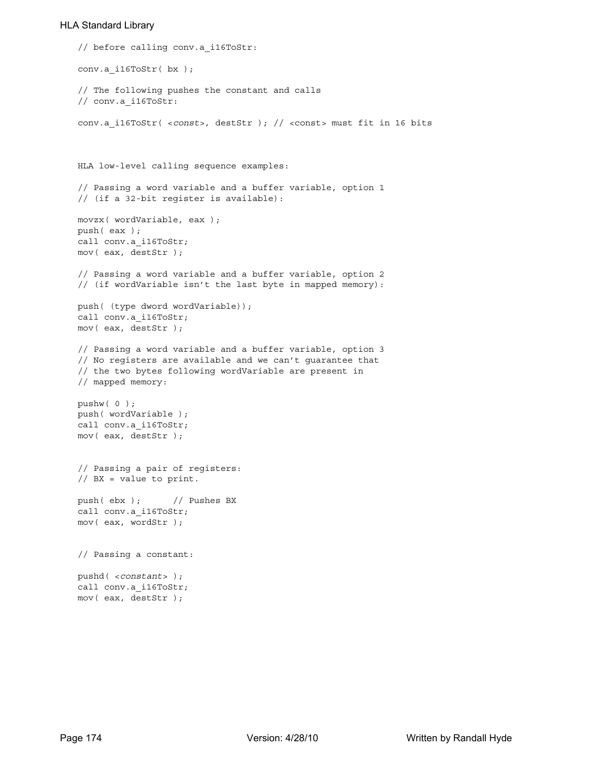```
// before calling conv.a_i16ToStr:
conv.a_i16ToStr( bx );
// The following pushes the constant and calls
// conv.a_i16ToStr:
conv.a_i16ToStr( <const>, destStr ); // <const> must fit in 16 bits
HLA low-level calling sequence examples:
// Passing a word variable and a buffer variable, option 1
// (if a 32-bit register is available):
movzx( wordVariable, eax );
push( eax );
call conv.a_i16ToStr;
mov( eax, destStr );
// Passing a word variable and a buffer variable, option 2
// (if wordVariable isn't the last byte in mapped memory):
push( (type dword wordVariable));
call conv.a_i16ToStr;
mov( eax, destStr );
// Passing a word variable and a buffer variable, option 3
// No registers are available and we can't guarantee that
// the two bytes following wordVariable are present in
// mapped memory:
pushw( 0 );
push( wordVariable );
call conv.a_i16ToStr;
mov( eax, destStr );
// Passing a pair of registers:
// BX = value to print.
push( ebx ); // Pushes BX
call conv.a_i16ToStr;
mov( eax, wordStr );
// Passing a constant:
pushd( <constant> );
call conv.a_i16ToStr;
mov( eax, destStr );
```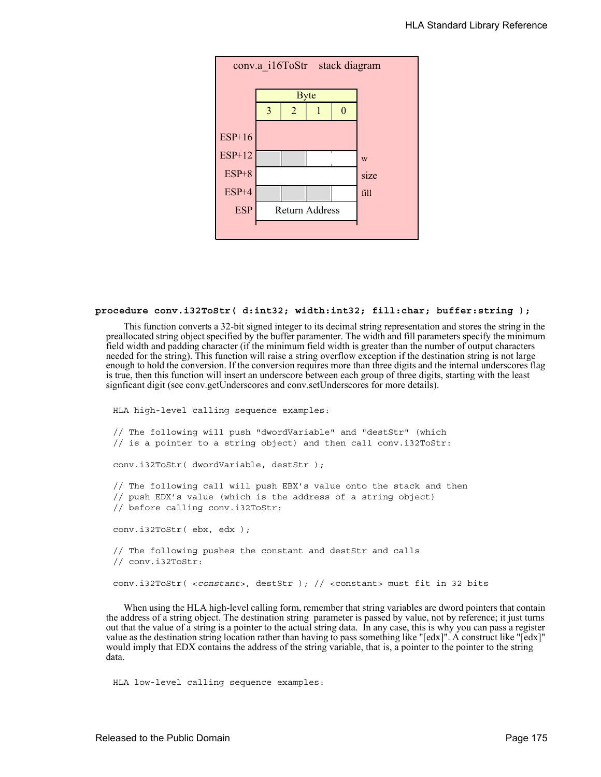

#### **procedure conv.i32ToStr( d:int32; width:int32; fill:char; buffer:string );**

This function converts a 32-bit signed integer to its decimal string representation and stores the string in the preallocated string object specified by the buffer paramenter. The width and fill parameters specify the minimum field width and padding character (if the minimum field width is greater than the number of output characters needed for the string). This function will raise a string overflow exception if the destination string is not large enough to hold the conversion. If the conversion requires more than three digits and the internal underscores flag is true, then this function will insert an underscore between each group of three digits, starting with the least signficant digit (see conv.getUnderscores and conv.setUnderscores for more details).

HLA high-level calling sequence examples:

```
// The following will push "dwordVariable" and "destStr" (which 
// is a pointer to a string object) and then call conv.i32ToStr:
conv.i32ToStr( dwordVariable, destStr );
// The following call will push EBX's value onto the stack and then
// push EDX's value (which is the address of a string object)
// before calling conv.i32ToStr:
conv.i32ToStr( ebx, edx );
// The following pushes the constant and destStr and calls
// conv.i32ToStr:
conv.i32ToStr( <constant>, destStr ); // <constant> must fit in 32 bits
```
When using the HLA high-level calling form, remember that string variables are dword pointers that contain the address of a string object. The destination string parameter is passed by value, not by reference; it just turns out that the value of a string is a pointer to the actual string data. In any case, this is why you can pass a register value as the destination string location rather than having to pass something like "[edx]". A construct like "[edx]" would imply that EDX contains the address of the string variable, that is, a pointer to the pointer to the string data.

HLA low-level calling sequence examples: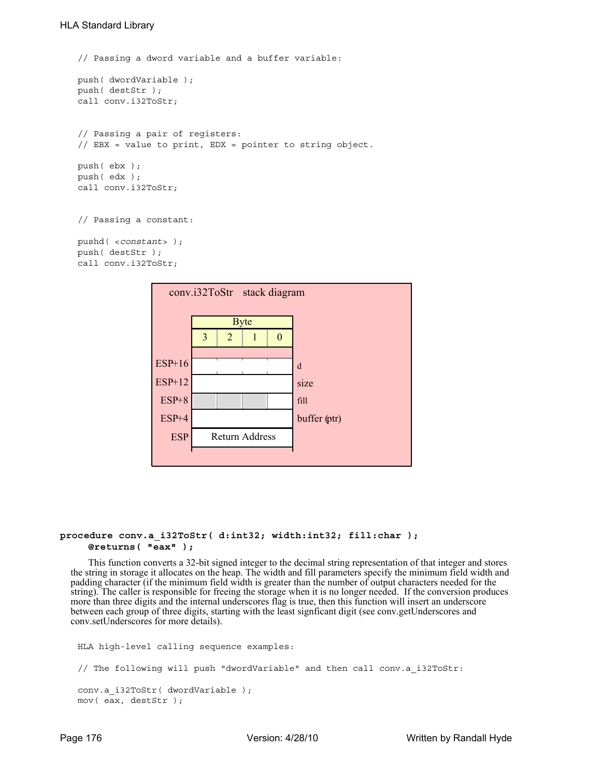```
// Passing a dword variable and a buffer variable:
push( dwordVariable );
push( destStr );
call conv.i32ToStr;
// Passing a pair of registers:
// EBX = value to print, EDX = pointer to string object.
push( ebx );
push( edx );
call conv.i32ToStr;
// Passing a constant:
pushd( <constant> );
push( destStr );
call conv.i32ToStr;
```


### **procedure conv.a\_i32ToStr( d:int32; width:int32; fill:char ); @returns( "eax" );**

This function converts a 32-bit signed integer to the decimal string representation of that integer and stores the string in storage it allocates on the heap. The width and fill parameters specify the minimum field width and padding character (if the minimum field width is greater than the number of output characters needed for the string). The caller is responsible for freeing the storage when it is no longer needed. If the conversion produces more than three digits and the internal underscores flag is true, then this function will insert an underscore between each group of three digits, starting with the least signficant digit (see conv.getUnderscores and conv.setUnderscores for more details).

```
HLA high-level calling sequence examples:
// The following will push "dwordVariable" and then call conv.a_i32ToStr:
conv.a_i32ToStr( dwordVariable );
mov( eax, destStr );
```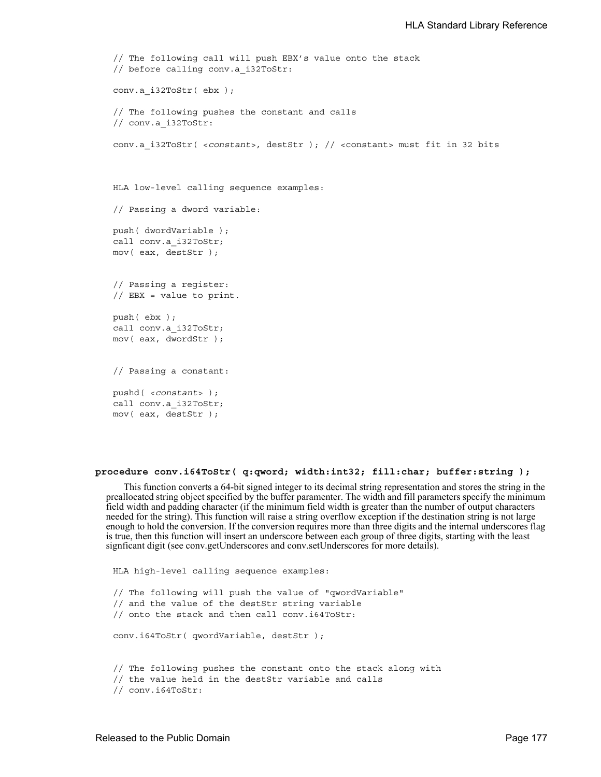```
// The following call will push EBX's value onto the stack 
// before calling conv.a_i32ToStr:
conv.a_i32ToStr( ebx );
// The following pushes the constant and calls
// conv.a_i32ToStr:
conv.a_i32ToStr( <constant>, destStr ); // <constant> must fit in 32 bits
HLA low-level calling sequence examples:
// Passing a dword variable:
push( dwordVariable );
call conv.a_i32ToStr;
mov( eax, destStr );
// Passing a register:
// EBX = value to print.
push( ebx );
call conv.a_i32ToStr;
mov( eax, dwordStr );
// Passing a constant:
pushd( <constant> );
call conv.a_i32ToStr;
mov( eax, destStr );
```
#### **procedure conv.i64ToStr( q:qword; width:int32; fill:char; buffer:string );**

This function converts a 64-bit signed integer to its decimal string representation and stores the string in the preallocated string object specified by the buffer paramenter. The width and fill parameters specify the minimum field width and padding character (if the minimum field width is greater than the number of output characters needed for the string). This function will raise a string overflow exception if the destination string is not large enough to hold the conversion. If the conversion requires more than three digits and the internal underscores flag is true, then this function will insert an underscore between each group of three digits, starting with the least signficant digit (see conv.getUnderscores and conv.setUnderscores for more details).

```
HLA high-level calling sequence examples:
// The following will push the value of "qwordVariable"
// and the value of the destStr string variable 
// onto the stack and then call conv.i64ToStr:
conv.i64ToStr( qwordVariable, destStr );
// The following pushes the constant onto the stack along with
// the value held in the destStr variable and calls
// conv.i64ToStr:
```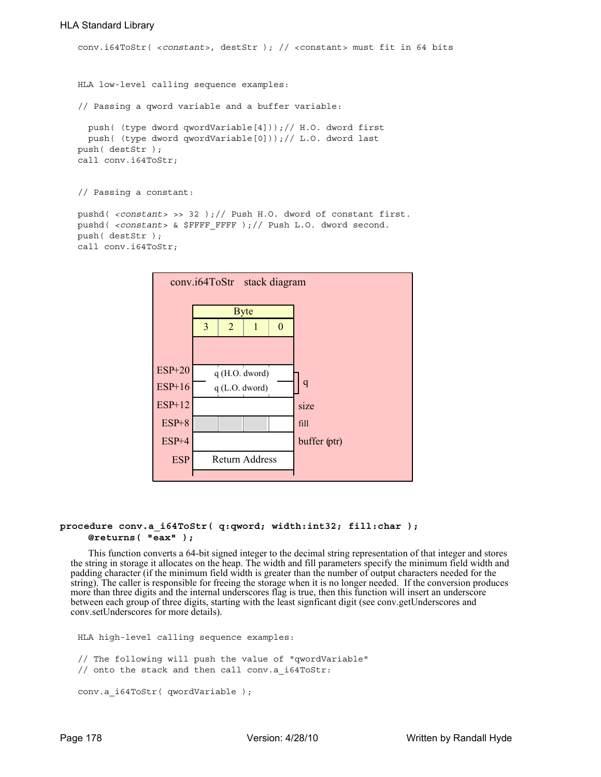```
conv.i64ToStr( <constant>, destStr ); // <constant> must fit in 64 bits
HLA low-level calling sequence examples:
// Passing a qword variable and a buffer variable:
 push( (type dword qwordVariable[4]));// H.O. dword first
 push( (type dword qwordVariable[0]));// L.O. dword last
push( destStr );
call conv.i64ToStr;
// Passing a constant:
pushd( <constant> >> 32 );// Push H.O. dword of constant first.
pushd( <constant> & $FFFF FFFF );// Push L.O. dword second.
push( destStr );
call conv.i64ToStr;
```


# **procedure conv.a\_i64ToStr( q:qword; width:int32; fill:char ); @returns( "eax" );**

This function converts a 64-bit signed integer to the decimal string representation of that integer and stores the string in storage it allocates on the heap. The width and fill parameters specify the minimum field width and padding character (if the minimum field width is greater than the number of output characters needed for the string). The caller is responsible for freeing the storage when it is no longer needed. If the conversion produces more than three digits and the internal underscores flag is true, then this function will insert an underscore between each group of three digits, starting with the least signficant digit (see conv.getUnderscores and conv.setUnderscores for more details).

```
HLA high-level calling sequence examples:
// The following will push the value of "qwordVariable"
// onto the stack and then call conv.a i64ToStr:
conv.a_i64ToStr( qwordVariable );
```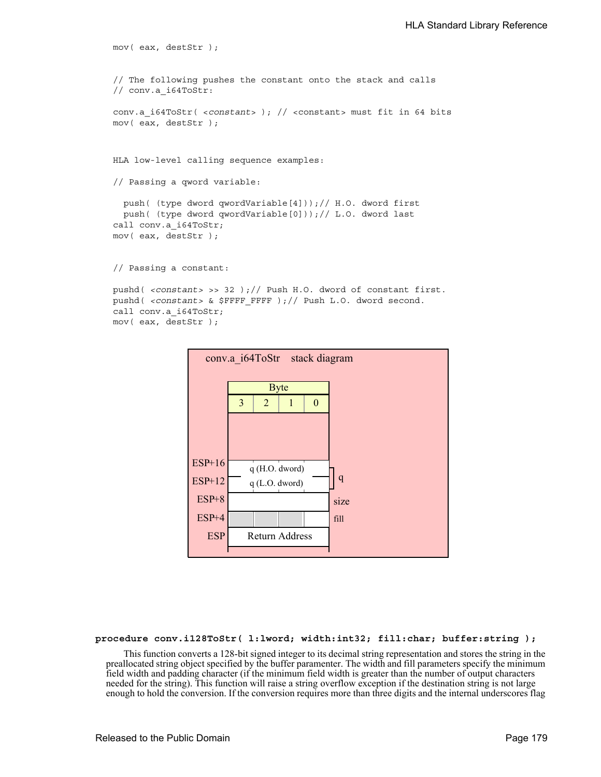```
mov( eax, destStr );
// The following pushes the constant onto the stack and calls
// conv.a_i64ToStr:
conv.a_i64ToStr( <constant> ); // <constant> must fit in 64 bits
mov( eax, destStr );
HLA low-level calling sequence examples:
// Passing a qword variable:
 push( (type dword qwordVariable[4]));// H.O. dword first
 push( (type dword qwordVariable[0]));// L.O. dword last
call conv.a_i64ToStr;
mov( eax, destStr );
// Passing a constant:
pushd( <constant> >> 32 );// Push H.O. dword of constant first.
```

```
pushd( <constant> & $FFFF FFFF );// Push L.O. dword second.
call conv.a_i64ToStr;
mov( eax, destStr );
```


#### **procedure conv.i128ToStr( l:lword; width:int32; fill:char; buffer:string );**

This function converts a 128-bit signed integer to its decimal string representation and stores the string in the preallocated string object specified by the buffer paramenter. The width and fill parameters specify the minimum field width and padding character (if the minimum field width is greater than the number of output characters needed for the string). This function will raise a string overflow exception if the destination string is not large enough to hold the conversion. If the conversion requires more than three digits and the internal underscores flag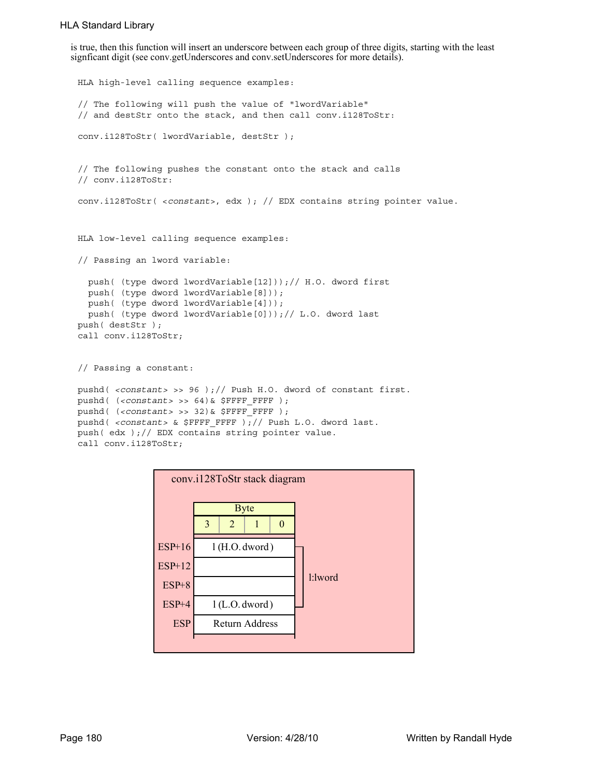is true, then this function will insert an underscore between each group of three digits, starting with the least signficant digit (see conv.getUnderscores and conv.setUnderscores for more details).

```
HLA high-level calling sequence examples:
// The following will push the value of "lwordVariable" 
// and destStr onto the stack, and then call conv.i128ToStr:
conv.i128ToStr( lwordVariable, destStr );
// The following pushes the constant onto the stack and calls
// conv.i128ToStr:
conv.i128ToStr( <constant>, edx ); // EDX contains string pointer value.
HLA low-level calling sequence examples:
// Passing an lword variable:
  push( (type dword lwordVariable[12]));// H.O. dword first
  push( (type dword lwordVariable[8]));
 push( (type dword lwordVariable[4]));
 push( (type dword lwordVariable[0]));// L.O. dword last
push( destStr );
call conv.i128ToStr;
// Passing a constant:
pushd( <constant> >> 96 );// Push H.O. dword of constant first.
pushd( (<constant> >> 64)& $FFFF FFFF );
pushd( (<constant> >> 32)& $FFFF FFFF );
```
pushd( <constant> & \$FFFF FFFF );// Push L.O. dword last. push( edx );// EDX contains string pointer value.

call conv.i128ToStr;

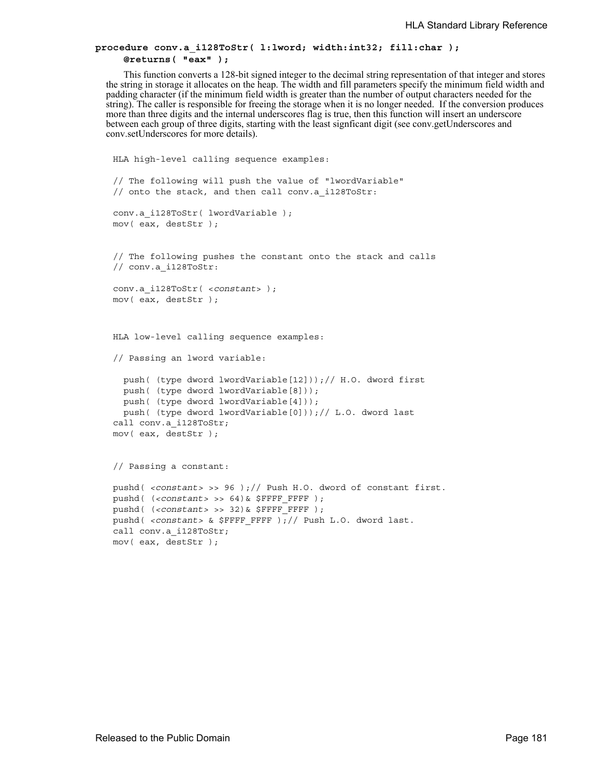## **procedure conv.a\_i128ToStr( l:lword; width:int32; fill:char ); @returns( "eax" );**

This function converts a 128-bit signed integer to the decimal string representation of that integer and stores the string in storage it allocates on the heap. The width and fill parameters specify the minimum field width and padding character (if the minimum field width is greater than the number of output characters needed for the string). The caller is responsible for freeing the storage when it is no longer needed. If the conversion produces more than three digits and the internal underscores flag is true, then this function will insert an underscore between each group of three digits, starting with the least signficant digit (see conv.getUnderscores and conv.setUnderscores for more details).

```
HLA high-level calling sequence examples:
// The following will push the value of "lwordVariable" 
// onto the stack, and then call conv.a i128ToStr:
conv.a_i128ToStr( lwordVariable );
mov( eax, destStr );
// The following pushes the constant onto the stack and calls
// conv.a_i128ToStr:
conv.a_i128ToStr( <constant> );
mov( eax, destStr );
HLA low-level calling sequence examples:
// Passing an lword variable:
  push( (type dword lwordVariable[12]));// H.O. dword first
  push( (type dword lwordVariable[8]));
  push( (type dword lwordVariable[4]));
  push( (type dword lwordVariable[0]));// L.O. dword last
call conv.a_i128ToStr;
mov( eax, destStr );
// Passing a constant:
pushd( <constant> >> 96 );// Push H.O. dword of constant first.
pushd( (<constant> >> 64)& $FFFF FFFF );
pushd( \langle (<constant> >> 32) & $FFFF_FFFF );
pushd( <constant> & $FFFF_FFFF );// Push L.O. dword last.
call conv.a_i128ToStr;
mov( eax, destStr );
```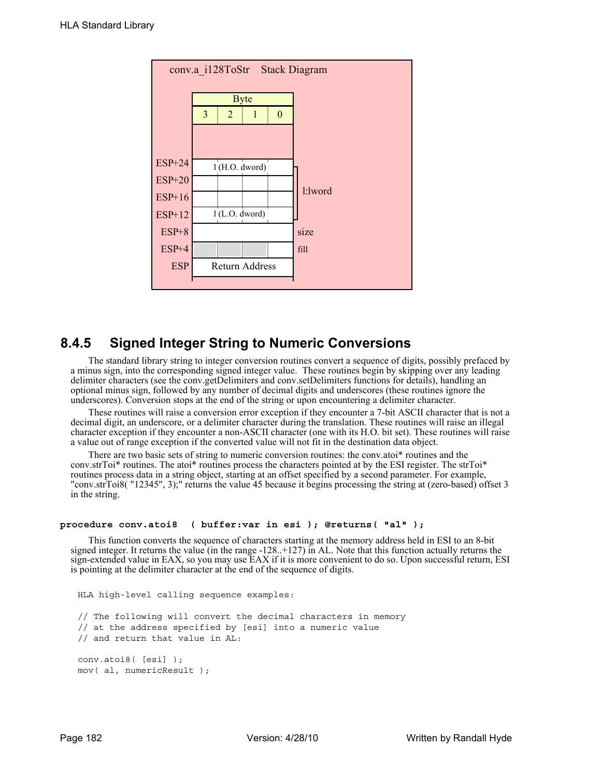

# **8.4.5 Signed Integer String to Numeric Conversions**

The standard library string to integer conversion routines convert a sequence of digits, possibly prefaced by a minus sign, into the corresponding signed integer value. These routines begin by skipping over any leading delimiter characters (see the conv.getDelimiters and conv.setDelimiters functions for details), handling an optional minus sign, followed by any number of decimal digits and underscores (these routines ignore the underscores). Conversion stops at the end of the string or upon encountering a delimiter character.

These routines will raise a conversion error exception if they encounter a 7-bit ASCII character that is not a decimal digit, an underscore, or a delimiter character during the translation. These routines will raise an illegal character exception if they encounter a non-ASCII character (one with its H.O. bit set). These routines will raise a value out of range exception if the converted value will not fit in the destination data object.

There are two basic sets of string to numeric conversion routines: the conv.atoi\* routines and the conv.strToi\* routines. The atoi\* routines process the characters pointed at by the ESI register. The strToi\* routines process data in a string object, starting at an offset specified by a second parameter. For example, "conv.strToi8( "12345", 3);" returns the value 45 because it begins processing the string at (zero-based) offset 3 in the string.

### **procedure conv.atoi8 ( buffer:var in esi ); @returns( "al" );**

This function converts the sequence of characters starting at the memory address held in ESI to an 8-bit signed integer. It returns the value (in the range  $-128.+127$ ) in AL. Note that this function actually returns the sign-extended value in EAX, so you may use EAX if it is more convenient to do so. Upon successful return, ESI is pointing at the delimiter character at the end of the sequence of digits.

HLA high-level calling sequence examples: // The following will convert the decimal characters in memory // at the address specified by [esi] into a numeric value // and return that value in AL: conv.atoi8( [esi] ); mov( al, numericResult );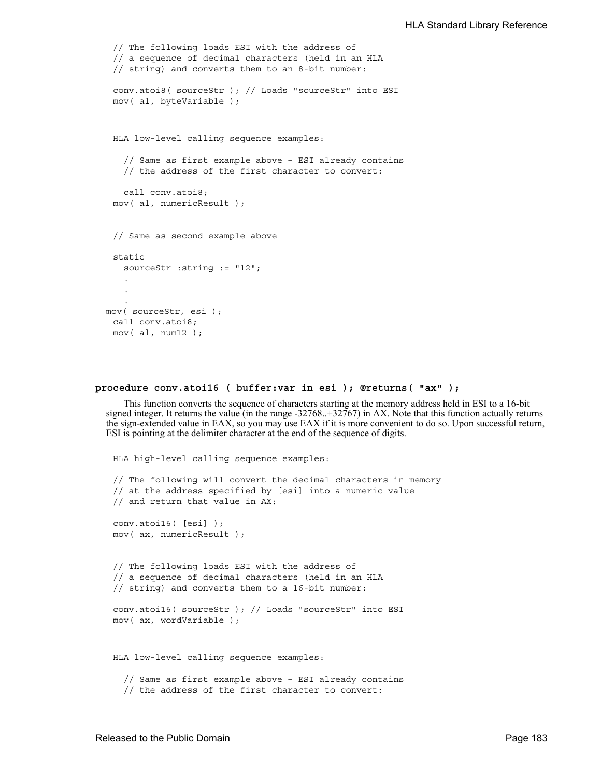```
// The following loads ESI with the address of
 // a sequence of decimal characters (held in an HLA
 // string) and converts them to an 8-bit number:
 conv.atoi8( sourceStr ); // Loads "sourceStr" into ESI
 mov( al, byteVariable );
 HLA low-level calling sequence examples:
   // Same as first example above – ESI already contains
   // the address of the first character to convert:
   call conv.atoi8;
 mov( al, numericResult );
 // Same as second example above
 static
   sourceStr :string := "12";
   .
   .
   .
mov( sourceStr, esi );
 call conv.atoi8;
 mov( al, num12 );
```
#### **procedure conv.atoi16 ( buffer:var in esi ); @returns( "ax" );**

This function converts the sequence of characters starting at the memory address held in ESI to a 16-bit signed integer. It returns the value (in the range -32768..+32767) in AX. Note that this function actually returns the sign-extended value in EAX, so you may use EAX if it is more convenient to do so. Upon successful return, ESI is pointing at the delimiter character at the end of the sequence of digits.

```
HLA high-level calling sequence examples:
// The following will convert the decimal characters in memory
// at the address specified by [esi] into a numeric value
// and return that value in AX:
conv.atoi16( [esi] );
mov( ax, numericResult );
// The following loads ESI with the address of
// a sequence of decimal characters (held in an HLA
// string) and converts them to a 16-bit number:
conv.atoi16( sourceStr ); // Loads "sourceStr" into ESI
mov( ax, wordVariable );
HLA low-level calling sequence examples:
  // Same as first example above – ESI already contains
  // the address of the first character to convert:
```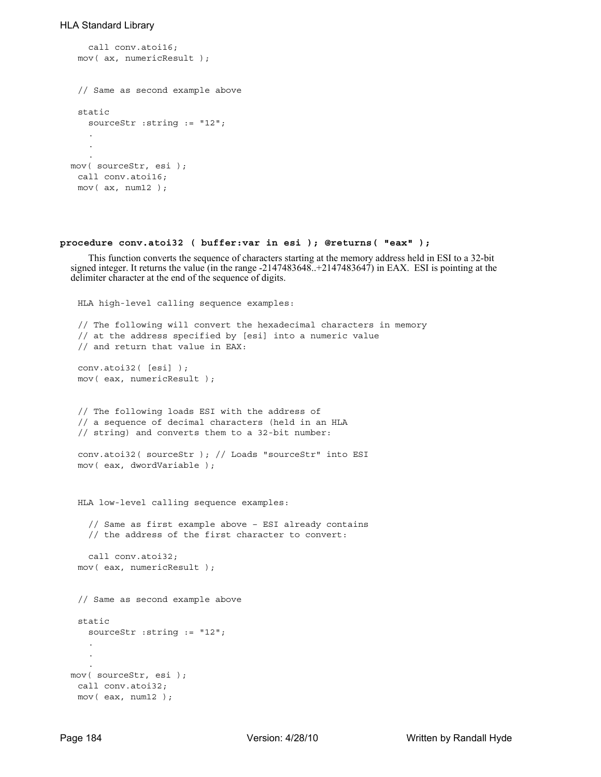```
call conv.atoi16;
 mov( ax, numericResult );
 // Same as second example above
 static
  sourceStr :string := "12";
   .
   .
   .
mov( sourceStr, esi );
 call conv.atoi16;
 mov( ax, num12 );
```
## **procedure conv.atoi32 ( buffer:var in esi ); @returns( "eax" );**

This function converts the sequence of characters starting at the memory address held in ESI to a 32-bit signed integer. It returns the value (in the range -2147483648..+2147483647) in EAX. ESI is pointing at the delimiter character at the end of the sequence of digits.

```
HLA high-level calling sequence examples:
 // The following will convert the hexadecimal characters in memory
 // at the address specified by [esi] into a numeric value
 // and return that value in EAX:
 conv.atoi32( [esi] );
 mov( eax, numericResult );
 // The following loads ESI with the address of
 // a sequence of decimal characters (held in an HLA
 // string) and converts them to a 32-bit number:
 conv.atoi32( sourceStr ); // Loads "sourceStr" into ESI
 mov( eax, dwordVariable );
 HLA low-level calling sequence examples:
   // Same as first example above – ESI already contains
   // the address of the first character to convert:
   call conv.atoi32;
 mov( eax, numericResult );
 // Same as second example above
 static
  sourceStr :string := "12";
   .
   .
   .
mov( sourceStr, esi );
 call conv.atoi32;
 mov( eax, num12 );
```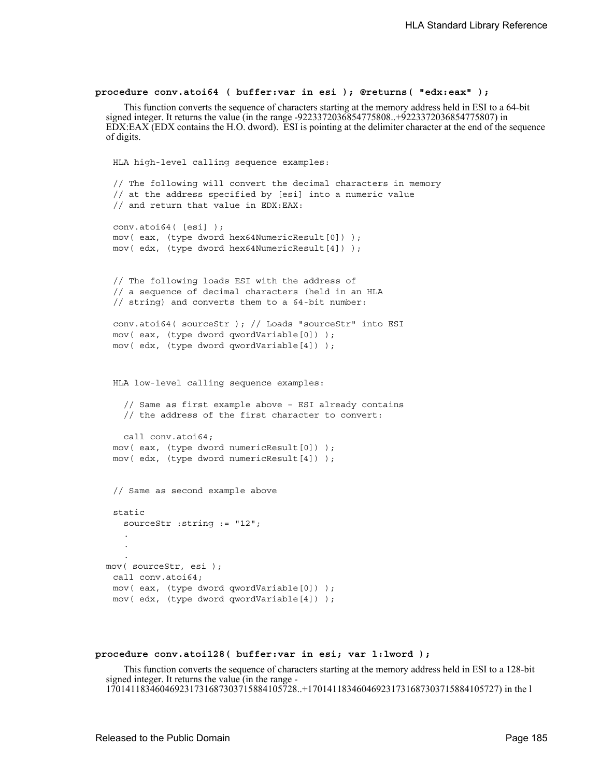#### **procedure conv.atoi64 ( buffer:var in esi ); @returns( "edx:eax" );**

This function converts the sequence of characters starting at the memory address held in ESI to a 64-bit signed integer. It returns the value (in the range -9223372036854775808..+9223372036854775807) in EDX:EAX (EDX contains the H.O. dword). ESI is pointing at the delimiter character at the end of the sequence of digits.

```
HLA high-level calling sequence examples:
 // The following will convert the decimal characters in memory
 // at the address specified by [esi] into a numeric value
 // and return that value in EDX:EAX:
 conv.atoi64( [esi] );
 mov( eax, (type dword hex64NumericResult[0]) );
 mov( edx, (type dword hex64NumericResult[4]) );
 // The following loads ESI with the address of
 // a sequence of decimal characters (held in an HLA
 // string) and converts them to a 64-bit number:
 conv.atoi64( sourceStr ); // Loads "sourceStr" into ESI
 mov( eax, (type dword qwordVariable[0]) );
 mov( edx, (type dword qwordVariable[4]) );
 HLA low-level calling sequence examples:
   // Same as first example above – ESI already contains
   // the address of the first character to convert:
   call conv.atoi64;
 mov( eax, (type dword numericResult[0]) );
 mov( edx, (type dword numericResult[4]) );
 // Same as second example above
 static
   sourceStr :string := "12";
   .
   .
   .
mov( sourceStr, esi );
 call conv.atoi64;
 mov( eax, (type dword qwordVariable[0]) );
 mov( edx, (type dword qwordVariable[4]) );
```
#### **procedure conv.atoi128( buffer:var in esi; var l:lword );**

This function converts the sequence of characters starting at the memory address held in ESI to a 128-bit signed integer. It returns the value (in the range - 170141183460469231731687303715884105728..+170141183460469231731687303715884105727) in the l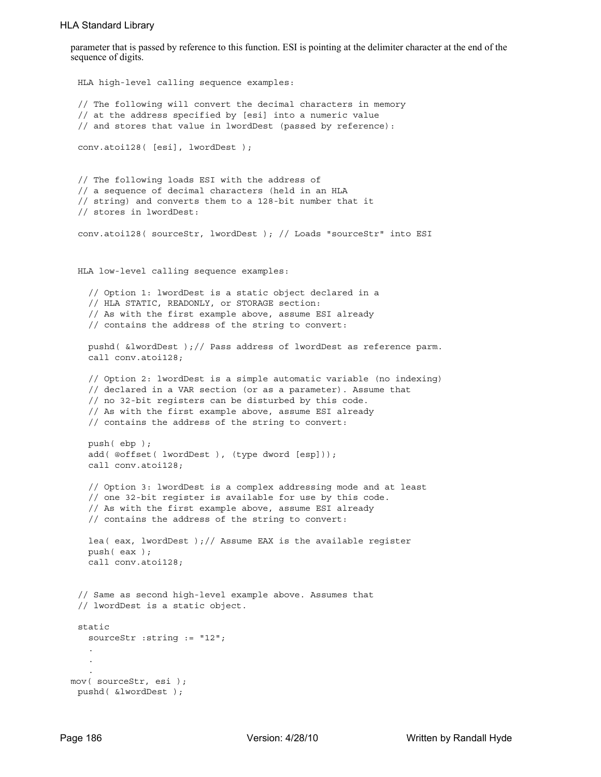parameter that is passed by reference to this function. ESI is pointing at the delimiter character at the end of the sequence of digits.

```
HLA high-level calling sequence examples:
 // The following will convert the decimal characters in memory
 // at the address specified by [esi] into a numeric value
 // and stores that value in lwordDest (passed by reference):
 conv.atoi128( [esi], lwordDest );
 // The following loads ESI with the address of
 // a sequence of decimal characters (held in an HLA
 // string) and converts them to a 128-bit number that it
 // stores in lwordDest:
 conv.atoi128( sourceStr, lwordDest ); // Loads "sourceStr" into ESI
 HLA low-level calling sequence examples:
   // Option 1: lwordDest is a static object declared in a
   // HLA STATIC, READONLY, or STORAGE section:
   // As with the first example above, assume ESI already
   // contains the address of the string to convert:
   pushd( &lwordDest );// Pass address of lwordDest as reference parm.
   call conv.atoi128;
   // Option 2: lwordDest is a simple automatic variable (no indexing)
   // declared in a VAR section (or as a parameter). Assume that
   // no 32-bit registers can be disturbed by this code.
   // As with the first example above, assume ESI already
   // contains the address of the string to convert:
   push( ebp );
   add( @offset( lwordDest ), (type dword [esp]));
   call conv.atoi128;
   // Option 3: lwordDest is a complex addressing mode and at least
   // one 32-bit register is available for use by this code.
   // As with the first example above, assume ESI already
   // contains the address of the string to convert:
   lea( eax, lwordDest ); // Assume EAX is the available register
   push( eax );
   call conv.atoi128;
 // Same as second high-level example above. Assumes that
 // lwordDest is a static object.
 static
   sourceStr :string := "12";
   .
   .
   .
mov( sourceStr, esi );
 pushd( &lwordDest );
```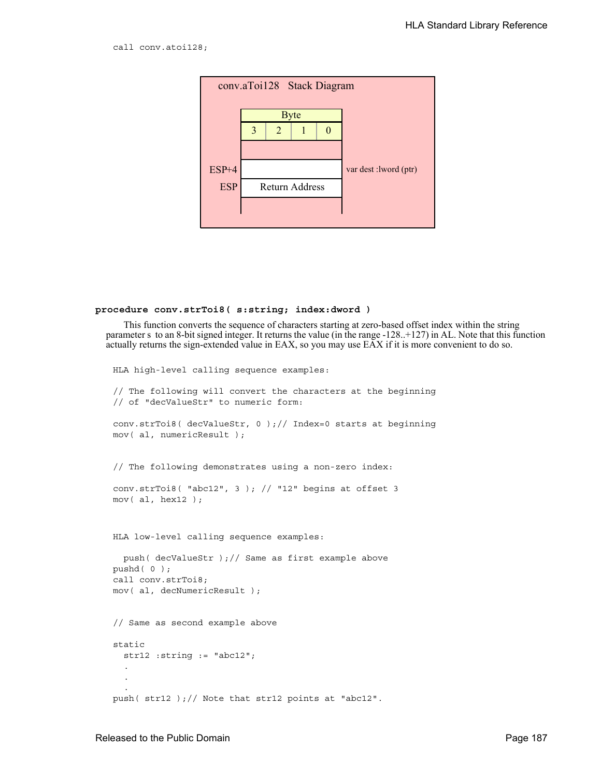

### **procedure conv.strToi8( s:string; index:dword )**

This function converts the sequence of characters starting at zero-based offset index within the string parameter s to an 8-bit signed integer. It returns the value (in the range -128..+127) in AL. Note that this function actually returns the sign-extended value in EAX, so you may use EAX if it is more convenient to do so.

```
HLA high-level calling sequence examples:
// The following will convert the characters at the beginning
// of "decValueStr" to numeric form:
conv.strToi8( decValueStr, 0 );// Index=0 starts at beginning
mov( al, numericResult );
// The following demonstrates using a non-zero index:
conv.strToi8( "abc12", 3 ); // "12" begins at offset 3
mov( al, hex12 );
HLA low-level calling sequence examples:
 push( decValueStr );// Same as first example above
pushd( 0 );
call conv.strToi8;
mov( al, decNumericResult );
// Same as second example above
static
  str12:string := "abc12";.
  .
  .
push( str12 );// Note that str12 points at "abc12".
```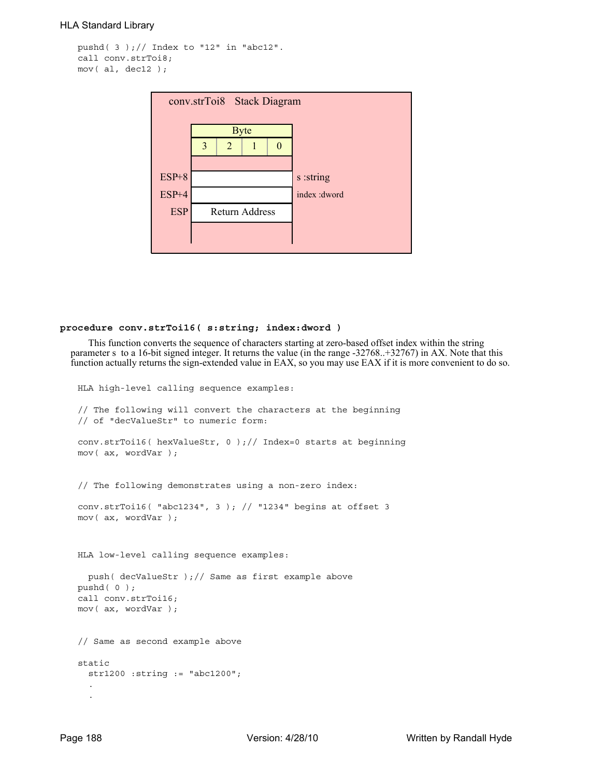```
pushd( 3 );// Index to "12" in "abc12".
call conv.strToi8;
mov( al, dec12 );
```


#### **procedure conv.strToi16( s:string; index:dword )**

This function converts the sequence of characters starting at zero-based offset index within the string parameter s to a 16-bit signed integer. It returns the value (in the range -32768..+32767) in AX. Note that this function actually returns the sign-extended value in EAX, so you may use EAX if it is more convenient to do so.

HLA high-level calling sequence examples:

```
// The following will convert the characters at the beginning
// of "decValueStr" to numeric form:
conv.strToi16( hexValueStr, 0 );// Index=0 starts at beginning
mov( ax, wordVar );
// The following demonstrates using a non-zero index:
conv.strToi16( "abc1234", 3 ); // "1234" begins at offset 3
mov( ax, wordVar );
HLA low-level calling sequence examples:
 push( decValueStr );// Same as first example above
pushd( 0 );
call conv.strToi16;
mov( ax, wordVar );
// Same as second example above
static
 str1200 :string := "abc1200";
  .
  .
```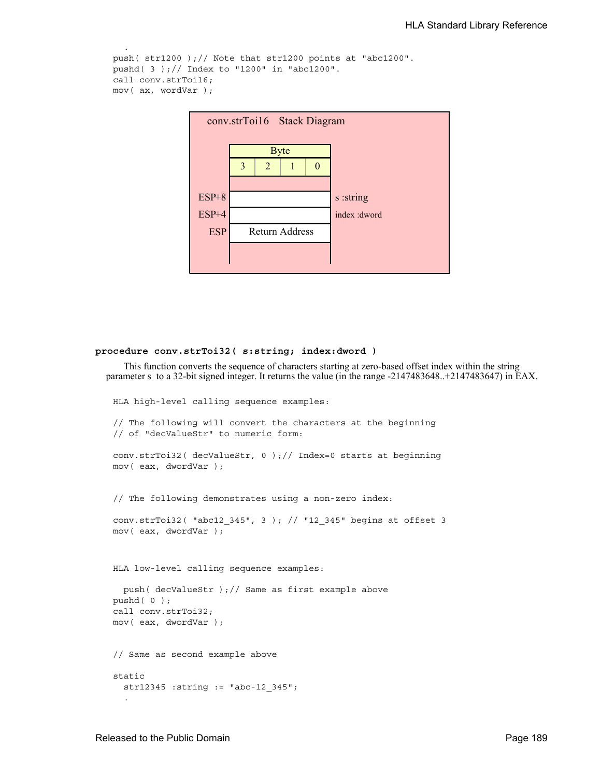```
push( str1200 );// Note that str1200 points at "abc1200".
pushd( 3 );// Index to "1200" in "abc1200".
call conv.strToi16;
mov( ax, wordVar );
```
.



#### **procedure conv.strToi32( s:string; index:dword )**

This function converts the sequence of characters starting at zero-based offset index within the string parameter s to a 32-bit signed integer. It returns the value (in the range -2147483648..+2147483647) in EAX.

```
HLA high-level calling sequence examples:
// The following will convert the characters at the beginning
// of "decValueStr" to numeric form:
conv.strToi32( decValueStr, 0 );// Index=0 starts at beginning
mov( eax, dwordVar );
// The following demonstrates using a non-zero index:
conv.strToi32( "abc12_345", 3 ); // "12_345" begins at offset 3
mov( eax, dwordVar );
HLA low-level calling sequence examples:
  push( decValueStr );// Same as first example above
pushd( 0 );
call conv.strToi32;
mov( eax, dwordVar );
// Same as second example above
static
  str12345 :string := "abc-12_345";
  .
```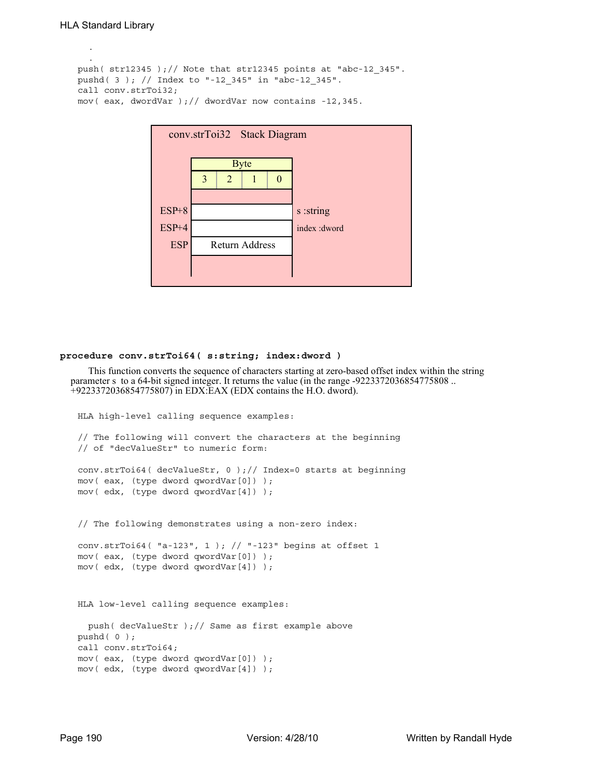. .

push( str12345 );// Note that str12345 points at "abc-12\_345". pushd( 3 ); // Index to "-12\_345" in "abc-12\_345". call conv.strToi32; mov( eax, dwordVar );// dwordVar now contains -12,345.



### **procedure conv.strToi64( s:string; index:dword )**

This function converts the sequence of characters starting at zero-based offset index within the string parameter s to a 64-bit signed integer. It returns the value (in the range -9223372036854775808 ... +9223372036854775807) in EDX:EAX (EDX contains the H.O. dword).

```
HLA high-level calling sequence examples:
// The following will convert the characters at the beginning
// of "decValueStr" to numeric form:
conv.strToi64( decValueStr, 0 );// Index=0 starts at beginning
mov( eax, (type dword qwordVar[0]) );
mov( edx, (type dword qwordVar[4]) );
// The following demonstrates using a non-zero index:
conv.strToi64( "a-123", 1 ); // "-123" begins at offset 1
mov( eax, (type dword qwordVar[0]) );
mov( edx, (type dword qwordVar[4]) );
HLA low-level calling sequence examples:
  push( decValueStr );// Same as first example above
pushd( 0 );
call conv.strToi64;
mov( eax, (type dword qwordVar[0]) );
mov( edx, (type dword qwordVar[4]) );
```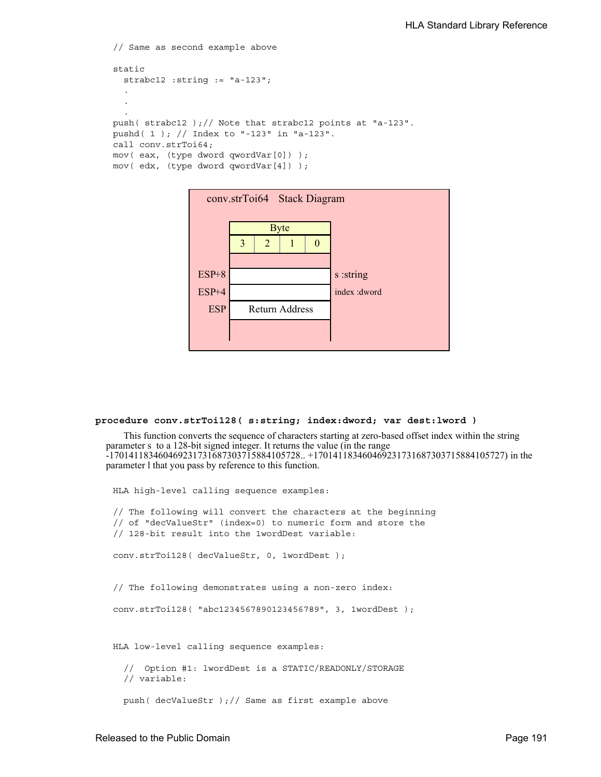```
// Same as second example above
static
  strabc12 :string := "a-123";
  .
  .
  .
push( strabc12 );// Note that strabc12 points at "a-123".
pushd( 1 ); // Index to "-123" in "a-123".
call conv.strToi64;
mov( eax, (type dword qwordVar[0]) );
mov( edx, (type dword qwordVar[4]) );
```


#### **procedure conv.strToi128( s:string; index:dword; var dest:lword )**

This function converts the sequence of characters starting at zero-based offset index within the string parameter s to a 128-bit signed integer. It returns the value (in the range -170141183460469231731687303715884105728.. +170141183460469231731687303715884105727) in the parameter l that you pass by reference to this function.

```
HLA high-level calling sequence examples:
// The following will convert the characters at the beginning
// of "decValueStr" (index=0) to numeric form and store the
// 128-bit result into the 1wordDest variable:
conv.strToi128( decValueStr, 0, 1wordDest );
// The following demonstrates using a non-zero index:
conv.strToi128( "abc1234567890123456789", 3, 1wordDest );
HLA low-level calling sequence examples:
  // Option #1: lwordDest is a STATIC/READONLY/STORAGE
  // variable:
```
push( decValueStr );// Same as first example above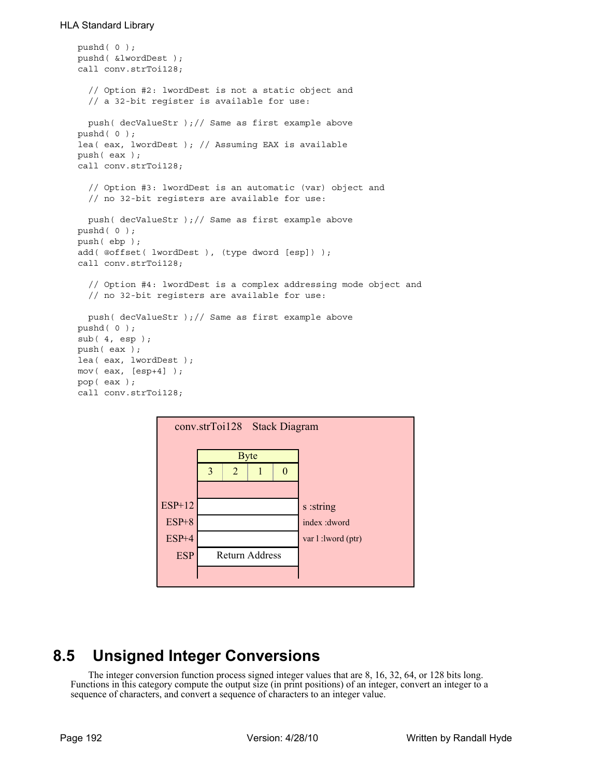# HLA Standard Library

```
pushd( 0 );
pushd( &lwordDest );
call conv.strToi128;
  // Option #2: lwordDest is not a static object and
  // a 32-bit register is available for use:
  push( decValueStr );// Same as first example above
pushd( 0 );
lea( eax, lwordDest ); // Assuming EAX is available
push( eax );
call conv.strToi128;
  // Option #3: lwordDest is an automatic (var) object and
  // no 32-bit registers are available for use:
  push( decValueStr );// Same as first example above
pushd( 0 );
push( ebp );
add( @offset( lwordDest ), (type dword [esp]) );
call conv.strToi128;
  // Option #4: lwordDest is a complex addressing mode object and
  // no 32-bit registers are available for use:
  push( decValueStr );// Same as first example above
pushd( 0 );
sub( 4, esp );
push( eax );
lea( eax, lwordDest );
mov( eax, [esp+4] );
pop( eax );
call conv.strToi128;
```


# **8.5 Unsigned Integer Conversions**

The integer conversion function process signed integer values that are 8, 16, 32, 64, or 128 bits long. Functions in this category compute the output size (in print positions) of an integer, convert an integer to a sequence of characters, and convert a sequence of characters to an integer value.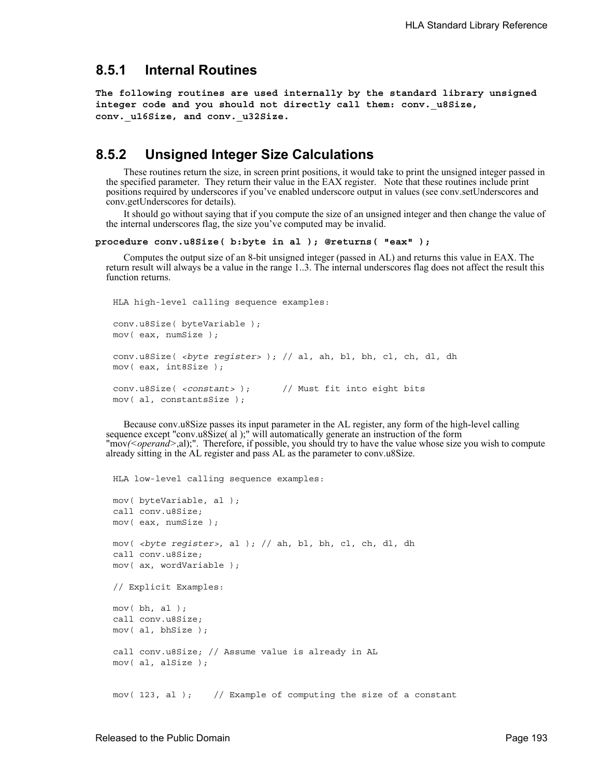# **8.5.1 Internal Routines**

**The following routines are used internally by the standard library unsigned integer code and you should not directly call them: conv.\_u8Size, conv.\_u16Size, and conv.\_u32Size.**

# **8.5.2 Unsigned Integer Size Calculations**

These routines return the size, in screen print positions, it would take to print the unsigned integer passed in the specified parameter. They return their value in the EAX register. Note that these routines include print positions required by underscores if you've enabled underscore output in values (see conv.setUnderscores and conv.getUnderscores for details).

It should go without saying that if you compute the size of an unsigned integer and then change the value of the internal underscores flag, the size you've computed may be invalid.

### **procedure conv.u8Size( b:byte in al ); @returns( "eax" );**

Computes the output size of an 8-bit unsigned integer (passed in AL) and returns this value in EAX. The return result will always be a value in the range 1..3. The internal underscores flag does not affect the result this function returns.

```
HLA high-level calling sequence examples:
conv.u8Size( byteVariable );
mov( eax, numSize );
conv.u8Size( <byte register> ); // al, ah, bl, bh, cl, ch, dl, dh
mov( eax, int8Size );
conv.u8Size( <constant> ); // Must fit into eight bits
mov( al, constantsSize );
```
Because conv.u8Size passes its input parameter in the AL register, any form of the high-level calling sequence except "conv.u8Size( al );" will automatically generate an instruction of the form "mov/<*operand>*,al);". Therefore, if possible, you should try to have the value whose size you wish to compute already sitting in the AL register and pass AL as the parameter to conv.u8Size.

```
HLA low-level calling sequence examples:
mov( byteVariable, al );
call conv.u8Size;
mov( eax, numSize );
mov( <byte register>, al ); // ah, bl, bh, cl, ch, dl, dh
call conv.u8Size;
mov( ax, wordVariable );
// Explicit Examples:
mov( bh, al);call conv.u8Size;
mov( al, bhSize );
call conv.u8Size; // Assume value is already in AL
mov( al, alSize );
mov( 123, al ); // Example of computing the size of a constant
```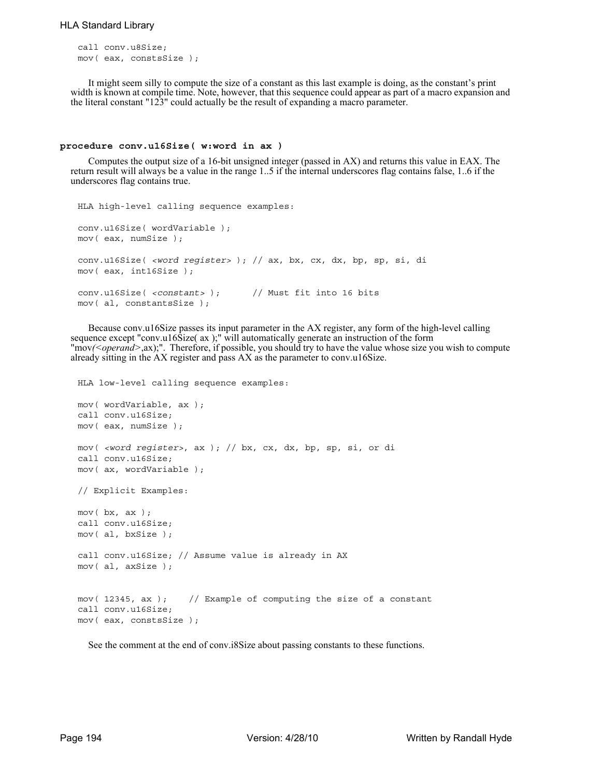```
call conv.u8Size;
mov( eax, constsSize );
```
It might seem silly to compute the size of a constant as this last example is doing, as the constant's print width is known at compile time. Note, however, that this sequence could appear as part of a macro expansion and the literal constant "123" could actually be the result of expanding a macro parameter.

### **procedure conv.u16Size( w:word in ax )**

Computes the output size of a 16-bit unsigned integer (passed in AX) and returns this value in EAX. The return result will always be a value in the range 1..5 if the internal underscores flag contains false, 1..6 if the underscores flag contains true.

```
HLA high-level calling sequence examples:
conv.u16Size( wordVariable );
mov( eax, numSize );
conv.u16Size( <word register> ); // ax, bx, cx, dx, bp, sp, si, di
mov( eax, int16Size );
conv.u16Size( <constant> ); // Must fit into 16 bits
mov( al, constantsSize );
```
Because conv.u16Size passes its input parameter in the AX register, any form of the high-level calling sequence except "conv.u16Size( ax );" will automatically generate an instruction of the form "mov/<*operand>*,ax);". Therefore, if possible, you should try to have the value whose size you wish to compute already sitting in the AX register and pass AX as the parameter to conv.u16Size.

```
HLA low-level calling sequence examples:
mov( wordVariable, ax );
call conv.u16Size;
mov( eax, numSize );
mov( <word register>, ax ); // bx, cx, dx, bp, sp, si, or di
call conv.u16Size;
mov( ax, wordVariable );
// Explicit Examples:
mov( bx, ax );
call conv.u16Size;
mov( al, bxSize );
call conv.u16Size; // Assume value is already in AX
mov( al, axSize );
mov( 12345, ax ); // Example of computing the size of a constant
call conv.u16Size;
mov( eax, constsSize );
```
See the comment at the end of conv.i8Size about passing constants to these functions.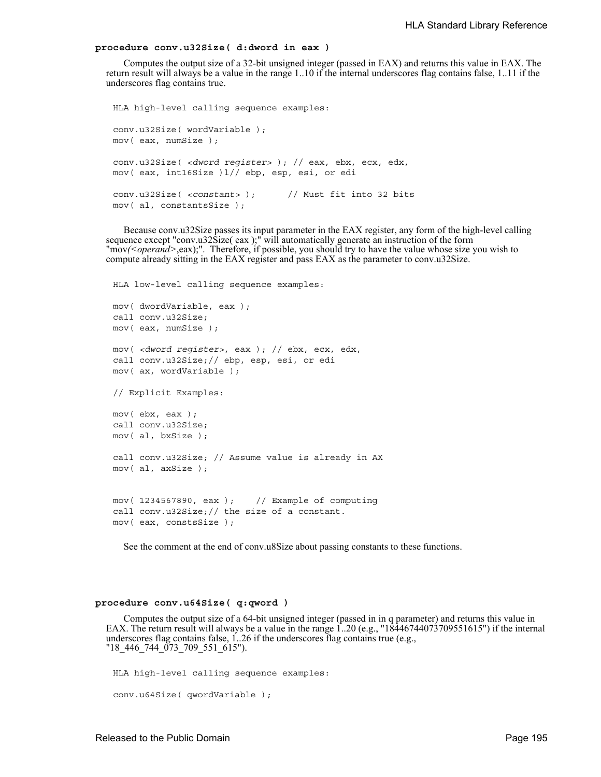### **procedure conv.u32Size( d:dword in eax )**

Computes the output size of a 32-bit unsigned integer (passed in EAX) and returns this value in EAX. The return result will always be a value in the range 1..10 if the internal underscores flag contains false, 1..11 if the underscores flag contains true.

```
HLA high-level calling sequence examples:
conv.u32Size( wordVariable );
mov( eax, numSize );
conv.u32Size( <dword register> ); // eax, ebx, ecx, edx, 
mov( eax, int16Size )l// ebp, esp, esi, or edi
conv.u32Size( <constant> ); // Must fit into 32 bits
mov( al, constantsSize );
```
Because conv.u32Size passes its input parameter in the EAX register, any form of the high-level calling sequence except "conv.u32Size( eax );" will automatically generate an instruction of the form "mov/<operand>,eax);". Therefore, if possible, you should try to have the value whose size you wish to compute already sitting in the EAX register and pass EAX as the parameter to conv.u32Size.

```
HLA low-level calling sequence examples:
mov( dwordVariable, eax );
call conv.u32Size;
mov( eax, numSize );
mov( <dword register>, eax ); // ebx, ecx, edx, 
call conv.u32Size;// ebp, esp, esi, or edi
mov( ax, wordVariable );
// Explicit Examples:
mov( ebx, eax );
call conv.u32Size;
mov( al, bxSize );
call conv.u32Size; // Assume value is already in AX
mov( al, axSize );
mov( 1234567890, eax ); // Example of computing 
call conv.u32Size;// the size of a constant.
mov( eax, constsSize );
```
See the comment at the end of conv.u8Size about passing constants to these functions.

### **procedure conv.u64Size( q:qword )**

Computes the output size of a 64-bit unsigned integer (passed in in q parameter) and returns this value in EAX. The return result will always be a value in the range 1..20 (e.g., "18446744073709551615") if the internal underscores flag contains false, 1..26 if the underscores flag contains true (e.g., "18 446 744 073 709 551 615").

HLA high-level calling sequence examples: conv.u64Size( qwordVariable );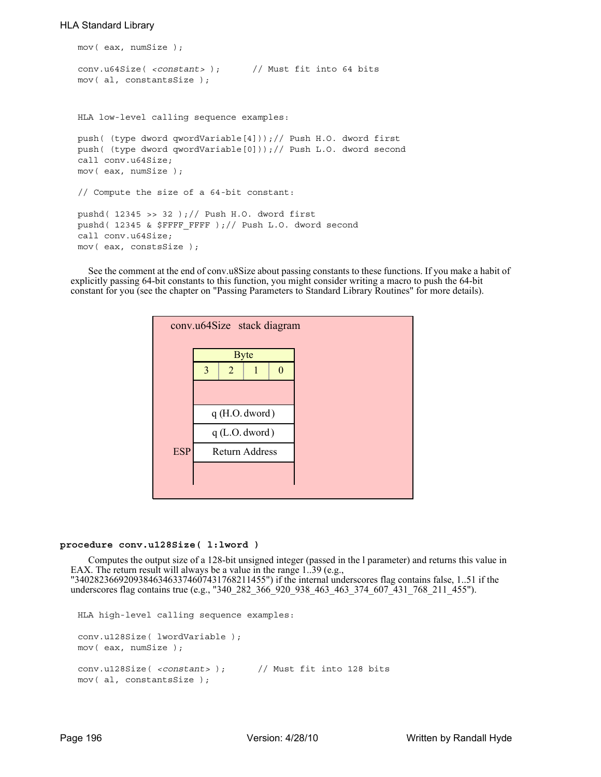# HLA Standard Library

```
mov( eax, numSize );
conv.u64Size( <constant> ); // Must fit into 64 bits
mov( al, constantsSize );
HLA low-level calling sequence examples:
push( (type dword qwordVariable[4]));// Push H.O. dword first
push( (type dword qwordVariable[0]));// Push L.O. dword second
call conv.u64Size;
mov( eax, numSize );
// Compute the size of a 64-bit constant:
pushd( 12345 >> 32 );// Push H.O. dword first
pushd( 12345 & $FFFF FFFF );// Push L.O. dword second
call conv.u64Size;
mov( eax, constsSize );
```
See the comment at the end of conv.u8Size about passing constants to these functions. If you make a habit of explicitly passing 64-bit constants to this function, you might consider writing a macro to push the 64-bit constant for you (see the chapter on "Passing Parameters to Standard Library Routines" for more details).



# **procedure conv.u128Size( l:lword )**

Computes the output size of a 128-bit unsigned integer (passed in the l parameter) and returns this value in EAX. The return result will always be a value in the range 1..39 (e.g., "340282366920938463463374607431768211455") if the internal underscores flag contains false, 1..51 if the underscores flag contains true (e.g., "340\_282\_366\_920\_938\_463\_463\_374\_607\_431\_768\_211\_455").

```
HLA high-level calling sequence examples:
conv.u128Size( lwordVariable );
mov( eax, numSize );
conv.u128Size( <constant> ); // Must fit into 128 bits
mov( al, constantsSize );
```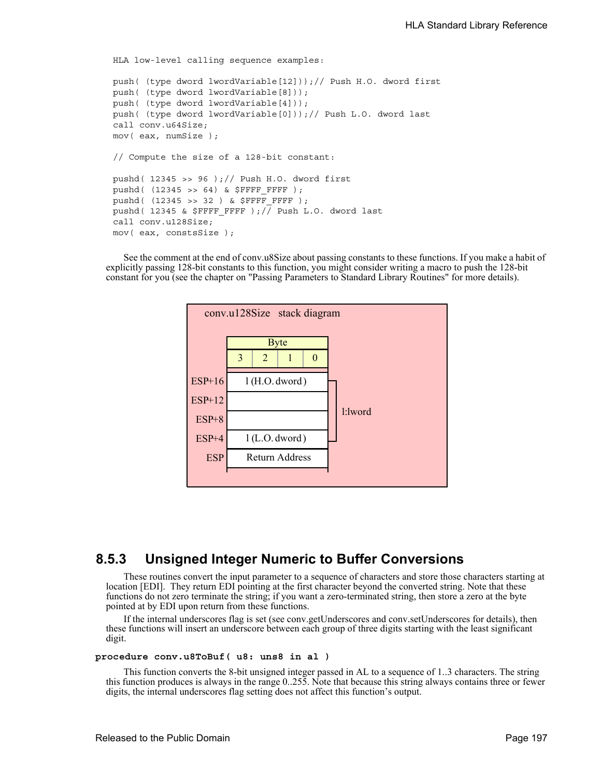```
HLA low-level calling sequence examples:
push( (type dword lwordVariable[12]));// Push H.O. dword first
push( (type dword lwordVariable[8]));
push( (type dword lwordVariable[4]));
push( (type dword lwordVariable[0]));// Push L.O. dword last
call conv.u64Size;
mov( eax, numSize );
// Compute the size of a 128-bit constant:
pushd( 12345 >> 96 );// Push H.O. dword first
pushd( (12345 \gg 64) & $FFFF FFFF);
pushd( (12345 >> 32 ) & $FFFF_FFFF );
pushd( 12345 & $FFFF_FFFF );// Push L.O. dword last
call conv.u128Size;
mov( eax, constsSize );
```
See the comment at the end of conv.u8Size about passing constants to these functions. If you make a habit of explicitly passing 128-bit constants to this function, you might consider writing a macro to push the 128-bit constant for you (see the chapter on "Passing Parameters to Standard Library Routines" for more details).



# **8.5.3 Unsigned Integer Numeric to Buffer Conversions**

These routines convert the input parameter to a sequence of characters and store those characters starting at location [EDI]. They return EDI pointing at the first character beyond the converted string. Note that these functions do not zero terminate the string; if you want a zero-terminated string, then store a zero at the byte pointed at by EDI upon return from these functions.

If the internal underscores flag is set (see conv.getUnderscores and conv.setUnderscores for details), then these functions will insert an underscore between each group of three digits starting with the least significant digit.

#### **procedure conv.u8ToBuf( u8: uns8 in al )**

This function converts the 8-bit unsigned integer passed in AL to a sequence of 1..3 characters. The string this function produces is always in the range 0..255. Note that because this string always contains three or fewer digits, the internal underscores flag setting does not affect this function's output.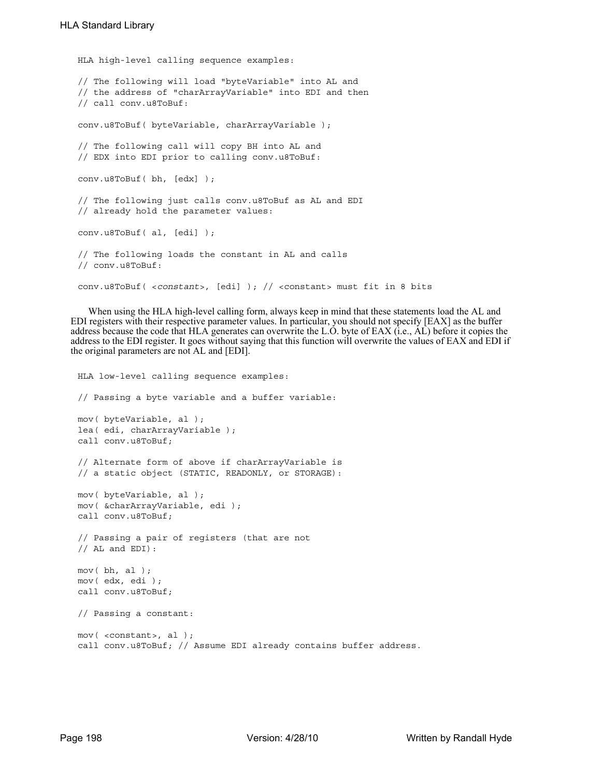HLA high-level calling sequence examples: // The following will load "byteVariable" into AL and // the address of "charArrayVariable" into EDI and then // call conv.u8ToBuf: conv.u8ToBuf( byteVariable, charArrayVariable ); // The following call will copy BH into AL and // EDX into EDI prior to calling conv.u8ToBuf: conv.u8ToBuf( bh, [edx] ); // The following just calls conv.u8ToBuf as AL and EDI // already hold the parameter values: conv.u8ToBuf( al, [edi] ); // The following loads the constant in AL and calls // conv.u8ToBuf: conv.u8ToBuf( <*constant*>, [edi] ); // <constant> must fit in 8 bits

When using the HLA high-level calling form, always keep in mind that these statements load the AL and EDI registers with their respective parameter values. In particular, you should not specify [EAX] as the buffer address because the code that HLA generates can overwrite the L.O. byte of EAX (i.e., AL) before it copies the address to the EDI register. It goes without saying that this function will overwrite the values of EAX and EDI if the original parameters are not AL and [EDI].

```
HLA low-level calling sequence examples:
// Passing a byte variable and a buffer variable:
mov( byteVariable, al );
lea( edi, charArrayVariable );
call conv.u8ToBuf;
// Alternate form of above if charArrayVariable is
// a static object (STATIC, READONLY, or STORAGE):
mov( byteVariable, al );
mov( &charArrayVariable, edi );
call conv.u8ToBuf;
// Passing a pair of registers (that are not
// AL and EDI):
mov( bh, al );
mov( edx, edi );
call conv.u8ToBuf;
// Passing a constant:
mov( <constant>, al );
call conv.u8ToBuf; // Assume EDI already contains buffer address.
```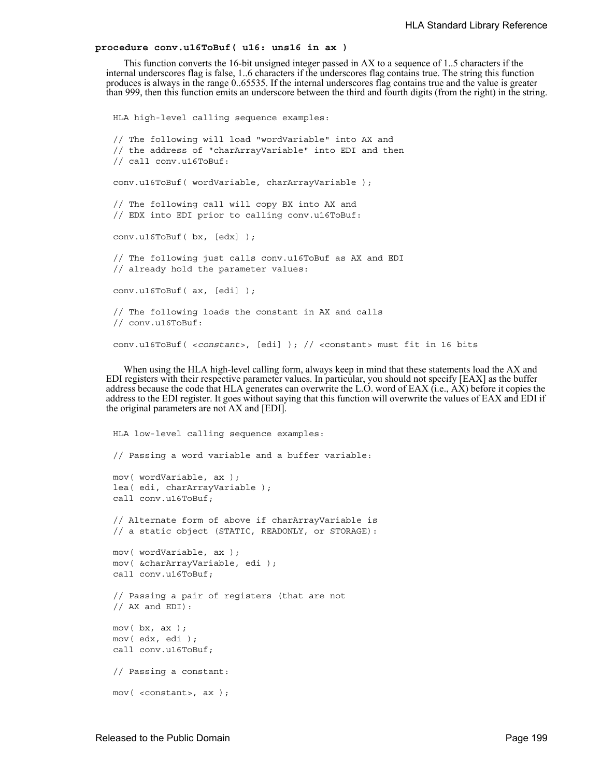### **procedure conv.u16ToBuf( u16: uns16 in ax )**

This function converts the 16-bit unsigned integer passed in AX to a sequence of 1..5 characters if the internal underscores flag is false, 1..6 characters if the underscores flag contains true. The string this function produces is always in the range 0..65535. If the internal underscores flag contains true and the value is greater than 999, then this function emits an underscore between the third and fourth digits (from the right) in the string.

```
HLA high-level calling sequence examples:
// The following will load "wordVariable" into AX and
// the address of "charArrayVariable" into EDI and then
// call conv.u16ToBuf:
conv.u16ToBuf( wordVariable, charArrayVariable );
// The following call will copy BX into AX and 
// EDX into EDI prior to calling conv.u16ToBuf:
conv.u16ToBuf( bx, [edx] );
// The following just calls conv.u16ToBuf as AX and EDI
// already hold the parameter values:
conv.u16ToBuf( ax, [edi] );
// The following loads the constant in AX and calls
// conv.u16ToBuf:
conv.u16ToBuf( <constant>, [edi] ); // <constant> must fit in 16 bits
```
When using the HLA high-level calling form, always keep in mind that these statements load the AX and EDI registers with their respective parameter values. In particular, you should not specify [EAX] as the buffer address because the code that HLA generates can overwrite the L.O. word of EAX (i.e.,  $\overrightarrow{AX}$ ) before it copies the address to the EDI register. It goes without saying that this function will overwrite the values of EAX and EDI if the original parameters are not AX and [EDI].

```
HLA low-level calling sequence examples:
// Passing a word variable and a buffer variable:
mov( wordVariable, ax );
lea( edi, charArrayVariable );
call conv.u16ToBuf;
// Alternate form of above if charArrayVariable is
// a static object (STATIC, READONLY, or STORAGE):
mov( wordVariable, ax );
mov( &charArrayVariable, edi );
call conv.u16ToBuf;
// Passing a pair of registers (that are not
// AX and EDI):
mov( bx, ax);mov( edx, edi );
call conv.u16ToBuf;
// Passing a constant:
mov( <constant>, ax );
```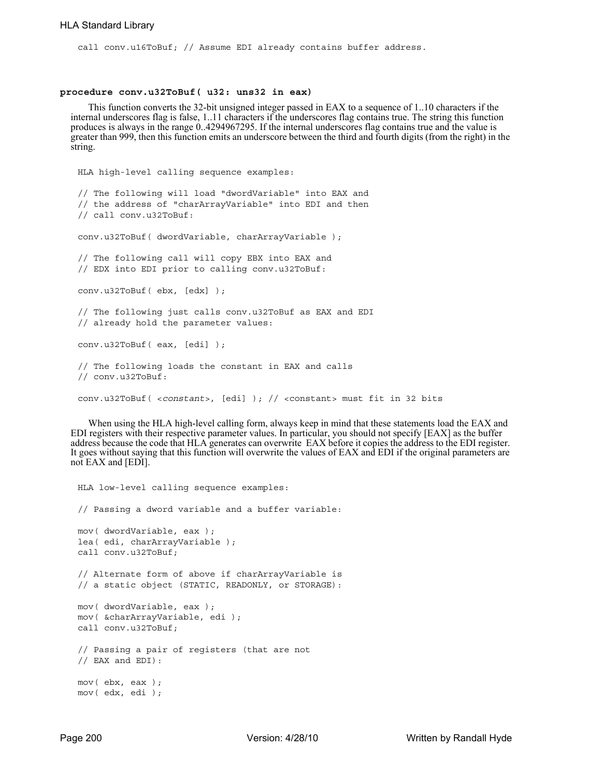call conv.u16ToBuf; // Assume EDI already contains buffer address.

### **procedure conv.u32ToBuf( u32: uns32 in eax)**

This function converts the 32-bit unsigned integer passed in EAX to a sequence of 1..10 characters if the internal underscores flag is false, 1..11 characters if the underscores flag contains true. The string this function produces is always in the range 0..4294967295. If the internal underscores flag contains true and the value is greater than 999, then this function emits an underscore between the third and fourth digits (from the right) in the string.

```
HLA high-level calling sequence examples:
// The following will load "dwordVariable" into EAX and
// the address of "charArrayVariable" into EDI and then
// call conv.u32ToBuf:
conv.u32ToBuf( dwordVariable, charArrayVariable );
// The following call will copy EBX into EAX and 
// EDX into EDI prior to calling conv.u32ToBuf:
conv.u32ToBuf( ebx, [edx] );
// The following just calls conv.u32ToBuf as EAX and EDI
// already hold the parameter values:
conv.u32ToBuf( eax, [edi] );
// The following loads the constant in EAX and calls
// conv.u32ToBuf:
conv.u32ToBuf( <constant>, [edi] ); // <constant> must fit in 32 bits
```
When using the HLA high-level calling form, always keep in mind that these statements load the EAX and EDI registers with their respective parameter values. In particular, you should not specify [EAX] as the buffer address because the code that HLA generates can overwrite EAX before it copies the address to the EDI register. It goes without saying that this function will overwrite the values of EAX and EDI if the original parameters are not EAX and [EDI].

```
HLA low-level calling sequence examples:
// Passing a dword variable and a buffer variable:
mov( dwordVariable, eax );
lea( edi, charArrayVariable );
call conv.u32ToBuf;
// Alternate form of above if charArrayVariable is
// a static object (STATIC, READONLY, or STORAGE):
mov( dwordVariable, eax );
mov( &charArrayVariable, edi );
call conv.u32ToBuf;
// Passing a pair of registers (that are not
// EAX and EDI):
mov( ebx, eax );
mov( edx, edi );
```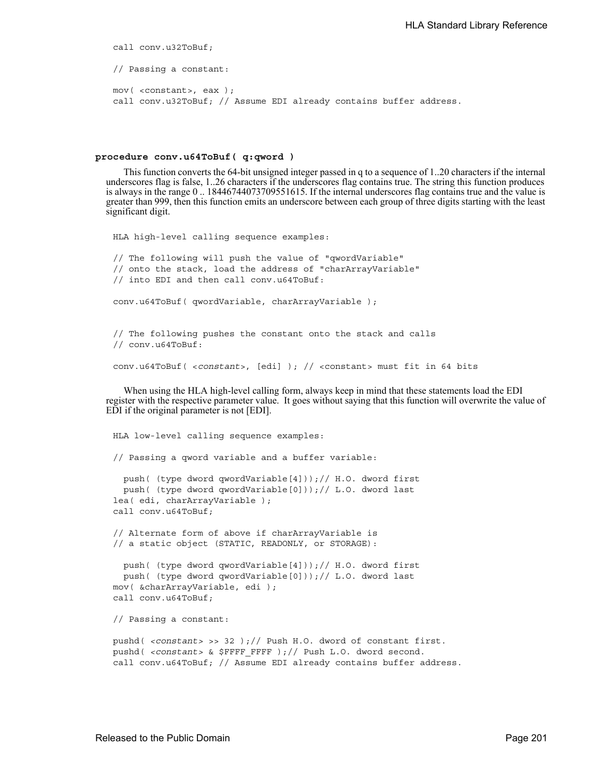```
call conv.u32ToBuf;
// Passing a constant:
mov( <constant>, eax );
call conv.u32ToBuf; // Assume EDI already contains buffer address.
```
#### **procedure conv.u64ToBuf( q:qword )**

This function converts the 64-bit unsigned integer passed in q to a sequence of 1..20 characters if the internal underscores flag is false, 1..26 characters if the underscores flag contains true. The string this function produces is always in the range 0 .. 18446744073709551615. If the internal underscores flag contains true and the value is greater than 999, then this function emits an underscore between each group of three digits starting with the least significant digit.

```
HLA high-level calling sequence examples:
// The following will push the value of "qwordVariable" 
// onto the stack, load the address of "charArrayVariable"
// into EDI and then call conv.u64ToBuf:
conv.u64ToBuf( qwordVariable, charArrayVariable );
// The following pushes the constant onto the stack and calls
// conv.u64ToBuf:
conv.u64ToBuf( <constant>, [edi] ); // <constant> must fit in 64 bits
```
When using the HLA high-level calling form, always keep in mind that these statements load the EDI register with the respective parameter value. It goes without saying that this function will overwrite the value of EDI if the original parameter is not [EDI].

```
HLA low-level calling sequence examples:
// Passing a qword variable and a buffer variable:
  push( (type dword qwordVariable[4]));// H.O. dword first
  push( (type dword qwordVariable[0]));// L.O. dword last
lea( edi, charArrayVariable );
call conv.u64ToBuf;
// Alternate form of above if charArrayVariable is
// a static object (STATIC, READONLY, or STORAGE):
  push( (type dword qwordVariable[4]));// H.O. dword first
  push( (type dword qwordVariable[0]));// L.O. dword last
mov( &charArrayVariable, edi );
call conv.u64ToBuf;
// Passing a constant:
pushd( <constant> >> 32 );// Push H.O. dword of constant first.
pushd( <constant> & $FFFF FFFF );// Push L.O. dword second.
call conv.u64ToBuf; // Assume EDI already contains buffer address.
```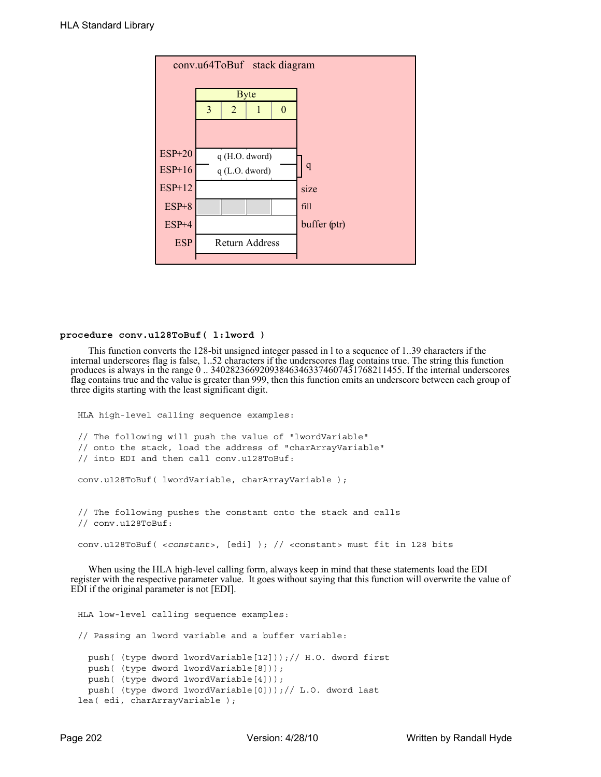

#### **procedure conv.u128ToBuf( l:lword )**

This function converts the 128-bit unsigned integer passed in l to a sequence of 1..39 characters if the internal underscores flag is false, 1..52 characters if the underscores flag contains true. The string this function produces is always in the range 0 .. 340282366920938463463374607431768211455. If the internal underscores flag contains true and the value is greater than 999, then this function emits an underscore between each group of three digits starting with the least significant digit.

```
HLA high-level calling sequence examples:
// The following will push the value of "lwordVariable" 
// onto the stack, load the address of "charArrayVariable"
// into EDI and then call conv.u128ToBuf:
conv.u128ToBuf( lwordVariable, charArrayVariable );
// The following pushes the constant onto the stack and calls
// conv.u128ToBuf:
conv.u128ToBuf( <constant>, [edi] ); // <constant> must fit in 128 bits
```
When using the HLA high-level calling form, always keep in mind that these statements load the EDI register with the respective parameter value. It goes without saying that this function will overwrite the value of EDI if the original parameter is not [EDI].

```
HLA low-level calling sequence examples:
// Passing an lword variable and a buffer variable:
  push( (type dword lwordVariable[12]));// H.O. dword first
  push( (type dword lwordVariable[8]));
  push( (type dword lwordVariable[4]));
  push( (type dword lwordVariable[0]));// L.O. dword last
lea( edi, charArrayVariable );
```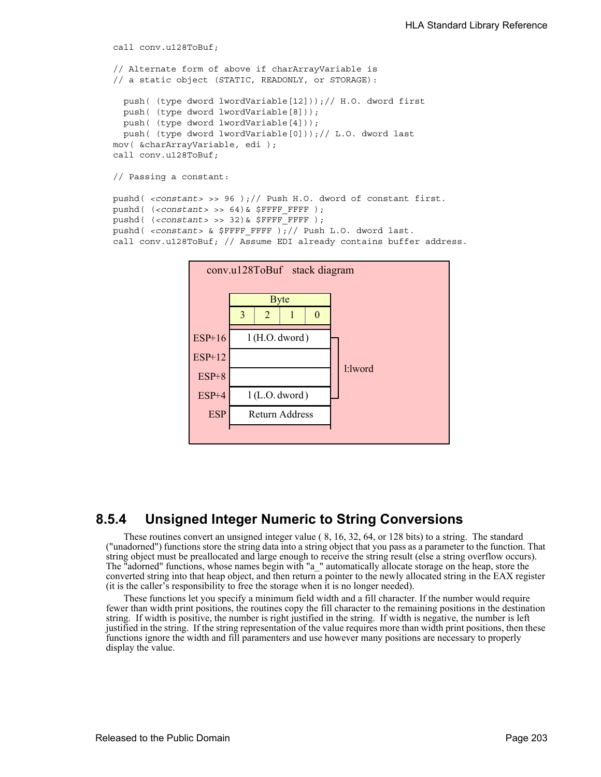```
call conv.u128ToBuf;
// Alternate form of above if charArrayVariable is
// a static object (STATIC, READONLY, or STORAGE):
 push( (type dword lwordVariable[12]));// H.O. dword first
 push( (type dword lwordVariable[8]));
 push( (type dword lwordVariable[4]));
 push( (type dword lwordVariable[0]));// L.O. dword last
mov( &charArrayVariable, edi );
call conv.u128ToBuf;
// Passing a constant:
pushd( <constant> >> 96 );// Push H.O. dword of constant first.
pushd( (<constant> >> 64)& $FFFF FFFF );
```

```
pushd( (<constant> >> 32)& $FFFF FFFF );
```
pushd( *<constant>* & \$FFFF\_FFFF );// Push L.O. dword last.

call conv.u128ToBuf; // Assume EDI already contains buffer address.



# **8.5.4 Unsigned Integer Numeric to String Conversions**

These routines convert an unsigned integer value ( 8, 16, 32, 64, or 128 bits) to a string. The standard ("unadorned") functions store the string data into a string object that you pass as a parameter to the function. That string object must be preallocated and large enough to receive the string result (else a string overflow occurs). The "adorned" functions, whose names begin with "a\_" automatically allocate storage on the heap, store the converted string into that heap object, and then return a pointer to the newly allocated string in the EAX register (it is the caller's responsibility to free the storage when it is no longer needed).

These functions let you specify a minimum field width and a fill character. If the number would require fewer than width print positions, the routines copy the fill character to the remaining positions in the destination string. If width is positive, the number is right justified in the string. If width is negative, the number is left justified in the string. If the string representation of the value requires more than width print positions, then these functions ignore the width and fill paramenters and use however many positions are necessary to properly display the value.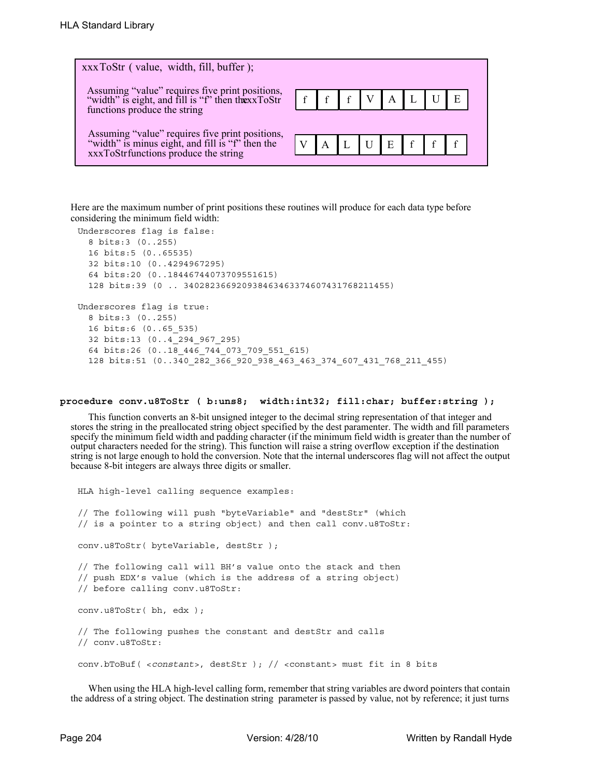

Here are the maximum number of print positions these routines will produce for each data type before considering the minimum field width:

```
Underscores flag is false:
  8 bits:3 (0..255)
  16 bits:5 (0..65535)
  32 bits:10 (0..4294967295)
  64 bits:20 (0..18446744073709551615)
  128 bits:39 (0 .. 340282366920938463463374607431768211455)
Underscores flag is true:
  8 bits:3 (0..255)
  16 bits:6 (0..65_535)
  32 bits:13 (0..4_294_967_295)
  64 bits:26 (0..18_446_744_073_709_551_615)
  128 bits:51 (0..340_282_366_920_938_463_463_374_607_431_768_211_455)
```
### **procedure conv.u8ToStr ( b:uns8; width:int32; fill:char; buffer:string );**

This function converts an 8-bit unsigned integer to the decimal string representation of that integer and stores the string in the preallocated string object specified by the dest paramenter. The width and fill parameters specify the minimum field width and padding character (if the minimum field width is greater than the number of output characters needed for the string). This function will raise a string overflow exception if the destination string is not large enough to hold the conversion. Note that the internal underscores flag will not affect the output because 8-bit integers are always three digits or smaller.

```
HLA high-level calling sequence examples:
// The following will push "byteVariable" and "destStr" (which 
// is a pointer to a string object) and then call conv.u8ToStr:
conv.u8ToStr( byteVariable, destStr );
// The following call will BH's value onto the stack and then
// push EDX's value (which is the address of a string object)
// before calling conv.u8ToStr:
conv.u8ToStr( bh, edx );
// The following pushes the constant and destStr and calls
// conv.u8ToStr:
conv.bToBuf( <constant>, destStr ); // <constant> must fit in 8 bits
```
When using the HLA high-level calling form, remember that string variables are dword pointers that contain the address of a string object. The destination string parameter is passed by value, not by reference; it just turns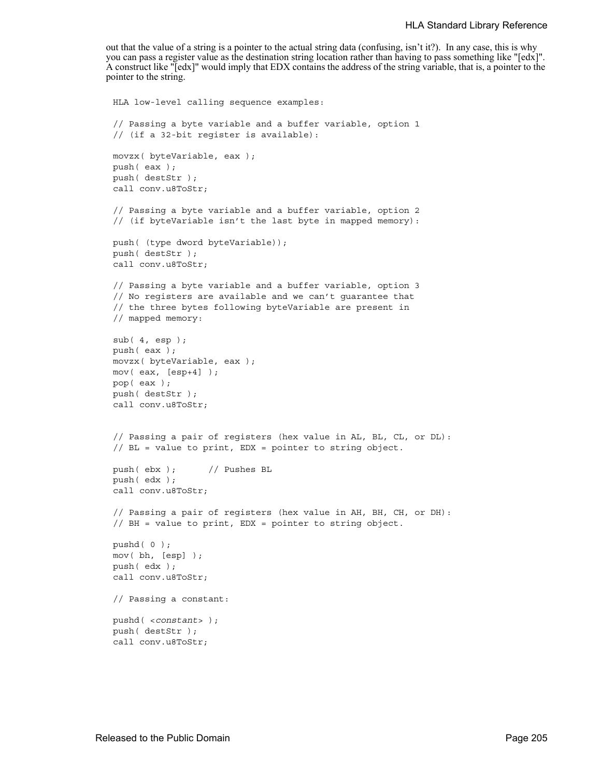# HLA Standard Library Reference

out that the value of a string is a pointer to the actual string data (confusing, isn't it?). In any case, this is why you can pass a register value as the destination string location rather than having to pass something like "[edx]". A construct like "[edx]" would imply that EDX contains the address of the string variable, that is, a pointer to the pointer to the string.

```
HLA low-level calling sequence examples:
// Passing a byte variable and a buffer variable, option 1
// (if a 32-bit register is available):
movzx( byteVariable, eax );
push( eax );
push( destStr );
call conv.u8ToStr;
// Passing a byte variable and a buffer variable, option 2
// (if byteVariable isn't the last byte in mapped memory):
push( (type dword byteVariable));
push( destStr );
call conv.u8ToStr;
// Passing a byte variable and a buffer variable, option 3
// No registers are available and we can't guarantee that
// the three bytes following byteVariable are present in
// mapped memory:
sub(4, esp);push( eax );
movzx( byteVariable, eax );
mov( eax, [esp+4] );
pop( eax );
push( destStr );
call conv.u8ToStr;
// Passing a pair of registers (hex value in AL, BL, CL, or DL):
// BL = value to print, EDX = pointer to string object.
push( ebx ); // Pushes BL
push( edx );
call conv.u8ToStr;
// Passing a pair of registers (hex value in AH, BH, CH, or DH):
// BH = value to print, EDX = pointer to string object.
pushd( 0 );
mov( bh, [esp] );
push( edx );
call conv.u8ToStr;
// Passing a constant:
pushd( <constant> );
push( destStr );
call conv.u8ToStr;
```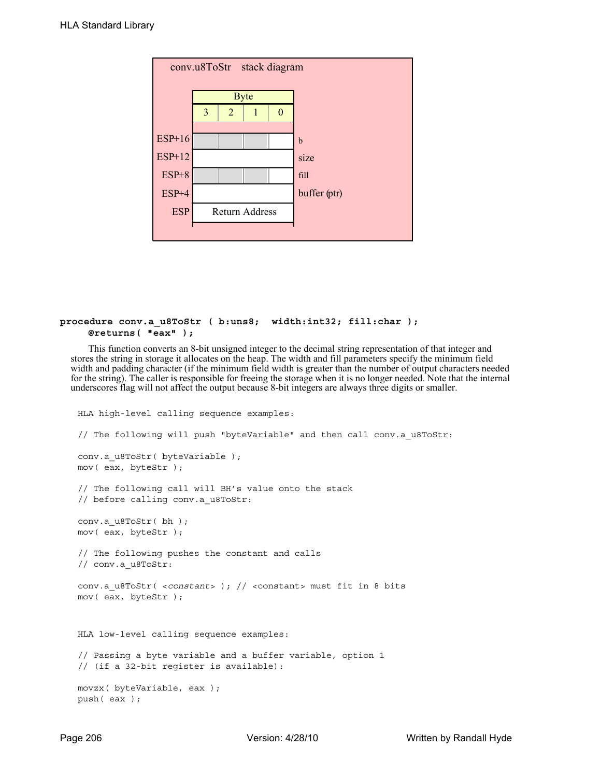

# **procedure conv.a\_u8ToStr ( b:uns8; width:int32; fill:char ); @returns( "eax" );**

This function converts an 8-bit unsigned integer to the decimal string representation of that integer and stores the string in storage it allocates on the heap. The width and fill parameters specify the minimum field width and padding character (if the minimum field width is greater than the number of output characters needed for the string). The caller is responsible for freeing the storage when it is no longer needed. Note that the internal underscores flag will not affect the output because 8-bit integers are always three digits or smaller.

```
HLA high-level calling sequence examples:
// The following will push "byteVariable" and then call conv.a_u8ToStr:
conv.a_u8ToStr( byteVariable );
mov( eax, byteStr );
// The following call will BH's value onto the stack
// before calling conv.a_u8ToStr:
conv.a_u8ToStr( bh );
mov( eax, byteStr );
// The following pushes the constant and calls
// conv.a_u8ToStr:
conv.a_u8ToStr( <constant> ); // <constant> must fit in 8 bits
mov( eax, byteStr );
HLA low-level calling sequence examples:
// Passing a byte variable and a buffer variable, option 1
// (if a 32-bit register is available):
movzx( byteVariable, eax );
push( eax );
```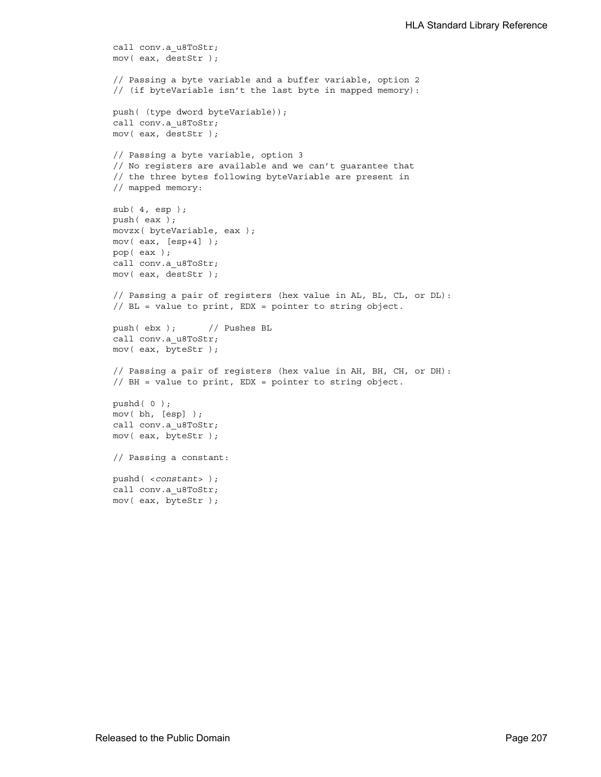```
call conv.a_u8ToStr;
mov( eax, destStr );
// Passing a byte variable and a buffer variable, option 2
// (if byteVariable isn't the last byte in mapped memory):
push( (type dword byteVariable));
call conv.a_u8ToStr;
mov( eax, destStr );
// Passing a byte variable, option 3
// No registers are available and we can't guarantee that
// the three bytes following byteVariable are present in
// mapped memory:
sub( 4, esp );
push( eax );
movzx( byteVariable, eax );
mov( eax, [esp+4] );
pop( eax );
call conv.a_u8ToStr;
mov( eax, destStr );
// Passing a pair of registers (hex value in AL, BL, CL, or DL):
// BL = value to print, EDX = pointer to string object.
push( ebx ); // Pushes BL
call conv.a_u8ToStr;
mov( eax, byteStr );
// Passing a pair of registers (hex value in AH, BH, CH, or DH):
// BH = value to print, EDX = pointer to string object.
pushd( 0 );
mov( bh, [esp] );
call conv.a_u8ToStr;
mov( eax, byteStr );
// Passing a constant:
pushd( <constant> );
call conv.a_u8ToStr;
mov( eax, byteStr );
```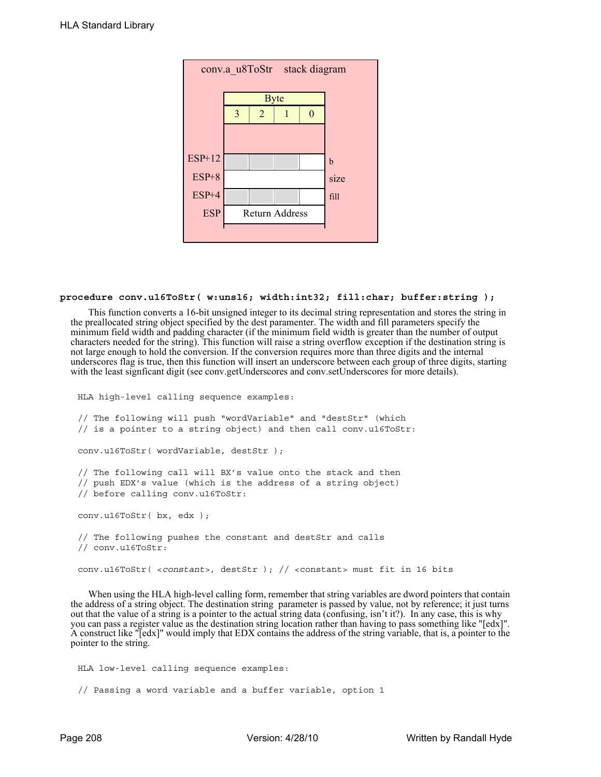

# **procedure conv.u16ToStr( w:uns16; width:int32; fill:char; buffer:string );**

This function converts a 16-bit unsigned integer to its decimal string representation and stores the string in the preallocated string object specified by the dest paramenter. The width and fill parameters specify the minimum field width and padding character (if the minimum field width is greater than the number of output characters needed for the string). This function will raise a string overflow exception if the destination string is not large enough to hold the conversion. If the conversion requires more than three digits and the internal underscores flag is true, then this function will insert an underscore between each group of three digits, starting with the least signficant digit (see conv.getUnderscores and conv.setUnderscores for more details).

```
HLA high-level calling sequence examples:
// The following will push "wordVariable" and "destStr" (which 
// is a pointer to a string object) and then call conv.u16ToStr:
conv.u16ToStr( wordVariable, destStr );
// The following call will BX's value onto the stack and then
// push EDX's value (which is the address of a string object)
// before calling conv.u16ToStr:
conv.u16ToStr( bx, edx );
// The following pushes the constant and destStr and calls
// conv.u16ToStr:
conv.u16ToStr( <constant>, destStr ); // <constant> must fit in 16 bits
```
When using the HLA high-level calling form, remember that string variables are dword pointers that contain the address of a string object. The destination string parameter is passed by value, not by reference; it just turns out that the value of a string is a pointer to the actual string data (confusing, isn't it?). In any case, this is why you can pass a register value as the destination string location rather than having to pass something like "[edx]". A construct like "[edx]" would imply that EDX contains the address of the string variable, that is, a pointer to the pointer to the string.

```
HLA low-level calling sequence examples:
// Passing a word variable and a buffer variable, option 1
```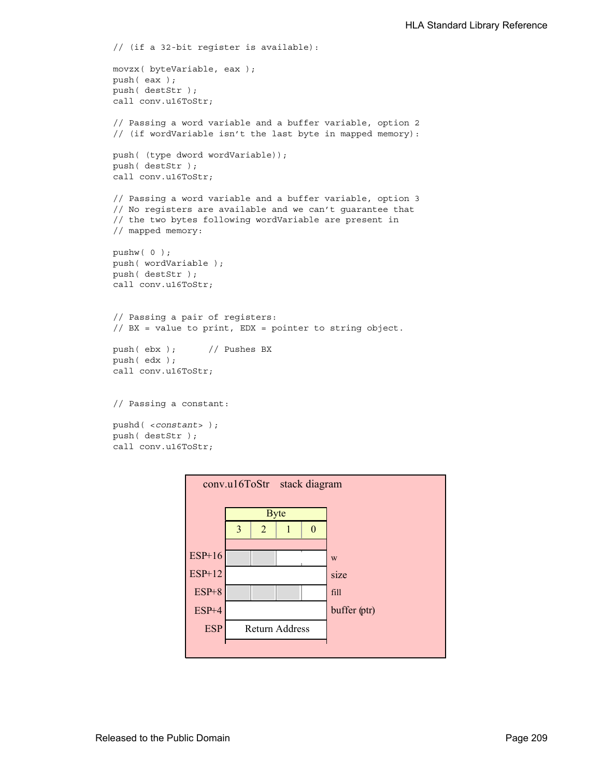```
// (if a 32-bit register is available):
movzx( byteVariable, eax );
push( eax );
push( destStr );
call conv.u16ToStr;
// Passing a word variable and a buffer variable, option 2
// (if wordVariable isn't the last byte in mapped memory):
push( (type dword wordVariable));
push( destStr );
call conv.u16ToStr;
// Passing a word variable and a buffer variable, option 3
// No registers are available and we can't guarantee that
// the two bytes following wordVariable are present in
// mapped memory:
pushw( 0 );
push( wordVariable );
push( destStr );
call conv.u16ToStr;
// Passing a pair of registers:
// BX = value to print, EDX = pointer to string object.
push( ebx ); // Pushes BX
push( edx );
call conv.u16ToStr;
// Passing a constant:
pushd( <constant> );
push( destStr );
call conv.u16ToStr;
```
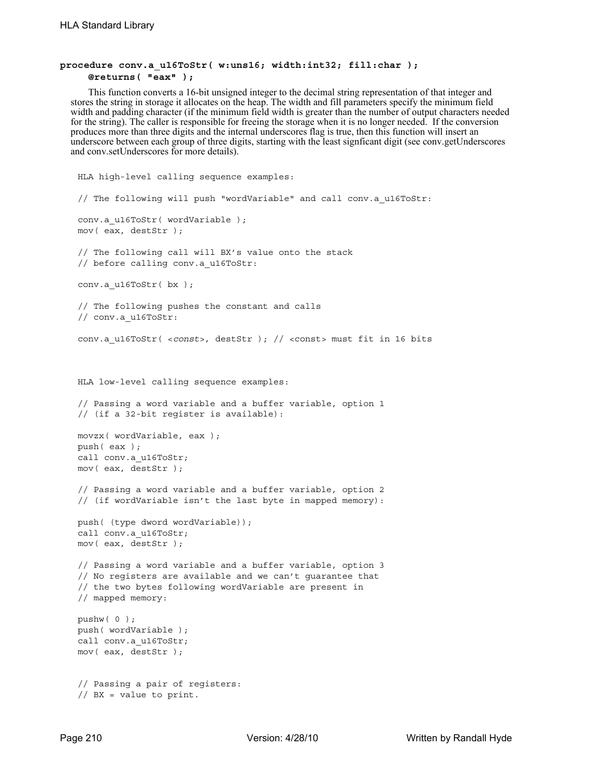# **procedure conv.a\_u16ToStr( w:uns16; width:int32; fill:char ); @returns( "eax" );**

This function converts a 16-bit unsigned integer to the decimal string representation of that integer and stores the string in storage it allocates on the heap. The width and fill parameters specify the minimum field width and padding character (if the minimum field width is greater than the number of output characters needed for the string). The caller is responsible for freeing the storage when it is no longer needed. If the conversion produces more than three digits and the internal underscores flag is true, then this function will insert an underscore between each group of three digits, starting with the least signficant digit (see conv.getUnderscores and conv.setUnderscores for more details).

```
HLA high-level calling sequence examples:
// The following will push "wordVariable" and call conv.a u16ToStr:
conv.a_u16ToStr( wordVariable );
mov( eax, destStr );
// The following call will BX's value onto the stack 
// before calling conv.a_u16ToStr:
conv.a_u16ToStr( bx );
// The following pushes the constant and calls
// conv.a_u16ToStr:
conv.a_u16ToStr( <const>, destStr ); // <const> must fit in 16 bits
HLA low-level calling sequence examples:
// Passing a word variable and a buffer variable, option 1
// (if a 32-bit register is available):
movzx( wordVariable, eax );
push( eax );
call conv.a_u16ToStr;
mov( eax, destStr );
// Passing a word variable and a buffer variable, option 2
// (if wordVariable isn't the last byte in mapped memory):
push( (type dword wordVariable));
call conv.a_u16ToStr;
mov( eax, destStr );
// Passing a word variable and a buffer variable, option 3
// No registers are available and we can't guarantee that
// the two bytes following wordVariable are present in
// mapped memory:
pushw( 0 );
push( wordVariable );
call conv.a_u16ToStr;
mov( eax, destStr );
// Passing a pair of registers:
// BX = value to print.
```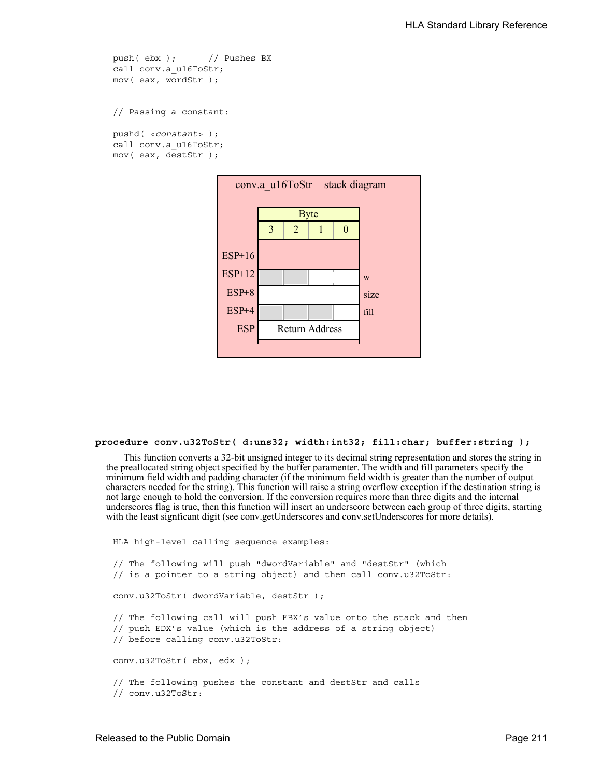```
push( ebx ); // Pushes BX
call conv.a_u16ToStr;
mov( eax, wordStr );
// Passing a constant:
pushd( <constant> );
call conv.a_u16ToStr;
mov( eax, destStr );
```


# **procedure conv.u32ToStr( d:uns32; width:int32; fill:char; buffer:string );**

This function converts a 32-bit unsigned integer to its decimal string representation and stores the string in the preallocated string object specified by the buffer paramenter. The width and fill parameters specify the minimum field width and padding character (if the minimum field width is greater than the number of output characters needed for the string). This function will raise a string overflow exception if the destination string is not large enough to hold the conversion. If the conversion requires more than three digits and the internal underscores flag is true, then this function will insert an underscore between each group of three digits, starting with the least signficant digit (see conv.getUnderscores and conv.setUnderscores for more details).

```
HLA high-level calling sequence examples:
// The following will push "dwordVariable" and "destStr" (which 
// is a pointer to a string object) and then call conv.u32ToStr:
conv.u32ToStr( dwordVariable, destStr );
// The following call will push EBX's value onto the stack and then
// push EDX's value (which is the address of a string object)
// before calling conv.u32ToStr:
conv.u32ToStr( ebx, edx );
// The following pushes the constant and destStr and calls
// conv.u32ToStr:
```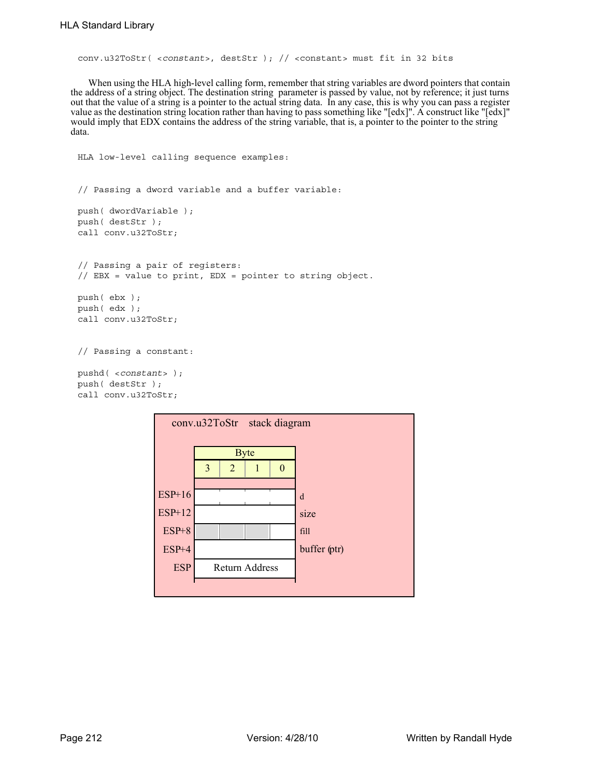```
conv.u32ToStr( <constant>, destStr ); // <constant> must fit in 32 bits
```
When using the HLA high-level calling form, remember that string variables are dword pointers that contain the address of a string object. The destination string parameter is passed by value, not by reference; it just turns out that the value of a string is a pointer to the actual string data. In any case, this is why you can pass a register value as the destination string location rather than having to pass something like "[edx]". A construct like "[edx]" would imply that EDX contains the address of the string variable, that is, a pointer to the pointer to the string data.

```
HLA low-level calling sequence examples:
// Passing a dword variable and a buffer variable:
push( dwordVariable );
push( destStr );
call conv.u32ToStr;
// Passing a pair of registers:
// EBX = value to print, EDX = pointer to string object.
push( ebx );
push( edx );
call conv.u32ToStr;
// Passing a constant:
pushd( <constant> );
push( destStr );
call conv.u32ToStr;
```
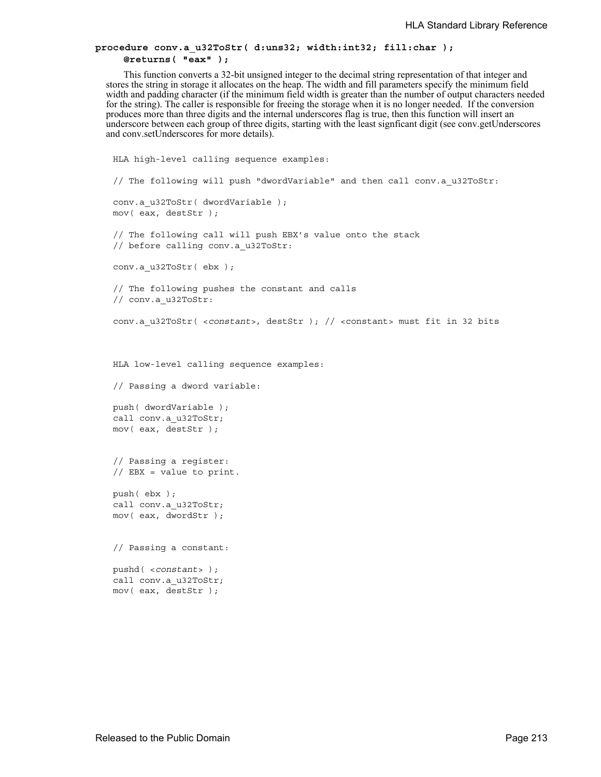# **procedure conv.a\_u32ToStr( d:uns32; width:int32; fill:char ); @returns( "eax" );**

This function converts a 32-bit unsigned integer to the decimal string representation of that integer and stores the string in storage it allocates on the heap. The width and fill parameters specify the minimum field width and padding character (if the minimum field width is greater than the number of output characters needed for the string). The caller is responsible for freeing the storage when it is no longer needed. If the conversion produces more than three digits and the internal underscores flag is true, then this function will insert an underscore between each group of three digits, starting with the least signficant digit (see conv.getUnderscores and conv.setUnderscores for more details).

```
HLA high-level calling sequence examples:
// The following will push "dwordVariable" and then call conv.a_u32ToStr:
conv.a_u32ToStr( dwordVariable );
mov( eax, destStr );
// The following call will push EBX's value onto the stack 
// before calling conv.a_u32ToStr:
conv.a_u32ToStr( ebx );
// The following pushes the constant and calls
// conv.a_u32ToStr:
conv.a_u32ToStr( <constant>, destStr ); // <constant> must fit in 32 bits
```
HLA low-level calling sequence examples:

```
// Passing a dword variable:
push( dwordVariable );
call conv.a_u32ToStr;
mov( eax, destStr );
```
// Passing a register: // EBX = value to print.

push( ebx ); call conv.a\_u32ToStr; mov( eax, dwordStr );

// Passing a constant:

pushd( <*constant*> ); call conv.a\_u32ToStr; mov( eax, destStr );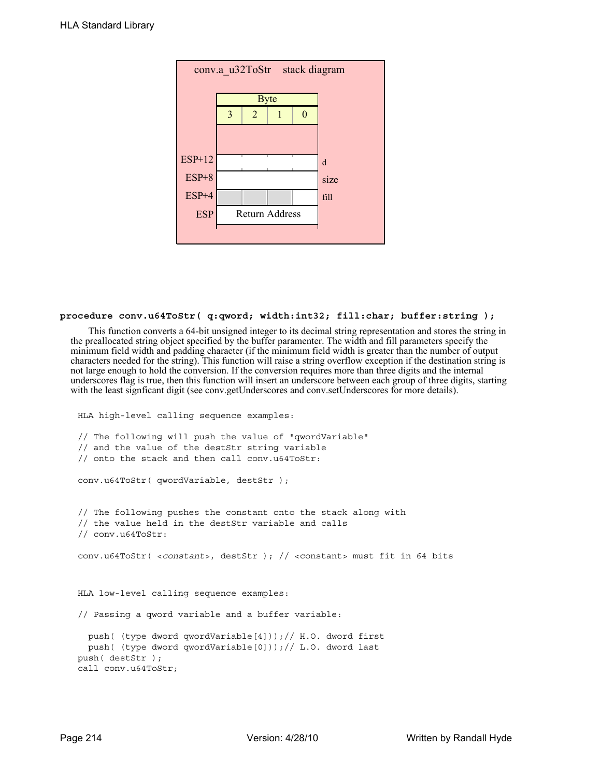

#### **procedure conv.u64ToStr( q:qword; width:int32; fill:char; buffer:string );**

This function converts a 64-bit unsigned integer to its decimal string representation and stores the string in the preallocated string object specified by the buffer paramenter. The width and fill parameters specify the minimum field width and padding character (if the minimum field width is greater than the number of output characters needed for the string). This function will raise a string overflow exception if the destination string is not large enough to hold the conversion. If the conversion requires more than three digits and the internal underscores flag is true, then this function will insert an underscore between each group of three digits, starting with the least signficant digit (see conv.getUnderscores and conv.setUnderscores for more details).

```
HLA high-level calling sequence examples:
// The following will push the value of "qwordVariable"
// and the value of the destStr string variable 
// onto the stack and then call conv.u64ToStr:
conv.u64ToStr( qwordVariable, destStr );
// The following pushes the constant onto the stack along with
// the value held in the destStr variable and calls
// conv.u64ToStr:
conv.u64ToStr( <constant>, destStr ); // <constant> must fit in 64 bits
HLA low-level calling sequence examples:
// Passing a qword variable and a buffer variable:
  push( (type dword qwordVariable[4]));// H.O. dword first
  push( (type dword qwordVariable[0]));// L.O. dword last
push( destStr );
call conv.u64ToStr;
```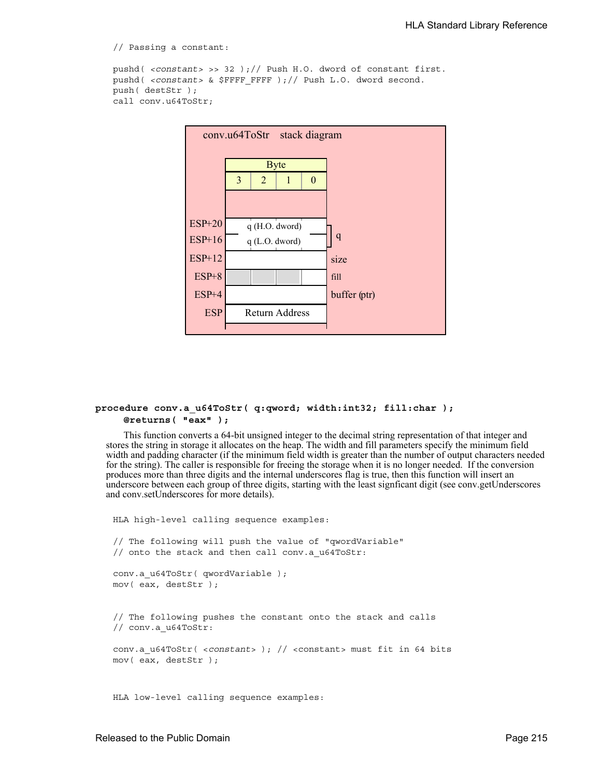// Passing a constant:

```
pushd( <constant> >> 32 );// Push H.O. dword of constant first.
pushd( <constant> & $FFFF FFFF );// Push L.O. dword second.
push( destStr );
call conv.u64ToStr;
```


# **procedure conv.a\_u64ToStr( q:qword; width:int32; fill:char ); @returns( "eax" );**

This function converts a 64-bit unsigned integer to the decimal string representation of that integer and stores the string in storage it allocates on the heap. The width and fill parameters specify the minimum field width and padding character (if the minimum field width is greater than the number of output characters needed for the string). The caller is responsible for freeing the storage when it is no longer needed. If the conversion produces more than three digits and the internal underscores flag is true, then this function will insert an underscore between each group of three digits, starting with the least signficant digit (see conv.getUnderscores and conv.setUnderscores for more details).

```
HLA high-level calling sequence examples:
// The following will push the value of "qwordVariable"
// onto the stack and then call conv.a u64ToStr:
conv.a_u64ToStr( qwordVariable );
mov( eax, destStr );
// The following pushes the constant onto the stack and calls
// conv.a_u64ToStr:
conv.a_u64ToStr( <constant> ); // <constant> must fit in 64 bits
mov( eax, destStr );
```
HLA low-level calling sequence examples: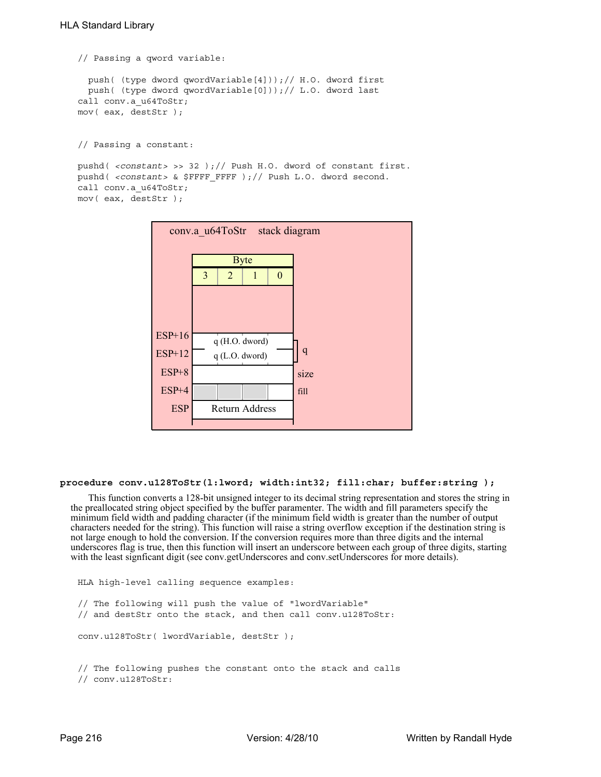```
// Passing a qword variable:
  push( (type dword qwordVariable[4]));// H.O. dword first
 push( (type dword qwordVariable[0]));// L.O. dword last
call conv.a_u64ToStr;
mov( eax, destStr );
// Passing a constant:
```

```
pushd( <constant> >> 32 );// Push H.O. dword of constant first.
pushd( <constant> & $FFFF_FFFF );// Push L.O. dword second.
call conv.a_u64ToStr;
mov( eax, destStr );
```


# **procedure conv.u128ToStr(l:lword; width:int32; fill:char; buffer:string );**

This function converts a 128-bit unsigned integer to its decimal string representation and stores the string in the preallocated string object specified by the buffer paramenter. The width and fill parameters specify the minimum field width and padding character (if the minimum field width is greater than the number of output characters needed for the string). This function will raise a string overflow exception if the destination string is not large enough to hold the conversion. If the conversion requires more than three digits and the internal underscores flag is true, then this function will insert an underscore between each group of three digits, starting with the least signficant digit (see conv.getUnderscores and conv.setUnderscores for more details).

```
HLA high-level calling sequence examples:
// The following will push the value of "lwordVariable" 
// and destStr onto the stack, and then call conv.u128ToStr:
conv.u128ToStr( lwordVariable, destStr );
// The following pushes the constant onto the stack and calls
// conv.u128ToStr:
```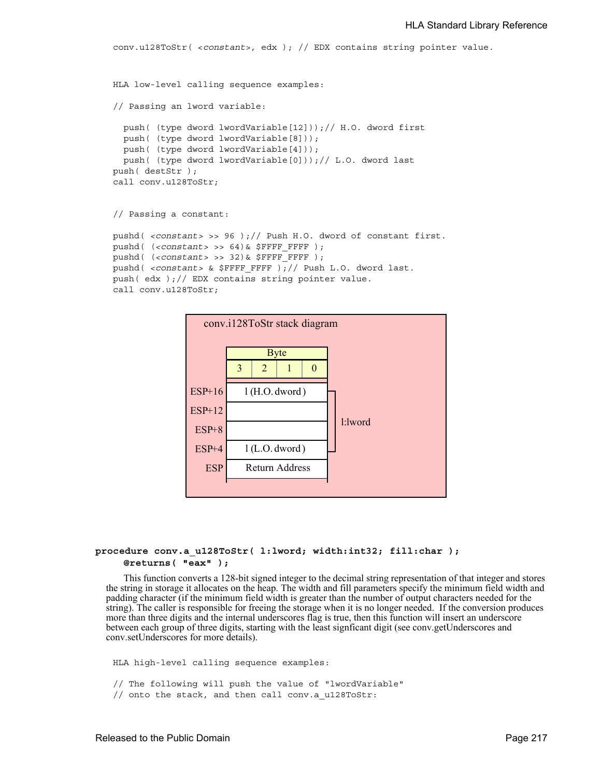```
conv.u128ToStr( <constant>, edx ); // EDX contains string pointer value.
HLA low-level calling sequence examples:
// Passing an lword variable:
 push( (type dword lwordVariable[12]));// H.O. dword first
 push( (type dword lwordVariable[8]));
 push( (type dword lwordVariable[4]));
 push( (type dword lwordVariable[0]));// L.O. dword last
push( destStr );
call conv.u128ToStr;
// Passing a constant:
pushd( <constant> >> 96 );// Push H.O. dword of constant first.
pushd( (<constant> >> 64)& $FFFF_FFFF );
pushd( (<constant> >> 32)& $FFFF FFFF );
pushd( <constant> & $FFFF FFFF );// Push L.O. dword last.
push( edx );// EDX contains string pointer value.
call conv.u128ToStr;
```


# **procedure conv.a\_u128ToStr( l:lword; width:int32; fill:char ); @returns( "eax" );**

This function converts a 128-bit signed integer to the decimal string representation of that integer and stores the string in storage it allocates on the heap. The width and fill parameters specify the minimum field width and padding character (if the minimum field width is greater than the number of output characters needed for the string). The caller is responsible for freeing the storage when it is no longer needed. If the conversion produces more than three digits and the internal underscores flag is true, then this function will insert an underscore between each group of three digits, starting with the least signficant digit (see conv.getUnderscores and conv.setUnderscores for more details).

HLA high-level calling sequence examples:

```
// The following will push the value of "lwordVariable" 
// onto the stack, and then call conv.a u128ToStr:
```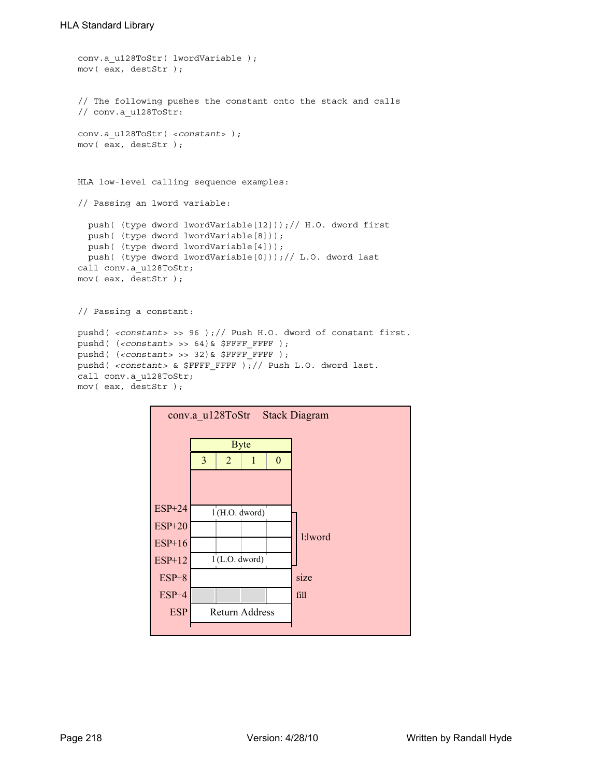# HLA Standard Library

```
conv.a_u128ToStr( lwordVariable );
mov( eax, destStr );
// The following pushes the constant onto the stack and calls
// conv.a_u128ToStr:
conv.a_u128ToStr( <constant> );
mov( eax, destStr );
HLA low-level calling sequence examples:
// Passing an lword variable:
 push( (type dword lwordVariable[12]));// H.O. dword first
 push( (type dword lwordVariable[8]));
 push( (type dword lwordVariable[4]));
 push( (type dword lwordVariable[0]));// L.O. dword last
call conv.a_u128ToStr;
mov( eax, destStr );
// Passing a constant:
pushd( <constant> >> 96 );// Push H.O. dword of constant first.
pushd( (<constant> >> 64)& $FFFF_FFFF );
pushd( (<constant> >> 32)& $FFFF FFFF );
pushd( <constant> & $FFFF FFFF );// Push L.O. dword last.
call conv.a_u128ToStr;
```
mov( eax, destStr );

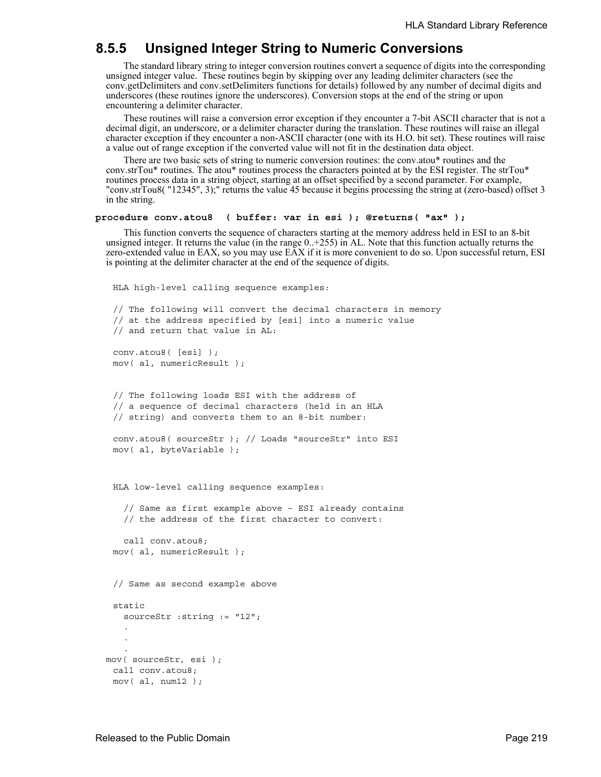# **8.5.5 Unsigned Integer String to Numeric Conversions**

The standard library string to integer conversion routines convert a sequence of digits into the corresponding unsigned integer value. These routines begin by skipping over any leading delimiter characters (see the conv.getDelimiters and conv.setDelimiters functions for details) followed by any number of decimal digits and underscores (these routines ignore the underscores). Conversion stops at the end of the string or upon encountering a delimiter character.

These routines will raise a conversion error exception if they encounter a 7-bit ASCII character that is not a decimal digit, an underscore, or a delimiter character during the translation. These routines will raise an illegal character exception if they encounter a non-ASCII character (one with its H.O. bit set). These routines will raise a value out of range exception if the converted value will not fit in the destination data object.

There are two basic sets of string to numeric conversion routines: the conv.atou\* routines and the conv.strTou\* routines. The atou\* routines process the characters pointed at by the ESI register. The strTou\* routines process data in a string object, starting at an offset specified by a second parameter. For example, "conv.strTou8( "12345", 3);" returns the value 45 because it begins processing the string at (zero-based) offset 3 in the string.

#### **procedure conv.atou8 ( buffer: var in esi ); @returns( "ax" );**

This function converts the sequence of characters starting at the memory address held in ESI to an 8-bit unsigned integer. It returns the value (in the range 0..+255) in AL. Note that this function actually returns the zero-extended value in EAX, so you may use EAX if it is more convenient to do so. Upon successful return, ESI is pointing at the delimiter character at the end of the sequence of digits.

```
HLA high-level calling sequence examples:
 // The following will convert the decimal characters in memory
 // at the address specified by [esi] into a numeric value
 // and return that value in AL:
 conv.atou8( [esi] );
 mov( al, numericResult );
 // The following loads ESI with the address of
 // a sequence of decimal characters (held in an HLA
 // string) and converts them to an 8-bit number:
 conv.atou8( sourceStr ); // Loads "sourceStr" into ESI
 mov( al, byteVariable );
 HLA low-level calling sequence examples:
   // Same as first example above – ESI already contains
   // the address of the first character to convert:
   call conv.atou8;
 mov( al, numericResult );
 // Same as second example above
 static
   sourceStr :string := "12";
   .
   .
   .
mov( sourceStr, esi );
 call conv.atou8;
 mov( al, num12 );
```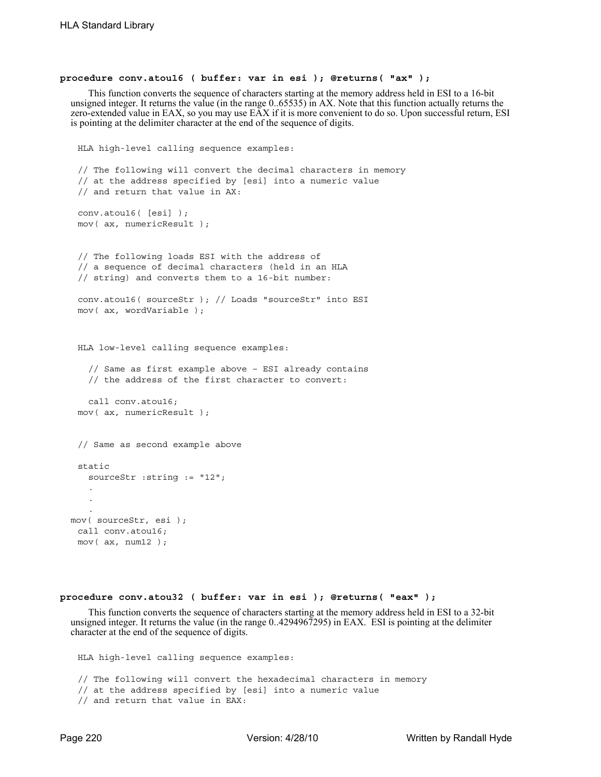### **procedure conv.atou16 ( buffer: var in esi ); @returns( "ax" );**

This function converts the sequence of characters starting at the memory address held in ESI to a 16-bit unsigned integer. It returns the value (in the range 0..65535) in AX. Note that this function actually returns the zero-extended value in EAX, so you may use EAX if it is more convenient to do so. Upon successful return, ESI is pointing at the delimiter character at the end of the sequence of digits.

```
HLA high-level calling sequence examples:
 // The following will convert the decimal characters in memory
 // at the address specified by [esi] into a numeric value
 // and return that value in AX:
 conv.atou16( [esi] );
 mov( ax, numericResult );
 // The following loads ESI with the address of
 // a sequence of decimal characters (held in an HLA
 // string) and converts them to a 16-bit number:
 conv.atou16( sourceStr ); // Loads "sourceStr" into ESI
 mov( ax, wordVariable );
 HLA low-level calling sequence examples:
   // Same as first example above – ESI already contains
   // the address of the first character to convert:
   call conv.atou16;
 mov( ax, numericResult );
 // Same as second example above
 static
   sourceStr :string := "12";
   .
   .
   .
mov( sourceStr, esi );
call conv.atou16;
mov(ax, num12);
```
# **procedure conv.atou32 ( buffer: var in esi ); @returns( "eax" );**

This function converts the sequence of characters starting at the memory address held in ESI to a 32-bit unsigned integer. It returns the value (in the range 0..4294967295) in EAX. ESI is pointing at the delimiter character at the end of the sequence of digits.

```
HLA high-level calling sequence examples:
// The following will convert the hexadecimal characters in memory
// at the address specified by [esi] into a numeric value
// and return that value in EAX:
```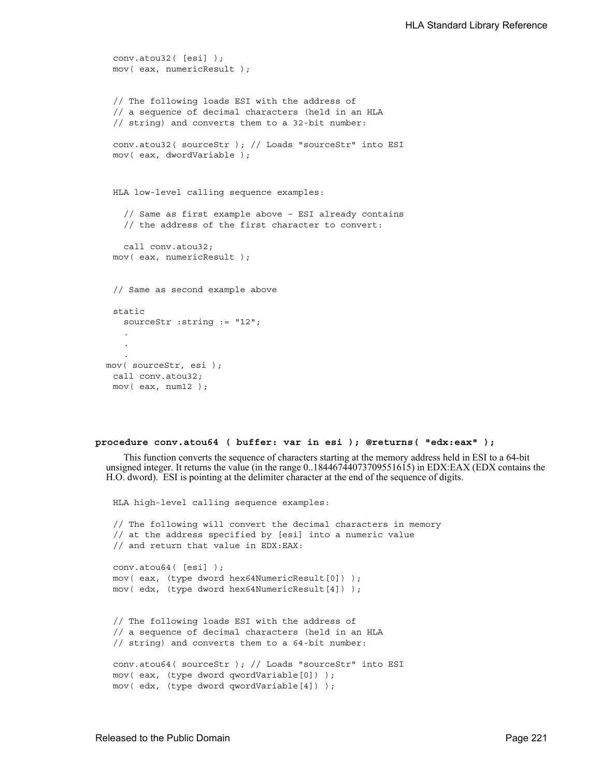```
conv.atou32( [esi] );
 mov( eax, numericResult );
 // The following loads ESI with the address of
 // a sequence of decimal characters (held in an HLA
 // string) and converts them to a 32-bit number:
 conv.atou32( sourceStr ); // Loads "sourceStr" into ESI
 mov( eax, dwordVariable );
 HLA low-level calling sequence examples:
   // Same as first example above – ESI already contains
   // the address of the first character to convert:
   call conv.atou32;
 mov( eax, numericResult );
 // Same as second example above
 static
  sourceStr :string := "12";
   .
   .
   .
mov( sourceStr, esi );
 call conv.atou32;
 mov( eax, num12 );
```

```
procedure conv.atou64 ( buffer: var in esi ); @returns( "edx:eax" );
```
This function converts the sequence of characters starting at the memory address held in ESI to a 64-bit unsigned integer. It returns the value (in the range 0..18446744073709551615) in EDX:EAX (EDX contains the H.O. dword). ESI is pointing at the delimiter character at the end of the sequence of digits.

```
HLA high-level calling sequence examples:
// The following will convert the decimal characters in memory
// at the address specified by [esi] into a numeric value
// and return that value in EDX:EAX:
conv.atou64( [esi] );
mov( eax, (type dword hex64NumericResult[0]) );
mov( edx, (type dword hex64NumericResult[4]) );
// The following loads ESI with the address of
// a sequence of decimal characters (held in an HLA
// string) and converts them to a 64-bit number:
conv.atou64( sourceStr ); // Loads "sourceStr" into ESI
mov( eax, (type dword qwordVariable[0]) );
mov( edx, (type dword qwordVariable[4]) );
```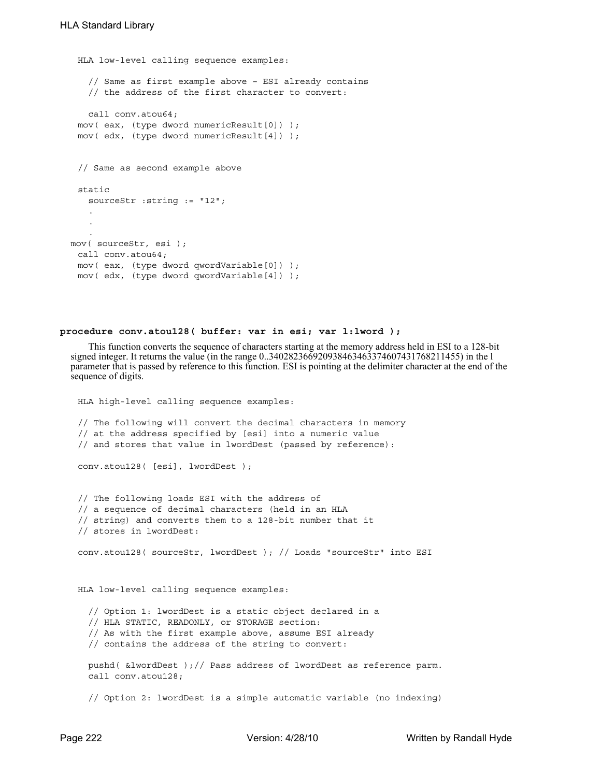```
HLA low-level calling sequence examples:
   // Same as first example above – ESI already contains
   // the address of the first character to convert:
   call conv.atou64;
 mov( eax, (type dword numericResult[0]) );
 mov( edx, (type dword numericResult[4]) );
 // Same as second example above
 static
   sourceStr :string := "12";
   .
   .
   .
mov( sourceStr, esi );
 call conv.atou64;
 mov( eax, (type dword qwordVariable[0]) );
 mov( edx, (type dword qwordVariable[4]) );
```
#### **procedure conv.atou128( buffer: var in esi; var l:lword );**

This function converts the sequence of characters starting at the memory address held in ESI to a 128-bit signed integer. It returns the value (in the range 0..340282366920938463463374607431768211455) in the l parameter that is passed by reference to this function. ESI is pointing at the delimiter character at the end of the sequence of digits.

```
HLA high-level calling sequence examples:
// The following will convert the decimal characters in memory
// at the address specified by [esi] into a numeric value
// and stores that value in lwordDest (passed by reference):
conv.atou128( [esi], lwordDest );
// The following loads ESI with the address of
// a sequence of decimal characters (held in an HLA
// string) and converts them to a 128-bit number that it
// stores in lwordDest:
conv.atou128( sourceStr, lwordDest ); // Loads "sourceStr" into ESI
HLA low-level calling sequence examples:
  // Option 1: lwordDest is a static object declared in a
  // HLA STATIC, READONLY, or STORAGE section:
  // As with the first example above, assume ESI already
  // contains the address of the string to convert:
  pushd( &lwordDest );// Pass address of lwordDest as reference parm.
 call conv.atou128;
  // Option 2: lwordDest is a simple automatic variable (no indexing)
```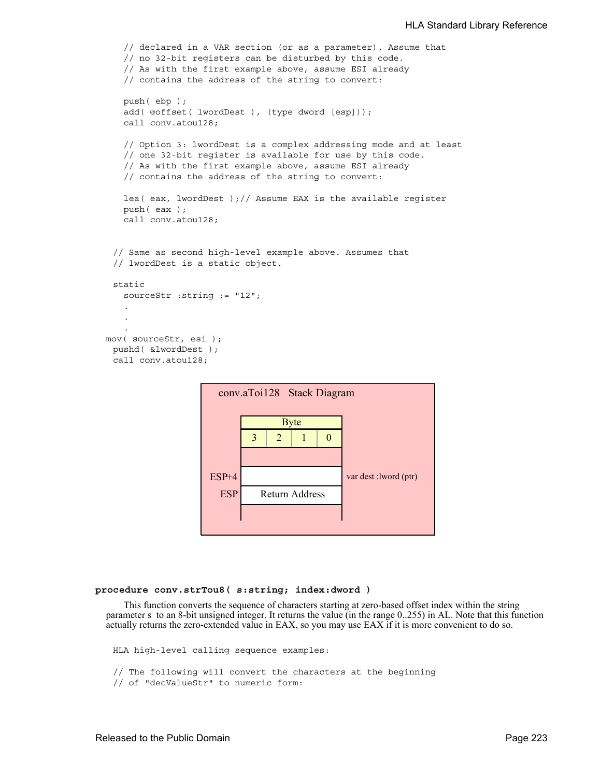```
// declared in a VAR section (or as a parameter). Assume that
   // no 32-bit registers can be disturbed by this code.
   // As with the first example above, assume ESI already
   // contains the address of the string to convert:
   push( ebp );
   add( @offset( lwordDest ), (type dword [esp]));
   call conv.atou128;
   // Option 3: lwordDest is a complex addressing mode and at least
   // one 32-bit register is available for use by this code.
   // As with the first example above, assume ESI already
   // contains the address of the string to convert:
   lea( eax, lwordDest ); // Assume EAX is the available register
   push( eax );
   call conv.atou128;
 // Same as second high-level example above. Assumes that
 // lwordDest is a static object.
 static
   sourceStr :string := "12";
   .
   .
   .
mov( sourceStr, esi );
 pushd( &lwordDest );
 call conv.atou128;
```


#### **procedure conv.strTou8( s:string; index:dword )**

This function converts the sequence of characters starting at zero-based offset index within the string parameter s to an 8-bit unsigned integer. It returns the value (in the range 0..255) in AL. Note that this function actually returns the zero-extended value in EAX, so you may use EAX if it is more convenient to do so.

```
HLA high-level calling sequence examples:
// The following will convert the characters at the beginning
// of "decValueStr" to numeric form:
```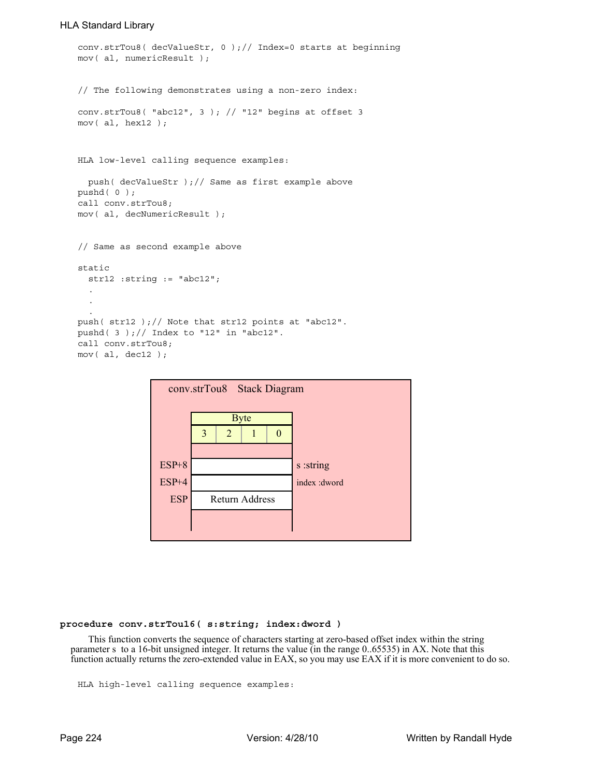# HLA Standard Library

```
conv.strTou8( decValueStr, 0 );// Index=0 starts at beginning
mov( al, numericResult );
// The following demonstrates using a non-zero index:
conv.strTou8( "abc12", 3 ); // "12" begins at offset 3
mov( al, hex12 );
HLA low-level calling sequence examples:
  push( decValueStr );// Same as first example above
pushd( 0 );
call conv.strTou8;
mov( al, decNumericResult );
// Same as second example above
static
  str12 :string := "abc12";
  .
  .
  .
push( str12 );// Note that str12 points at "abc12".
pushd( 3 );// Index to "12" in "abc12".
call conv.strTou8;
mov( al, dec12 );
```


#### **procedure conv.strTou16( s:string; index:dword )**

This function converts the sequence of characters starting at zero-based offset index within the string parameter s to a 16-bit unsigned integer. It returns the value (in the range 0..65535) in AX. Note that this function actually returns the zero-extended value in EAX, so you may use EAX if it is more convenient to do so.

```
HLA high-level calling sequence examples:
```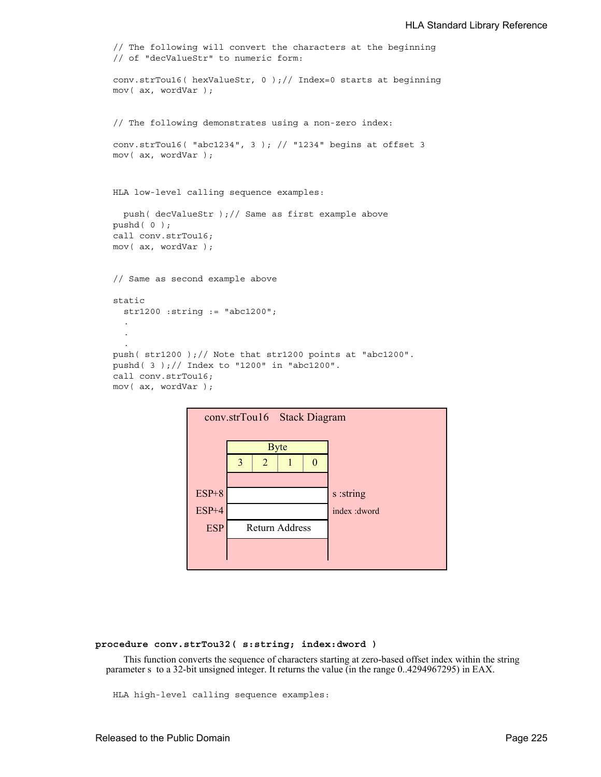```
// The following will convert the characters at the beginning
// of "decValueStr" to numeric form:
conv.strTou16( hexValueStr, 0 );// Index=0 starts at beginning
mov( ax, wordVar );
// The following demonstrates using a non-zero index:
conv.strTou16( "abc1234", 3 ); // "1234" begins at offset 3
mov( ax, wordVar );
HLA low-level calling sequence examples:
 push( decValueStr );// Same as first example above
pushd( 0 );
call conv.strTou16;
mov( ax, wordVar );
// Same as second example above
static
  str1200 :string := "abc1200";
  .
  .
  .
push( str1200 );// Note that str1200 points at "abc1200".
pushd( 3 );// Index to "1200" in "abc1200".
call conv.strTou16;
mov( ax, wordVar );
                 conv.strTou16 Stack Diagram
```


**procedure conv.strTou32( s:string; index:dword )**

This function converts the sequence of characters starting at zero-based offset index within the string parameter s to a 32-bit unsigned integer. It returns the value (in the range 0..4294967295) in EAX.

HLA high-level calling sequence examples: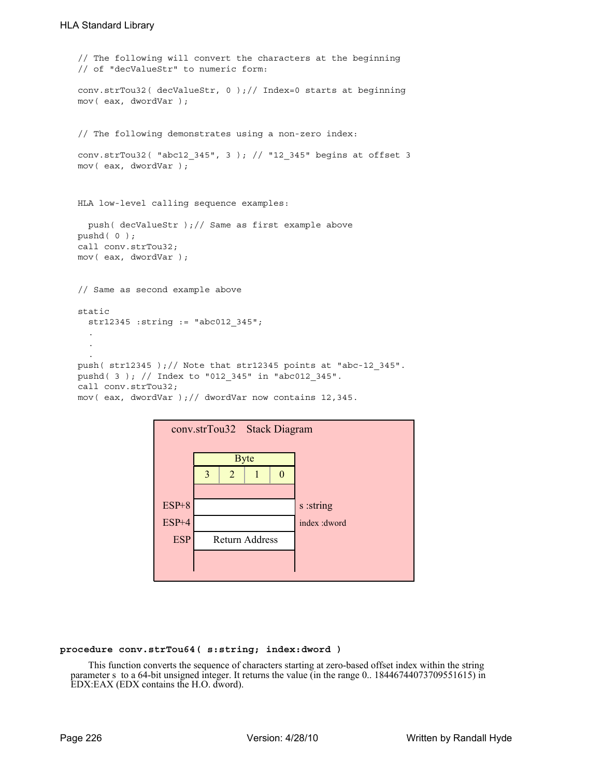```
// The following will convert the characters at the beginning
// of "decValueStr" to numeric form:
conv.strTou32( decValueStr, 0 );// Index=0 starts at beginning
mov( eax, dwordVar );
// The following demonstrates using a non-zero index:
conv.strTou32( "abc12_345", 3 ); // "12_345" begins at offset 3
mov( eax, dwordVar );
HLA low-level calling sequence examples:
 push( decValueStr );// Same as first example above
pushd( 0 );
call conv.strTou32;
mov( eax, dwordVar );
// Same as second example above
static
 str12345 :string := "abc012_345";
  .
  .
  .
push( str12345 );// Note that str12345 points at "abc-12_345".
pushd( 3 ); // Index to "012_345" in "abc012_345".
call conv.strTou32;
mov( eax, dwordVar );// dwordVar now contains 12,345.
```


# **procedure conv.strTou64( s:string; index:dword )**

This function converts the sequence of characters starting at zero-based offset index within the string parameter s to a 64-bit unsigned integer. It returns the value (in the range 0.. 18446744073709551615) in EDX:EAX (EDX contains the H.O. dword).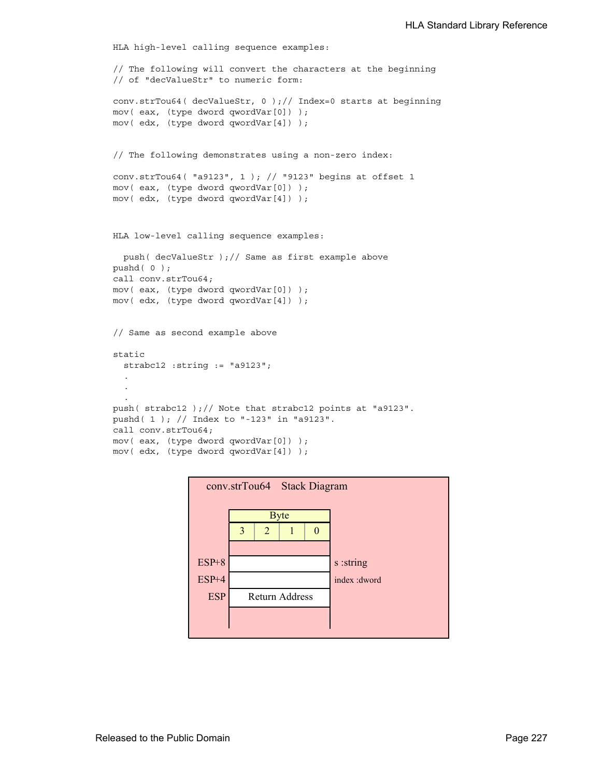```
HLA high-level calling sequence examples:
// The following will convert the characters at the beginning
// of "decValueStr" to numeric form:
conv.strTou64( decValueStr, 0 );// Index=0 starts at beginning
mov( eax, (type dword qwordVar[0]) );
mov( edx, (type dword qwordVar[4]) );
// The following demonstrates using a non-zero index:
conv.strTou64( "a9123", 1 ); // "9123" begins at offset 1
mov( eax, (type dword qwordVar[0]) );
mov( edx, (type dword qwordVar[4]) );
HLA low-level calling sequence examples:
 push( decValueStr );// Same as first example above
pushd( 0 );
call conv.strTou64;
mov( eax, (type dword qwordVar[0]) );
mov( edx, (type dword qwordVar[4]) );
// Same as second example above
static
  strabc12 :string := "a9123";
  .
  .
  .
push( strabc12 );// Note that strabc12 points at "a9123".
pushd( 1 ); // Index to "-123" in "a9123".
call conv.strTou64;
mov( eax, (type dword qwordVar[0]) );
mov( edx, (type dword qwordVar[4]) );
```
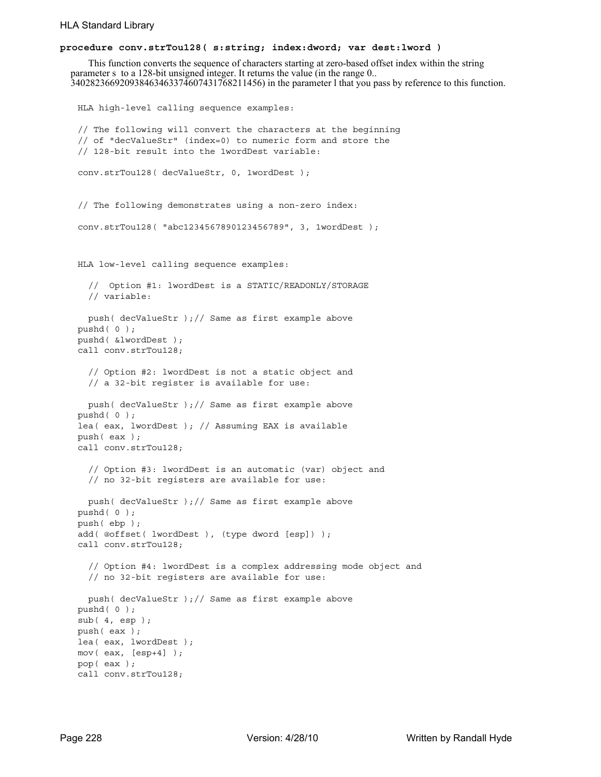#### HLA Standard Library

```
procedure conv.strTou128( s:string; index:dword; var dest:lword )
     This function converts the sequence of characters starting at zero-based offset index within the string 
  parameter s to a 128-bit unsigned integer. It returns the value (in the range 0.. 
  340282366920938463463374607431768211456) in the parameter l that you pass by reference to this function.
   HLA high-level calling sequence examples:
   // The following will convert the characters at the beginning
   // of "decValueStr" (index=0) to numeric form and store the
   // 128-bit result into the 1wordDest variable:
   conv.strTou128( decValueStr, 0, 1wordDest );
   // The following demonstrates using a non-zero index:
   conv.strTou128( "abc1234567890123456789", 3, 1wordDest );
   HLA low-level calling sequence examples:
     // Option #1: lwordDest is a STATIC/READONLY/STORAGE
     // variable:
     push( decValueStr );// Same as first example above
   pushd( 0 );
   pushd( &lwordDest );
   call conv.strTou128;
     // Option #2: lwordDest is not a static object and
     // a 32-bit register is available for use:
     push( decValueStr );// Same as first example above
   pushd( 0 );
   lea( eax, lwordDest ); // Assuming EAX is available
   push( eax );
   call conv.strTou128;
     // Option #3: lwordDest is an automatic (var) object and
     // no 32-bit registers are available for use:
     push( decValueStr );// Same as first example above
   pushd( 0 );
   push( ebp );
   add( @offset( lwordDest ), (type dword [esp]) );
   call conv.strTou128;
     // Option #4: lwordDest is a complex addressing mode object and
     // no 32-bit registers are available for use:
     push( decValueStr );// Same as first example above
   pushd( 0 );
   sub( 4, esp );
   push( eax );
   lea( eax, lwordDest );
   mov( eax, [esp+4] );
   pop( eax );
   call conv.strTou128;
```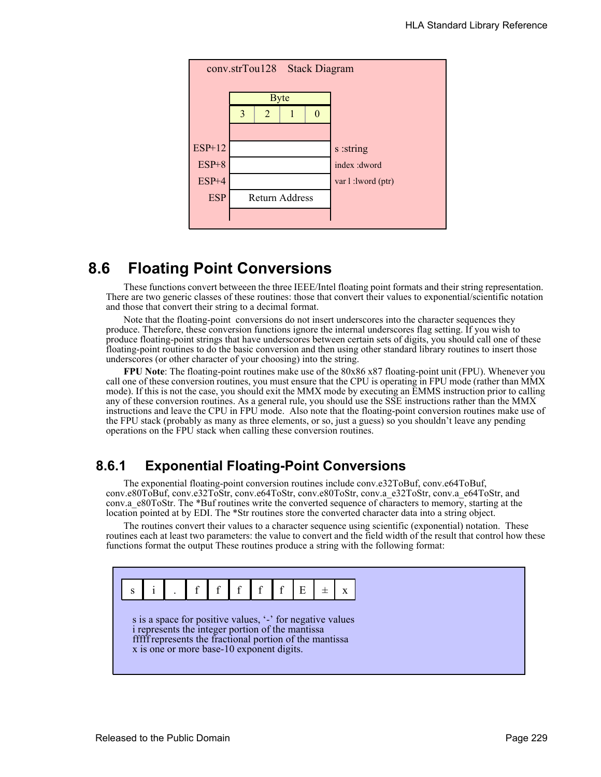|               |                | conv.strTou128 | <b>Stack Diagram</b> |  |                    |
|---------------|----------------|----------------|----------------------|--|--------------------|
|               |                |                | <b>Byte</b>          |  |                    |
|               | 3              | 2              |                      |  |                    |
|               |                |                |                      |  |                    |
| <b>ESP+12</b> |                |                |                      |  | s :string          |
| $ESP+8$       |                |                |                      |  | index :dword       |
| ESP+4         |                |                |                      |  | var l: lword (ptr) |
| <b>ESP</b>    | Return Address |                |                      |  |                    |
|               |                |                |                      |  |                    |

## **8.6 Floating Point Conversions**

These functions convert betweeen the three IEEE/Intel floating point formats and their string representation. There are two generic classes of these routines: those that convert their values to exponential/scientific notation and those that convert their string to a decimal format.

Note that the floating-point conversions do not insert underscores into the character sequences they produce. Therefore, these conversion functions ignore the internal underscores flag setting. If you wish to produce floating-point strings that have underscores between certain sets of digits, you should call one of these floating-point routines to do the basic conversion and then using other standard library routines to insert those underscores (or other character of your choosing) into the string.

**FPU Note**: The floating-point routines make use of the 80x86 x87 floating-point unit (FPU). Whenever you call one of these conversion routines, you must ensure that the CPU is operating in FPU mode (rather than MMX mode). If this is not the case, you should exit the MMX mode by executing an EMMS instruction prior to calling any of these conversion routines. As a general rule, you should use the SSE instructions rather than the MMX instructions and leave the CPU in FPU mode. Also note that the floating-point conversion routines make use of the FPU stack (probably as many as three elements, or so, just a guess) so you shouldn't leave any pending operations on the FPU stack when calling these conversion routines.

### **8.6.1 Exponential Floating-Point Conversions**

The exponential floating-point conversion routines include conv.e32ToBuf, conv.e64ToBuf, conv.e80ToBuf, conv.e32ToStr, conv.e64ToStr, conv.e80ToStr, conv.a\_e32ToStr, conv.a\_e64ToStr, and conv.a\_e80ToStr. The \*Buf routines write the converted sequence of characters to memory, starting at the location pointed at by EDI. The \*Str routines store the converted character data into a string object.

The routines convert their values to a character sequence using scientific (exponential) notation. These routines each at least two parameters: the value to convert and the field width of the result that control how these functions format the output These routines produce a string with the following format:

# si. fffff E ±x

s is a space for positive values, '-' for negative values i represents the integer portion of the mantissa fffff represents the fractional portion of the mantissa x is one or more base-10 exponent digits.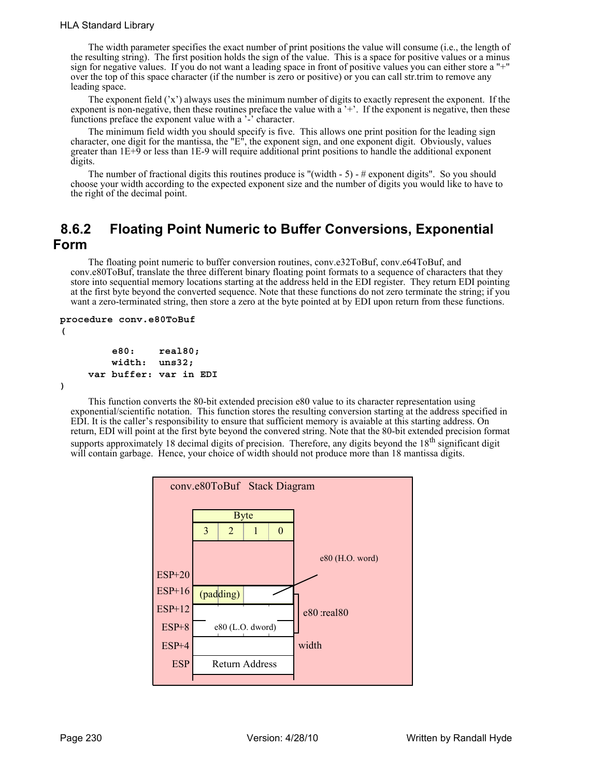The width parameter specifies the exact number of print positions the value will consume (i.e., the length of the resulting string). The first position holds the sign of the value. This is a space for positive values or a minus sign for negative values. If you do not want a leading space in front of positive values you can either store a "+" over the top of this space character (if the number is zero or positive) or you can call str.trim to remove any leading space.

The exponent field ('x') always uses the minimum number of digits to exactly represent the exponent. If the exponent is non-negative, then these routines preface the value with  $\overline{a}$  '+'. If the exponent is negative, then these functions preface the exponent value with a '-' character.

The minimum field width you should specify is five. This allows one print position for the leading sign character, one digit for the mantissa, the "E", the exponent sign, and one exponent digit. Obviously, values greater than 1E+9 or less than 1E-9 will require additional print positions to handle the additional exponent digits.

The number of fractional digits this routines produce is "(width  $-5$ ) - # exponent digits". So you should choose your width according to the expected exponent size and the number of digits you would like to have to the right of the decimal point.

### **8.6.2 Floating Point Numeric to Buffer Conversions, Exponential Form**

The floating point numeric to buffer conversion routines, conv.e32ToBuf, conv.e64ToBuf, and conv.e80ToBuf, translate the three different binary floating point formats to a sequence of characters that they store into sequential memory locations starting at the address held in the EDI register. They return EDI pointing at the first byte beyond the converted sequence. Note that these functions do not zero terminate the string; if you want a zero-terminated string, then store a zero at the byte pointed at by EDI upon return from these functions.

```
procedure conv.e80ToBuf
```

```
(
```

```
 e80: real80;
     width: uns32;
var buffer: var in EDI
```
**)**

This function converts the 80-bit extended precision e80 value to its character representation using exponential/scientific notation. This function stores the resulting conversion starting at the address specified in EDI. It is the caller's responsibility to ensure that sufficient memory is avaiable at this starting address. On return, EDI will point at the first byte beyond the convered string. Note that the 80-bit extended precision format supports approximately 18 decimal digits of precision. Therefore, any digits beyond the 18<sup>th</sup> significant digit will contain garbage. Hence, your choice of width should not produce more than 18 mantissa digits.

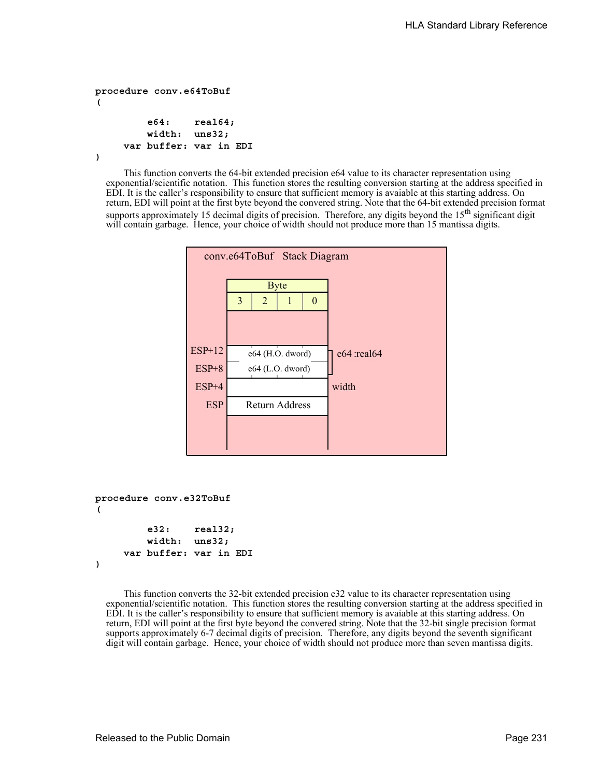```
procedure conv.e64ToBuf
(
          e64: real64;
          width: uns32;
     var buffer: var in EDI
)
```
This function converts the 64-bit extended precision e64 value to its character representation using exponential/scientific notation. This function stores the resulting conversion starting at the address specified in EDI. It is the caller's responsibility to ensure that sufficient memory is avaiable at this starting address. On return, EDI will point at the first byte beyond the convered string. Note that the 64-bit extended precision format supports approximately 15 decimal digits of precision. Therefore, any digits beyond the 15<sup>th</sup> significant digit will contain garbage. Hence, your choice of width should not produce more than 15 mantissa digits.



```
procedure conv.e32ToBuf
(
          e32: real32;
          width: uns32;
     var buffer: var in EDI
)
```
This function converts the 32-bit extended precision e32 value to its character representation using exponential/scientific notation. This function stores the resulting conversion starting at the address specified in EDI. It is the caller's responsibility to ensure that sufficient memory is avaiable at this starting address. On return, EDI will point at the first byte beyond the convered string. Note that the 32-bit single precision format supports approximately 6-7 decimal digits of precision. Therefore, any digits beyond the seventh significant digit will contain garbage. Hence, your choice of width should not produce more than seven mantissa digits.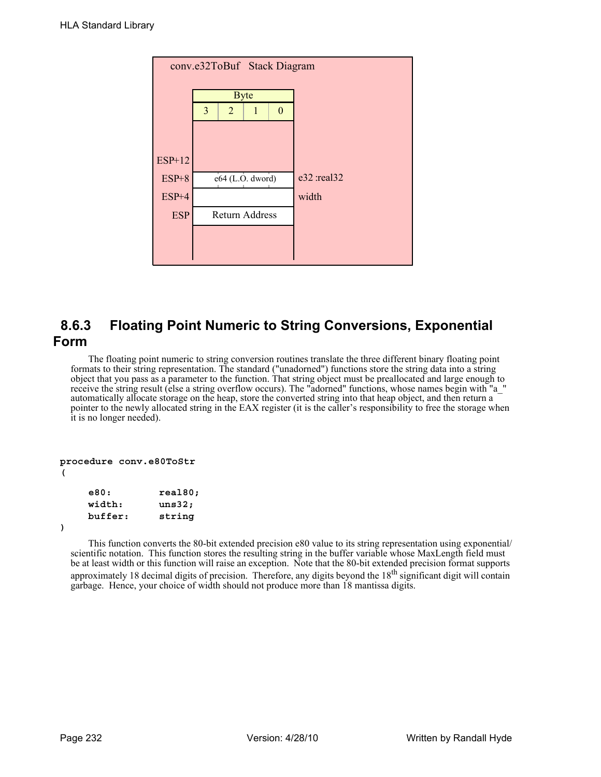|            |                  | conv.e32ToBuf Stack Diagram |             |          |             |
|------------|------------------|-----------------------------|-------------|----------|-------------|
|            |                  |                             | <b>Byte</b> |          |             |
|            | 3                | 2                           | 1           | $\theta$ |             |
|            |                  |                             |             |          |             |
|            |                  |                             |             |          |             |
|            |                  |                             |             |          |             |
| $ESP+8$    | e64 (L.O. dword) |                             |             |          | e32 :real32 |
| $ESP+4$    |                  |                             |             |          | width       |
| <b>ESP</b> |                  | <b>Return Address</b>       |             |          |             |
|            |                  |                             |             |          |             |
|            |                  |                             |             |          |             |
| $ESP+12$   |                  |                             |             |          |             |

### **8.6.3 Floating Point Numeric to String Conversions, Exponential Form**

The floating point numeric to string conversion routines translate the three different binary floating point formats to their string representation. The standard ("unadorned") functions store the string data into a string object that you pass as a parameter to the function. That string object must be preallocated and large enough to receive the string result (else a string overflow occurs). The "adorned" functions, whose names begin with "a\_" automatically allocate storage on the heap, store the converted string into that heap object, and then return a pointer to the newly allocated string in the EAX register (it is the caller's responsibility to free the storage when it is no longer needed).

```
procedure conv.e80ToStr
(
    e80: real80;
   width: uns32;
   buffer: string
```
**)**

This function converts the 80-bit extended precision e80 value to its string representation using exponential/ scientific notation. This function stores the resulting string in the buffer variable whose MaxLength field must be at least width or this function will raise an exception. Note that the 80-bit extended precision format supports approximately 18 decimal digits of precision. Therefore, any digits beyond the 18<sup>th</sup> significant digit will contain garbage. Hence, your choice of width should not produce more than 18 mantissa digits.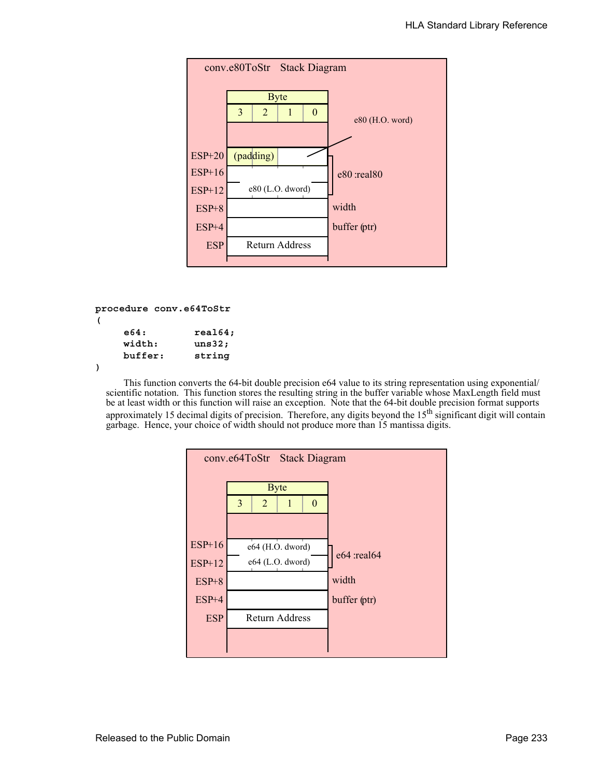|               |                    | conv.e80ToStr Stack Diagram |             |          |                 |
|---------------|--------------------|-----------------------------|-------------|----------|-----------------|
|               |                    |                             | <b>Byte</b> |          |                 |
|               | 3                  | $\overline{2}$              | 1           | $\theta$ |                 |
|               |                    |                             |             |          | e80 (H.O. word) |
|               |                    |                             |             |          |                 |
| <b>ESP+20</b> |                    | (padding)                   |             |          |                 |
| $ESP+16$      |                    |                             |             |          | e80 :real80     |
| $ESP+12$      | $e80$ (L.O. dword) |                             |             |          |                 |
| $ESP+8$       |                    |                             |             |          | width           |
| $ESP+4$       |                    |                             |             |          | buffer (ptr)    |
| <b>ESP</b>    |                    | <b>Return Address</b>       |             |          |                 |
|               |                    |                             |             |          |                 |

```
procedure conv.e64ToStr
(
    e64: real64;
```

| width:  | uns32; |
|---------|--------|
| buffer: | string |
|         |        |

```
)
```
This function converts the 64-bit double precision e64 value to its string representation using exponential/ scientific notation. This function stores the resulting string in the buffer variable whose MaxLength field must be at least width or this function will raise an exception. Note that the 64-bit double precision format supports approximately 15 decimal digits of precision. Therefore, any digits beyond the 15<sup>th</sup> significant digit will contain garbage. Hence, your choice of width should not produce more than 15 mantissa digits.

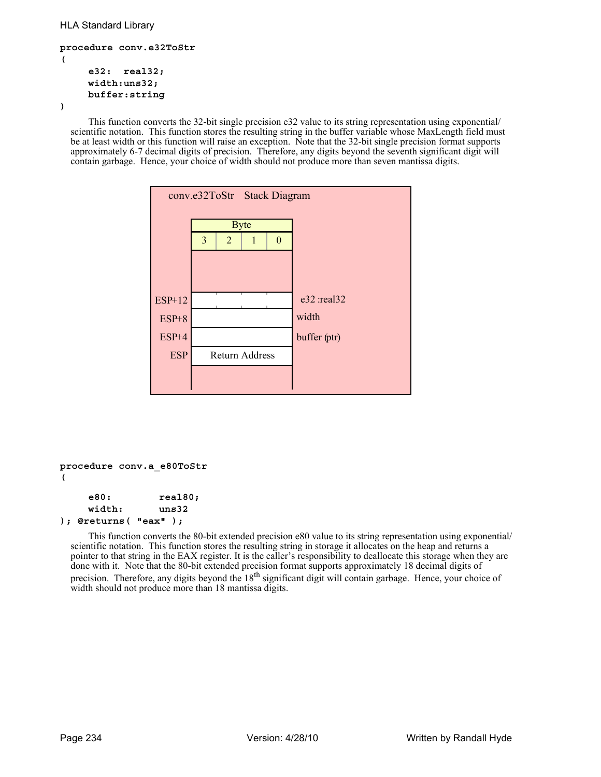```
HLA Standard Library
```

```
procedure conv.e32ToStr
(
     e32: real32;
     width:uns32;
     buffer:string
)
```

```
This function converts the 32-bit single precision e32 value to its string representation using exponential/
scientific notation. This function stores the resulting string in the buffer variable whose MaxLength field must 
be at least width or this function will raise an exception. Note that the 32-bit single precision format supports 
approximately 6-7 decimal digits of precision. Therefore, any digits beyond the seventh significant digit will 
contain garbage. Hence, your choice of width should not produce more than seven mantissa digits.
```


```
procedure conv.a_e80ToStr
(
```

| e80:   | real80; |
|--------|---------|
| width: | uns32   |
|        |         |

### **); @returns( "eax" );**

This function converts the 80-bit extended precision e80 value to its string representation using exponential/ scientific notation. This function stores the resulting string in storage it allocates on the heap and returns a pointer to that string in the EAX register. It is the caller's responsibility to deallocate this storage when they are done with it. Note that the 80-bit extended precision format supports approximately 18 decimal digits of precision. Therefore, any digits beyond the 18<sup>th</sup> significant digit will contain garbage. Hence, your choice of width should not produce more than 18 mantissa digits.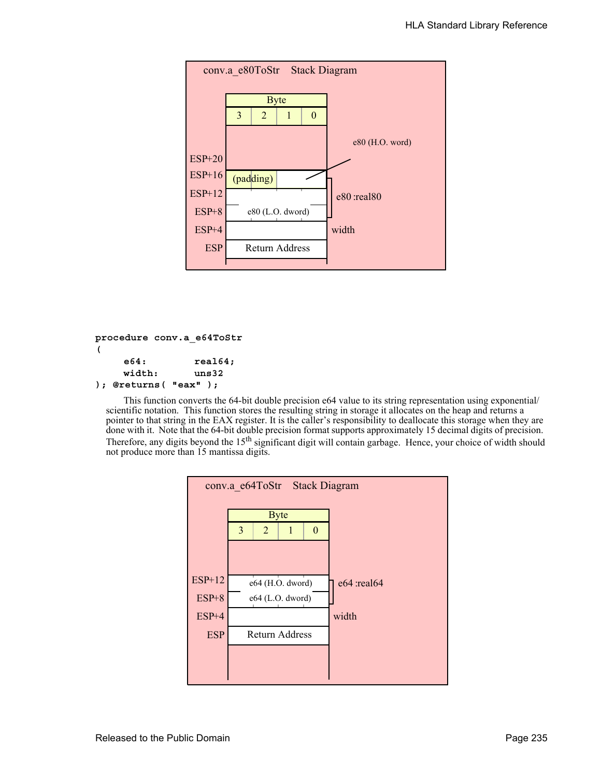| conv.a e80ToStr Stack Diagram |                       |  |  |  |  |  |  |
|-------------------------------|-----------------------|--|--|--|--|--|--|
|                               | <b>Byte</b>           |  |  |  |  |  |  |
|                               | 3<br>2<br>0           |  |  |  |  |  |  |
|                               | e80 (H.O. word)       |  |  |  |  |  |  |
| $ESP+20$                      |                       |  |  |  |  |  |  |
| $ESP+16$                      | (padding)             |  |  |  |  |  |  |
| $ESP+12$                      | e80 :real80           |  |  |  |  |  |  |
| $ESP+8$                       | $e80$ (L.O. dword)    |  |  |  |  |  |  |
| $ESP+4$                       | width                 |  |  |  |  |  |  |
| <b>ESP</b>                    | <b>Return Address</b> |  |  |  |  |  |  |
|                               |                       |  |  |  |  |  |  |

```
procedure conv.a_e64ToStr
(
    e64: real64;
    width: uns32
); @returns( "eax" );
```
This function converts the 64-bit double precision e64 value to its string representation using exponential/ scientific notation. This function stores the resulting string in storage it allocates on the heap and returns a pointer to that string in the EAX register. It is the caller's responsibility to deallocate this storage when they are done with it. Note that the 64-bit double precision format supports approximately 15 decimal digits of precision. Therefore, any digits beyond the 15<sup>th</sup> significant digit will contain garbage. Hence, your choice of width should not produce more than 15 mantissa digits.

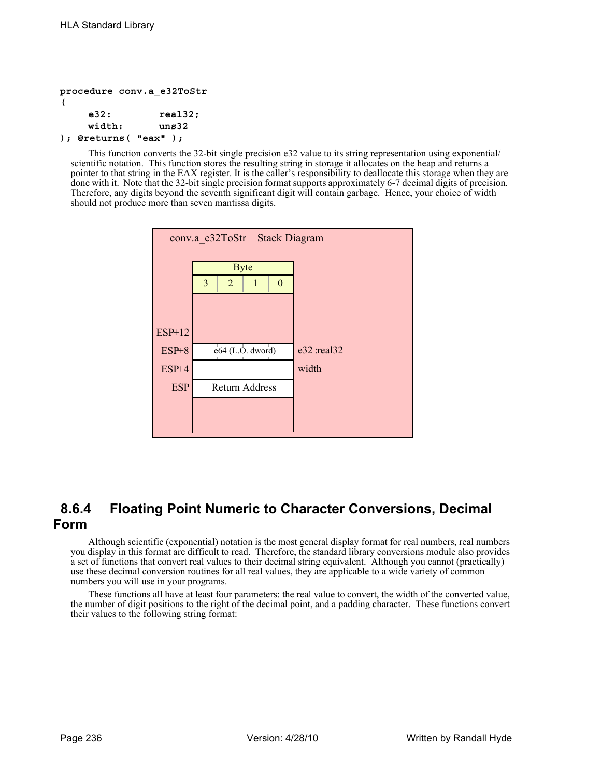```
procedure conv.a_e32ToStr
(
    e32: real32;
    width: uns32
); @returns( "eax" );
```
This function converts the 32-bit single precision e32 value to its string representation using exponential/ scientific notation. This function stores the resulting string in storage it allocates on the heap and returns a pointer to that string in the EAX register. It is the caller's responsibility to deallocate this storage when they are done with it. Note that the 32-bit single precision format supports approximately 6-7 decimal digits of precision. Therefore, any digits beyond the seventh significant digit will contain garbage. Hence, your choice of width should not produce more than seven mantissa digits.



### **8.6.4 Floating Point Numeric to Character Conversions, Decimal Form**

Although scientific (exponential) notation is the most general display format for real numbers, real numbers you display in this format are difficult to read. Therefore, the standard library conversions module also provides a set of functions that convert real values to their decimal string equivalent. Although you cannot (practically) use these decimal conversion routines for all real values, they are applicable to a wide variety of common numbers you will use in your programs.

These functions all have at least four parameters: the real value to convert, the width of the converted value, the number of digit positions to the right of the decimal point, and a padding character. These functions convert their values to the following string format: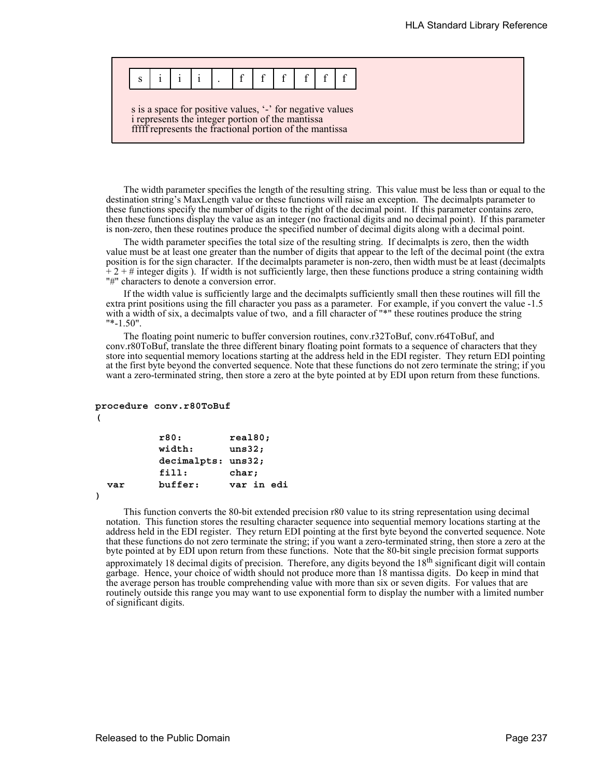| $s \mid i \mid i \mid i$ |  |  |  |  |  |
|--------------------------|--|--|--|--|--|

s is a space for positive values, '-' for negative values i represents the integer portion of the mantissa fffff represents the fractional portion of the mantissa

The width parameter specifies the length of the resulting string. This value must be less than or equal to the destination string's MaxLength value or these functions will raise an exception. The decimalpts parameter to these functions specify the number of digits to the right of the decimal point. If this parameter contains zero, then these functions display the value as an integer (no fractional digits and no decimal point). If this parameter is non-zero, then these routines produce the specified number of decimal digits along with a decimal point.

The width parameter specifies the total size of the resulting string. If decimalpts is zero, then the width value must be at least one greater than the number of digits that appear to the left of the decimal point (the extra position is for the sign character. If the decimalpts parameter is non-zero, then width must be at least (decimalpts  $+ 2 + \#$  integer digits ). If width is not sufficiently large, then these functions produce a string containing width "#" characters to denote a conversion error.

If the width value is sufficiently large and the decimalpts sufficiently small then these routines will fill the extra print positions using the fill character you pass as a parameter. For example, if you convert the value -1.5 with a width of six, a decimalpts value of two, and a fill character of "\*" these routines produce the string "\*-1.50".

The floating point numeric to buffer conversion routines, conv.r32ToBuf, conv.r64ToBuf, and conv.r80ToBuf, translate the three different binary floating point formats to a sequence of characters that they store into sequential memory locations starting at the address held in the EDI register. They return EDI pointing at the first byte beyond the converted sequence. Note that these functions do not zero terminate the string; if you want a zero-terminated string, then store a zero at the byte pointed at by EDI upon return from these functions.

#### **procedure conv.r80ToBuf (**

|     | r80:               | real80:    |
|-----|--------------------|------------|
|     | width:             | uns32:     |
|     | decimalpts: uns32; |            |
|     | fill:              | char:      |
| var | buffer:            | var in edi |
|     |                    |            |

**)**

This function converts the 80-bit extended precision r80 value to its string representation using decimal notation. This function stores the resulting character sequence into sequential memory locations starting at the address held in the EDI register. They return EDI pointing at the first byte beyond the converted sequence. Note that these functions do not zero terminate the string; if you want a zero-terminated string, then store a zero at the byte pointed at by EDI upon return from these functions. Note that the 80-bit single precision format supports approximately 18 decimal digits of precision. Therefore, any digits beyond the  $18<sup>th</sup>$  significant digit will contain garbage. Hence, your choice of width should not produce more than 18 mantissa digits. Do keep in mind that the average person has trouble comprehending value with more than six or seven digits. For values that are routinely outside this range you may want to use exponential form to display the number with a limited number of significant digits.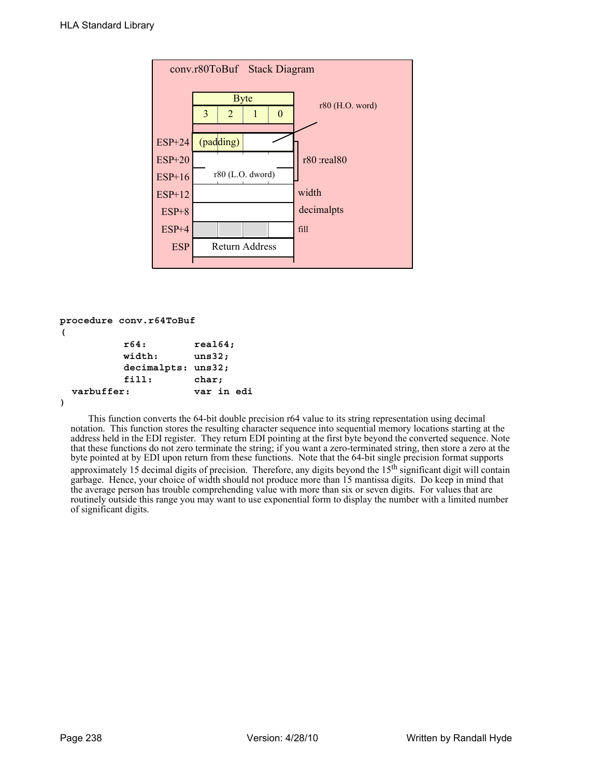

```
procedure conv.r64ToBuf
(
```

| r64:               | real:      |
|--------------------|------------|
| width:             | uns32:     |
| decimalpts: uns32; |            |
| fill:              | char;      |
| varbuffer:         | var in edi |
|                    |            |

```
)
```
This function converts the 64-bit double precision r64 value to its string representation using decimal notation. This function stores the resulting character sequence into sequential memory locations starting at the address held in the EDI register. They return EDI pointing at the first byte beyond the converted sequence. Note that these functions do not zero terminate the string; if you want a zero-terminated string, then store a zero at the byte pointed at by EDI upon return from these functions. Note that the 64-bit single precision format supports approximately 15 decimal digits of precision. Therefore, any digits beyond the  $15<sup>th</sup>$  significant digit will contain garbage. Hence, your choice of width should not produce more than 15 mantissa digits. Do keep in mind that the average person has trouble comprehending value with more than six or seven digits. For values that are routinely outside this range you may want to use exponential form to display the number with a limited number of significant digits.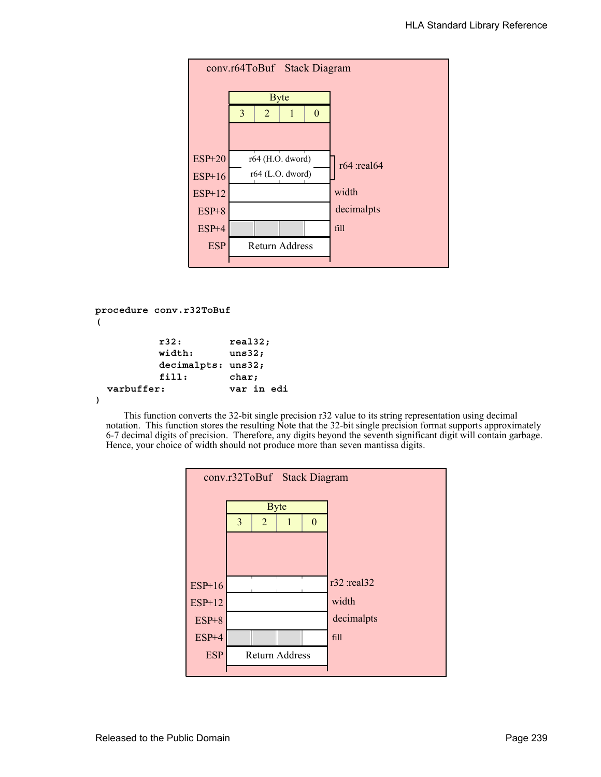|            |   | conv.r64ToBuf Stack Diagram |             |          |             |
|------------|---|-----------------------------|-------------|----------|-------------|
|            |   |                             |             |          |             |
|            |   |                             | <b>Byte</b> |          |             |
|            | 3 | 2                           | 1           | $\Omega$ |             |
|            |   |                             |             |          |             |
| $ESP+20$   |   | r64 (H.O. dword)            |             |          |             |
|            |   |                             |             |          | r64 :real64 |
| $ESP+16$   |   | $r64$ (L.O. dword)          |             |          |             |
| $ESP+12$   |   |                             |             |          | width       |
| $ESP+8$    |   |                             |             |          | decimalpts  |
| $ESP+4$    |   |                             |             |          | fi11        |
| <b>ESP</b> |   | <b>Return Address</b>       |             |          |             |
|            |   |                             |             |          |             |

```
procedure conv.r32ToBuf
(
         r32: real32;
         width: uns32;
         decimalpts: uns32;
         fill: char;
  varbuffer: var in edi
```
**)**

This function converts the 32-bit single precision r32 value to its string representation using decimal notation. This function stores the resulting Note that the 32-bit single precision format supports approximately 6-7 decimal digits of precision. Therefore, any digits beyond the seventh significant digit will contain garbage. Hence, your choice of width should not produce more than seven mantissa digits.

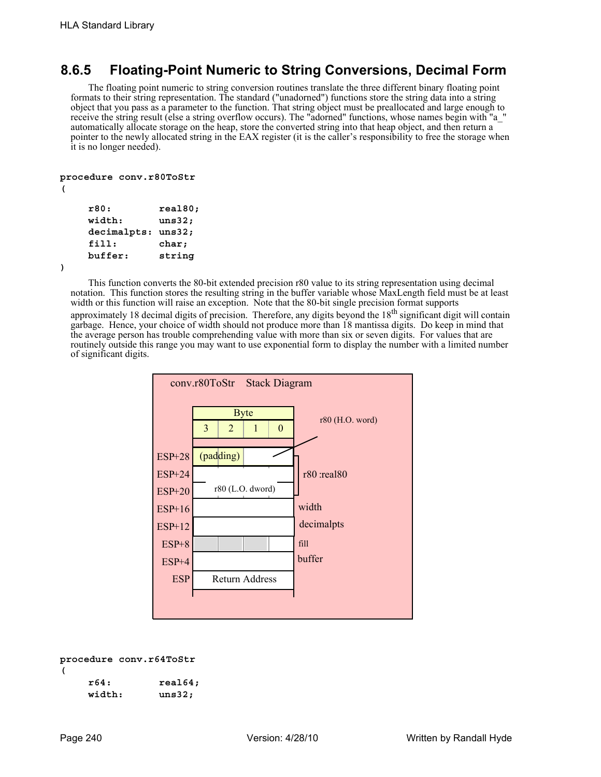### **8.6.5 Floating-Point Numeric to String Conversions, Decimal Form**

The floating point numeric to string conversion routines translate the three different binary floating point formats to their string representation. The standard ("unadorned") functions store the string data into a string object that you pass as a parameter to the function. That string object must be preallocated and large enough to receive the string result (else a string overflow occurs). The "adorned" functions, whose names begin with "a\_" automatically allocate storage on the heap, store the converted string into that heap object, and then return a pointer to the newly allocated string in the EAX register (it is the caller's responsibility to free the storage when it is no longer needed).

### **procedure conv.r80ToStr**

```
(
```

| r80:               | real80: |
|--------------------|---------|
| width:             | uns32:  |
| decimalpts: uns32; |         |
| fill:              | char;   |
| <b>buffer:</b>     | string  |
|                    |         |

**)**

This function converts the 80-bit extended precision r80 value to its string representation using decimal notation. This function stores the resulting string in the buffer variable whose MaxLength field must be at least width or this function will raise an exception. Note that the 80-bit single precision format supports approximately 18 decimal digits of precision. Therefore, any digits beyond the  $18<sup>th</sup>$  significant digit will contain garbage. Hence, your choice of width should not produce more than 18 mantissa digits. Do keep in mind that the average person has trouble comprehending value with more than six or seven digits. For values that are routinely outside this range you may want to use exponential form to display the number with a limited number of significant digits.



```
procedure conv.r64ToStr
(
    r64: real64;
    width: uns32;
```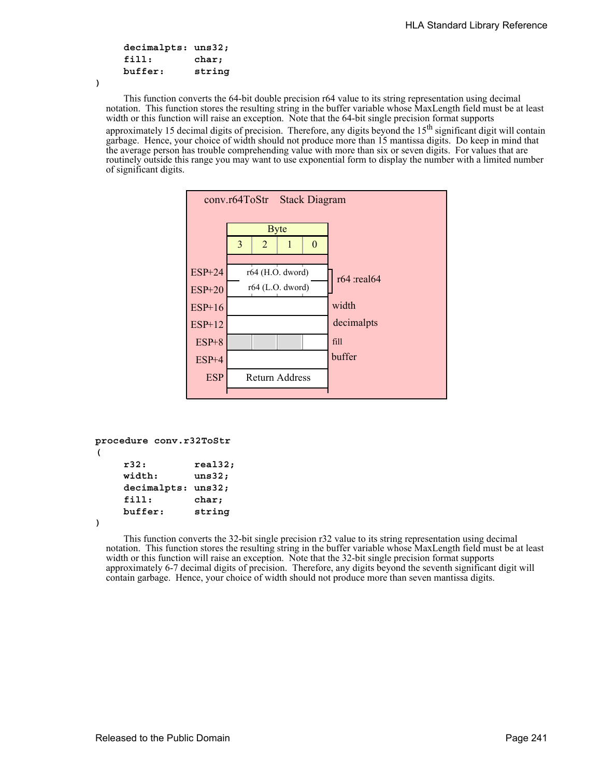```
decimalpts: uns32;
fill: char;
buffer: string
```
**)**

This function converts the 64-bit double precision r64 value to its string representation using decimal notation. This function stores the resulting string in the buffer variable whose MaxLength field must be at least width or this function will raise an exception. Note that the 64-bit single precision format supports approximately 15 decimal digits of precision. Therefore, any digits beyond the  $15<sup>th</sup>$  significant digit will contain garbage. Hence, your choice of width should not produce more than 15 mantissa digits. Do keep in mind that the average person has trouble comprehending value with more than six or seven digits. For values that are routinely outside this range you may want to use exponential form to display the number with a limited number of significant digits.



```
procedure conv.r32ToStr
(
    r32: real32;
    width: uns32;
    decimalpts: uns32;
    fill: char;
    buffer: string
```
**)**

This function converts the 32-bit single precision r32 value to its string representation using decimal notation. This function stores the resulting string in the buffer variable whose MaxLength field must be at least width or this function will raise an exception. Note that the 32-bit single precision format supports approximately 6-7 decimal digits of precision. Therefore, any digits beyond the seventh significant digit will contain garbage. Hence, your choice of width should not produce more than seven mantissa digits.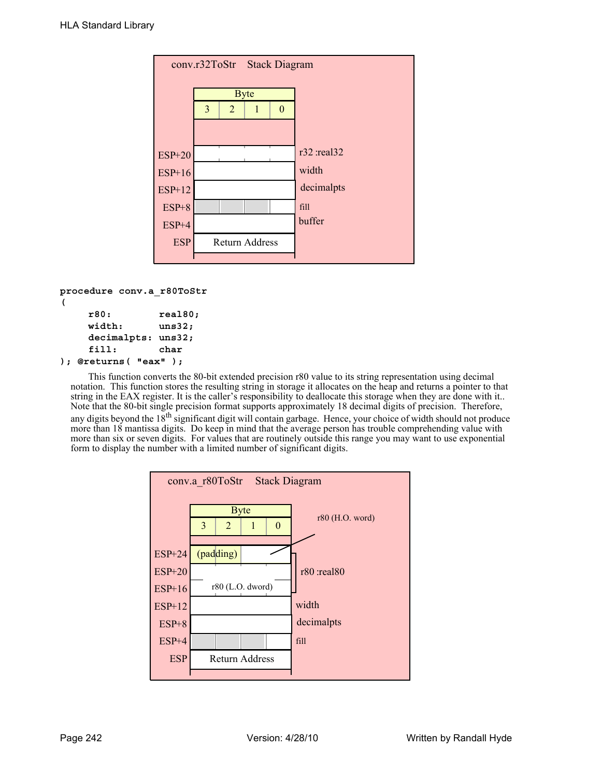

```
procedure conv.a_r80ToStr
(
    r80: real80;
    width: uns32;
    decimalpts: uns32;
    fill: char
); @returns( "eax" );
```
This function converts the 80-bit extended precision r80 value to its string representation using decimal notation. This function stores the resulting string in storage it allocates on the heap and returns a pointer to that string in the EAX register. It is the caller's responsibility to deallocate this storage when they are done with it.. Note that the 80-bit single precision format supports approximately 18 decimal digits of precision. Therefore, any digits beyond the 18<sup>th</sup> significant digit will contain garbage. Hence, your choice of width should not produce more than 18 mantissa digits. Do keep in mind that the average person has trouble comprehending value with more than six or seven digits. For values that are routinely outside this range you may want to use exponential form to display the number with a limited number of significant digits.

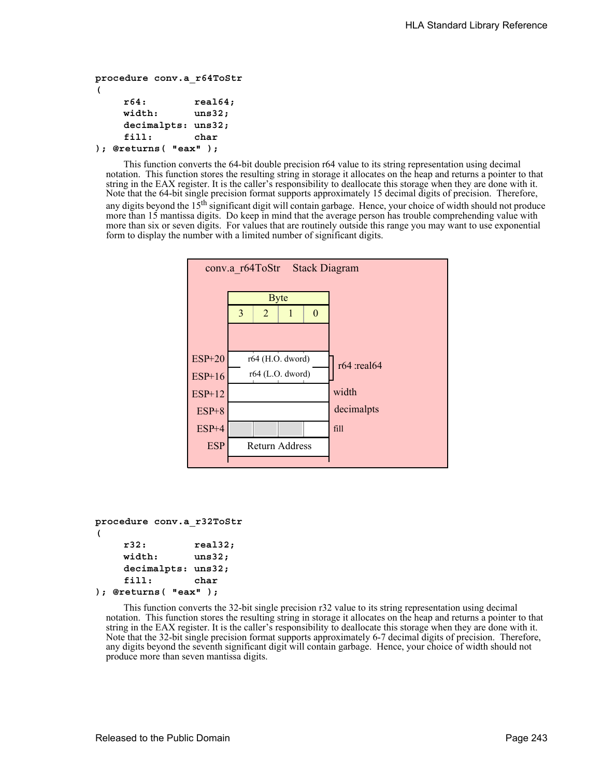```
procedure conv.a_r64ToStr
(
    r64: real64;
    width: uns32;
    decimalpts: uns32;
    fill: char
```

```
); @returns( "eax" );
```
This function converts the 64-bit double precision r64 value to its string representation using decimal notation. This function stores the resulting string in storage it allocates on the heap and returns a pointer to that string in the EAX register. It is the caller's responsibility to deallocate this storage when they are done with it. Note that the 64-bit single precision format supports approximately 15 decimal digits of precision. Therefore, any digits beyond the 15<sup>th</sup> significant digit will contain garbage. Hence, your choice of width should not produce more than 15 mantissa digits. Do keep in mind that the average person has trouble comprehending value with more than six or seven digits. For values that are routinely outside this range you may want to use exponential form to display the number with a limited number of significant digits.



```
procedure conv.a_r32ToStr
(
    r32: real32;
    width: uns32;
    decimalpts: uns32;
    fill: char
```

```
); @returns( "eax" );
```
This function converts the 32-bit single precision r32 value to its string representation using decimal notation. This function stores the resulting string in storage it allocates on the heap and returns a pointer to that string in the EAX register. It is the caller's responsibility to deallocate this storage when they are done with it. Note that the 32-bit single precision format supports approximately 6-7 decimal digits of precision. Therefore, any digits beyond the seventh significant digit will contain garbage. Hence, your choice of width should not produce more than seven mantissa digits.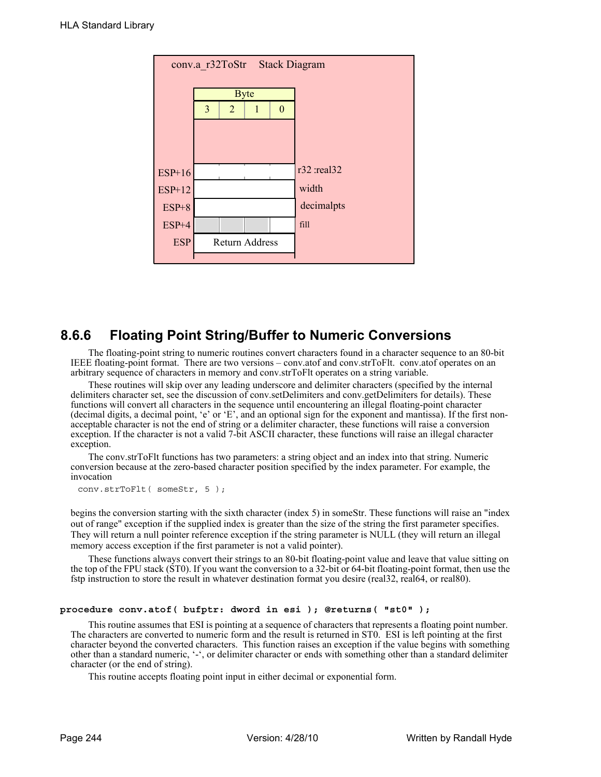

### **8.6.6 Floating Point String/Buffer to Numeric Conversions**

The floating-point string to numeric routines convert characters found in a character sequence to an 80-bit IEEE floating-point format. There are two versions – conv.atof and conv.strToFlt. conv.atof operates on an arbitrary sequence of characters in memory and conv.strToFlt operates on a string variable.

These routines will skip over any leading underscore and delimiter characters (specified by the internal delimiters character set, see the discussion of conv.setDelimiters and conv.getDelimiters for details). These functions will convert all characters in the sequence until encountering an illegal floating-point character (decimal digits, a decimal point, 'e' or 'E', and an optional sign for the exponent and mantissa). If the first nonacceptable character is not the end of string or a delimiter character, these functions will raise a conversion exception. If the character is not a valid 7-bit ASCII character, these functions will raise an illegal character exception.

The conv.strToFlt functions has two parameters: a string object and an index into that string. Numeric conversion because at the zero-based character position specified by the index parameter. For example, the invocation

conv.strToFlt( someStr, 5 );

begins the conversion starting with the sixth character (index 5) in someStr. These functions will raise an "index out of range" exception if the supplied index is greater than the size of the string the first parameter specifies. They will return a null pointer reference exception if the string parameter is NULL (they will return an illegal memory access exception if the first parameter is not a valid pointer).

These functions always convert their strings to an 80-bit floating-point value and leave that value sitting on the top of the FPU stack (ST0). If you want the conversion to a 32-bit or 64-bit floating-point format, then use the fstp instruction to store the result in whatever destination format you desire (real32, real64, or real80).

#### **procedure conv.atof( bufptr: dword in esi ); @returns( "st0" );**

This routine assumes that ESI is pointing at a sequence of characters that represents a floating point number. The characters are converted to numeric form and the result is returned in ST0. ESI is left pointing at the first character beyond the converted characters. This function raises an exception if the value begins with something other than a standard numeric, '-', or delimiter character or ends with something other than a standard delimiter character (or the end of string).

This routine accepts floating point input in either decimal or exponential form.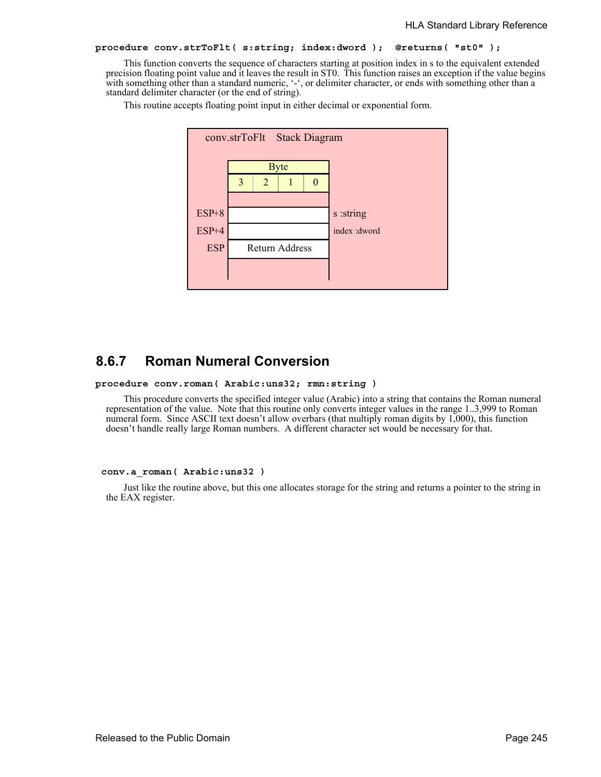#### **procedure conv.strToFlt( s:string; index:dword ); @returns( "st0" );**

This function converts the sequence of characters starting at position index in s to the equivalent extended precision floating point value and it leaves the result in ST0. This function raises an exception if the value begins with something other than a standard numeric, '-', or delimiter character, or ends with something other than a standard delimiter character (or the end of string).

This routine accepts floating point input in either decimal or exponential form.



### **8.6.7 Roman Numeral Conversion**

#### **procedure conv.roman( Arabic:uns32; rmn:string )**

This procedure converts the specified integer value (Arabic) into a string that contains the Roman numeral representation of the value. Note that this routine only converts integer values in the range 1..3,999 to Roman numeral form. Since ASCII text doesn't allow overbars (that multiply roman digits by 1,000), this function doesn't handle really large Roman numbers. A different character set would be necessary for that.

#### **conv.a\_roman( Arabic:uns32 )**

Just like the routine above, but this one allocates storage for the string and returns a pointer to the string in the EAX register.